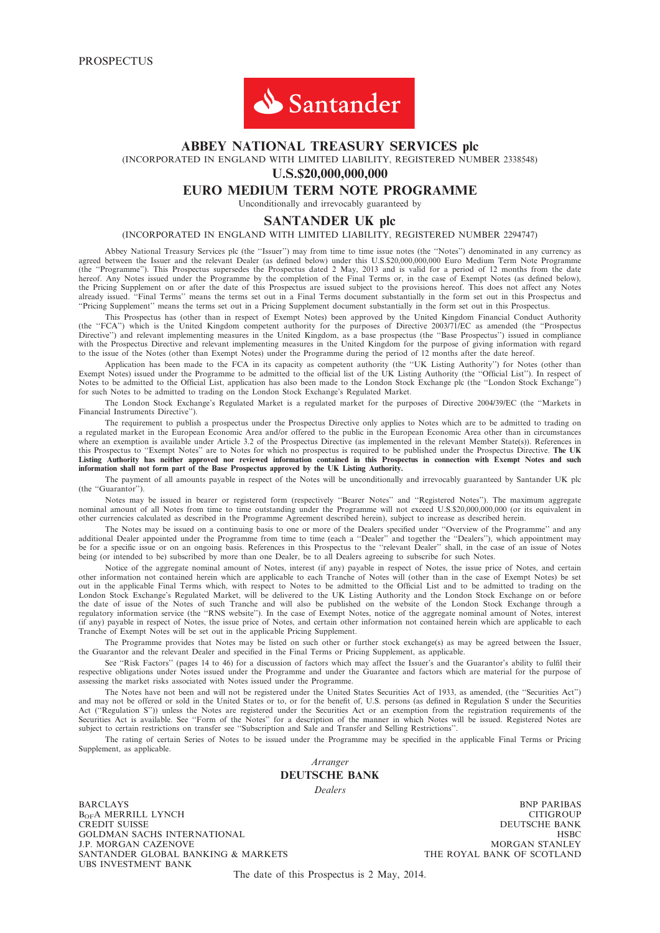

#### ABBEY NATIONAL TREASURY SERVICES plc

(INCORPORATED IN ENGLAND WITH LIMITED LIABILITY, REGISTERED NUMBER 2338548)

U.S.\$20,000,000,000

## EURO MEDIUM TERM NOTE PROGRAMME

Unconditionally and irrevocably guaranteed by

#### SANTANDER UK plc

#### (INCORPORATED IN ENGLAND WITH LIMITED LIABILITY, REGISTERED NUMBER 2294747)

Abbey National Treasury Services plc (the ''Issuer'') may from time to time issue notes (the ''Notes'') denominated in any currency as agreed between the Issuer and the relevant Dealer (as defined below) under this U.S.\$20,000,000,000 Euro Medium Term Note Programme (the ''Programme''). This Prospectus supersedes the Prospectus dated 2 May, 2013 and is valid for a period of 12 months from the date hereof. Any Notes issued under the Programme by the completion of the Final Terms or, in the case of Exempt Notes (as defined below), the Pricing Supplement on or after the date of this Prospectus are issued subject to the provisions hereof. This does not affect any Notes already issued. ''Final Terms'' means the terms set out in a Final Terms document substantially in the form set out in this Prospectus and ''Pricing Supplement'' means the terms set out in a Pricing Supplement document substantially in the form set out in this Prospectus.

This Prospectus has (other than in respect of Exempt Notes) been approved by the United Kingdom Financial Conduct Authority (the ''FCA'') which is the United Kingdom competent authority for the purposes of Directive 2003/71/EC as amended (the ''Prospectus Directive'') and relevant implementing measures in the United Kingdom, as a base prospectus (the ''Base Prospectus'') issued in compliance with the Prospectus Directive and relevant implementing measures in the United Kingdom for the purpose of giving information with regard to the issue of the Notes (other than Exempt Notes) under the Programme during the period of 12 months after the date hereof.

Application has been made to the FCA in its capacity as competent authority (the ''UK Listing Authority'') for Notes (other than Exempt Notes) issued under the Programme to be admitted to the official list of the UK Listing Authority (the ''Official List''). In respect of Notes to be admitted to the Official List, application has also been made to the London Stock Exchange plc (the ''London Stock Exchange'') for such Notes to be admitted to trading on the London Stock Exchange's Regulated Market.

The London Stock Exchange's Regulated Market is a regulated market for the purposes of Directive 2004/39/EC (the ''Markets in Financial Instruments Directive'').

The requirement to publish a prospectus under the Prospectus Directive only applies to Notes which are to be admitted to trading on a regulated market in the European Economic Area and/or offered to the public in the European Economic Area other than in circumstances where an exemption is available under Article 3.2 of the Prospectus Directive (as implemented in the relevant Member State(s)). References in this Prospectus to "Exempt Notes" are to Notes for which no prospectus is required to be published under the Prospectus Directive. The UK Listing Authority has neither approved nor reviewed information contained in this Prospectus in connection with Exempt Notes and such information shall not form part of the Base Prospectus approved by the UK Listing Authority.

The payment of all amounts payable in respect of the Notes will be unconditionally and irrevocably guaranteed by Santander UK plc (the ''Guarantor'').

Notes may be issued in bearer or registered form (respectively ''Bearer Notes'' and ''Registered Notes''). The maximum aggregate nominal amount of all Notes from time to time outstanding under the Programme will not exceed U.S.\$20,000,000,000 (or its equivalent in other currencies calculated as described in the Programme Agreement described herein), subject to increase as described herein.

The Notes may be issued on a continuing basis to one or more of the Dealers specified under ''Overview of the Programme'' and any additional Dealer appointed under the Programme from time to time (each a ''Dealer'' and together the ''Dealers''), which appointment may be for a specific issue or on an ongoing basis. References in this Prospectus to the ''relevant Dealer'' shall, in the case of an issue of Notes being (or intended to be) subscribed by more than one Dealer, be to all Dealers agreeing to subscribe for such Notes.

Notice of the aggregate nominal amount of Notes, interest (if any) payable in respect of Notes, the issue price of Notes, and certain other information not contained herein which are applicable to each Tranche of Notes will (other than in the case of Exempt Notes) be set out in the applicable Final Terms which, with respect to Notes to be admitted to the Official List and to be admitted to trading on the London Stock Exchange's Regulated Market, will be delivered to the UK Listing Authority and the London Stock Exchange on or before the date of issue of the Notes of such Tranche and will also be published on the website of the London Stock Exchange through a regulatory information service (the ''RNS website''). In the case of Exempt Notes, notice of the aggregate nominal amount of Notes, interest (if any) payable in respect of Notes, the issue price of Notes, and certain other information not contained herein which are applicable to each Tranche of Exempt Notes will be set out in the applicable Pricing Supplement.

The Programme provides that Notes may be listed on such other or further stock exchange(s) as may be agreed between the Issuer, the Guarantor and the relevant Dealer and specified in the Final Terms or Pricing Supplement, as applicable.

See "Risk Factors" (pages 14 to 46) for a discussion of factors which may affect the Issuer's and the Guarantor's ability to fulfil their respective obligations under Notes issued under the Programme and under the Guarantee and factors which are material for the purpose of assessing the market risks associated with Notes issued under the Programme.

The Notes have not been and will not be registered under the United States Securities Act of 1933, as amended, (the ''Securities Act'') and may not be offered or sold in the United States or to, or for the benefit of, U.S. persons (as defined in Regulation S under the Securities Act ("Regulation S")) unless the Notes are registered under the Securities Act or an exemption from the registration requirements of the Securities Act is available. See ''Form of the Notes'' for a description of the manner in which Notes will be issued. Registered Notes are subject to certain restrictions on transfer see ''Subscription and Sale and Transfer and Selling Restrictions''.

The rating of certain Series of Notes to be issued under the Programme may be specified in the applicable Final Terms or Pricing Supplement, as applicable.

> Arranger DEUTSCHE BANK

**Dealers** 

BARCLAYS BNP PARIBAS  $B_{\text{OF}}$ A MERRILL LYNCH CITIGROUP CREDIT SUISSE DEUTS CHE BANK CHE BANK CHE BANK CHE BANK CHE BANK CHE BANK CHE BANK CHE BANK CHE BANK CHE BANK CHE BANK CHE BANK CHE BANK CHE BANK CHE BANK CHE BANK CHE BANK CHE BANK CHE GOLDMAN SACHS INTERNATIONAL HSBC J.P. MORGAN CAZENOVE MORGAN STANLEY SANTANDER GLOBAL BANKING & MARKETS UBS INVESTMENT BANK

DEUTSCHE BANK

The date of this Prospectus is 2 May, 2014.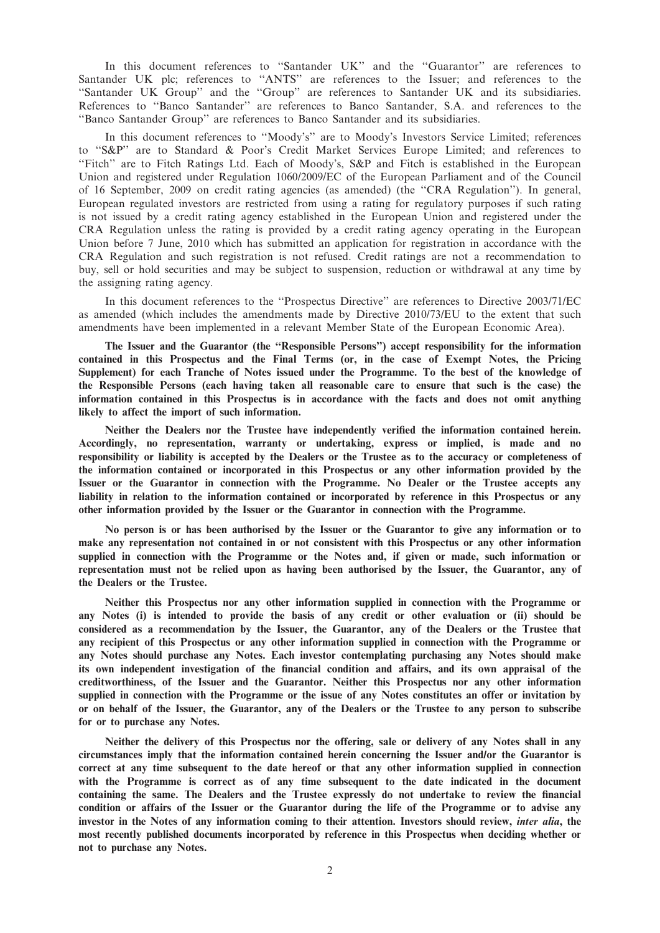In this document references to ''Santander UK'' and the ''Guarantor'' are references to Santander UK plc; references to ''ANTS'' are references to the Issuer; and references to the ''Santander UK Group'' and the ''Group'' are references to Santander UK and its subsidiaries. References to "Banco Santander" are references to Banco Santander, S.A. and references to the ''Banco Santander Group'' are references to Banco Santander and its subsidiaries.

In this document references to ''Moody's'' are to Moody's Investors Service Limited; references to ''S&P'' are to Standard & Poor's Credit Market Services Europe Limited; and references to "Fitch" are to Fitch Ratings Ltd. Each of Moody's, S&P and Fitch is established in the European Union and registered under Regulation 1060/2009/EC of the European Parliament and of the Council of 16 September, 2009 on credit rating agencies (as amended) (the ''CRA Regulation''). In general, European regulated investors are restricted from using a rating for regulatory purposes if such rating is not issued by a credit rating agency established in the European Union and registered under the CRA Regulation unless the rating is provided by a credit rating agency operating in the European Union before 7 June, 2010 which has submitted an application for registration in accordance with the CRA Regulation and such registration is not refused. Credit ratings are not a recommendation to buy, sell or hold securities and may be subject to suspension, reduction or withdrawal at any time by the assigning rating agency.

In this document references to the ''Prospectus Directive'' are references to Directive 2003/71/EC as amended (which includes the amendments made by Directive 2010/73/EU to the extent that such amendments have been implemented in a relevant Member State of the European Economic Area).

The Issuer and the Guarantor (the ''Responsible Persons'') accept responsibility for the information contained in this Prospectus and the Final Terms (or, in the case of Exempt Notes, the Pricing Supplement) for each Tranche of Notes issued under the Programme. To the best of the knowledge of the Responsible Persons (each having taken all reasonable care to ensure that such is the case) the information contained in this Prospectus is in accordance with the facts and does not omit anything likely to affect the import of such information.

Neither the Dealers nor the Trustee have independently verified the information contained herein. Accordingly, no representation, warranty or undertaking, express or implied, is made and no responsibility or liability is accepted by the Dealers or the Trustee as to the accuracy or completeness of the information contained or incorporated in this Prospectus or any other information provided by the Issuer or the Guarantor in connection with the Programme. No Dealer or the Trustee accepts any liability in relation to the information contained or incorporated by reference in this Prospectus or any other information provided by the Issuer or the Guarantor in connection with the Programme.

No person is or has been authorised by the Issuer or the Guarantor to give any information or to make any representation not contained in or not consistent with this Prospectus or any other information supplied in connection with the Programme or the Notes and, if given or made, such information or representation must not be relied upon as having been authorised by the Issuer, the Guarantor, any of the Dealers or the Trustee.

Neither this Prospectus nor any other information supplied in connection with the Programme or any Notes (i) is intended to provide the basis of any credit or other evaluation or (ii) should be considered as a recommendation by the Issuer, the Guarantor, any of the Dealers or the Trustee that any recipient of this Prospectus or any other information supplied in connection with the Programme or any Notes should purchase any Notes. Each investor contemplating purchasing any Notes should make its own independent investigation of the financial condition and affairs, and its own appraisal of the creditworthiness, of the Issuer and the Guarantor. Neither this Prospectus nor any other information supplied in connection with the Programme or the issue of any Notes constitutes an offer or invitation by or on behalf of the Issuer, the Guarantor, any of the Dealers or the Trustee to any person to subscribe for or to purchase any Notes.

Neither the delivery of this Prospectus nor the offering, sale or delivery of any Notes shall in any circumstances imply that the information contained herein concerning the Issuer and/or the Guarantor is correct at any time subsequent to the date hereof or that any other information supplied in connection with the Programme is correct as of any time subsequent to the date indicated in the document containing the same. The Dealers and the Trustee expressly do not undertake to review the financial condition or affairs of the Issuer or the Guarantor during the life of the Programme or to advise any investor in the Notes of any information coming to their attention. Investors should review, inter alia, the most recently published documents incorporated by reference in this Prospectus when deciding whether or not to purchase any Notes.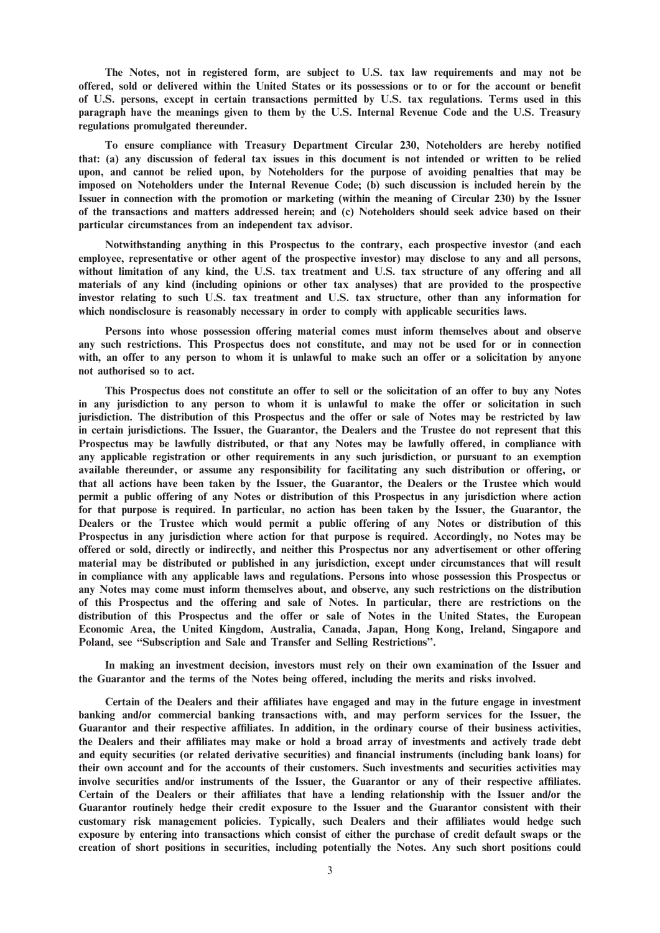The Notes, not in registered form, are subject to U.S. tax law requirements and may not be offered, sold or delivered within the United States or its possessions or to or for the account or benefit of U.S. persons, except in certain transactions permitted by U.S. tax regulations. Terms used in this paragraph have the meanings given to them by the U.S. Internal Revenue Code and the U.S. Treasury regulations promulgated thereunder.

To ensure compliance with Treasury Department Circular 230, Noteholders are hereby notified that: (a) any discussion of federal tax issues in this document is not intended or written to be relied upon, and cannot be relied upon, by Noteholders for the purpose of avoiding penalties that may be imposed on Noteholders under the Internal Revenue Code; (b) such discussion is included herein by the Issuer in connection with the promotion or marketing (within the meaning of Circular 230) by the Issuer of the transactions and matters addressed herein; and (c) Noteholders should seek advice based on their particular circumstances from an independent tax advisor.

Notwithstanding anything in this Prospectus to the contrary, each prospective investor (and each employee, representative or other agent of the prospective investor) may disclose to any and all persons, without limitation of any kind, the U.S. tax treatment and U.S. tax structure of any offering and all materials of any kind (including opinions or other tax analyses) that are provided to the prospective investor relating to such U.S. tax treatment and U.S. tax structure, other than any information for which nondisclosure is reasonably necessary in order to comply with applicable securities laws.

Persons into whose possession offering material comes must inform themselves about and observe any such restrictions. This Prospectus does not constitute, and may not be used for or in connection with, an offer to any person to whom it is unlawful to make such an offer or a solicitation by anyone not authorised so to act.

This Prospectus does not constitute an offer to sell or the solicitation of an offer to buy any Notes in any jurisdiction to any person to whom it is unlawful to make the offer or solicitation in such jurisdiction. The distribution of this Prospectus and the offer or sale of Notes may be restricted by law in certain jurisdictions. The Issuer, the Guarantor, the Dealers and the Trustee do not represent that this Prospectus may be lawfully distributed, or that any Notes may be lawfully offered, in compliance with any applicable registration or other requirements in any such jurisdiction, or pursuant to an exemption available thereunder, or assume any responsibility for facilitating any such distribution or offering, or that all actions have been taken by the Issuer, the Guarantor, the Dealers or the Trustee which would permit a public offering of any Notes or distribution of this Prospectus in any jurisdiction where action for that purpose is required. In particular, no action has been taken by the Issuer, the Guarantor, the Dealers or the Trustee which would permit a public offering of any Notes or distribution of this Prospectus in any jurisdiction where action for that purpose is required. Accordingly, no Notes may be offered or sold, directly or indirectly, and neither this Prospectus nor any advertisement or other offering material may be distributed or published in any jurisdiction, except under circumstances that will result in compliance with any applicable laws and regulations. Persons into whose possession this Prospectus or any Notes may come must inform themselves about, and observe, any such restrictions on the distribution of this Prospectus and the offering and sale of Notes. In particular, there are restrictions on the distribution of this Prospectus and the offer or sale of Notes in the United States, the European Economic Area, the United Kingdom, Australia, Canada, Japan, Hong Kong, Ireland, Singapore and Poland, see ''Subscription and Sale and Transfer and Selling Restrictions''.

In making an investment decision, investors must rely on their own examination of the Issuer and the Guarantor and the terms of the Notes being offered, including the merits and risks involved.

Certain of the Dealers and their affiliates have engaged and may in the future engage in investment banking and/or commercial banking transactions with, and may perform services for the Issuer, the Guarantor and their respective affiliates. In addition, in the ordinary course of their business activities, the Dealers and their affiliates may make or hold a broad array of investments and actively trade debt and equity securities (or related derivative securities) and financial instruments (including bank loans) for their own account and for the accounts of their customers. Such investments and securities activities may involve securities and/or instruments of the Issuer, the Guarantor or any of their respective affiliates. Certain of the Dealers or their affiliates that have a lending relationship with the Issuer and/or the Guarantor routinely hedge their credit exposure to the Issuer and the Guarantor consistent with their customary risk management policies. Typically, such Dealers and their affiliates would hedge such exposure by entering into transactions which consist of either the purchase of credit default swaps or the creation of short positions in securities, including potentially the Notes. Any such short positions could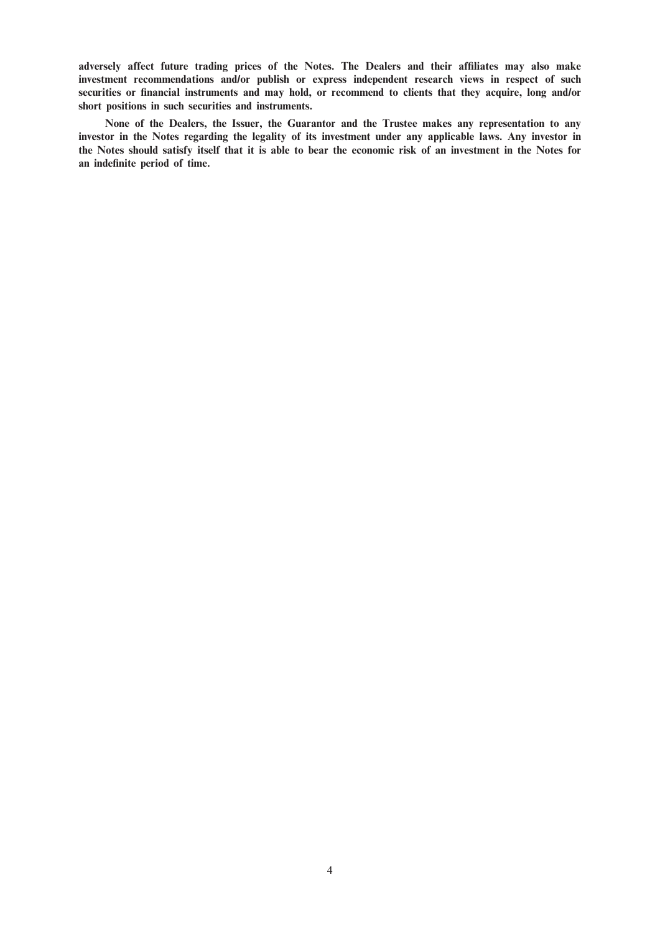adversely affect future trading prices of the Notes. The Dealers and their affiliates may also make investment recommendations and/or publish or express independent research views in respect of such securities or financial instruments and may hold, or recommend to clients that they acquire, long and/or short positions in such securities and instruments.

None of the Dealers, the Issuer, the Guarantor and the Trustee makes any representation to any investor in the Notes regarding the legality of its investment under any applicable laws. Any investor in the Notes should satisfy itself that it is able to bear the economic risk of an investment in the Notes for an indefinite period of time.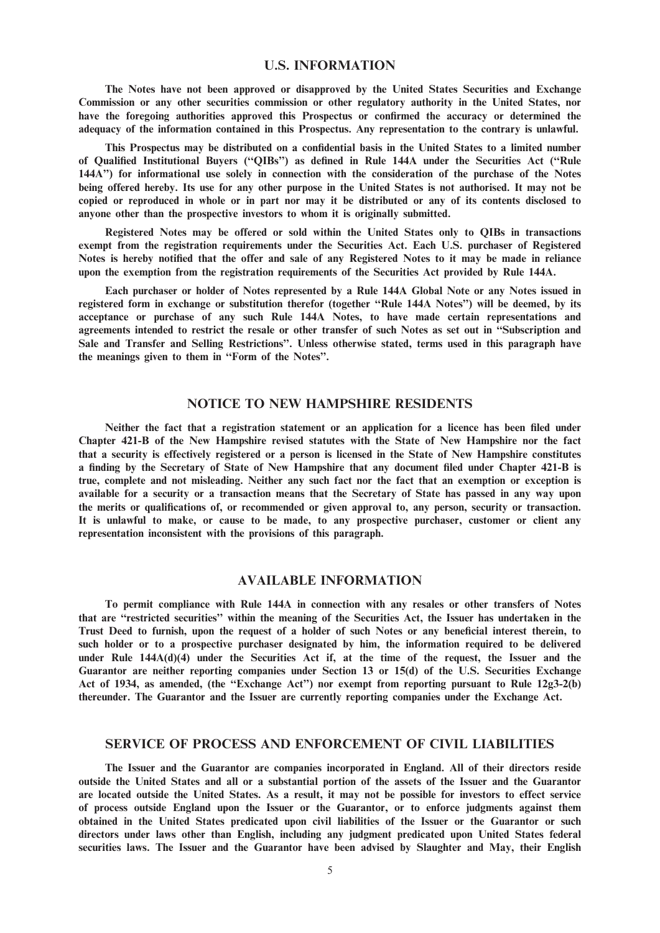#### U.S. INFORMATION

The Notes have not been approved or disapproved by the United States Securities and Exchange Commission or any other securities commission or other regulatory authority in the United States, nor have the foregoing authorities approved this Prospectus or confirmed the accuracy or determined the adequacy of the information contained in this Prospectus. Any representation to the contrary is unlawful.

This Prospectus may be distributed on a confidential basis in the United States to a limited number of Qualified Institutional Buyers (''QIBs'') as defined in Rule 144A under the Securities Act (''Rule 144A'') for informational use solely in connection with the consideration of the purchase of the Notes being offered hereby. Its use for any other purpose in the United States is not authorised. It may not be copied or reproduced in whole or in part nor may it be distributed or any of its contents disclosed to anyone other than the prospective investors to whom it is originally submitted.

Registered Notes may be offered or sold within the United States only to QIBs in transactions exempt from the registration requirements under the Securities Act. Each U.S. purchaser of Registered Notes is hereby notified that the offer and sale of any Registered Notes to it may be made in reliance upon the exemption from the registration requirements of the Securities Act provided by Rule 144A.

Each purchaser or holder of Notes represented by a Rule 144A Global Note or any Notes issued in registered form in exchange or substitution therefor (together ''Rule 144A Notes'') will be deemed, by its acceptance or purchase of any such Rule 144A Notes, to have made certain representations and agreements intended to restrict the resale or other transfer of such Notes as set out in ''Subscription and Sale and Transfer and Selling Restrictions''. Unless otherwise stated, terms used in this paragraph have the meanings given to them in ''Form of the Notes''.

## NOTICE TO NEW HAMPSHIRE RESIDENTS

Neither the fact that a registration statement or an application for a licence has been filed under Chapter 421-B of the New Hampshire revised statutes with the State of New Hampshire nor the fact that a security is effectively registered or a person is licensed in the State of New Hampshire constitutes a finding by the Secretary of State of New Hampshire that any document filed under Chapter 421-B is true, complete and not misleading. Neither any such fact nor the fact that an exemption or exception is available for a security or a transaction means that the Secretary of State has passed in any way upon the merits or qualifications of, or recommended or given approval to, any person, security or transaction. It is unlawful to make, or cause to be made, to any prospective purchaser, customer or client any representation inconsistent with the provisions of this paragraph.

## AVAILABLE INFORMATION

To permit compliance with Rule 144A in connection with any resales or other transfers of Notes that are ''restricted securities'' within the meaning of the Securities Act, the Issuer has undertaken in the Trust Deed to furnish, upon the request of a holder of such Notes or any beneficial interest therein, to such holder or to a prospective purchaser designated by him, the information required to be delivered under Rule 144A(d)(4) under the Securities Act if, at the time of the request, the Issuer and the Guarantor are neither reporting companies under Section 13 or 15(d) of the U.S. Securities Exchange Act of 1934, as amended, (the ''Exchange Act'') nor exempt from reporting pursuant to Rule 12g3-2(b) thereunder. The Guarantor and the Issuer are currently reporting companies under the Exchange Act.

#### SERVICE OF PROCESS AND ENFORCEMENT OF CIVIL LIABILITIES

The Issuer and the Guarantor are companies incorporated in England. All of their directors reside outside the United States and all or a substantial portion of the assets of the Issuer and the Guarantor are located outside the United States. As a result, it may not be possible for investors to effect service of process outside England upon the Issuer or the Guarantor, or to enforce judgments against them obtained in the United States predicated upon civil liabilities of the Issuer or the Guarantor or such directors under laws other than English, including any judgment predicated upon United States federal securities laws. The Issuer and the Guarantor have been advised by Slaughter and May, their English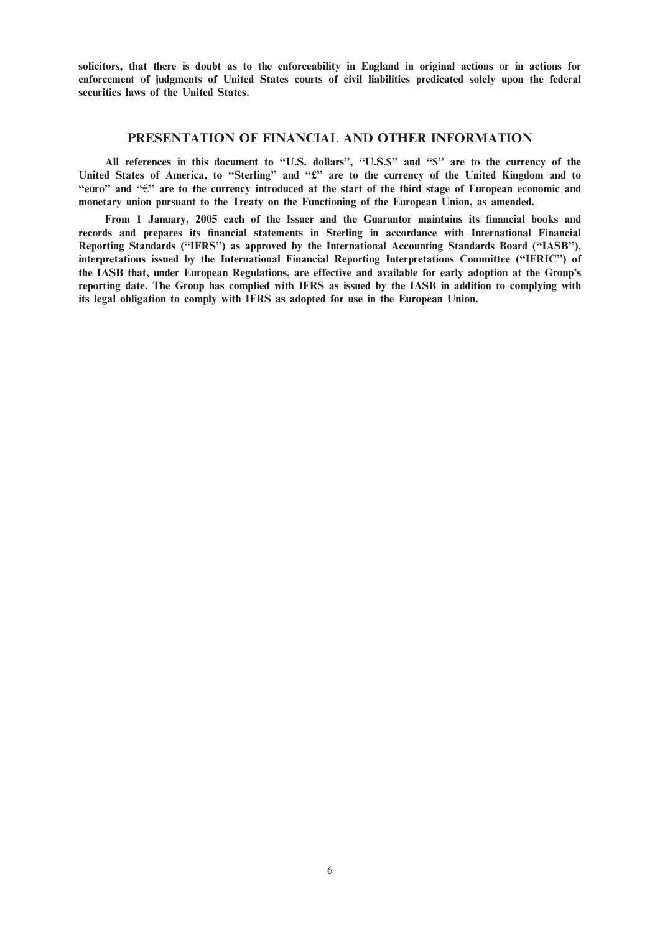solicitors, that there is doubt as to the enforceability in England in original actions or in actions for enforcement of judgments of United States courts of civil liabilities predicated solely upon the federal securities laws of the United States.

#### PRESENTATION OF FINANCIAL AND OTHER INFORMATION

All references in this document to "U.S. dollars", "U.S.\$" and "\$" are to the currency of the United States of America, to "Sterling" and "£" are to the currency of the United Kingdom and to "euro" and " $\epsilon$ " are to the currency introduced at the start of the third stage of European economic and monetary union pursuant to the Treaty on the Functioning of the European Union, as amended.

From 1 January, 2005 each of the Issuer and the Guarantor maintains its financial books and records and prepares its financial statements in Sterling in accordance with International Financial Reporting Standards (''IFRS'') as approved by the International Accounting Standards Board (''IASB''), interpretations issued by the International Financial Reporting Interpretations Committee (''IFRIC'') of the IASB that, under European Regulations, are effective and available for early adoption at the Group's reporting date. The Group has complied with IFRS as issued by the IASB in addition to complying with its legal obligation to comply with IFRS as adopted for use in the European Union.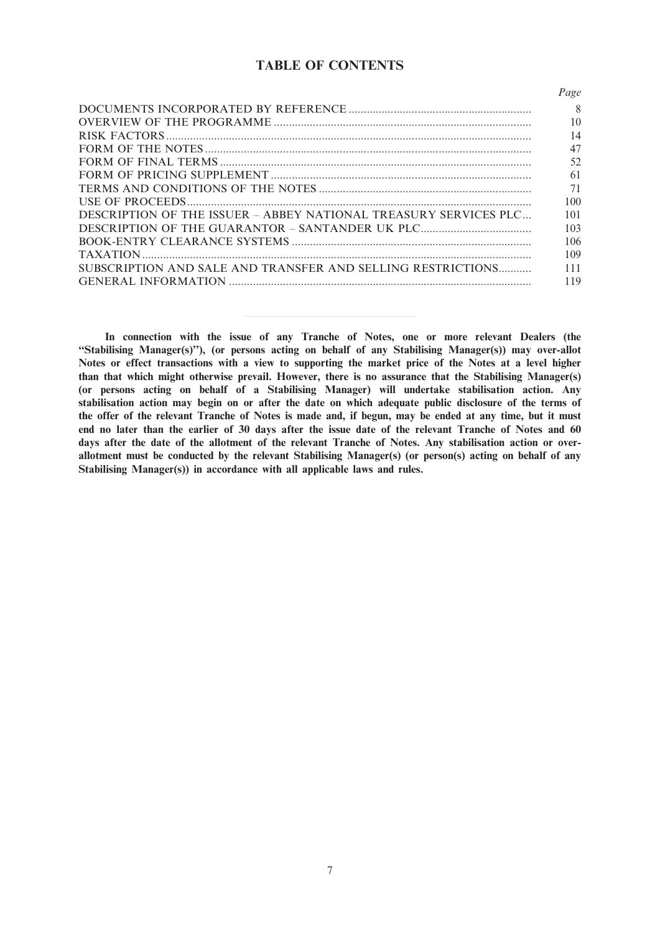# TABLE OF CONTENTS

|                                                                  | Page |
|------------------------------------------------------------------|------|
|                                                                  | 8    |
|                                                                  | 10   |
|                                                                  | 14   |
|                                                                  | 47   |
|                                                                  | 52   |
|                                                                  | 61   |
|                                                                  | 71   |
|                                                                  | 100  |
| DESCRIPTION OF THE ISSUER – ABBEY NATIONAL TREASURY SERVICES PLC | 101  |
|                                                                  | 103  |
|                                                                  | 106  |
|                                                                  | 109  |
| SUBSCRIPTION AND SALE AND TRANSFER AND SELLING RESTRICTIONS      | 111  |
|                                                                  | 119  |
|                                                                  |      |

In connection with the issue of any Tranche of Notes, one or more relevant Dealers (the ''Stabilising Manager(s)''), (or persons acting on behalf of any Stabilising Manager(s)) may over-allot Notes or effect transactions with a view to supporting the market price of the Notes at a level higher than that which might otherwise prevail. However, there is no assurance that the Stabilising Manager(s) (or persons acting on behalf of a Stabilising Manager) will undertake stabilisation action. Any stabilisation action may begin on or after the date on which adequate public disclosure of the terms of the offer of the relevant Tranche of Notes is made and, if begun, may be ended at any time, but it must end no later than the earlier of 30 days after the issue date of the relevant Tranche of Notes and 60 days after the date of the allotment of the relevant Tranche of Notes. Any stabilisation action or overallotment must be conducted by the relevant Stabilising Manager(s) (or person(s) acting on behalf of any Stabilising Manager(s)) in accordance with all applicable laws and rules.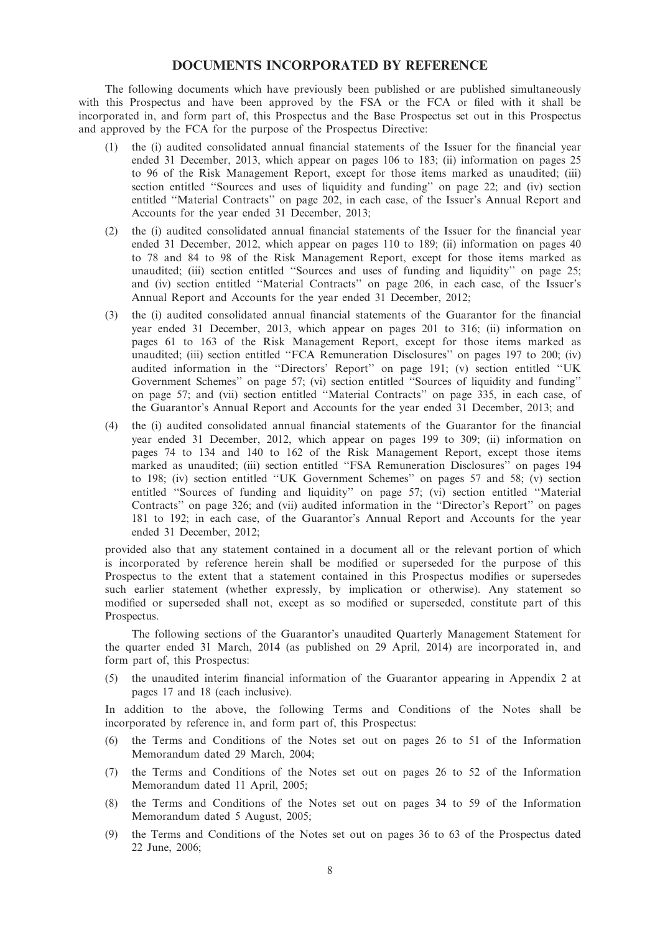## DOCUMENTS INCORPORATED BY REFERENCE

The following documents which have previously been published or are published simultaneously with this Prospectus and have been approved by the FSA or the FCA or filed with it shall be incorporated in, and form part of, this Prospectus and the Base Prospectus set out in this Prospectus and approved by the FCA for the purpose of the Prospectus Directive:

- (1) the (i) audited consolidated annual financial statements of the Issuer for the financial year ended 31 December, 2013, which appear on pages 106 to 183; (ii) information on pages 25 to 96 of the Risk Management Report, except for those items marked as unaudited; (iii) section entitled ''Sources and uses of liquidity and funding'' on page 22; and (iv) section entitled ''Material Contracts'' on page 202, in each case, of the Issuer's Annual Report and Accounts for the year ended 31 December, 2013;
- (2) the (i) audited consolidated annual financial statements of the Issuer for the financial year ended 31 December, 2012, which appear on pages 110 to 189; (ii) information on pages 40 to 78 and 84 to 98 of the Risk Management Report, except for those items marked as unaudited; (iii) section entitled ''Sources and uses of funding and liquidity'' on page 25; and (iv) section entitled ''Material Contracts'' on page 206, in each case, of the Issuer's Annual Report and Accounts for the year ended 31 December, 2012;
- (3) the (i) audited consolidated annual financial statements of the Guarantor for the financial year ended 31 December, 2013, which appear on pages 201 to 316; (ii) information on pages 61 to 163 of the Risk Management Report, except for those items marked as unaudited; (iii) section entitled ''FCA Remuneration Disclosures'' on pages 197 to 200; (iv) audited information in the ''Directors' Report'' on page 191; (v) section entitled ''UK Government Schemes'' on page 57; (vi) section entitled ''Sources of liquidity and funding'' on page 57; and (vii) section entitled ''Material Contracts'' on page 335, in each case, of the Guarantor's Annual Report and Accounts for the year ended 31 December, 2013; and
- (4) the (i) audited consolidated annual financial statements of the Guarantor for the financial year ended 31 December, 2012, which appear on pages 199 to 309; (ii) information on pages 74 to 134 and 140 to 162 of the Risk Management Report, except those items marked as unaudited; (iii) section entitled ''FSA Remuneration Disclosures'' on pages 194 to 198; (iv) section entitled ''UK Government Schemes'' on pages 57 and 58; (v) section entitled ''Sources of funding and liquidity'' on page 57; (vi) section entitled ''Material Contracts'' on page 326; and (vii) audited information in the ''Director's Report'' on pages 181 to 192; in each case, of the Guarantor's Annual Report and Accounts for the year ended 31 December, 2012;

provided also that any statement contained in a document all or the relevant portion of which is incorporated by reference herein shall be modified or superseded for the purpose of this Prospectus to the extent that a statement contained in this Prospectus modifies or supersedes such earlier statement (whether expressly, by implication or otherwise). Any statement so modified or superseded shall not, except as so modified or superseded, constitute part of this Prospectus.

The following sections of the Guarantor's unaudited Quarterly Management Statement for the quarter ended 31 March, 2014 (as published on 29 April, 2014) are incorporated in, and form part of, this Prospectus:

(5) the unaudited interim financial information of the Guarantor appearing in Appendix 2 at pages 17 and 18 (each inclusive).

In addition to the above, the following Terms and Conditions of the Notes shall be incorporated by reference in, and form part of, this Prospectus:

- (6) the Terms and Conditions of the Notes set out on pages 26 to 51 of the Information Memorandum dated 29 March, 2004;
- (7) the Terms and Conditions of the Notes set out on pages 26 to 52 of the Information Memorandum dated 11 April, 2005;
- (8) the Terms and Conditions of the Notes set out on pages 34 to 59 of the Information Memorandum dated 5 August, 2005;
- (9) the Terms and Conditions of the Notes set out on pages 36 to 63 of the Prospectus dated 22 June, 2006;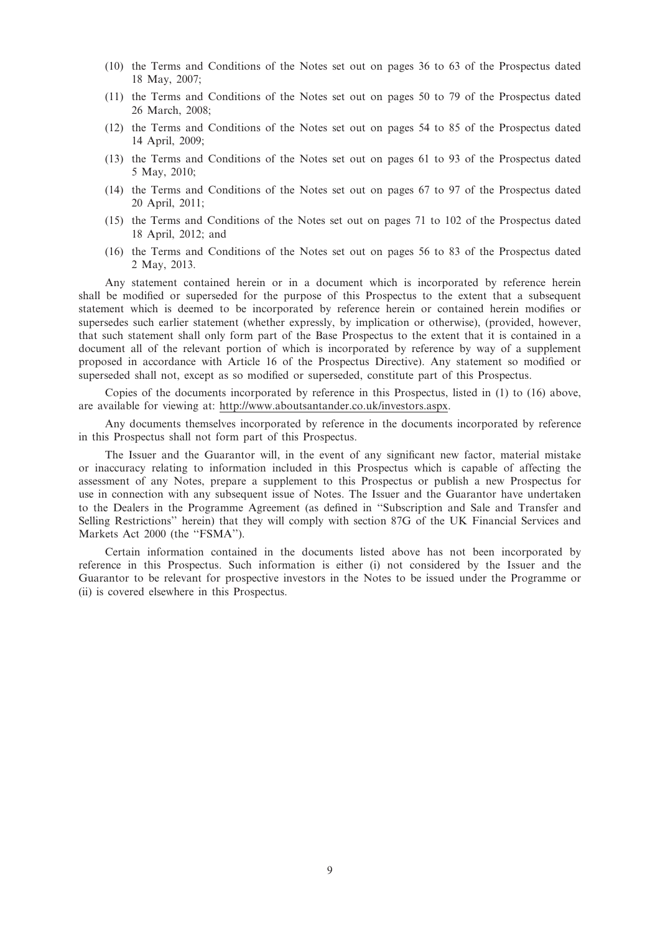- (10) the Terms and Conditions of the Notes set out on pages 36 to 63 of the Prospectus dated 18 May, 2007;
- (11) the Terms and Conditions of the Notes set out on pages 50 to 79 of the Prospectus dated 26 March, 2008;
- (12) the Terms and Conditions of the Notes set out on pages 54 to 85 of the Prospectus dated 14 April, 2009;
- (13) the Terms and Conditions of the Notes set out on pages 61 to 93 of the Prospectus dated 5 May, 2010;
- (14) the Terms and Conditions of the Notes set out on pages 67 to 97 of the Prospectus dated 20 April, 2011;
- (15) the Terms and Conditions of the Notes set out on pages 71 to 102 of the Prospectus dated 18 April, 2012; and
- (16) the Terms and Conditions of the Notes set out on pages 56 to 83 of the Prospectus dated 2 May, 2013.

Any statement contained herein or in a document which is incorporated by reference herein shall be modified or superseded for the purpose of this Prospectus to the extent that a subsequent statement which is deemed to be incorporated by reference herein or contained herein modifies or supersedes such earlier statement (whether expressly, by implication or otherwise), (provided, however, that such statement shall only form part of the Base Prospectus to the extent that it is contained in a document all of the relevant portion of which is incorporated by reference by way of a supplement proposed in accordance with Article 16 of the Prospectus Directive). Any statement so modified or superseded shall not, except as so modified or superseded, constitute part of this Prospectus.

Copies of the documents incorporated by reference in this Prospectus, listed in (1) to (16) above, are available for viewing at: http://www.aboutsantander.co.uk/investors.aspx.

Any documents themselves incorporated by reference in the documents incorporated by reference in this Prospectus shall not form part of this Prospectus.

The Issuer and the Guarantor will, in the event of any significant new factor, material mistake or inaccuracy relating to information included in this Prospectus which is capable of affecting the assessment of any Notes, prepare a supplement to this Prospectus or publish a new Prospectus for use in connection with any subsequent issue of Notes. The Issuer and the Guarantor have undertaken to the Dealers in the Programme Agreement (as defined in ''Subscription and Sale and Transfer and Selling Restrictions'' herein) that they will comply with section 87G of the UK Financial Services and Markets Act 2000 (the "FSMA").

Certain information contained in the documents listed above has not been incorporated by reference in this Prospectus. Such information is either (i) not considered by the Issuer and the Guarantor to be relevant for prospective investors in the Notes to be issued under the Programme or (ii) is covered elsewhere in this Prospectus.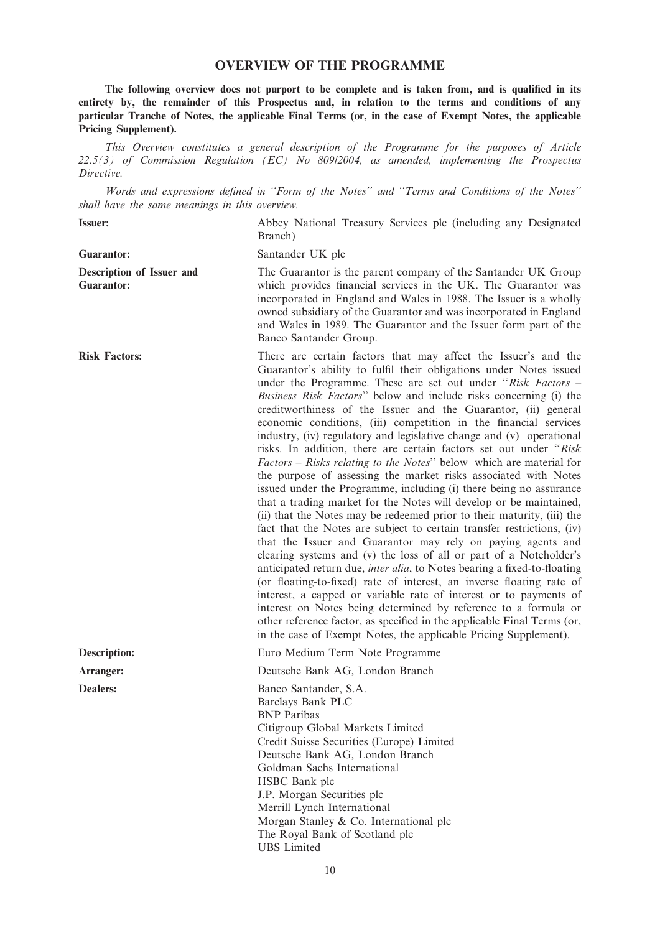## OVERVIEW OF THE PROGRAMME

The following overview does not purport to be complete and is taken from, and is qualified in its entirety by, the remainder of this Prospectus and, in relation to the terms and conditions of any particular Tranche of Notes, the applicable Final Terms (or, in the case of Exempt Notes, the applicable Pricing Supplement).

This Overview constitutes a general description of the Programme for the purposes of Article 22.5(3) of Commission Regulation (EC) No 809/2004, as amended, implementing the Prospectus Directive.

Words and expressions defined in ''Form of the Notes'' and ''Terms and Conditions of the Notes'' shall have the same meanings in this overview.

Issuer: Abbey National Treasury Services plc (including any Designated Branch) Guarantor: Santander UK plc Description of Issuer and Guarantor: The Guarantor is the parent company of the Santander UK Group which provides financial services in the UK. The Guarantor was incorporated in England and Wales in 1988. The Issuer is a wholly owned subsidiary of the Guarantor and was incorporated in England and Wales in 1989. The Guarantor and the Issuer form part of the Banco Santander Group. Risk Factors: There are certain factors that may affect the Issuer's and the Guarantor's ability to fulfil their obligations under Notes issued under the Programme. These are set out under " $Risk$  Factors – Business Risk Factors'' below and include risks concerning (i) the creditworthiness of the Issuer and the Guarantor, (ii) general economic conditions, (iii) competition in the financial services industry, (iv) regulatory and legislative change and (v) operational risks. In addition, there are certain factors set out under ''Risk Factors – Risks relating to the Notes'' below which are material for the purpose of assessing the market risks associated with Notes issued under the Programme, including (i) there being no assurance that a trading market for the Notes will develop or be maintained, (ii) that the Notes may be redeemed prior to their maturity, (iii) the fact that the Notes are subject to certain transfer restrictions, (iv) that the Issuer and Guarantor may rely on paying agents and clearing systems and (v) the loss of all or part of a Noteholder's anticipated return due, inter alia, to Notes bearing a fixed-to-floating (or floating-to-fixed) rate of interest, an inverse floating rate of interest, a capped or variable rate of interest or to payments of interest on Notes being determined by reference to a formula or other reference factor, as specified in the applicable Final Terms (or, in the case of Exempt Notes, the applicable Pricing Supplement). Description: Euro Medium Term Note Programme Arranger: Deutsche Bank AG, London Branch Dealers: Banco Santander, S.A. Barclays Bank PLC BNP Paribas Citigroup Global Markets Limited Credit Suisse Securities (Europe) Limited Deutsche Bank AG, London Branch Goldman Sachs International HSBC Bank plc J.P. Morgan Securities plc Merrill Lynch International Morgan Stanley & Co. International plc

UBS Limited

The Royal Bank of Scotland plc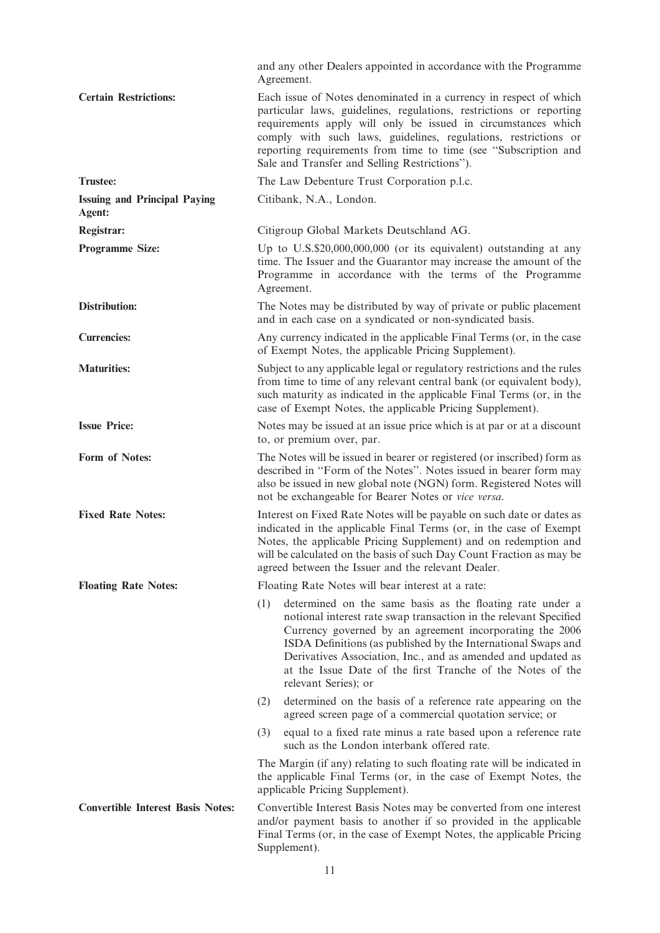|                                               | and any other Dealers appointed in accordance with the Programme<br>Agreement.                                                                                                                                                                                                                                                                                                                                           |
|-----------------------------------------------|--------------------------------------------------------------------------------------------------------------------------------------------------------------------------------------------------------------------------------------------------------------------------------------------------------------------------------------------------------------------------------------------------------------------------|
| <b>Certain Restrictions:</b>                  | Each issue of Notes denominated in a currency in respect of which<br>particular laws, guidelines, regulations, restrictions or reporting<br>requirements apply will only be issued in circumstances which<br>comply with such laws, guidelines, regulations, restrictions or<br>reporting requirements from time to time (see "Subscription and<br>Sale and Transfer and Selling Restrictions").                         |
| <b>Trustee:</b>                               | The Law Debenture Trust Corporation p.l.c.                                                                                                                                                                                                                                                                                                                                                                               |
| <b>Issuing and Principal Paying</b><br>Agent: | Citibank, N.A., London.                                                                                                                                                                                                                                                                                                                                                                                                  |
| Registrar:                                    | Citigroup Global Markets Deutschland AG.                                                                                                                                                                                                                                                                                                                                                                                 |
| <b>Programme Size:</b>                        | Up to $U.S.S.920,000,000,000$ (or its equivalent) outstanding at any<br>time. The Issuer and the Guarantor may increase the amount of the<br>Programme in accordance with the terms of the Programme<br>Agreement.                                                                                                                                                                                                       |
| <b>Distribution:</b>                          | The Notes may be distributed by way of private or public placement<br>and in each case on a syndicated or non-syndicated basis.                                                                                                                                                                                                                                                                                          |
| <b>Currencies:</b>                            | Any currency indicated in the applicable Final Terms (or, in the case<br>of Exempt Notes, the applicable Pricing Supplement).                                                                                                                                                                                                                                                                                            |
| <b>Maturities:</b>                            | Subject to any applicable legal or regulatory restrictions and the rules<br>from time to time of any relevant central bank (or equivalent body),<br>such maturity as indicated in the applicable Final Terms (or, in the<br>case of Exempt Notes, the applicable Pricing Supplement).                                                                                                                                    |
| <b>Issue Price:</b>                           | Notes may be issued at an issue price which is at par or at a discount<br>to, or premium over, par.                                                                                                                                                                                                                                                                                                                      |
| Form of Notes:                                | The Notes will be issued in bearer or registered (or inscribed) form as<br>described in "Form of the Notes". Notes issued in bearer form may<br>also be issued in new global note (NGN) form. Registered Notes will<br>not be exchangeable for Bearer Notes or vice versa.                                                                                                                                               |
| <b>Fixed Rate Notes:</b>                      | Interest on Fixed Rate Notes will be payable on such date or dates as<br>indicated in the applicable Final Terms (or, in the case of Exempt<br>Notes, the applicable Pricing Supplement) and on redemption and<br>will be calculated on the basis of such Day Count Fraction as may be<br>agreed between the Issuer and the relevant Dealer.                                                                             |
| <b>Floating Rate Notes:</b>                   | Floating Rate Notes will bear interest at a rate:                                                                                                                                                                                                                                                                                                                                                                        |
|                                               | determined on the same basis as the floating rate under a<br>(1)<br>notional interest rate swap transaction in the relevant Specified<br>Currency governed by an agreement incorporating the 2006<br>ISDA Definitions (as published by the International Swaps and<br>Derivatives Association, Inc., and as amended and updated as<br>at the Issue Date of the first Tranche of the Notes of the<br>relevant Series); or |
|                                               | determined on the basis of a reference rate appearing on the<br>(2)<br>agreed screen page of a commercial quotation service; or                                                                                                                                                                                                                                                                                          |
|                                               | equal to a fixed rate minus a rate based upon a reference rate<br>(3)<br>such as the London interbank offered rate.                                                                                                                                                                                                                                                                                                      |
|                                               | The Margin (if any) relating to such floating rate will be indicated in<br>the applicable Final Terms (or, in the case of Exempt Notes, the<br>applicable Pricing Supplement).                                                                                                                                                                                                                                           |
| <b>Convertible Interest Basis Notes:</b>      | Convertible Interest Basis Notes may be converted from one interest<br>and/or payment basis to another if so provided in the applicable<br>Final Terms (or, in the case of Exempt Notes, the applicable Pricing<br>Supplement).                                                                                                                                                                                          |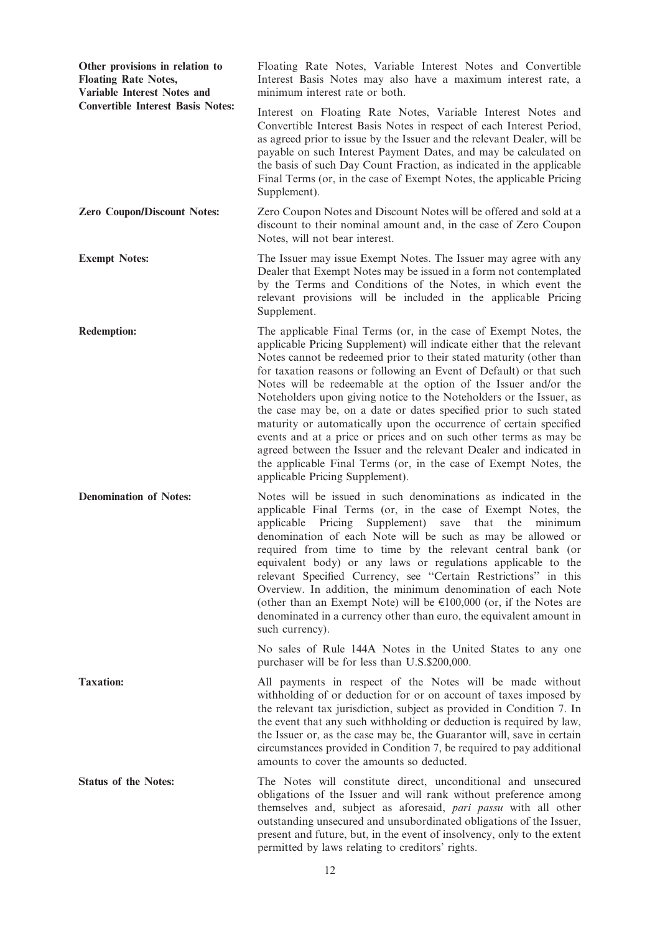| Other provisions in relation to<br><b>Floating Rate Notes,</b><br><b>Variable Interest Notes and</b><br><b>Convertible Interest Basis Notes:</b> | Floating Rate Notes, Variable Interest Notes and Convertible<br>Interest Basis Notes may also have a maximum interest rate, a<br>minimum interest rate or both.                                                                                                                                                                                                                                                                                                                                                                                                                                                                                                                                                                                                                                                                 |
|--------------------------------------------------------------------------------------------------------------------------------------------------|---------------------------------------------------------------------------------------------------------------------------------------------------------------------------------------------------------------------------------------------------------------------------------------------------------------------------------------------------------------------------------------------------------------------------------------------------------------------------------------------------------------------------------------------------------------------------------------------------------------------------------------------------------------------------------------------------------------------------------------------------------------------------------------------------------------------------------|
|                                                                                                                                                  | Interest on Floating Rate Notes, Variable Interest Notes and<br>Convertible Interest Basis Notes in respect of each Interest Period,<br>as agreed prior to issue by the Issuer and the relevant Dealer, will be<br>payable on such Interest Payment Dates, and may be calculated on<br>the basis of such Day Count Fraction, as indicated in the applicable<br>Final Terms (or, in the case of Exempt Notes, the applicable Pricing<br>Supplement).                                                                                                                                                                                                                                                                                                                                                                             |
| <b>Zero Coupon/Discount Notes:</b>                                                                                                               | Zero Coupon Notes and Discount Notes will be offered and sold at a<br>discount to their nominal amount and, in the case of Zero Coupon<br>Notes, will not bear interest.                                                                                                                                                                                                                                                                                                                                                                                                                                                                                                                                                                                                                                                        |
| <b>Exempt Notes:</b>                                                                                                                             | The Issuer may issue Exempt Notes. The Issuer may agree with any<br>Dealer that Exempt Notes may be issued in a form not contemplated<br>by the Terms and Conditions of the Notes, in which event the<br>relevant provisions will be included in the applicable Pricing<br>Supplement.                                                                                                                                                                                                                                                                                                                                                                                                                                                                                                                                          |
| <b>Redemption:</b>                                                                                                                               | The applicable Final Terms (or, in the case of Exempt Notes, the<br>applicable Pricing Supplement) will indicate either that the relevant<br>Notes cannot be redeemed prior to their stated maturity (other than<br>for taxation reasons or following an Event of Default) or that such<br>Notes will be redeemable at the option of the Issuer and/or the<br>Noteholders upon giving notice to the Noteholders or the Issuer, as<br>the case may be, on a date or dates specified prior to such stated<br>maturity or automatically upon the occurrence of certain specified<br>events and at a price or prices and on such other terms as may be<br>agreed between the Issuer and the relevant Dealer and indicated in<br>the applicable Final Terms (or, in the case of Exempt Notes, the<br>applicable Pricing Supplement). |
| <b>Denomination of Notes:</b>                                                                                                                    | Notes will be issued in such denominations as indicated in the<br>applicable Final Terms (or, in the case of Exempt Notes, the<br>applicable<br>Pricing<br>Supplement)<br>that<br>the<br>minimum<br>save<br>denomination of each Note will be such as may be allowed or<br>required from time to time by the relevant central bank (or<br>equivalent body) or any laws or regulations applicable to the<br>relevant Specified Currency, see "Certain Restrictions" in this<br>Overview. In addition, the minimum denomination of each Note<br>(other than an Exempt Note) will be $\epsilon$ 100,000 (or, if the Notes are<br>denominated in a currency other than euro, the equivalent amount in<br>such currency).                                                                                                            |
|                                                                                                                                                  | No sales of Rule 144A Notes in the United States to any one<br>purchaser will be for less than U.S.\$200,000.                                                                                                                                                                                                                                                                                                                                                                                                                                                                                                                                                                                                                                                                                                                   |
| <b>Taxation:</b>                                                                                                                                 | All payments in respect of the Notes will be made without<br>withholding of or deduction for or on account of taxes imposed by<br>the relevant tax jurisdiction, subject as provided in Condition 7. In<br>the event that any such withholding or deduction is required by law,<br>the Issuer or, as the case may be, the Guarantor will, save in certain<br>circumstances provided in Condition 7, be required to pay additional<br>amounts to cover the amounts so deducted.                                                                                                                                                                                                                                                                                                                                                  |
| <b>Status of the Notes:</b>                                                                                                                      | The Notes will constitute direct, unconditional and unsecured<br>obligations of the Issuer and will rank without preference among<br>themselves and, subject as aforesaid, pari passu with all other<br>outstanding unsecured and unsubordinated obligations of the Issuer,<br>present and future, but, in the event of insolvency, only to the extent<br>permitted by laws relating to creditors' rights.                                                                                                                                                                                                                                                                                                                                                                                                                      |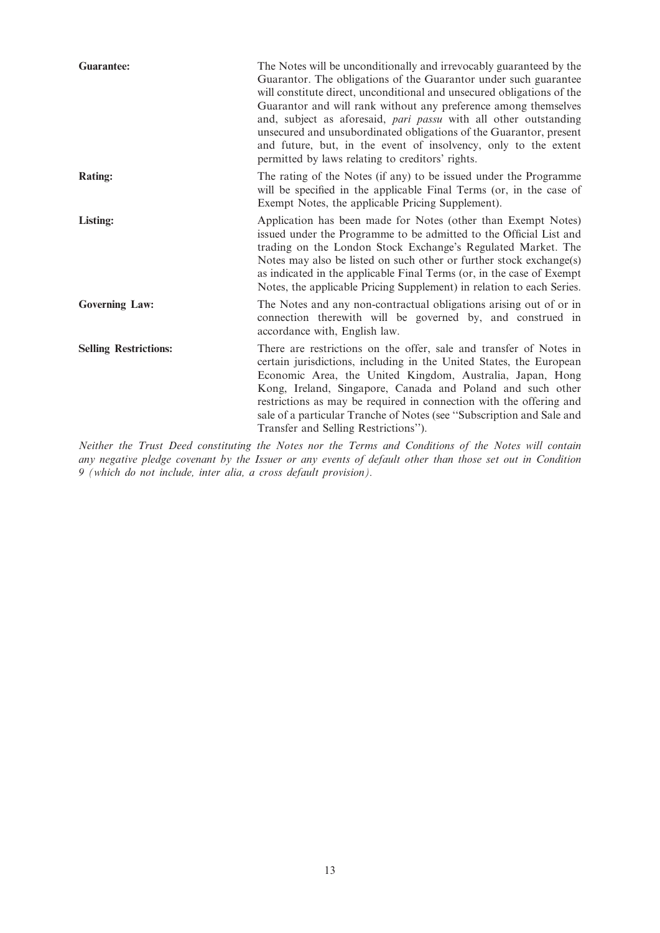| <b>Guarantee:</b>            | The Notes will be unconditionally and irrevocably guaranteed by the<br>Guarantor. The obligations of the Guarantor under such guarantee<br>will constitute direct, unconditional and unsecured obligations of the<br>Guarantor and will rank without any preference among themselves<br>and, subject as aforesaid, pari passu with all other outstanding<br>unsecured and unsubordinated obligations of the Guarantor, present<br>and future, but, in the event of insolvency, only to the extent<br>permitted by laws relating to creditors' rights. |
|------------------------------|-------------------------------------------------------------------------------------------------------------------------------------------------------------------------------------------------------------------------------------------------------------------------------------------------------------------------------------------------------------------------------------------------------------------------------------------------------------------------------------------------------------------------------------------------------|
| Rating:                      | The rating of the Notes (if any) to be issued under the Programme<br>will be specified in the applicable Final Terms (or, in the case of<br>Exempt Notes, the applicable Pricing Supplement).                                                                                                                                                                                                                                                                                                                                                         |
| Listing:                     | Application has been made for Notes (other than Exempt Notes)<br>issued under the Programme to be admitted to the Official List and<br>trading on the London Stock Exchange's Regulated Market. The<br>Notes may also be listed on such other or further stock exchange(s)<br>as indicated in the applicable Final Terms (or, in the case of Exempt<br>Notes, the applicable Pricing Supplement) in relation to each Series.                                                                                                                          |
| <b>Governing Law:</b>        | The Notes and any non-contractual obligations arising out of or in<br>connection therewith will be governed by, and construed in<br>accordance with, English law.                                                                                                                                                                                                                                                                                                                                                                                     |
| <b>Selling Restrictions:</b> | There are restrictions on the offer, sale and transfer of Notes in<br>certain jurisdictions, including in the United States, the European<br>Economic Area, the United Kingdom, Australia, Japan, Hong<br>Kong, Ireland, Singapore, Canada and Poland and such other<br>restrictions as may be required in connection with the offering and<br>sale of a particular Tranche of Notes (see "Subscription and Sale and<br>Transfer and Selling Restrictions").                                                                                          |

Neither the Trust Deed constituting the Notes nor the Terms and Conditions of the Notes will contain any negative pledge covenant by the Issuer or any events of default other than those set out in Condition 9 (which do not include, inter alia, a cross default provision).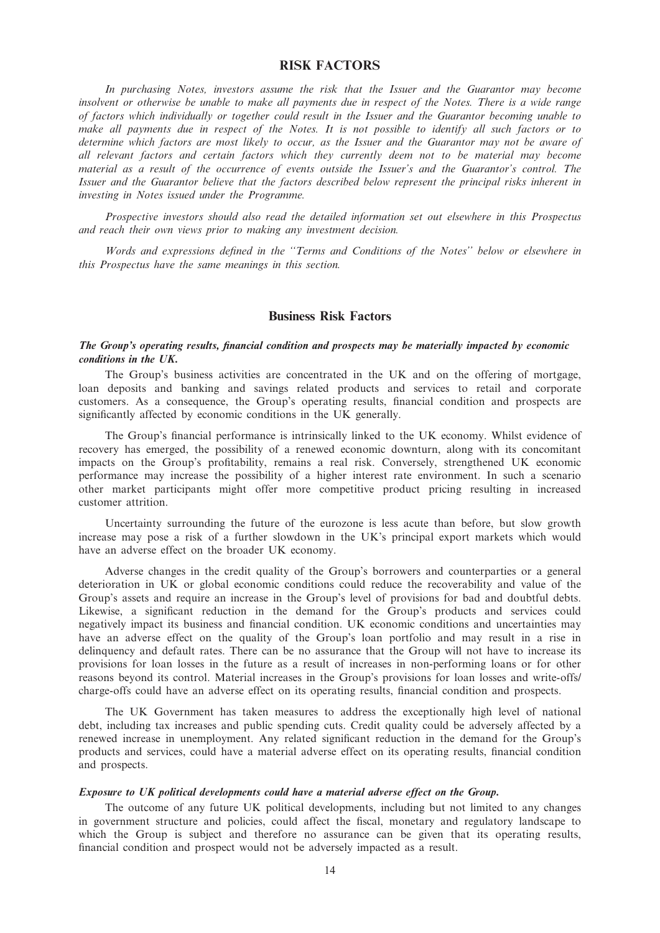## RISK FACTORS

In purchasing Notes, investors assume the risk that the Issuer and the Guarantor may become insolvent or otherwise be unable to make all payments due in respect of the Notes. There is a wide range of factors which individually or together could result in the Issuer and the Guarantor becoming unable to make all payments due in respect of the Notes. It is not possible to identify all such factors or to determine which factors are most likely to occur, as the Issuer and the Guarantor may not be aware of all relevant factors and certain factors which they currently deem not to be material may become material as a result of the occurrence of events outside the Issuer's and the Guarantor's control. The Issuer and the Guarantor believe that the factors described below represent the principal risks inherent in investing in Notes issued under the Programme.

Prospective investors should also read the detailed information set out elsewhere in this Prospectus and reach their own views prior to making any investment decision.

Words and expressions defined in the ''Terms and Conditions of the Notes'' below or elsewhere in this Prospectus have the same meanings in this section.

## Business Risk Factors

## The Group's operating results, financial condition and prospects may be materially impacted by economic conditions in the UK.

The Group's business activities are concentrated in the UK and on the offering of mortgage, loan deposits and banking and savings related products and services to retail and corporate customers. As a consequence, the Group's operating results, financial condition and prospects are significantly affected by economic conditions in the UK generally.

The Group's financial performance is intrinsically linked to the UK economy. Whilst evidence of recovery has emerged, the possibility of a renewed economic downturn, along with its concomitant impacts on the Group's profitability, remains a real risk. Conversely, strengthened UK economic performance may increase the possibility of a higher interest rate environment. In such a scenario other market participants might offer more competitive product pricing resulting in increased customer attrition.

Uncertainty surrounding the future of the eurozone is less acute than before, but slow growth increase may pose a risk of a further slowdown in the UK's principal export markets which would have an adverse effect on the broader UK economy.

Adverse changes in the credit quality of the Group's borrowers and counterparties or a general deterioration in UK or global economic conditions could reduce the recoverability and value of the Group's assets and require an increase in the Group's level of provisions for bad and doubtful debts. Likewise, a significant reduction in the demand for the Group's products and services could negatively impact its business and financial condition. UK economic conditions and uncertainties may have an adverse effect on the quality of the Group's loan portfolio and may result in a rise in delinquency and default rates. There can be no assurance that the Group will not have to increase its provisions for loan losses in the future as a result of increases in non-performing loans or for other reasons beyond its control. Material increases in the Group's provisions for loan losses and write-offs/ charge-offs could have an adverse effect on its operating results, financial condition and prospects.

The UK Government has taken measures to address the exceptionally high level of national debt, including tax increases and public spending cuts. Credit quality could be adversely affected by a renewed increase in unemployment. Any related significant reduction in the demand for the Group's products and services, could have a material adverse effect on its operating results, financial condition and prospects.

#### Exposure to UK political developments could have a material adverse effect on the Group.

The outcome of any future UK political developments, including but not limited to any changes in government structure and policies, could affect the fiscal, monetary and regulatory landscape to which the Group is subject and therefore no assurance can be given that its operating results, financial condition and prospect would not be adversely impacted as a result.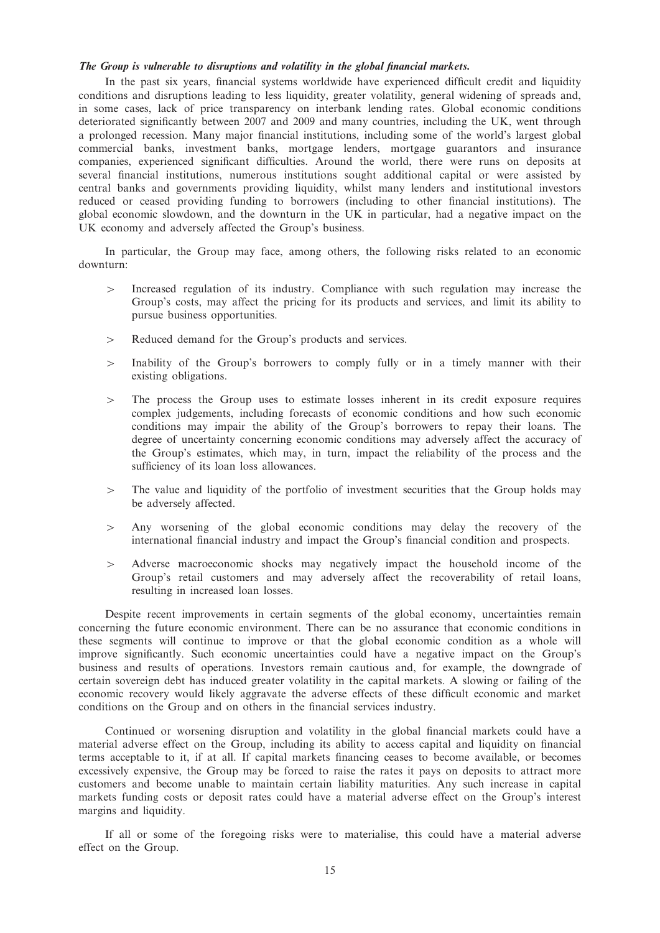#### The Group is vulnerable to disruptions and volatility in the global financial markets.

In the past six years, financial systems worldwide have experienced difficult credit and liquidity conditions and disruptions leading to less liquidity, greater volatility, general widening of spreads and, in some cases, lack of price transparency on interbank lending rates. Global economic conditions deteriorated significantly between 2007 and 2009 and many countries, including the UK, went through a prolonged recession. Many major financial institutions, including some of the world's largest global commercial banks, investment banks, mortgage lenders, mortgage guarantors and insurance companies, experienced significant difficulties. Around the world, there were runs on deposits at several financial institutions, numerous institutions sought additional capital or were assisted by central banks and governments providing liquidity, whilst many lenders and institutional investors reduced or ceased providing funding to borrowers (including to other financial institutions). The global economic slowdown, and the downturn in the UK in particular, had a negative impact on the UK economy and adversely affected the Group's business.

In particular, the Group may face, among others, the following risks related to an economic downturn:

- $\geq$  Increased regulation of its industry. Compliance with such regulation may increase the Group's costs, may affect the pricing for its products and services, and limit its ability to pursue business opportunities.
- $>$  Reduced demand for the Group's products and services.
- $>$  Inability of the Group's borrowers to comply fully or in a timely manner with their existing obligations.
- 4 The process the Group uses to estimate losses inherent in its credit exposure requires complex judgements, including forecasts of economic conditions and how such economic conditions may impair the ability of the Group's borrowers to repay their loans. The degree of uncertainty concerning economic conditions may adversely affect the accuracy of the Group's estimates, which may, in turn, impact the reliability of the process and the sufficiency of its loan loss allowances.
- $\geq$  The value and liquidity of the portfolio of investment securities that the Group holds may be adversely affected.
- $>$  Any worsening of the global economic conditions may delay the recovery of the international financial industry and impact the Group's financial condition and prospects.
- $>$  Adverse macroeconomic shocks may negatively impact the household income of the Group's retail customers and may adversely affect the recoverability of retail loans, resulting in increased loan losses.

Despite recent improvements in certain segments of the global economy, uncertainties remain concerning the future economic environment. There can be no assurance that economic conditions in these segments will continue to improve or that the global economic condition as a whole will improve significantly. Such economic uncertainties could have a negative impact on the Group's business and results of operations. Investors remain cautious and, for example, the downgrade of certain sovereign debt has induced greater volatility in the capital markets. A slowing or failing of the economic recovery would likely aggravate the adverse effects of these difficult economic and market conditions on the Group and on others in the financial services industry.

Continued or worsening disruption and volatility in the global financial markets could have a material adverse effect on the Group, including its ability to access capital and liquidity on financial terms acceptable to it, if at all. If capital markets financing ceases to become available, or becomes excessively expensive, the Group may be forced to raise the rates it pays on deposits to attract more customers and become unable to maintain certain liability maturities. Any such increase in capital markets funding costs or deposit rates could have a material adverse effect on the Group's interest margins and liquidity.

If all or some of the foregoing risks were to materialise, this could have a material adverse effect on the Group.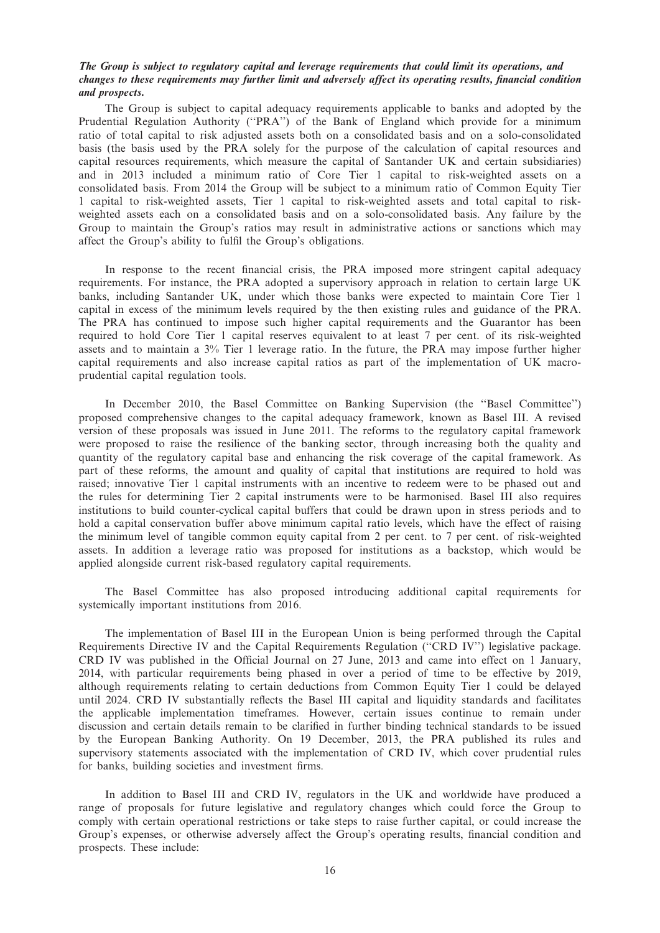## The Group is subject to regulatory capital and leverage requirements that could limit its operations, and changes to these requirements may further limit and adversely affect its operating results, financial condition and prospects.

The Group is subject to capital adequacy requirements applicable to banks and adopted by the Prudential Regulation Authority (''PRA'') of the Bank of England which provide for a minimum ratio of total capital to risk adjusted assets both on a consolidated basis and on a solo-consolidated basis (the basis used by the PRA solely for the purpose of the calculation of capital resources and capital resources requirements, which measure the capital of Santander UK and certain subsidiaries) and in 2013 included a minimum ratio of Core Tier 1 capital to risk-weighted assets on a consolidated basis. From 2014 the Group will be subject to a minimum ratio of Common Equity Tier 1 capital to risk-weighted assets, Tier 1 capital to risk-weighted assets and total capital to riskweighted assets each on a consolidated basis and on a solo-consolidated basis. Any failure by the Group to maintain the Group's ratios may result in administrative actions or sanctions which may affect the Group's ability to fulfil the Group's obligations.

In response to the recent financial crisis, the PRA imposed more stringent capital adequacy requirements. For instance, the PRA adopted a supervisory approach in relation to certain large UK banks, including Santander UK, under which those banks were expected to maintain Core Tier 1 capital in excess of the minimum levels required by the then existing rules and guidance of the PRA. The PRA has continued to impose such higher capital requirements and the Guarantor has been required to hold Core Tier 1 capital reserves equivalent to at least 7 per cent. of its risk-weighted assets and to maintain a 3% Tier 1 leverage ratio. In the future, the PRA may impose further higher capital requirements and also increase capital ratios as part of the implementation of UK macroprudential capital regulation tools.

In December 2010, the Basel Committee on Banking Supervision (the ''Basel Committee'') proposed comprehensive changes to the capital adequacy framework, known as Basel III. A revised version of these proposals was issued in June 2011. The reforms to the regulatory capital framework were proposed to raise the resilience of the banking sector, through increasing both the quality and quantity of the regulatory capital base and enhancing the risk coverage of the capital framework. As part of these reforms, the amount and quality of capital that institutions are required to hold was raised; innovative Tier 1 capital instruments with an incentive to redeem were to be phased out and the rules for determining Tier 2 capital instruments were to be harmonised. Basel III also requires institutions to build counter-cyclical capital buffers that could be drawn upon in stress periods and to hold a capital conservation buffer above minimum capital ratio levels, which have the effect of raising the minimum level of tangible common equity capital from 2 per cent. to 7 per cent. of risk-weighted assets. In addition a leverage ratio was proposed for institutions as a backstop, which would be applied alongside current risk-based regulatory capital requirements.

The Basel Committee has also proposed introducing additional capital requirements for systemically important institutions from 2016.

The implementation of Basel III in the European Union is being performed through the Capital Requirements Directive IV and the Capital Requirements Regulation (''CRD IV'') legislative package. CRD IV was published in the Official Journal on 27 June, 2013 and came into effect on 1 January, 2014, with particular requirements being phased in over a period of time to be effective by 2019, although requirements relating to certain deductions from Common Equity Tier 1 could be delayed until 2024. CRD IV substantially reflects the Basel III capital and liquidity standards and facilitates the applicable implementation timeframes. However, certain issues continue to remain under discussion and certain details remain to be clarified in further binding technical standards to be issued by the European Banking Authority. On 19 December, 2013, the PRA published its rules and supervisory statements associated with the implementation of CRD IV, which cover prudential rules for banks, building societies and investment firms.

In addition to Basel III and CRD IV, regulators in the UK and worldwide have produced a range of proposals for future legislative and regulatory changes which could force the Group to comply with certain operational restrictions or take steps to raise further capital, or could increase the Group's expenses, or otherwise adversely affect the Group's operating results, financial condition and prospects. These include: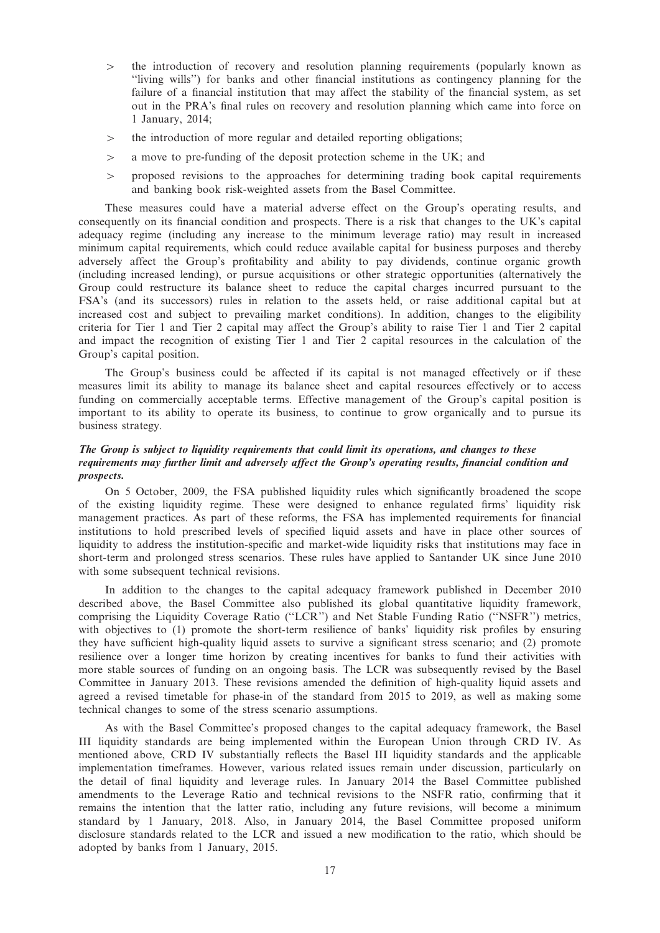- $\geq$  the introduction of recovery and resolution planning requirements (popularly known as ''living wills'') for banks and other financial institutions as contingency planning for the failure of a financial institution that may affect the stability of the financial system, as set out in the PRA's final rules on recovery and resolution planning which came into force on 1 January, 2014;
- $>$  the introduction of more regular and detailed reporting obligations;
- $>$  a move to pre-funding of the deposit protection scheme in the UK; and
- 4 proposed revisions to the approaches for determining trading book capital requirements and banking book risk-weighted assets from the Basel Committee.

These measures could have a material adverse effect on the Group's operating results, and consequently on its financial condition and prospects. There is a risk that changes to the UK's capital adequacy regime (including any increase to the minimum leverage ratio) may result in increased minimum capital requirements, which could reduce available capital for business purposes and thereby adversely affect the Group's profitability and ability to pay dividends, continue organic growth (including increased lending), or pursue acquisitions or other strategic opportunities (alternatively the Group could restructure its balance sheet to reduce the capital charges incurred pursuant to the FSA's (and its successors) rules in relation to the assets held, or raise additional capital but at increased cost and subject to prevailing market conditions). In addition, changes to the eligibility criteria for Tier 1 and Tier 2 capital may affect the Group's ability to raise Tier 1 and Tier 2 capital and impact the recognition of existing Tier 1 and Tier 2 capital resources in the calculation of the Group's capital position.

The Group's business could be affected if its capital is not managed effectively or if these measures limit its ability to manage its balance sheet and capital resources effectively or to access funding on commercially acceptable terms. Effective management of the Group's capital position is important to its ability to operate its business, to continue to grow organically and to pursue its business strategy.

## The Group is subject to liquidity requirements that could limit its operations, and changes to these requirements may further limit and adversely affect the Group's operating results, financial condition and prospects.

On 5 October, 2009, the FSA published liquidity rules which significantly broadened the scope of the existing liquidity regime. These were designed to enhance regulated firms' liquidity risk management practices. As part of these reforms, the FSA has implemented requirements for financial institutions to hold prescribed levels of specified liquid assets and have in place other sources of liquidity to address the institution-specific and market-wide liquidity risks that institutions may face in short-term and prolonged stress scenarios. These rules have applied to Santander UK since June 2010 with some subsequent technical revisions.

In addition to the changes to the capital adequacy framework published in December 2010 described above, the Basel Committee also published its global quantitative liquidity framework, comprising the Liquidity Coverage Ratio (''LCR'') and Net Stable Funding Ratio (''NSFR'') metrics, with objectives to (1) promote the short-term resilience of banks' liquidity risk profiles by ensuring they have sufficient high-quality liquid assets to survive a significant stress scenario; and (2) promote resilience over a longer time horizon by creating incentives for banks to fund their activities with more stable sources of funding on an ongoing basis. The LCR was subsequently revised by the Basel Committee in January 2013. These revisions amended the definition of high-quality liquid assets and agreed a revised timetable for phase-in of the standard from 2015 to 2019, as well as making some technical changes to some of the stress scenario assumptions.

As with the Basel Committee's proposed changes to the capital adequacy framework, the Basel III liquidity standards are being implemented within the European Union through CRD IV. As mentioned above, CRD IV substantially reflects the Basel III liquidity standards and the applicable implementation timeframes. However, various related issues remain under discussion, particularly on the detail of final liquidity and leverage rules. In January 2014 the Basel Committee published amendments to the Leverage Ratio and technical revisions to the NSFR ratio, confirming that it remains the intention that the latter ratio, including any future revisions, will become a minimum standard by 1 January, 2018. Also, in January 2014, the Basel Committee proposed uniform disclosure standards related to the LCR and issued a new modification to the ratio, which should be adopted by banks from 1 January, 2015.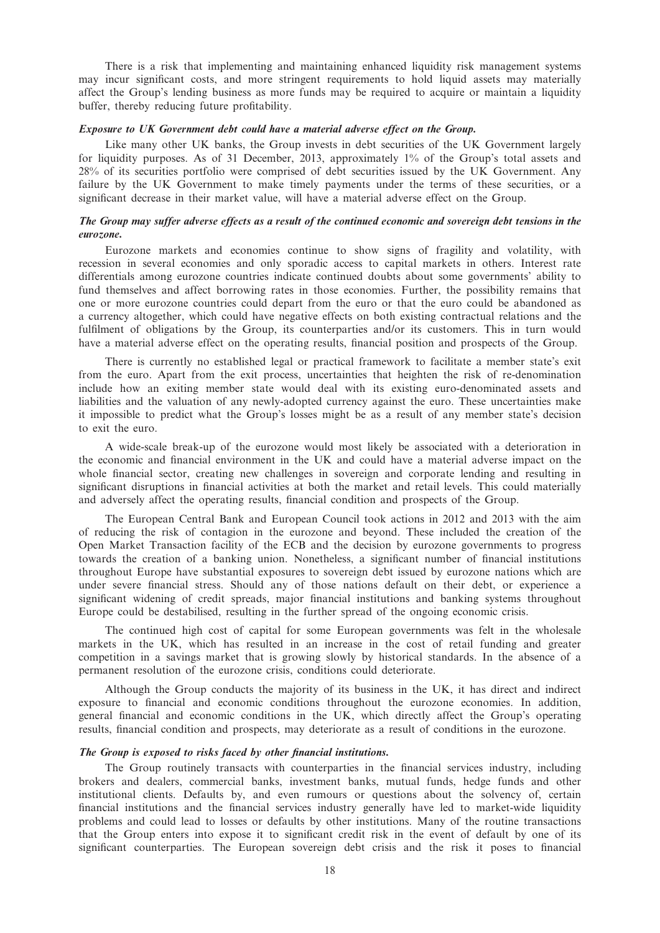There is a risk that implementing and maintaining enhanced liquidity risk management systems may incur significant costs, and more stringent requirements to hold liquid assets may materially affect the Group's lending business as more funds may be required to acquire or maintain a liquidity buffer, thereby reducing future profitability.

#### Exposure to UK Government debt could have a material adverse effect on the Group.

Like many other UK banks, the Group invests in debt securities of the UK Government largely for liquidity purposes. As of 31 December, 2013, approximately 1% of the Group's total assets and 28% of its securities portfolio were comprised of debt securities issued by the UK Government. Any failure by the UK Government to make timely payments under the terms of these securities, or a significant decrease in their market value, will have a material adverse effect on the Group.

#### The Group may suffer adverse effects as a result of the continued economic and sovereign debt tensions in the eurozone.

Eurozone markets and economies continue to show signs of fragility and volatility, with recession in several economies and only sporadic access to capital markets in others. Interest rate differentials among eurozone countries indicate continued doubts about some governments' ability to fund themselves and affect borrowing rates in those economies. Further, the possibility remains that one or more eurozone countries could depart from the euro or that the euro could be abandoned as a currency altogether, which could have negative effects on both existing contractual relations and the fulfilment of obligations by the Group, its counterparties and/or its customers. This in turn would have a material adverse effect on the operating results, financial position and prospects of the Group.

There is currently no established legal or practical framework to facilitate a member state's exit from the euro. Apart from the exit process, uncertainties that heighten the risk of re-denomination include how an exiting member state would deal with its existing euro-denominated assets and liabilities and the valuation of any newly-adopted currency against the euro. These uncertainties make it impossible to predict what the Group's losses might be as a result of any member state's decision to exit the euro.

A wide-scale break-up of the eurozone would most likely be associated with a deterioration in the economic and financial environment in the UK and could have a material adverse impact on the whole financial sector, creating new challenges in sovereign and corporate lending and resulting in significant disruptions in financial activities at both the market and retail levels. This could materially and adversely affect the operating results, financial condition and prospects of the Group.

The European Central Bank and European Council took actions in 2012 and 2013 with the aim of reducing the risk of contagion in the eurozone and beyond. These included the creation of the Open Market Transaction facility of the ECB and the decision by eurozone governments to progress towards the creation of a banking union. Nonetheless, a significant number of financial institutions throughout Europe have substantial exposures to sovereign debt issued by eurozone nations which are under severe financial stress. Should any of those nations default on their debt, or experience a significant widening of credit spreads, major financial institutions and banking systems throughout Europe could be destabilised, resulting in the further spread of the ongoing economic crisis.

The continued high cost of capital for some European governments was felt in the wholesale markets in the UK, which has resulted in an increase in the cost of retail funding and greater competition in a savings market that is growing slowly by historical standards. In the absence of a permanent resolution of the eurozone crisis, conditions could deteriorate.

Although the Group conducts the majority of its business in the UK, it has direct and indirect exposure to financial and economic conditions throughout the eurozone economies. In addition, general financial and economic conditions in the UK, which directly affect the Group's operating results, financial condition and prospects, may deteriorate as a result of conditions in the eurozone.

#### The Group is exposed to risks faced by other financial institutions.

The Group routinely transacts with counterparties in the financial services industry, including brokers and dealers, commercial banks, investment banks, mutual funds, hedge funds and other institutional clients. Defaults by, and even rumours or questions about the solvency of, certain financial institutions and the financial services industry generally have led to market-wide liquidity problems and could lead to losses or defaults by other institutions. Many of the routine transactions that the Group enters into expose it to significant credit risk in the event of default by one of its significant counterparties. The European sovereign debt crisis and the risk it poses to financial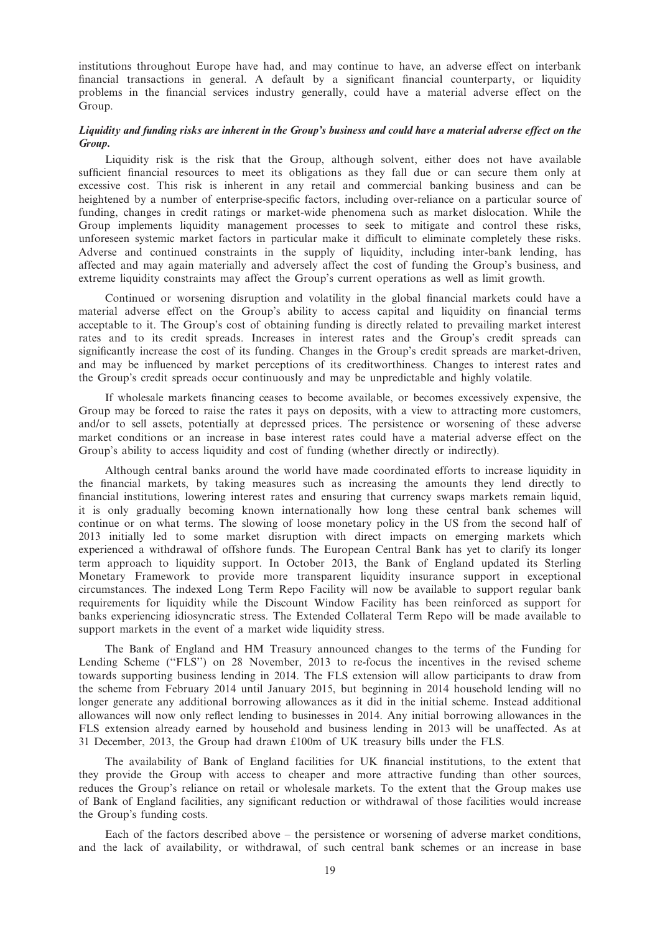institutions throughout Europe have had, and may continue to have, an adverse effect on interbank financial transactions in general. A default by a significant financial counterparty, or liquidity problems in the financial services industry generally, could have a material adverse effect on the Group.

## Liquidity and funding risks are inherent in the Group's business and could have a material adverse effect on the Group.

Liquidity risk is the risk that the Group, although solvent, either does not have available sufficient financial resources to meet its obligations as they fall due or can secure them only at excessive cost. This risk is inherent in any retail and commercial banking business and can be heightened by a number of enterprise-specific factors, including over-reliance on a particular source of funding, changes in credit ratings or market-wide phenomena such as market dislocation. While the Group implements liquidity management processes to seek to mitigate and control these risks, unforeseen systemic market factors in particular make it difficult to eliminate completely these risks. Adverse and continued constraints in the supply of liquidity, including inter-bank lending, has affected and may again materially and adversely affect the cost of funding the Group's business, and extreme liquidity constraints may affect the Group's current operations as well as limit growth.

Continued or worsening disruption and volatility in the global financial markets could have a material adverse effect on the Group's ability to access capital and liquidity on financial terms acceptable to it. The Group's cost of obtaining funding is directly related to prevailing market interest rates and to its credit spreads. Increases in interest rates and the Group's credit spreads can significantly increase the cost of its funding. Changes in the Group's credit spreads are market-driven, and may be influenced by market perceptions of its creditworthiness. Changes to interest rates and the Group's credit spreads occur continuously and may be unpredictable and highly volatile.

If wholesale markets financing ceases to become available, or becomes excessively expensive, the Group may be forced to raise the rates it pays on deposits, with a view to attracting more customers, and/or to sell assets, potentially at depressed prices. The persistence or worsening of these adverse market conditions or an increase in base interest rates could have a material adverse effect on the Group's ability to access liquidity and cost of funding (whether directly or indirectly).

Although central banks around the world have made coordinated efforts to increase liquidity in the financial markets, by taking measures such as increasing the amounts they lend directly to financial institutions, lowering interest rates and ensuring that currency swaps markets remain liquid, it is only gradually becoming known internationally how long these central bank schemes will continue or on what terms. The slowing of loose monetary policy in the US from the second half of 2013 initially led to some market disruption with direct impacts on emerging markets which experienced a withdrawal of offshore funds. The European Central Bank has yet to clarify its longer term approach to liquidity support. In October 2013, the Bank of England updated its Sterling Monetary Framework to provide more transparent liquidity insurance support in exceptional circumstances. The indexed Long Term Repo Facility will now be available to support regular bank requirements for liquidity while the Discount Window Facility has been reinforced as support for banks experiencing idiosyncratic stress. The Extended Collateral Term Repo will be made available to support markets in the event of a market wide liquidity stress.

The Bank of England and HM Treasury announced changes to the terms of the Funding for Lending Scheme (''FLS'') on 28 November, 2013 to re-focus the incentives in the revised scheme towards supporting business lending in 2014. The FLS extension will allow participants to draw from the scheme from February 2014 until January 2015, but beginning in 2014 household lending will no longer generate any additional borrowing allowances as it did in the initial scheme. Instead additional allowances will now only reflect lending to businesses in 2014. Any initial borrowing allowances in the FLS extension already earned by household and business lending in 2013 will be unaffected. As at 31 December, 2013, the Group had drawn £100m of UK treasury bills under the FLS.

The availability of Bank of England facilities for UK financial institutions, to the extent that they provide the Group with access to cheaper and more attractive funding than other sources, reduces the Group's reliance on retail or wholesale markets. To the extent that the Group makes use of Bank of England facilities, any significant reduction or withdrawal of those facilities would increase the Group's funding costs.

Each of the factors described above – the persistence or worsening of adverse market conditions, and the lack of availability, or withdrawal, of such central bank schemes or an increase in base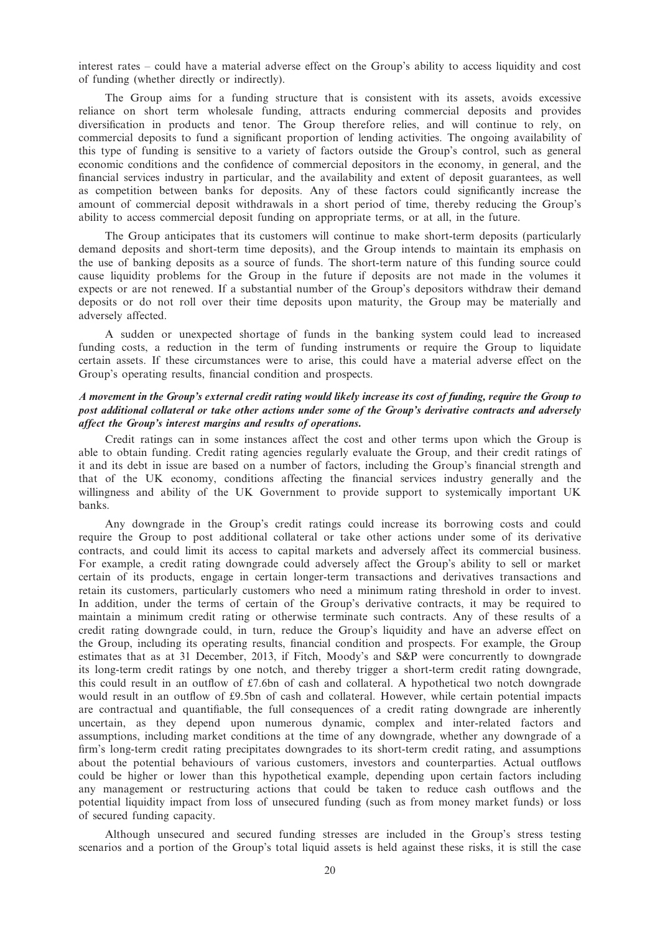interest rates – could have a material adverse effect on the Group's ability to access liquidity and cost of funding (whether directly or indirectly).

The Group aims for a funding structure that is consistent with its assets, avoids excessive reliance on short term wholesale funding, attracts enduring commercial deposits and provides diversification in products and tenor. The Group therefore relies, and will continue to rely, on commercial deposits to fund a significant proportion of lending activities. The ongoing availability of this type of funding is sensitive to a variety of factors outside the Group's control, such as general economic conditions and the confidence of commercial depositors in the economy, in general, and the financial services industry in particular, and the availability and extent of deposit guarantees, as well as competition between banks for deposits. Any of these factors could significantly increase the amount of commercial deposit withdrawals in a short period of time, thereby reducing the Group's ability to access commercial deposit funding on appropriate terms, or at all, in the future.

The Group anticipates that its customers will continue to make short-term deposits (particularly demand deposits and short-term time deposits), and the Group intends to maintain its emphasis on the use of banking deposits as a source of funds. The short-term nature of this funding source could cause liquidity problems for the Group in the future if deposits are not made in the volumes it expects or are not renewed. If a substantial number of the Group's depositors withdraw their demand deposits or do not roll over their time deposits upon maturity, the Group may be materially and adversely affected.

A sudden or unexpected shortage of funds in the banking system could lead to increased funding costs, a reduction in the term of funding instruments or require the Group to liquidate certain assets. If these circumstances were to arise, this could have a material adverse effect on the Group's operating results, financial condition and prospects.

## A movement in the Group's external credit rating would likely increase its cost of funding, require the Group to post additional collateral or take other actions under some of the Group's derivative contracts and adversely affect the Group's interest margins and results of operations.

Credit ratings can in some instances affect the cost and other terms upon which the Group is able to obtain funding. Credit rating agencies regularly evaluate the Group, and their credit ratings of it and its debt in issue are based on a number of factors, including the Group's financial strength and that of the UK economy, conditions affecting the financial services industry generally and the willingness and ability of the UK Government to provide support to systemically important UK banks.

Any downgrade in the Group's credit ratings could increase its borrowing costs and could require the Group to post additional collateral or take other actions under some of its derivative contracts, and could limit its access to capital markets and adversely affect its commercial business. For example, a credit rating downgrade could adversely affect the Group's ability to sell or market certain of its products, engage in certain longer-term transactions and derivatives transactions and retain its customers, particularly customers who need a minimum rating threshold in order to invest. In addition, under the terms of certain of the Group's derivative contracts, it may be required to maintain a minimum credit rating or otherwise terminate such contracts. Any of these results of a credit rating downgrade could, in turn, reduce the Group's liquidity and have an adverse effect on the Group, including its operating results, financial condition and prospects. For example, the Group estimates that as at 31 December, 2013, if Fitch, Moody's and S&P were concurrently to downgrade its long-term credit ratings by one notch, and thereby trigger a short-term credit rating downgrade, this could result in an outflow of £7.6bn of cash and collateral. A hypothetical two notch downgrade would result in an outflow of £9.5bn of cash and collateral. However, while certain potential impacts are contractual and quantifiable, the full consequences of a credit rating downgrade are inherently uncertain, as they depend upon numerous dynamic, complex and inter-related factors and assumptions, including market conditions at the time of any downgrade, whether any downgrade of a firm's long-term credit rating precipitates downgrades to its short-term credit rating, and assumptions about the potential behaviours of various customers, investors and counterparties. Actual outflows could be higher or lower than this hypothetical example, depending upon certain factors including any management or restructuring actions that could be taken to reduce cash outflows and the potential liquidity impact from loss of unsecured funding (such as from money market funds) or loss of secured funding capacity.

Although unsecured and secured funding stresses are included in the Group's stress testing scenarios and a portion of the Group's total liquid assets is held against these risks, it is still the case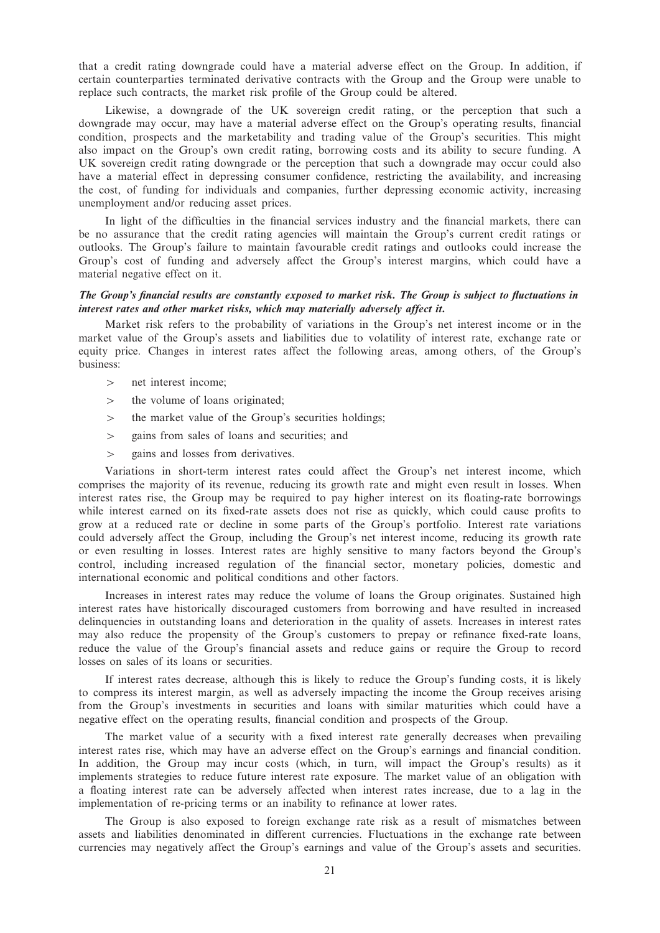that a credit rating downgrade could have a material adverse effect on the Group. In addition, if certain counterparties terminated derivative contracts with the Group and the Group were unable to replace such contracts, the market risk profile of the Group could be altered.

Likewise, a downgrade of the UK sovereign credit rating, or the perception that such a downgrade may occur, may have a material adverse effect on the Group's operating results, financial condition, prospects and the marketability and trading value of the Group's securities. This might also impact on the Group's own credit rating, borrowing costs and its ability to secure funding. A UK sovereign credit rating downgrade or the perception that such a downgrade may occur could also have a material effect in depressing consumer confidence, restricting the availability, and increasing the cost, of funding for individuals and companies, further depressing economic activity, increasing unemployment and/or reducing asset prices.

In light of the difficulties in the financial services industry and the financial markets, there can be no assurance that the credit rating agencies will maintain the Group's current credit ratings or outlooks. The Group's failure to maintain favourable credit ratings and outlooks could increase the Group's cost of funding and adversely affect the Group's interest margins, which could have a material negative effect on it.

## The Group's financial results are constantly exposed to market risk. The Group is subject to fluctuations in interest rates and other market risks, which may materially adversely affect it.

Market risk refers to the probability of variations in the Group's net interest income or in the market value of the Group's assets and liabilities due to volatility of interest rate, exchange rate or equity price. Changes in interest rates affect the following areas, among others, of the Group's business:

- > net interest income;
- $>$  the volume of loans originated;
- $>$  the market value of the Group's securities holdings;
- $\ge$  gains from sales of loans and securities; and
- $>$  gains and losses from derivatives.

Variations in short-term interest rates could affect the Group's net interest income, which comprises the majority of its revenue, reducing its growth rate and might even result in losses. When interest rates rise, the Group may be required to pay higher interest on its floating-rate borrowings while interest earned on its fixed-rate assets does not rise as quickly, which could cause profits to grow at a reduced rate or decline in some parts of the Group's portfolio. Interest rate variations could adversely affect the Group, including the Group's net interest income, reducing its growth rate or even resulting in losses. Interest rates are highly sensitive to many factors beyond the Group's control, including increased regulation of the financial sector, monetary policies, domestic and international economic and political conditions and other factors.

Increases in interest rates may reduce the volume of loans the Group originates. Sustained high interest rates have historically discouraged customers from borrowing and have resulted in increased delinquencies in outstanding loans and deterioration in the quality of assets. Increases in interest rates may also reduce the propensity of the Group's customers to prepay or refinance fixed-rate loans, reduce the value of the Group's financial assets and reduce gains or require the Group to record losses on sales of its loans or securities.

If interest rates decrease, although this is likely to reduce the Group's funding costs, it is likely to compress its interest margin, as well as adversely impacting the income the Group receives arising from the Group's investments in securities and loans with similar maturities which could have a negative effect on the operating results, financial condition and prospects of the Group.

The market value of a security with a fixed interest rate generally decreases when prevailing interest rates rise, which may have an adverse effect on the Group's earnings and financial condition. In addition, the Group may incur costs (which, in turn, will impact the Group's results) as it implements strategies to reduce future interest rate exposure. The market value of an obligation with a floating interest rate can be adversely affected when interest rates increase, due to a lag in the implementation of re-pricing terms or an inability to refinance at lower rates.

The Group is also exposed to foreign exchange rate risk as a result of mismatches between assets and liabilities denominated in different currencies. Fluctuations in the exchange rate between currencies may negatively affect the Group's earnings and value of the Group's assets and securities.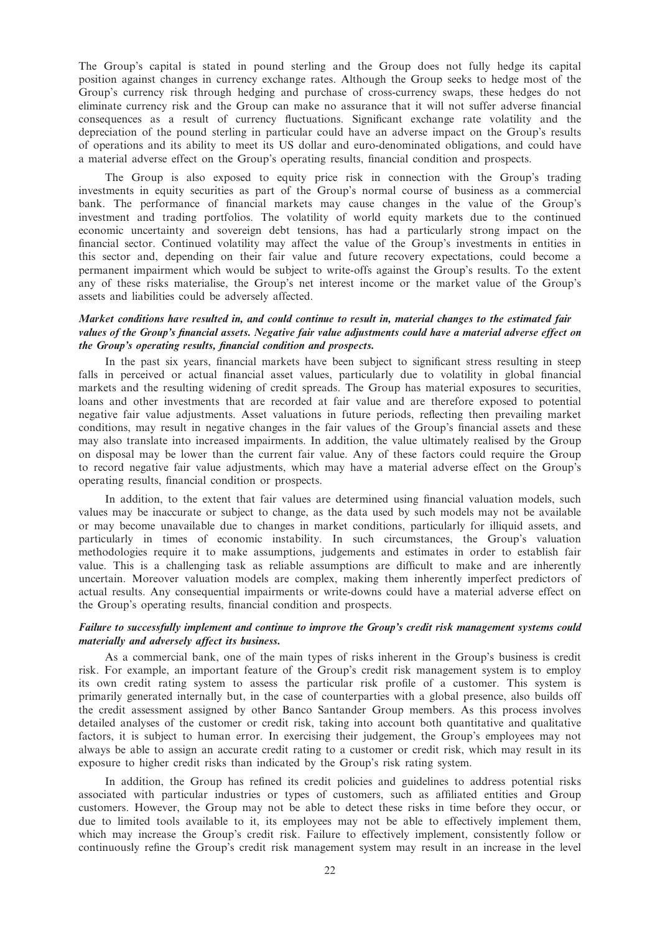The Group's capital is stated in pound sterling and the Group does not fully hedge its capital position against changes in currency exchange rates. Although the Group seeks to hedge most of the Group's currency risk through hedging and purchase of cross-currency swaps, these hedges do not eliminate currency risk and the Group can make no assurance that it will not suffer adverse financial consequences as a result of currency fluctuations. Significant exchange rate volatility and the depreciation of the pound sterling in particular could have an adverse impact on the Group's results of operations and its ability to meet its US dollar and euro-denominated obligations, and could have a material adverse effect on the Group's operating results, financial condition and prospects.

The Group is also exposed to equity price risk in connection with the Group's trading investments in equity securities as part of the Group's normal course of business as a commercial bank. The performance of financial markets may cause changes in the value of the Group's investment and trading portfolios. The volatility of world equity markets due to the continued economic uncertainty and sovereign debt tensions, has had a particularly strong impact on the financial sector. Continued volatility may affect the value of the Group's investments in entities in this sector and, depending on their fair value and future recovery expectations, could become a permanent impairment which would be subject to write-offs against the Group's results. To the extent any of these risks materialise, the Group's net interest income or the market value of the Group's assets and liabilities could be adversely affected.

### Market conditions have resulted in, and could continue to result in, material changes to the estimated fair values of the Group's financial assets. Negative fair value adjustments could have a material adverse effect on the Group's operating results, financial condition and prospects.

In the past six years, financial markets have been subject to significant stress resulting in steep falls in perceived or actual financial asset values, particularly due to volatility in global financial markets and the resulting widening of credit spreads. The Group has material exposures to securities, loans and other investments that are recorded at fair value and are therefore exposed to potential negative fair value adjustments. Asset valuations in future periods, reflecting then prevailing market conditions, may result in negative changes in the fair values of the Group's financial assets and these may also translate into increased impairments. In addition, the value ultimately realised by the Group on disposal may be lower than the current fair value. Any of these factors could require the Group to record negative fair value adjustments, which may have a material adverse effect on the Group's operating results, financial condition or prospects.

In addition, to the extent that fair values are determined using financial valuation models, such values may be inaccurate or subject to change, as the data used by such models may not be available or may become unavailable due to changes in market conditions, particularly for illiquid assets, and particularly in times of economic instability. In such circumstances, the Group's valuation methodologies require it to make assumptions, judgements and estimates in order to establish fair value. This is a challenging task as reliable assumptions are difficult to make and are inherently uncertain. Moreover valuation models are complex, making them inherently imperfect predictors of actual results. Any consequential impairments or write-downs could have a material adverse effect on the Group's operating results, financial condition and prospects.

## Failure to successfully implement and continue to improve the Group's credit risk management systems could materially and adversely affect its business.

As a commercial bank, one of the main types of risks inherent in the Group's business is credit risk. For example, an important feature of the Group's credit risk management system is to employ its own credit rating system to assess the particular risk profile of a customer. This system is primarily generated internally but, in the case of counterparties with a global presence, also builds off the credit assessment assigned by other Banco Santander Group members. As this process involves detailed analyses of the customer or credit risk, taking into account both quantitative and qualitative factors, it is subject to human error. In exercising their judgement, the Group's employees may not always be able to assign an accurate credit rating to a customer or credit risk, which may result in its exposure to higher credit risks than indicated by the Group's risk rating system.

In addition, the Group has refined its credit policies and guidelines to address potential risks associated with particular industries or types of customers, such as affiliated entities and Group customers. However, the Group may not be able to detect these risks in time before they occur, or due to limited tools available to it, its employees may not be able to effectively implement them, which may increase the Group's credit risk. Failure to effectively implement, consistently follow or continuously refine the Group's credit risk management system may result in an increase in the level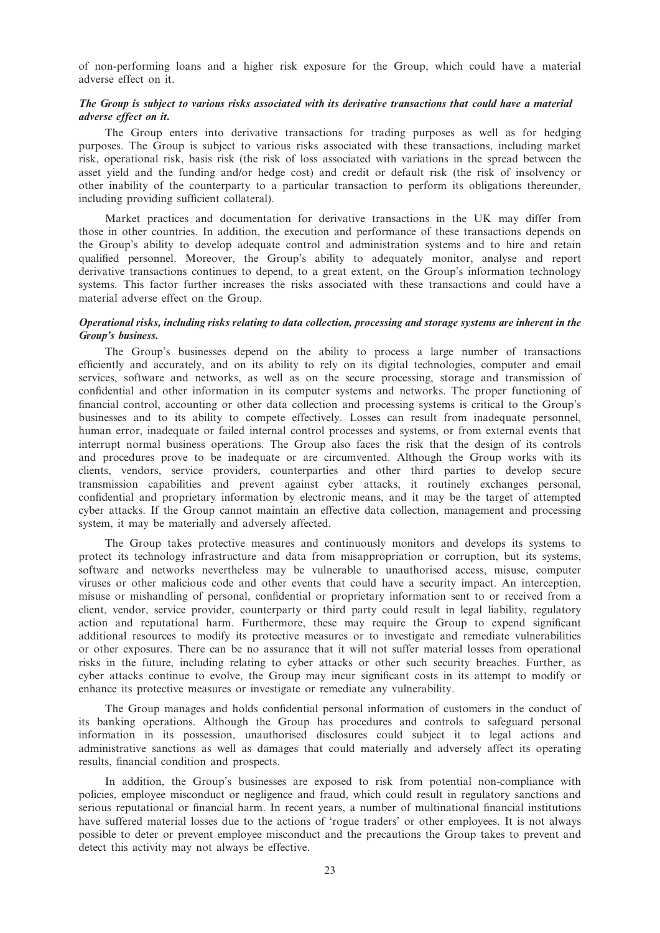of non-performing loans and a higher risk exposure for the Group, which could have a material adverse effect on it.

# The Group is subject to various risks associated with its derivative transactions that could have a material adverse effect on it.

The Group enters into derivative transactions for trading purposes as well as for hedging purposes. The Group is subject to various risks associated with these transactions, including market risk, operational risk, basis risk (the risk of loss associated with variations in the spread between the asset yield and the funding and/or hedge cost) and credit or default risk (the risk of insolvency or other inability of the counterparty to a particular transaction to perform its obligations thereunder, including providing sufficient collateral).

Market practices and documentation for derivative transactions in the UK may differ from those in other countries. In addition, the execution and performance of these transactions depends on the Group's ability to develop adequate control and administration systems and to hire and retain qualified personnel. Moreover, the Group's ability to adequately monitor, analyse and report derivative transactions continues to depend, to a great extent, on the Group's information technology systems. This factor further increases the risks associated with these transactions and could have a material adverse effect on the Group.

## Operational risks, including risks relating to data collection, processing and storage systems are inherent in the Group's business.

The Group's businesses depend on the ability to process a large number of transactions efficiently and accurately, and on its ability to rely on its digital technologies, computer and email services, software and networks, as well as on the secure processing, storage and transmission of confidential and other information in its computer systems and networks. The proper functioning of financial control, accounting or other data collection and processing systems is critical to the Group's businesses and to its ability to compete effectively. Losses can result from inadequate personnel, human error, inadequate or failed internal control processes and systems, or from external events that interrupt normal business operations. The Group also faces the risk that the design of its controls and procedures prove to be inadequate or are circumvented. Although the Group works with its clients, vendors, service providers, counterparties and other third parties to develop secure transmission capabilities and prevent against cyber attacks, it routinely exchanges personal, confidential and proprietary information by electronic means, and it may be the target of attempted cyber attacks. If the Group cannot maintain an effective data collection, management and processing system, it may be materially and adversely affected.

The Group takes protective measures and continuously monitors and develops its systems to protect its technology infrastructure and data from misappropriation or corruption, but its systems, software and networks nevertheless may be vulnerable to unauthorised access, misuse, computer viruses or other malicious code and other events that could have a security impact. An interception, misuse or mishandling of personal, confidential or proprietary information sent to or received from a client, vendor, service provider, counterparty or third party could result in legal liability, regulatory action and reputational harm. Furthermore, these may require the Group to expend significant additional resources to modify its protective measures or to investigate and remediate vulnerabilities or other exposures. There can be no assurance that it will not suffer material losses from operational risks in the future, including relating to cyber attacks or other such security breaches. Further, as cyber attacks continue to evolve, the Group may incur significant costs in its attempt to modify or enhance its protective measures or investigate or remediate any vulnerability.

The Group manages and holds confidential personal information of customers in the conduct of its banking operations. Although the Group has procedures and controls to safeguard personal information in its possession, unauthorised disclosures could subject it to legal actions and administrative sanctions as well as damages that could materially and adversely affect its operating results, financial condition and prospects.

In addition, the Group's businesses are exposed to risk from potential non-compliance with policies, employee misconduct or negligence and fraud, which could result in regulatory sanctions and serious reputational or financial harm. In recent years, a number of multinational financial institutions have suffered material losses due to the actions of 'rogue traders' or other employees. It is not always possible to deter or prevent employee misconduct and the precautions the Group takes to prevent and detect this activity may not always be effective.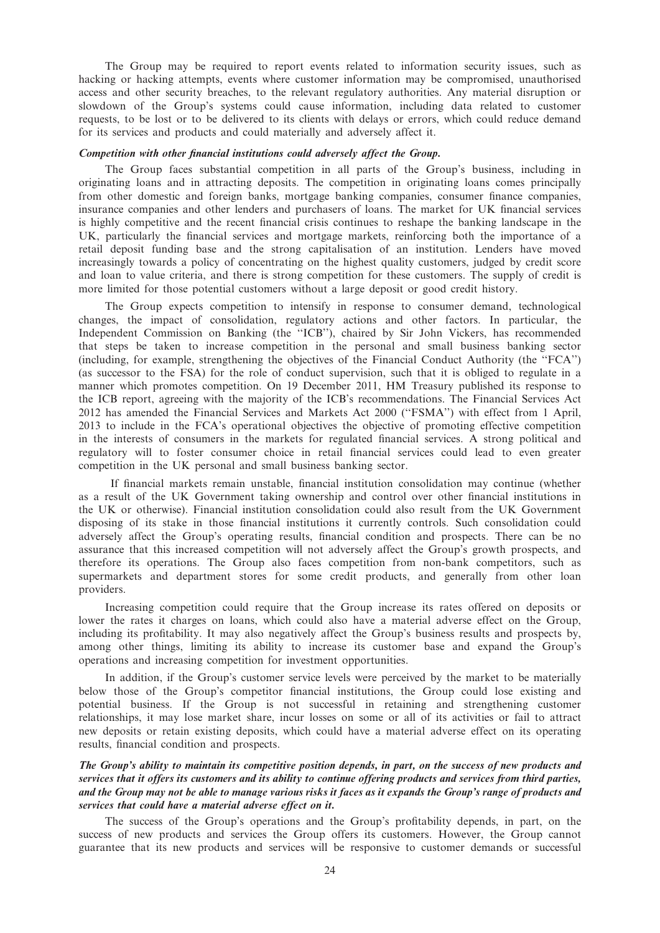The Group may be required to report events related to information security issues, such as hacking or hacking attempts, events where customer information may be compromised, unauthorised access and other security breaches, to the relevant regulatory authorities. Any material disruption or slowdown of the Group's systems could cause information, including data related to customer requests, to be lost or to be delivered to its clients with delays or errors, which could reduce demand for its services and products and could materially and adversely affect it.

#### Competition with other financial institutions could adversely affect the Group.

The Group faces substantial competition in all parts of the Group's business, including in originating loans and in attracting deposits. The competition in originating loans comes principally from other domestic and foreign banks, mortgage banking companies, consumer finance companies, insurance companies and other lenders and purchasers of loans. The market for UK financial services is highly competitive and the recent financial crisis continues to reshape the banking landscape in the UK, particularly the financial services and mortgage markets, reinforcing both the importance of a retail deposit funding base and the strong capitalisation of an institution. Lenders have moved increasingly towards a policy of concentrating on the highest quality customers, judged by credit score and loan to value criteria, and there is strong competition for these customers. The supply of credit is more limited for those potential customers without a large deposit or good credit history.

The Group expects competition to intensify in response to consumer demand, technological changes, the impact of consolidation, regulatory actions and other factors. In particular, the Independent Commission on Banking (the ''ICB''), chaired by Sir John Vickers, has recommended that steps be taken to increase competition in the personal and small business banking sector (including, for example, strengthening the objectives of the Financial Conduct Authority (the ''FCA'') (as successor to the FSA) for the role of conduct supervision, such that it is obliged to regulate in a manner which promotes competition. On 19 December 2011, HM Treasury published its response to the ICB report, agreeing with the majority of the ICB's recommendations. The Financial Services Act 2012 has amended the Financial Services and Markets Act 2000 (''FSMA'') with effect from 1 April, 2013 to include in the FCA's operational objectives the objective of promoting effective competition in the interests of consumers in the markets for regulated financial services. A strong political and regulatory will to foster consumer choice in retail financial services could lead to even greater competition in the UK personal and small business banking sector.

If financial markets remain unstable, financial institution consolidation may continue (whether as a result of the UK Government taking ownership and control over other financial institutions in the UK or otherwise). Financial institution consolidation could also result from the UK Government disposing of its stake in those financial institutions it currently controls. Such consolidation could adversely affect the Group's operating results, financial condition and prospects. There can be no assurance that this increased competition will not adversely affect the Group's growth prospects, and therefore its operations. The Group also faces competition from non-bank competitors, such as supermarkets and department stores for some credit products, and generally from other loan providers.

Increasing competition could require that the Group increase its rates offered on deposits or lower the rates it charges on loans, which could also have a material adverse effect on the Group, including its profitability. It may also negatively affect the Group's business results and prospects by, among other things, limiting its ability to increase its customer base and expand the Group's operations and increasing competition for investment opportunities.

In addition, if the Group's customer service levels were perceived by the market to be materially below those of the Group's competitor financial institutions, the Group could lose existing and potential business. If the Group is not successful in retaining and strengthening customer relationships, it may lose market share, incur losses on some or all of its activities or fail to attract new deposits or retain existing deposits, which could have a material adverse effect on its operating results, financial condition and prospects.

## The Group's ability to maintain its competitive position depends, in part, on the success of new products and services that it offers its customers and its ability to continue offering products and services from third parties, and the Group may not be able to manage various risks it faces as it expands the Group's range of products and services that could have a material adverse effect on it.

The success of the Group's operations and the Group's profitability depends, in part, on the success of new products and services the Group offers its customers. However, the Group cannot guarantee that its new products and services will be responsive to customer demands or successful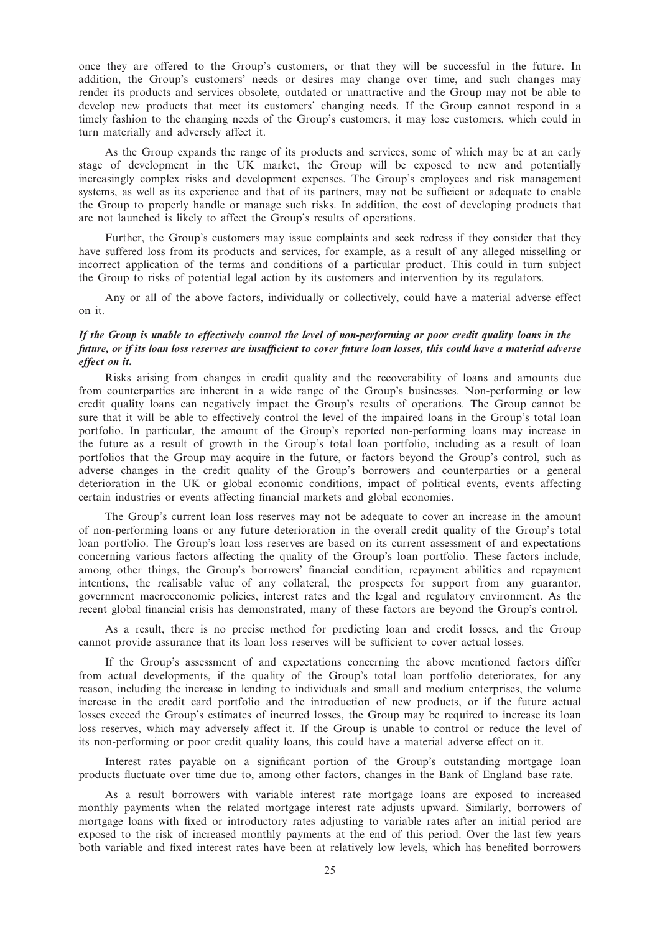once they are offered to the Group's customers, or that they will be successful in the future. In addition, the Group's customers' needs or desires may change over time, and such changes may render its products and services obsolete, outdated or unattractive and the Group may not be able to develop new products that meet its customers' changing needs. If the Group cannot respond in a timely fashion to the changing needs of the Group's customers, it may lose customers, which could in turn materially and adversely affect it.

As the Group expands the range of its products and services, some of which may be at an early stage of development in the UK market, the Group will be exposed to new and potentially increasingly complex risks and development expenses. The Group's employees and risk management systems, as well as its experience and that of its partners, may not be sufficient or adequate to enable the Group to properly handle or manage such risks. In addition, the cost of developing products that are not launched is likely to affect the Group's results of operations.

Further, the Group's customers may issue complaints and seek redress if they consider that they have suffered loss from its products and services, for example, as a result of any alleged misselling or incorrect application of the terms and conditions of a particular product. This could in turn subject the Group to risks of potential legal action by its customers and intervention by its regulators.

Any or all of the above factors, individually or collectively, could have a material adverse effect on it.

## If the Group is unable to effectively control the level of non-performing or poor credit quality loans in the future, or if its loan loss reserves are insufficient to cover future loan losses, this could have a material adverse effect on it.

Risks arising from changes in credit quality and the recoverability of loans and amounts due from counterparties are inherent in a wide range of the Group's businesses. Non-performing or low credit quality loans can negatively impact the Group's results of operations. The Group cannot be sure that it will be able to effectively control the level of the impaired loans in the Group's total loan portfolio. In particular, the amount of the Group's reported non-performing loans may increase in the future as a result of growth in the Group's total loan portfolio, including as a result of loan portfolios that the Group may acquire in the future, or factors beyond the Group's control, such as adverse changes in the credit quality of the Group's borrowers and counterparties or a general deterioration in the UK or global economic conditions, impact of political events, events affecting certain industries or events affecting financial markets and global economies.

The Group's current loan loss reserves may not be adequate to cover an increase in the amount of non-performing loans or any future deterioration in the overall credit quality of the Group's total loan portfolio. The Group's loan loss reserves are based on its current assessment of and expectations concerning various factors affecting the quality of the Group's loan portfolio. These factors include, among other things, the Group's borrowers' financial condition, repayment abilities and repayment intentions, the realisable value of any collateral, the prospects for support from any guarantor, government macroeconomic policies, interest rates and the legal and regulatory environment. As the recent global financial crisis has demonstrated, many of these factors are beyond the Group's control.

As a result, there is no precise method for predicting loan and credit losses, and the Group cannot provide assurance that its loan loss reserves will be sufficient to cover actual losses.

If the Group's assessment of and expectations concerning the above mentioned factors differ from actual developments, if the quality of the Group's total loan portfolio deteriorates, for any reason, including the increase in lending to individuals and small and medium enterprises, the volume increase in the credit card portfolio and the introduction of new products, or if the future actual losses exceed the Group's estimates of incurred losses, the Group may be required to increase its loan loss reserves, which may adversely affect it. If the Group is unable to control or reduce the level of its non-performing or poor credit quality loans, this could have a material adverse effect on it.

Interest rates payable on a significant portion of the Group's outstanding mortgage loan products fluctuate over time due to, among other factors, changes in the Bank of England base rate.

As a result borrowers with variable interest rate mortgage loans are exposed to increased monthly payments when the related mortgage interest rate adjusts upward. Similarly, borrowers of mortgage loans with fixed or introductory rates adjusting to variable rates after an initial period are exposed to the risk of increased monthly payments at the end of this period. Over the last few years both variable and fixed interest rates have been at relatively low levels, which has benefited borrowers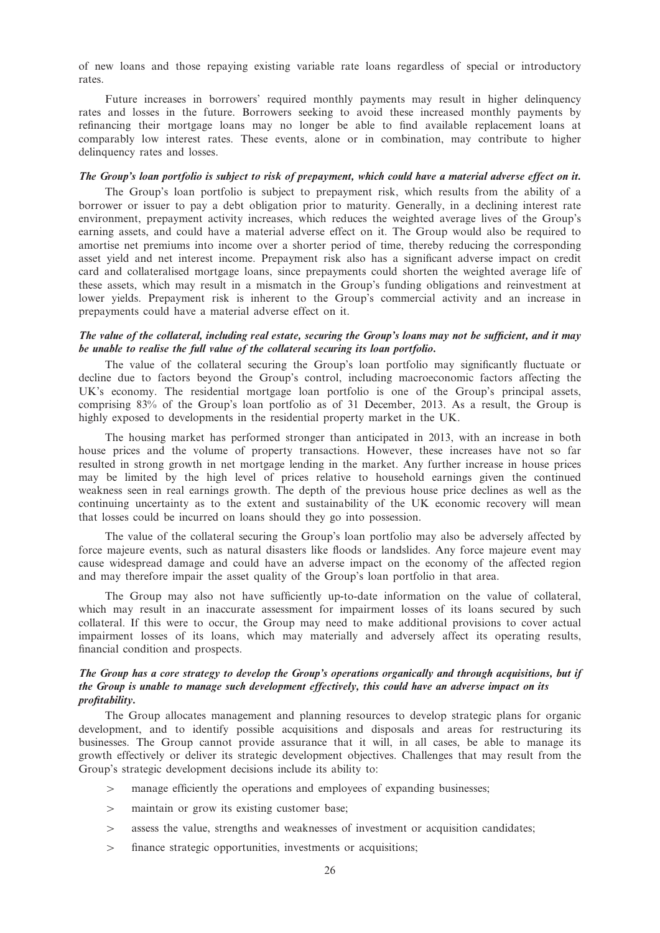of new loans and those repaying existing variable rate loans regardless of special or introductory rates.

Future increases in borrowers' required monthly payments may result in higher delinquency rates and losses in the future. Borrowers seeking to avoid these increased monthly payments by refinancing their mortgage loans may no longer be able to find available replacement loans at comparably low interest rates. These events, alone or in combination, may contribute to higher delinquency rates and losses.

## The Group's loan portfolio is subject to risk of prepayment, which could have a material adverse effect on it.

The Group's loan portfolio is subject to prepayment risk, which results from the ability of a borrower or issuer to pay a debt obligation prior to maturity. Generally, in a declining interest rate environment, prepayment activity increases, which reduces the weighted average lives of the Group's earning assets, and could have a material adverse effect on it. The Group would also be required to amortise net premiums into income over a shorter period of time, thereby reducing the corresponding asset yield and net interest income. Prepayment risk also has a significant adverse impact on credit card and collateralised mortgage loans, since prepayments could shorten the weighted average life of these assets, which may result in a mismatch in the Group's funding obligations and reinvestment at lower yields. Prepayment risk is inherent to the Group's commercial activity and an increase in prepayments could have a material adverse effect on it.

### The value of the collateral, including real estate, securing the Group's loans may not be sufficient, and it may be unable to realise the full value of the collateral securing its loan portfolio.

The value of the collateral securing the Group's loan portfolio may significantly fluctuate or decline due to factors beyond the Group's control, including macroeconomic factors affecting the UK's economy. The residential mortgage loan portfolio is one of the Group's principal assets, comprising 83% of the Group's loan portfolio as of 31 December, 2013. As a result, the Group is highly exposed to developments in the residential property market in the UK.

The housing market has performed stronger than anticipated in 2013, with an increase in both house prices and the volume of property transactions. However, these increases have not so far resulted in strong growth in net mortgage lending in the market. Any further increase in house prices may be limited by the high level of prices relative to household earnings given the continued weakness seen in real earnings growth. The depth of the previous house price declines as well as the continuing uncertainty as to the extent and sustainability of the UK economic recovery will mean that losses could be incurred on loans should they go into possession.

The value of the collateral securing the Group's loan portfolio may also be adversely affected by force majeure events, such as natural disasters like floods or landslides. Any force majeure event may cause widespread damage and could have an adverse impact on the economy of the affected region and may therefore impair the asset quality of the Group's loan portfolio in that area.

The Group may also not have sufficiently up-to-date information on the value of collateral, which may result in an inaccurate assessment for impairment losses of its loans secured by such collateral. If this were to occur, the Group may need to make additional provisions to cover actual impairment losses of its loans, which may materially and adversely affect its operating results, financial condition and prospects.

## The Group has a core strategy to develop the Group's operations organically and through acquisitions, but if the Group is unable to manage such development effectively, this could have an adverse impact on its profitability.

The Group allocates management and planning resources to develop strategic plans for organic development, and to identify possible acquisitions and disposals and areas for restructuring its businesses. The Group cannot provide assurance that it will, in all cases, be able to manage its growth effectively or deliver its strategic development objectives. Challenges that may result from the Group's strategic development decisions include its ability to:

- $>$  manage efficiently the operations and employees of expanding businesses;
- $>$  maintain or grow its existing customer base:
- $\geq$  assess the value, strengths and weaknesses of investment or acquisition candidates;
- $>$  finance strategic opportunities, investments or acquisitions;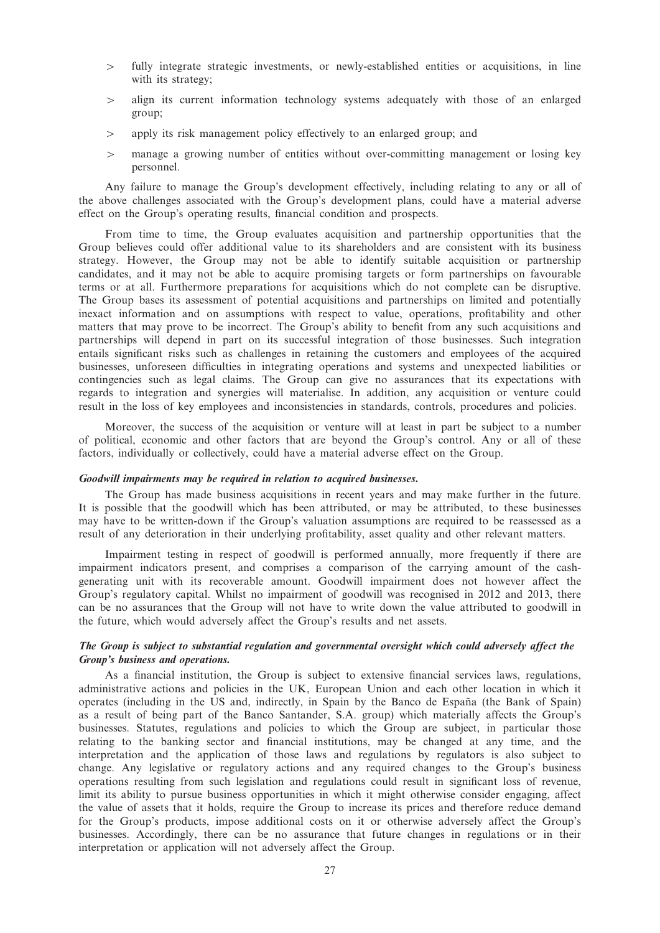- 4 fully integrate strategic investments, or newly-established entities or acquisitions, in line with its strategy;
- $>$  align its current information technology systems adequately with those of an enlarged group;
- $\geq$  apply its risk management policy effectively to an enlarged group; and
- $>$  manage a growing number of entities without over-committing management or losing key personnel.

Any failure to manage the Group's development effectively, including relating to any or all of the above challenges associated with the Group's development plans, could have a material adverse effect on the Group's operating results, financial condition and prospects.

From time to time, the Group evaluates acquisition and partnership opportunities that the Group believes could offer additional value to its shareholders and are consistent with its business strategy. However, the Group may not be able to identify suitable acquisition or partnership candidates, and it may not be able to acquire promising targets or form partnerships on favourable terms or at all. Furthermore preparations for acquisitions which do not complete can be disruptive. The Group bases its assessment of potential acquisitions and partnerships on limited and potentially inexact information and on assumptions with respect to value, operations, profitability and other matters that may prove to be incorrect. The Group's ability to benefit from any such acquisitions and partnerships will depend in part on its successful integration of those businesses. Such integration entails significant risks such as challenges in retaining the customers and employees of the acquired businesses, unforeseen difficulties in integrating operations and systems and unexpected liabilities or contingencies such as legal claims. The Group can give no assurances that its expectations with regards to integration and synergies will materialise. In addition, any acquisition or venture could result in the loss of key employees and inconsistencies in standards, controls, procedures and policies.

Moreover, the success of the acquisition or venture will at least in part be subject to a number of political, economic and other factors that are beyond the Group's control. Any or all of these factors, individually or collectively, could have a material adverse effect on the Group.

#### Goodwill impairments may be required in relation to acquired businesses.

The Group has made business acquisitions in recent years and may make further in the future. It is possible that the goodwill which has been attributed, or may be attributed, to these businesses may have to be written-down if the Group's valuation assumptions are required to be reassessed as a result of any deterioration in their underlying profitability, asset quality and other relevant matters.

Impairment testing in respect of goodwill is performed annually, more frequently if there are impairment indicators present, and comprises a comparison of the carrying amount of the cashgenerating unit with its recoverable amount. Goodwill impairment does not however affect the Group's regulatory capital. Whilst no impairment of goodwill was recognised in 2012 and 2013, there can be no assurances that the Group will not have to write down the value attributed to goodwill in the future, which would adversely affect the Group's results and net assets.

## The Group is subject to substantial regulation and governmental oversight which could adversely affect the Group's business and operations.

As a financial institution, the Group is subject to extensive financial services laws, regulations, administrative actions and policies in the UK, European Union and each other location in which it operates (including in the US and, indirectly, in Spain by the Banco de España (the Bank of Spain) as a result of being part of the Banco Santander, S.A. group) which materially affects the Group's businesses. Statutes, regulations and policies to which the Group are subject, in particular those relating to the banking sector and financial institutions, may be changed at any time, and the interpretation and the application of those laws and regulations by regulators is also subject to change. Any legislative or regulatory actions and any required changes to the Group's business operations resulting from such legislation and regulations could result in significant loss of revenue, limit its ability to pursue business opportunities in which it might otherwise consider engaging, affect the value of assets that it holds, require the Group to increase its prices and therefore reduce demand for the Group's products, impose additional costs on it or otherwise adversely affect the Group's businesses. Accordingly, there can be no assurance that future changes in regulations or in their interpretation or application will not adversely affect the Group.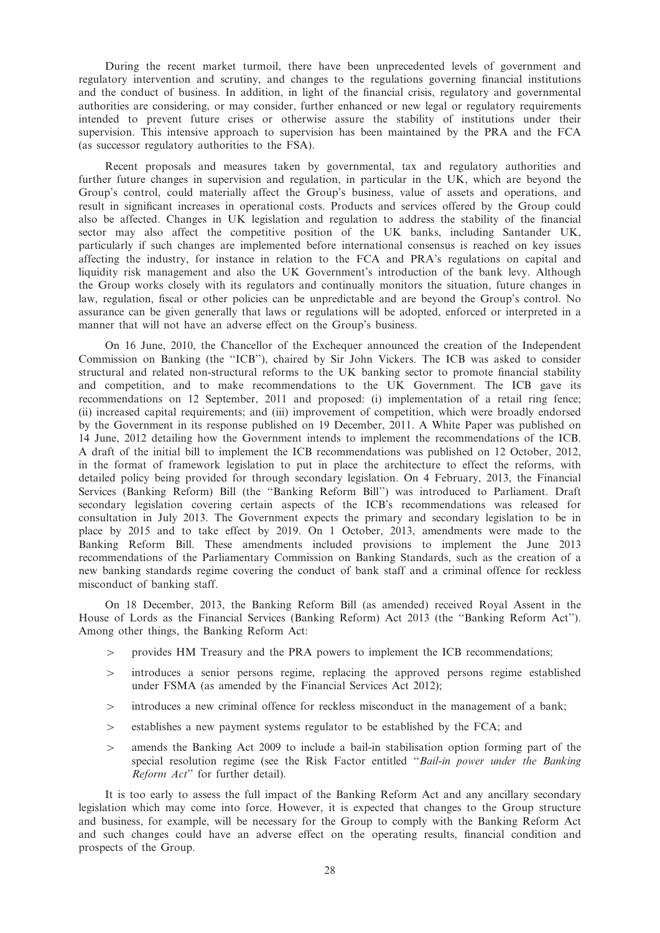During the recent market turmoil, there have been unprecedented levels of government and regulatory intervention and scrutiny, and changes to the regulations governing financial institutions and the conduct of business. In addition, in light of the financial crisis, regulatory and governmental authorities are considering, or may consider, further enhanced or new legal or regulatory requirements intended to prevent future crises or otherwise assure the stability of institutions under their supervision. This intensive approach to supervision has been maintained by the PRA and the FCA (as successor regulatory authorities to the FSA).

Recent proposals and measures taken by governmental, tax and regulatory authorities and further future changes in supervision and regulation, in particular in the UK, which are beyond the Group's control, could materially affect the Group's business, value of assets and operations, and result in significant increases in operational costs. Products and services offered by the Group could also be affected. Changes in UK legislation and regulation to address the stability of the financial sector may also affect the competitive position of the UK banks, including Santander UK, particularly if such changes are implemented before international consensus is reached on key issues affecting the industry, for instance in relation to the FCA and PRA's regulations on capital and liquidity risk management and also the UK Government's introduction of the bank levy. Although the Group works closely with its regulators and continually monitors the situation, future changes in law, regulation, fiscal or other policies can be unpredictable and are beyond the Group's control. No assurance can be given generally that laws or regulations will be adopted, enforced or interpreted in a manner that will not have an adverse effect on the Group's business.

On 16 June, 2010, the Chancellor of the Exchequer announced the creation of the Independent Commission on Banking (the ''ICB''), chaired by Sir John Vickers. The ICB was asked to consider structural and related non-structural reforms to the UK banking sector to promote financial stability and competition, and to make recommendations to the UK Government. The ICB gave its recommendations on 12 September, 2011 and proposed: (i) implementation of a retail ring fence; (ii) increased capital requirements; and (iii) improvement of competition, which were broadly endorsed by the Government in its response published on 19 December, 2011. A White Paper was published on 14 June, 2012 detailing how the Government intends to implement the recommendations of the ICB. A draft of the initial bill to implement the ICB recommendations was published on 12 October, 2012, in the format of framework legislation to put in place the architecture to effect the reforms, with detailed policy being provided for through secondary legislation. On 4 February, 2013, the Financial Services (Banking Reform) Bill (the ''Banking Reform Bill'') was introduced to Parliament. Draft secondary legislation covering certain aspects of the ICB's recommendations was released for consultation in July 2013. The Government expects the primary and secondary legislation to be in place by 2015 and to take effect by 2019. On 1 October, 2013, amendments were made to the Banking Reform Bill. These amendments included provisions to implement the June 2013 recommendations of the Parliamentary Commission on Banking Standards, such as the creation of a new banking standards regime covering the conduct of bank staff and a criminal offence for reckless misconduct of banking staff.

On 18 December, 2013, the Banking Reform Bill (as amended) received Royal Assent in the House of Lords as the Financial Services (Banking Reform) Act 2013 (the ''Banking Reform Act''). Among other things, the Banking Reform Act:

- 4 provides HM Treasury and the PRA powers to implement the ICB recommendations;
- $\ge$  introduces a senior persons regime, replacing the approved persons regime established under FSMA (as amended by the Financial Services Act 2012);
- $>$  introduces a new criminal offence for reckless misconduct in the management of a bank;
- $\geq$  establishes a new payment systems regulator to be established by the FCA; and
- $\ge$  amends the Banking Act 2009 to include a bail-in stabilisation option forming part of the special resolution regime (see the Risk Factor entitled ''Bail-in power under the Banking Reform Act'' for further detail).

It is too early to assess the full impact of the Banking Reform Act and any ancillary secondary legislation which may come into force. However, it is expected that changes to the Group structure and business, for example, will be necessary for the Group to comply with the Banking Reform Act and such changes could have an adverse effect on the operating results, financial condition and prospects of the Group.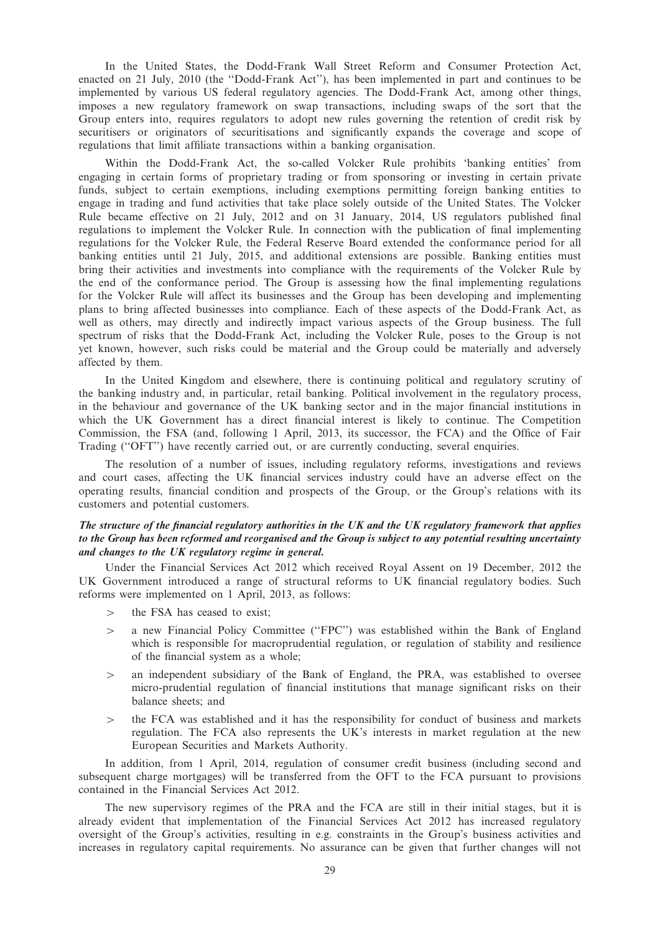In the United States, the Dodd-Frank Wall Street Reform and Consumer Protection Act, enacted on 21 July, 2010 (the ''Dodd-Frank Act''), has been implemented in part and continues to be implemented by various US federal regulatory agencies. The Dodd-Frank Act, among other things, imposes a new regulatory framework on swap transactions, including swaps of the sort that the Group enters into, requires regulators to adopt new rules governing the retention of credit risk by securitisers or originators of securitisations and significantly expands the coverage and scope of regulations that limit affiliate transactions within a banking organisation.

Within the Dodd-Frank Act, the so-called Volcker Rule prohibits 'banking entities' from engaging in certain forms of proprietary trading or from sponsoring or investing in certain private funds, subject to certain exemptions, including exemptions permitting foreign banking entities to engage in trading and fund activities that take place solely outside of the United States. The Volcker Rule became effective on 21 July, 2012 and on 31 January, 2014, US regulators published final regulations to implement the Volcker Rule. In connection with the publication of final implementing regulations for the Volcker Rule, the Federal Reserve Board extended the conformance period for all banking entities until 21 July, 2015, and additional extensions are possible. Banking entities must bring their activities and investments into compliance with the requirements of the Volcker Rule by the end of the conformance period. The Group is assessing how the final implementing regulations for the Volcker Rule will affect its businesses and the Group has been developing and implementing plans to bring affected businesses into compliance. Each of these aspects of the Dodd-Frank Act, as well as others, may directly and indirectly impact various aspects of the Group business. The full spectrum of risks that the Dodd-Frank Act, including the Volcker Rule, poses to the Group is not yet known, however, such risks could be material and the Group could be materially and adversely affected by them.

In the United Kingdom and elsewhere, there is continuing political and regulatory scrutiny of the banking industry and, in particular, retail banking. Political involvement in the regulatory process, in the behaviour and governance of the UK banking sector and in the major financial institutions in which the UK Government has a direct financial interest is likely to continue. The Competition Commission, the FSA (and, following 1 April, 2013, its successor, the FCA) and the Office of Fair Trading (''OFT'') have recently carried out, or are currently conducting, several enquiries.

The resolution of a number of issues, including regulatory reforms, investigations and reviews and court cases, affecting the UK financial services industry could have an adverse effect on the operating results, financial condition and prospects of the Group, or the Group's relations with its customers and potential customers.

### The structure of the financial regulatory authorities in the UK and the UK regulatory framework that applies to the Group has been reformed and reorganised and the Group is subject to any potential resulting uncertainty and changes to the UK regulatory regime in general.

Under the Financial Services Act 2012 which received Royal Assent on 19 December, 2012 the UK Government introduced a range of structural reforms to UK financial regulatory bodies. Such reforms were implemented on 1 April, 2013, as follows:

- $>$  the FSA has ceased to exist;
- > a new Financial Policy Committee ("FPC") was established within the Bank of England which is responsible for macroprudential regulation, or regulation of stability and resilience of the financial system as a whole;
- $\geq$  an independent subsidiary of the Bank of England, the PRA, was established to oversee micro-prudential regulation of financial institutions that manage significant risks on their balance sheets; and
- $>$  the FCA was established and it has the responsibility for conduct of business and markets regulation. The FCA also represents the UK's interests in market regulation at the new European Securities and Markets Authority.

In addition, from 1 April, 2014, regulation of consumer credit business (including second and subsequent charge mortgages) will be transferred from the OFT to the FCA pursuant to provisions contained in the Financial Services Act 2012.

The new supervisory regimes of the PRA and the FCA are still in their initial stages, but it is already evident that implementation of the Financial Services Act 2012 has increased regulatory oversight of the Group's activities, resulting in e.g. constraints in the Group's business activities and increases in regulatory capital requirements. No assurance can be given that further changes will not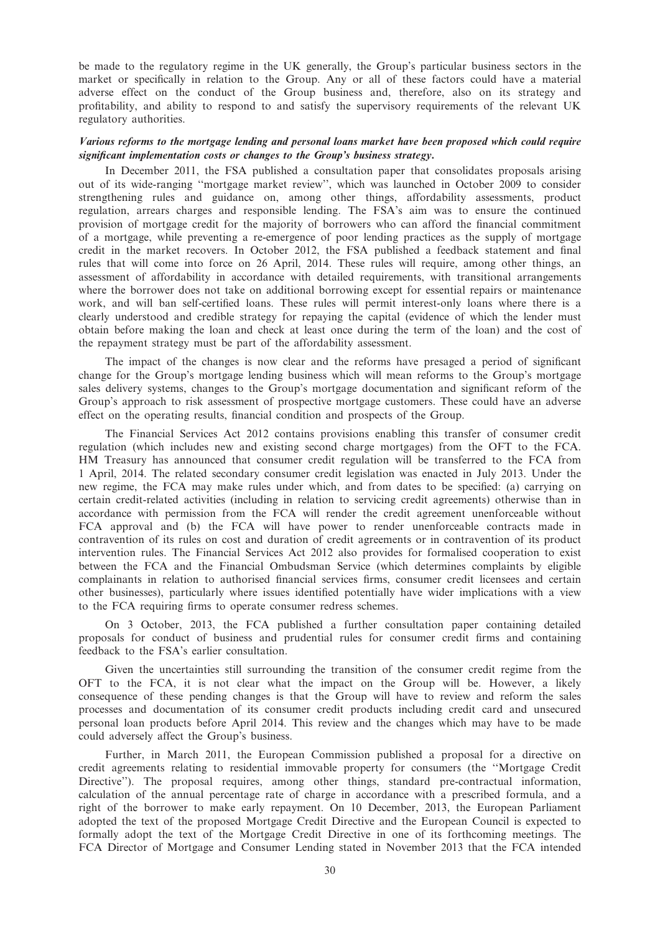be made to the regulatory regime in the UK generally, the Group's particular business sectors in the market or specifically in relation to the Group. Any or all of these factors could have a material adverse effect on the conduct of the Group business and, therefore, also on its strategy and profitability, and ability to respond to and satisfy the supervisory requirements of the relevant UK regulatory authorities.

## Various reforms to the mortgage lending and personal loans market have been proposed which could require significant implementation costs or changes to the Group's business strategy.

In December 2011, the FSA published a consultation paper that consolidates proposals arising out of its wide-ranging ''mortgage market review'', which was launched in October 2009 to consider strengthening rules and guidance on, among other things, affordability assessments, product regulation, arrears charges and responsible lending. The FSA's aim was to ensure the continued provision of mortgage credit for the majority of borrowers who can afford the financial commitment of a mortgage, while preventing a re-emergence of poor lending practices as the supply of mortgage credit in the market recovers. In October 2012, the FSA published a feedback statement and final rules that will come into force on 26 April, 2014. These rules will require, among other things, an assessment of affordability in accordance with detailed requirements, with transitional arrangements where the borrower does not take on additional borrowing except for essential repairs or maintenance work, and will ban self-certified loans. These rules will permit interest-only loans where there is a clearly understood and credible strategy for repaying the capital (evidence of which the lender must obtain before making the loan and check at least once during the term of the loan) and the cost of the repayment strategy must be part of the affordability assessment.

The impact of the changes is now clear and the reforms have presaged a period of significant change for the Group's mortgage lending business which will mean reforms to the Group's mortgage sales delivery systems, changes to the Group's mortgage documentation and significant reform of the Group's approach to risk assessment of prospective mortgage customers. These could have an adverse effect on the operating results, financial condition and prospects of the Group.

The Financial Services Act 2012 contains provisions enabling this transfer of consumer credit regulation (which includes new and existing second charge mortgages) from the OFT to the FCA. HM Treasury has announced that consumer credit regulation will be transferred to the FCA from 1 April, 2014. The related secondary consumer credit legislation was enacted in July 2013. Under the new regime, the FCA may make rules under which, and from dates to be specified: (a) carrying on certain credit-related activities (including in relation to servicing credit agreements) otherwise than in accordance with permission from the FCA will render the credit agreement unenforceable without FCA approval and (b) the FCA will have power to render unenforceable contracts made in contravention of its rules on cost and duration of credit agreements or in contravention of its product intervention rules. The Financial Services Act 2012 also provides for formalised cooperation to exist between the FCA and the Financial Ombudsman Service (which determines complaints by eligible complainants in relation to authorised financial services firms, consumer credit licensees and certain other businesses), particularly where issues identified potentially have wider implications with a view to the FCA requiring firms to operate consumer redress schemes.

On 3 October, 2013, the FCA published a further consultation paper containing detailed proposals for conduct of business and prudential rules for consumer credit firms and containing feedback to the FSA's earlier consultation.

Given the uncertainties still surrounding the transition of the consumer credit regime from the OFT to the FCA, it is not clear what the impact on the Group will be. However, a likely consequence of these pending changes is that the Group will have to review and reform the sales processes and documentation of its consumer credit products including credit card and unsecured personal loan products before April 2014. This review and the changes which may have to be made could adversely affect the Group's business.

Further, in March 2011, the European Commission published a proposal for a directive on credit agreements relating to residential immovable property for consumers (the ''Mortgage Credit Directive''). The proposal requires, among other things, standard pre-contractual information, calculation of the annual percentage rate of charge in accordance with a prescribed formula, and a right of the borrower to make early repayment. On 10 December, 2013, the European Parliament adopted the text of the proposed Mortgage Credit Directive and the European Council is expected to formally adopt the text of the Mortgage Credit Directive in one of its forthcoming meetings. The FCA Director of Mortgage and Consumer Lending stated in November 2013 that the FCA intended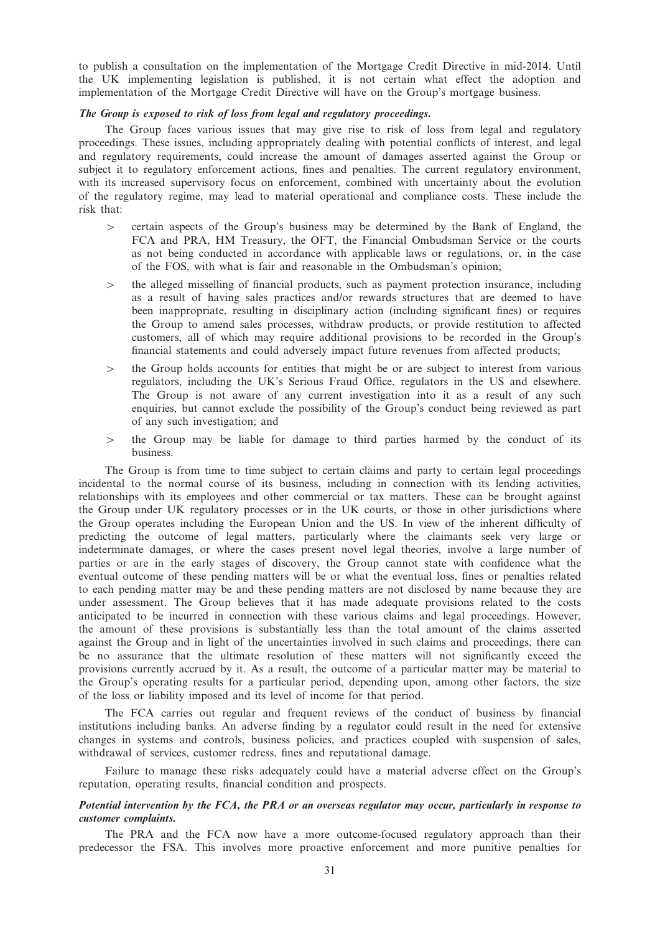to publish a consultation on the implementation of the Mortgage Credit Directive in mid-2014. Until the UK implementing legislation is published, it is not certain what effect the adoption and implementation of the Mortgage Credit Directive will have on the Group's mortgage business.

#### The Group is exposed to risk of loss from legal and regulatory proceedings.

The Group faces various issues that may give rise to risk of loss from legal and regulatory proceedings. These issues, including appropriately dealing with potential conflicts of interest, and legal and regulatory requirements, could increase the amount of damages asserted against the Group or subject it to regulatory enforcement actions, fines and penalties. The current regulatory environment, with its increased supervisory focus on enforcement, combined with uncertainty about the evolution of the regulatory regime, may lead to material operational and compliance costs. These include the risk that:

- $\ge$  certain aspects of the Group's business may be determined by the Bank of England, the FCA and PRA, HM Treasury, the OFT, the Financial Ombudsman Service or the courts as not being conducted in accordance with applicable laws or regulations, or, in the case of the FOS, with what is fair and reasonable in the Ombudsman's opinion;
- $>$  the alleged misselling of financial products, such as payment protection insurance, including as a result of having sales practices and/or rewards structures that are deemed to have been inappropriate, resulting in disciplinary action (including significant fines) or requires the Group to amend sales processes, withdraw products, or provide restitution to affected customers, all of which may require additional provisions to be recorded in the Group's financial statements and could adversely impact future revenues from affected products;
- $\geq$  the Group holds accounts for entities that might be or are subject to interest from various regulators, including the UK's Serious Fraud Office, regulators in the US and elsewhere. The Group is not aware of any current investigation into it as a result of any such enquiries, but cannot exclude the possibility of the Group's conduct being reviewed as part of any such investigation; and
- $\geq$  the Group may be liable for damage to third parties harmed by the conduct of its business.

The Group is from time to time subject to certain claims and party to certain legal proceedings incidental to the normal course of its business, including in connection with its lending activities, relationships with its employees and other commercial or tax matters. These can be brought against the Group under UK regulatory processes or in the UK courts, or those in other jurisdictions where the Group operates including the European Union and the US. In view of the inherent difficulty of predicting the outcome of legal matters, particularly where the claimants seek very large or indeterminate damages, or where the cases present novel legal theories, involve a large number of parties or are in the early stages of discovery, the Group cannot state with confidence what the eventual outcome of these pending matters will be or what the eventual loss, fines or penalties related to each pending matter may be and these pending matters are not disclosed by name because they are under assessment. The Group believes that it has made adequate provisions related to the costs anticipated to be incurred in connection with these various claims and legal proceedings. However, the amount of these provisions is substantially less than the total amount of the claims asserted against the Group and in light of the uncertainties involved in such claims and proceedings, there can be no assurance that the ultimate resolution of these matters will not significantly exceed the provisions currently accrued by it. As a result, the outcome of a particular matter may be material to the Group's operating results for a particular period, depending upon, among other factors, the size of the loss or liability imposed and its level of income for that period.

The FCA carries out regular and frequent reviews of the conduct of business by financial institutions including banks. An adverse finding by a regulator could result in the need for extensive changes in systems and controls, business policies, and practices coupled with suspension of sales, withdrawal of services, customer redress, fines and reputational damage.

Failure to manage these risks adequately could have a material adverse effect on the Group's reputation, operating results, financial condition and prospects.

## Potential intervention by the FCA, the PRA or an overseas regulator may occur, particularly in response to customer complaints.

The PRA and the FCA now have a more outcome-focused regulatory approach than their predecessor the FSA. This involves more proactive enforcement and more punitive penalties for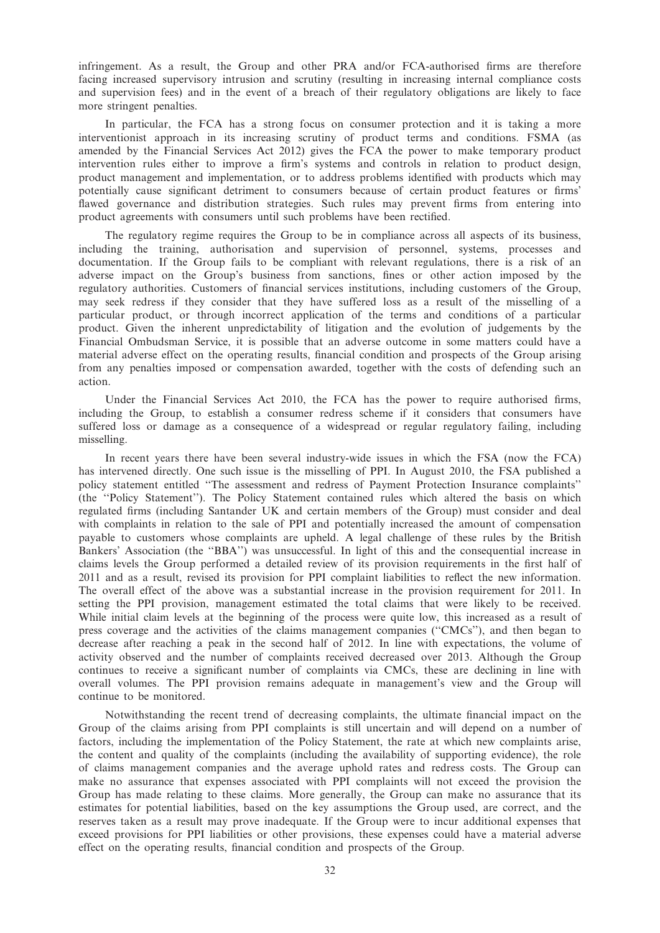infringement. As a result, the Group and other PRA and/or FCA-authorised firms are therefore facing increased supervisory intrusion and scrutiny (resulting in increasing internal compliance costs and supervision fees) and in the event of a breach of their regulatory obligations are likely to face more stringent penalties.

In particular, the FCA has a strong focus on consumer protection and it is taking a more interventionist approach in its increasing scrutiny of product terms and conditions. FSMA (as amended by the Financial Services Act 2012) gives the FCA the power to make temporary product intervention rules either to improve a firm's systems and controls in relation to product design, product management and implementation, or to address problems identified with products which may potentially cause significant detriment to consumers because of certain product features or firms' flawed governance and distribution strategies. Such rules may prevent firms from entering into product agreements with consumers until such problems have been rectified.

The regulatory regime requires the Group to be in compliance across all aspects of its business, including the training, authorisation and supervision of personnel, systems, processes and documentation. If the Group fails to be compliant with relevant regulations, there is a risk of an adverse impact on the Group's business from sanctions, fines or other action imposed by the regulatory authorities. Customers of financial services institutions, including customers of the Group, may seek redress if they consider that they have suffered loss as a result of the misselling of a particular product, or through incorrect application of the terms and conditions of a particular product. Given the inherent unpredictability of litigation and the evolution of judgements by the Financial Ombudsman Service, it is possible that an adverse outcome in some matters could have a material adverse effect on the operating results, financial condition and prospects of the Group arising from any penalties imposed or compensation awarded, together with the costs of defending such an action.

Under the Financial Services Act 2010, the FCA has the power to require authorised firms, including the Group, to establish a consumer redress scheme if it considers that consumers have suffered loss or damage as a consequence of a widespread or regular regulatory failing, including misselling.

In recent years there have been several industry-wide issues in which the FSA (now the FCA) has intervened directly. One such issue is the misselling of PPI. In August 2010, the FSA published a policy statement entitled ''The assessment and redress of Payment Protection Insurance complaints'' (the ''Policy Statement''). The Policy Statement contained rules which altered the basis on which regulated firms (including Santander UK and certain members of the Group) must consider and deal with complaints in relation to the sale of PPI and potentially increased the amount of compensation payable to customers whose complaints are upheld. A legal challenge of these rules by the British Bankers' Association (the ''BBA'') was unsuccessful. In light of this and the consequential increase in claims levels the Group performed a detailed review of its provision requirements in the first half of 2011 and as a result, revised its provision for PPI complaint liabilities to reflect the new information. The overall effect of the above was a substantial increase in the provision requirement for 2011. In setting the PPI provision, management estimated the total claims that were likely to be received. While initial claim levels at the beginning of the process were quite low, this increased as a result of press coverage and the activities of the claims management companies (''CMCs''), and then began to decrease after reaching a peak in the second half of 2012. In line with expectations, the volume of activity observed and the number of complaints received decreased over 2013. Although the Group continues to receive a significant number of complaints via CMCs, these are declining in line with overall volumes. The PPI provision remains adequate in management's view and the Group will continue to be monitored.

Notwithstanding the recent trend of decreasing complaints, the ultimate financial impact on the Group of the claims arising from PPI complaints is still uncertain and will depend on a number of factors, including the implementation of the Policy Statement, the rate at which new complaints arise, the content and quality of the complaints (including the availability of supporting evidence), the role of claims management companies and the average uphold rates and redress costs. The Group can make no assurance that expenses associated with PPI complaints will not exceed the provision the Group has made relating to these claims. More generally, the Group can make no assurance that its estimates for potential liabilities, based on the key assumptions the Group used, are correct, and the reserves taken as a result may prove inadequate. If the Group were to incur additional expenses that exceed provisions for PPI liabilities or other provisions, these expenses could have a material adverse effect on the operating results, financial condition and prospects of the Group.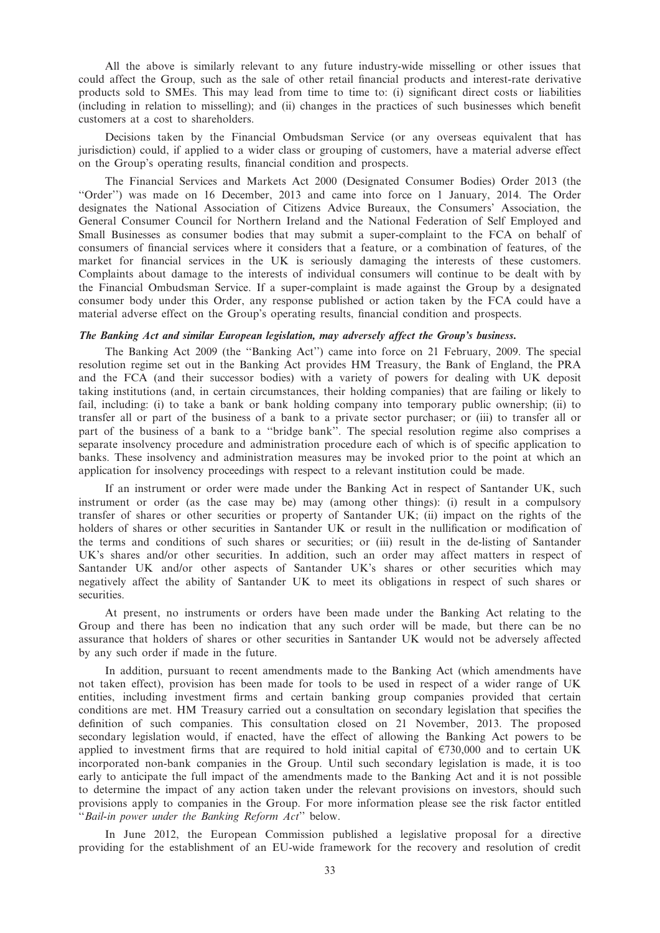All the above is similarly relevant to any future industry-wide misselling or other issues that could affect the Group, such as the sale of other retail financial products and interest-rate derivative products sold to SMEs. This may lead from time to time to: (i) significant direct costs or liabilities (including in relation to misselling); and (ii) changes in the practices of such businesses which benefit customers at a cost to shareholders.

Decisions taken by the Financial Ombudsman Service (or any overseas equivalent that has jurisdiction) could, if applied to a wider class or grouping of customers, have a material adverse effect on the Group's operating results, financial condition and prospects.

The Financial Services and Markets Act 2000 (Designated Consumer Bodies) Order 2013 (the ''Order'') was made on 16 December, 2013 and came into force on 1 January, 2014. The Order designates the National Association of Citizens Advice Bureaux, the Consumers' Association, the General Consumer Council for Northern Ireland and the National Federation of Self Employed and Small Businesses as consumer bodies that may submit a super-complaint to the FCA on behalf of consumers of financial services where it considers that a feature, or a combination of features, of the market for financial services in the UK is seriously damaging the interests of these customers. Complaints about damage to the interests of individual consumers will continue to be dealt with by the Financial Ombudsman Service. If a super-complaint is made against the Group by a designated consumer body under this Order, any response published or action taken by the FCA could have a material adverse effect on the Group's operating results, financial condition and prospects.

#### The Banking Act and similar European legislation, may adversely affect the Group's business.

The Banking Act 2009 (the ''Banking Act'') came into force on 21 February, 2009. The special resolution regime set out in the Banking Act provides HM Treasury, the Bank of England, the PRA and the FCA (and their successor bodies) with a variety of powers for dealing with UK deposit taking institutions (and, in certain circumstances, their holding companies) that are failing or likely to fail, including: (i) to take a bank or bank holding company into temporary public ownership; (ii) to transfer all or part of the business of a bank to a private sector purchaser; or (iii) to transfer all or part of the business of a bank to a ''bridge bank''. The special resolution regime also comprises a separate insolvency procedure and administration procedure each of which is of specific application to banks. These insolvency and administration measures may be invoked prior to the point at which an application for insolvency proceedings with respect to a relevant institution could be made.

If an instrument or order were made under the Banking Act in respect of Santander UK, such instrument or order (as the case may be) may (among other things): (i) result in a compulsory transfer of shares or other securities or property of Santander UK; (ii) impact on the rights of the holders of shares or other securities in Santander UK or result in the nullification or modification of the terms and conditions of such shares or securities; or (iii) result in the de-listing of Santander UK's shares and/or other securities. In addition, such an order may affect matters in respect of Santander UK and/or other aspects of Santander UK's shares or other securities which may negatively affect the ability of Santander UK to meet its obligations in respect of such shares or securities.

At present, no instruments or orders have been made under the Banking Act relating to the Group and there has been no indication that any such order will be made, but there can be no assurance that holders of shares or other securities in Santander UK would not be adversely affected by any such order if made in the future.

In addition, pursuant to recent amendments made to the Banking Act (which amendments have not taken effect), provision has been made for tools to be used in respect of a wider range of UK entities, including investment firms and certain banking group companies provided that certain conditions are met. HM Treasury carried out a consultation on secondary legislation that specifies the definition of such companies. This consultation closed on 21 November, 2013. The proposed secondary legislation would, if enacted, have the effect of allowing the Banking Act powers to be applied to investment firms that are required to hold initial capital of  $\epsilon$ 730,000 and to certain UK incorporated non-bank companies in the Group. Until such secondary legislation is made, it is too early to anticipate the full impact of the amendments made to the Banking Act and it is not possible to determine the impact of any action taken under the relevant provisions on investors, should such provisions apply to companies in the Group. For more information please see the risk factor entitled ''Bail-in power under the Banking Reform Act'' below.

In June 2012, the European Commission published a legislative proposal for a directive providing for the establishment of an EU-wide framework for the recovery and resolution of credit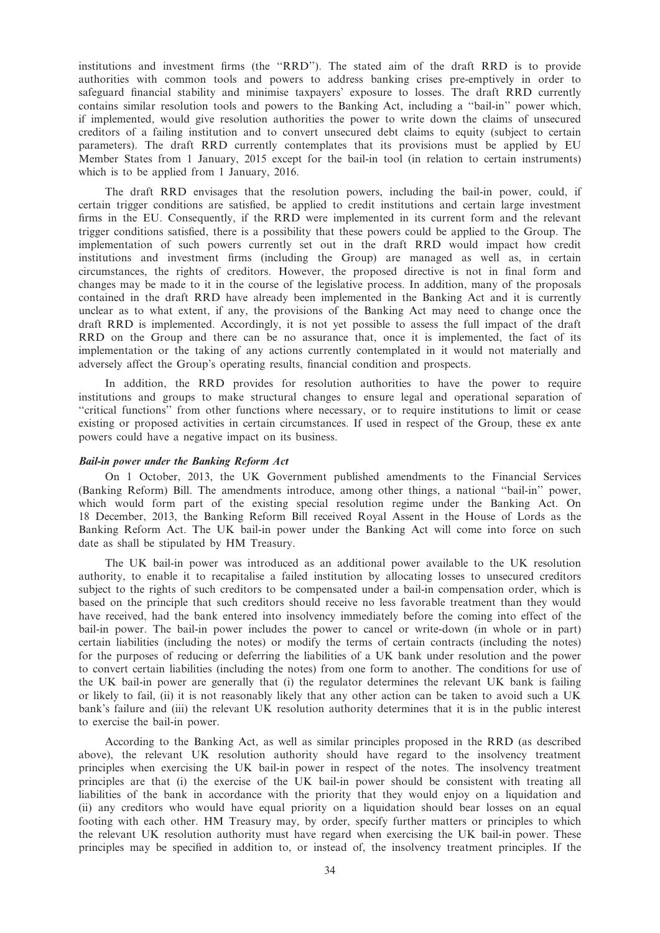institutions and investment firms (the ''RRD''). The stated aim of the draft RRD is to provide authorities with common tools and powers to address banking crises pre-emptively in order to safeguard financial stability and minimise taxpayers' exposure to losses. The draft RRD currently contains similar resolution tools and powers to the Banking Act, including a ''bail-in'' power which, if implemented, would give resolution authorities the power to write down the claims of unsecured creditors of a failing institution and to convert unsecured debt claims to equity (subject to certain parameters). The draft RRD currently contemplates that its provisions must be applied by EU Member States from 1 January, 2015 except for the bail-in tool (in relation to certain instruments) which is to be applied from 1 January, 2016.

The draft RRD envisages that the resolution powers, including the bail-in power, could, if certain trigger conditions are satisfied, be applied to credit institutions and certain large investment firms in the EU. Consequently, if the RRD were implemented in its current form and the relevant trigger conditions satisfied, there is a possibility that these powers could be applied to the Group. The implementation of such powers currently set out in the draft RRD would impact how credit institutions and investment firms (including the Group) are managed as well as, in certain circumstances, the rights of creditors. However, the proposed directive is not in final form and changes may be made to it in the course of the legislative process. In addition, many of the proposals contained in the draft RRD have already been implemented in the Banking Act and it is currently unclear as to what extent, if any, the provisions of the Banking Act may need to change once the draft RRD is implemented. Accordingly, it is not yet possible to assess the full impact of the draft RRD on the Group and there can be no assurance that, once it is implemented, the fact of its implementation or the taking of any actions currently contemplated in it would not materially and adversely affect the Group's operating results, financial condition and prospects.

In addition, the RRD provides for resolution authorities to have the power to require institutions and groups to make structural changes to ensure legal and operational separation of ''critical functions'' from other functions where necessary, or to require institutions to limit or cease existing or proposed activities in certain circumstances. If used in respect of the Group, these ex ante powers could have a negative impact on its business.

#### Bail-in power under the Banking Reform Act

On 1 October, 2013, the UK Government published amendments to the Financial Services (Banking Reform) Bill. The amendments introduce, among other things, a national ''bail-in'' power, which would form part of the existing special resolution regime under the Banking Act. On 18 December, 2013, the Banking Reform Bill received Royal Assent in the House of Lords as the Banking Reform Act. The UK bail-in power under the Banking Act will come into force on such date as shall be stipulated by HM Treasury.

The UK bail-in power was introduced as an additional power available to the UK resolution authority, to enable it to recapitalise a failed institution by allocating losses to unsecured creditors subject to the rights of such creditors to be compensated under a bail-in compensation order, which is based on the principle that such creditors should receive no less favorable treatment than they would have received, had the bank entered into insolvency immediately before the coming into effect of the bail-in power. The bail-in power includes the power to cancel or write-down (in whole or in part) certain liabilities (including the notes) or modify the terms of certain contracts (including the notes) for the purposes of reducing or deferring the liabilities of a UK bank under resolution and the power to convert certain liabilities (including the notes) from one form to another. The conditions for use of the UK bail-in power are generally that (i) the regulator determines the relevant UK bank is failing or likely to fail, (ii) it is not reasonably likely that any other action can be taken to avoid such a UK bank's failure and (iii) the relevant UK resolution authority determines that it is in the public interest to exercise the bail-in power.

According to the Banking Act, as well as similar principles proposed in the RRD (as described above), the relevant UK resolution authority should have regard to the insolvency treatment principles when exercising the UK bail-in power in respect of the notes. The insolvency treatment principles are that (i) the exercise of the UK bail-in power should be consistent with treating all liabilities of the bank in accordance with the priority that they would enjoy on a liquidation and (ii) any creditors who would have equal priority on a liquidation should bear losses on an equal footing with each other. HM Treasury may, by order, specify further matters or principles to which the relevant UK resolution authority must have regard when exercising the UK bail-in power. These principles may be specified in addition to, or instead of, the insolvency treatment principles. If the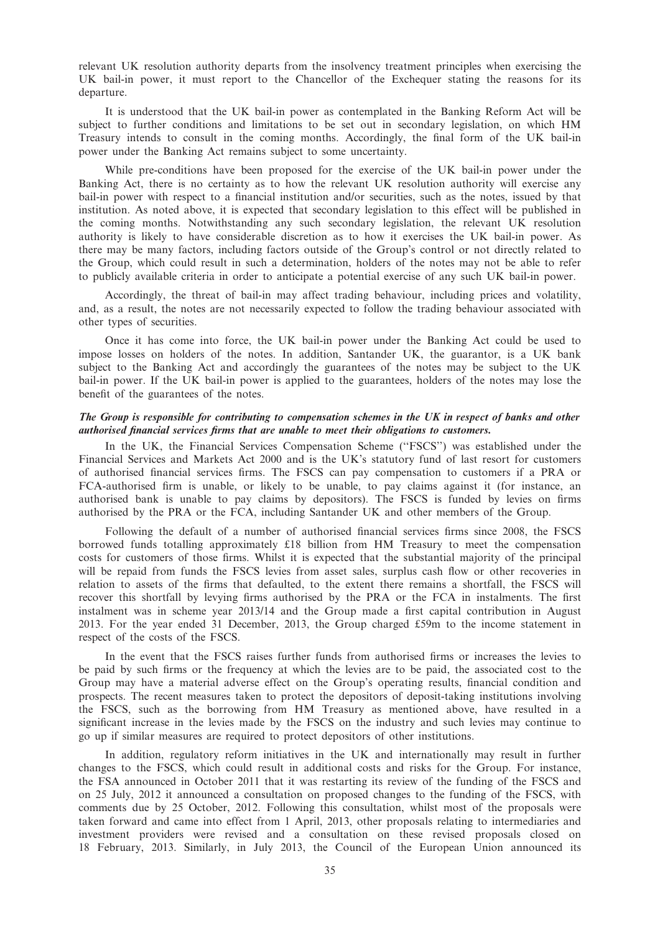relevant UK resolution authority departs from the insolvency treatment principles when exercising the UK bail-in power, it must report to the Chancellor of the Exchequer stating the reasons for its departure.

It is understood that the UK bail-in power as contemplated in the Banking Reform Act will be subject to further conditions and limitations to be set out in secondary legislation, on which HM Treasury intends to consult in the coming months. Accordingly, the final form of the UK bail-in power under the Banking Act remains subject to some uncertainty.

While pre-conditions have been proposed for the exercise of the UK bail-in power under the Banking Act, there is no certainty as to how the relevant UK resolution authority will exercise any bail-in power with respect to a financial institution and/or securities, such as the notes, issued by that institution. As noted above, it is expected that secondary legislation to this effect will be published in the coming months. Notwithstanding any such secondary legislation, the relevant UK resolution authority is likely to have considerable discretion as to how it exercises the UK bail-in power. As there may be many factors, including factors outside of the Group's control or not directly related to the Group, which could result in such a determination, holders of the notes may not be able to refer to publicly available criteria in order to anticipate a potential exercise of any such UK bail-in power.

Accordingly, the threat of bail-in may affect trading behaviour, including prices and volatility, and, as a result, the notes are not necessarily expected to follow the trading behaviour associated with other types of securities.

Once it has come into force, the UK bail-in power under the Banking Act could be used to impose losses on holders of the notes. In addition, Santander UK, the guarantor, is a UK bank subject to the Banking Act and accordingly the guarantees of the notes may be subject to the UK bail-in power. If the UK bail-in power is applied to the guarantees, holders of the notes may lose the benefit of the guarantees of the notes.

## The Group is responsible for contributing to compensation schemes in the UK in respect of banks and other authorised financial services firms that are unable to meet their obligations to customers.

In the UK, the Financial Services Compensation Scheme (''FSCS'') was established under the Financial Services and Markets Act 2000 and is the UK's statutory fund of last resort for customers of authorised financial services firms. The FSCS can pay compensation to customers if a PRA or FCA-authorised firm is unable, or likely to be unable, to pay claims against it (for instance, an authorised bank is unable to pay claims by depositors). The FSCS is funded by levies on firms authorised by the PRA or the FCA, including Santander UK and other members of the Group.

Following the default of a number of authorised financial services firms since 2008, the FSCS borrowed funds totalling approximately £18 billion from HM Treasury to meet the compensation costs for customers of those firms. Whilst it is expected that the substantial majority of the principal will be repaid from funds the FSCS levies from asset sales, surplus cash flow or other recoveries in relation to assets of the firms that defaulted, to the extent there remains a shortfall, the FSCS will recover this shortfall by levying firms authorised by the PRA or the FCA in instalments. The first instalment was in scheme year 2013/14 and the Group made a first capital contribution in August 2013. For the year ended 31 December, 2013, the Group charged £59m to the income statement in respect of the costs of the FSCS.

In the event that the FSCS raises further funds from authorised firms or increases the levies to be paid by such firms or the frequency at which the levies are to be paid, the associated cost to the Group may have a material adverse effect on the Group's operating results, financial condition and prospects. The recent measures taken to protect the depositors of deposit-taking institutions involving the FSCS, such as the borrowing from HM Treasury as mentioned above, have resulted in a significant increase in the levies made by the FSCS on the industry and such levies may continue to go up if similar measures are required to protect depositors of other institutions.

In addition, regulatory reform initiatives in the UK and internationally may result in further changes to the FSCS, which could result in additional costs and risks for the Group. For instance, the FSA announced in October 2011 that it was restarting its review of the funding of the FSCS and on 25 July, 2012 it announced a consultation on proposed changes to the funding of the FSCS, with comments due by 25 October, 2012. Following this consultation, whilst most of the proposals were taken forward and came into effect from 1 April, 2013, other proposals relating to intermediaries and investment providers were revised and a consultation on these revised proposals closed on 18 February, 2013. Similarly, in July 2013, the Council of the European Union announced its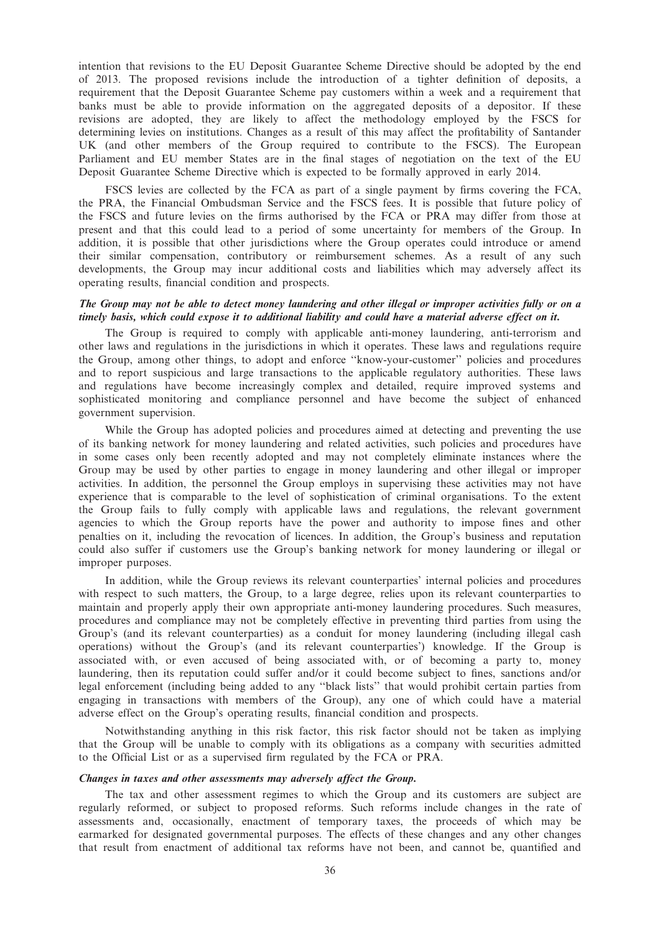intention that revisions to the EU Deposit Guarantee Scheme Directive should be adopted by the end of 2013. The proposed revisions include the introduction of a tighter definition of deposits, a requirement that the Deposit Guarantee Scheme pay customers within a week and a requirement that banks must be able to provide information on the aggregated deposits of a depositor. If these revisions are adopted, they are likely to affect the methodology employed by the FSCS for determining levies on institutions. Changes as a result of this may affect the profitability of Santander UK (and other members of the Group required to contribute to the FSCS). The European Parliament and EU member States are in the final stages of negotiation on the text of the EU Deposit Guarantee Scheme Directive which is expected to be formally approved in early 2014.

FSCS levies are collected by the FCA as part of a single payment by firms covering the FCA, the PRA, the Financial Ombudsman Service and the FSCS fees. It is possible that future policy of the FSCS and future levies on the firms authorised by the FCA or PRA may differ from those at present and that this could lead to a period of some uncertainty for members of the Group. In addition, it is possible that other jurisdictions where the Group operates could introduce or amend their similar compensation, contributory or reimbursement schemes. As a result of any such developments, the Group may incur additional costs and liabilities which may adversely affect its operating results, financial condition and prospects.

#### The Group may not be able to detect money laundering and other illegal or improper activities fully or on a timely basis, which could expose it to additional liability and could have a material adverse effect on it.

The Group is required to comply with applicable anti-money laundering, anti-terrorism and other laws and regulations in the jurisdictions in which it operates. These laws and regulations require the Group, among other things, to adopt and enforce ''know-your-customer'' policies and procedures and to report suspicious and large transactions to the applicable regulatory authorities. These laws and regulations have become increasingly complex and detailed, require improved systems and sophisticated monitoring and compliance personnel and have become the subject of enhanced government supervision.

While the Group has adopted policies and procedures aimed at detecting and preventing the use of its banking network for money laundering and related activities, such policies and procedures have in some cases only been recently adopted and may not completely eliminate instances where the Group may be used by other parties to engage in money laundering and other illegal or improper activities. In addition, the personnel the Group employs in supervising these activities may not have experience that is comparable to the level of sophistication of criminal organisations. To the extent the Group fails to fully comply with applicable laws and regulations, the relevant government agencies to which the Group reports have the power and authority to impose fines and other penalties on it, including the revocation of licences. In addition, the Group's business and reputation could also suffer if customers use the Group's banking network for money laundering or illegal or improper purposes.

In addition, while the Group reviews its relevant counterparties' internal policies and procedures with respect to such matters, the Group, to a large degree, relies upon its relevant counterparties to maintain and properly apply their own appropriate anti-money laundering procedures. Such measures, procedures and compliance may not be completely effective in preventing third parties from using the Group's (and its relevant counterparties) as a conduit for money laundering (including illegal cash operations) without the Group's (and its relevant counterparties') knowledge. If the Group is associated with, or even accused of being associated with, or of becoming a party to, money laundering, then its reputation could suffer and/or it could become subject to fines, sanctions and/or legal enforcement (including being added to any ''black lists'' that would prohibit certain parties from engaging in transactions with members of the Group), any one of which could have a material adverse effect on the Group's operating results, financial condition and prospects.

Notwithstanding anything in this risk factor, this risk factor should not be taken as implying that the Group will be unable to comply with its obligations as a company with securities admitted to the Official List or as a supervised firm regulated by the FCA or PRA.

#### Changes in taxes and other assessments may adversely affect the Group.

The tax and other assessment regimes to which the Group and its customers are subject are regularly reformed, or subject to proposed reforms. Such reforms include changes in the rate of assessments and, occasionally, enactment of temporary taxes, the proceeds of which may be earmarked for designated governmental purposes. The effects of these changes and any other changes that result from enactment of additional tax reforms have not been, and cannot be, quantified and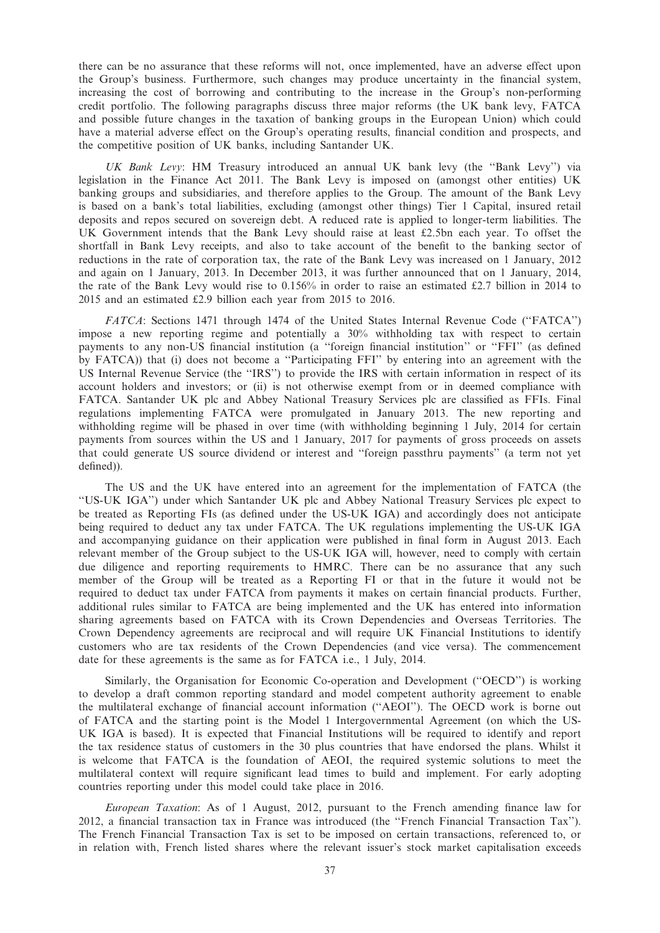there can be no assurance that these reforms will not, once implemented, have an adverse effect upon the Group's business. Furthermore, such changes may produce uncertainty in the financial system, increasing the cost of borrowing and contributing to the increase in the Group's non-performing credit portfolio. The following paragraphs discuss three major reforms (the UK bank levy, FATCA and possible future changes in the taxation of banking groups in the European Union) which could have a material adverse effect on the Group's operating results, financial condition and prospects, and the competitive position of UK banks, including Santander UK.

UK Bank Levy: HM Treasury introduced an annual UK bank levy (the ''Bank Levy'') via legislation in the Finance Act 2011. The Bank Levy is imposed on (amongst other entities) UK banking groups and subsidiaries, and therefore applies to the Group. The amount of the Bank Levy is based on a bank's total liabilities, excluding (amongst other things) Tier 1 Capital, insured retail deposits and repos secured on sovereign debt. A reduced rate is applied to longer-term liabilities. The UK Government intends that the Bank Levy should raise at least £2.5bn each year. To offset the shortfall in Bank Levy receipts, and also to take account of the benefit to the banking sector of reductions in the rate of corporation tax, the rate of the Bank Levy was increased on 1 January, 2012 and again on 1 January, 2013. In December 2013, it was further announced that on 1 January, 2014, the rate of the Bank Levy would rise to 0.156% in order to raise an estimated £2.7 billion in 2014 to 2015 and an estimated £2.9 billion each year from 2015 to 2016.

FATCA: Sections 1471 through 1474 of the United States Internal Revenue Code ("FATCA") impose a new reporting regime and potentially a 30% withholding tax with respect to certain payments to any non-US financial institution (a ''foreign financial institution'' or ''FFI'' (as defined by FATCA)) that (i) does not become a ''Participating FFI'' by entering into an agreement with the US Internal Revenue Service (the ''IRS'') to provide the IRS with certain information in respect of its account holders and investors; or (ii) is not otherwise exempt from or in deemed compliance with FATCA. Santander UK plc and Abbey National Treasury Services plc are classified as FFIs. Final regulations implementing FATCA were promulgated in January 2013. The new reporting and withholding regime will be phased in over time (with withholding beginning 1 July, 2014 for certain payments from sources within the US and 1 January, 2017 for payments of gross proceeds on assets that could generate US source dividend or interest and ''foreign passthru payments'' (a term not yet defined)).

The US and the UK have entered into an agreement for the implementation of FATCA (the ''US-UK IGA'') under which Santander UK plc and Abbey National Treasury Services plc expect to be treated as Reporting FIs (as defined under the US-UK IGA) and accordingly does not anticipate being required to deduct any tax under FATCA. The UK regulations implementing the US-UK IGA and accompanying guidance on their application were published in final form in August 2013. Each relevant member of the Group subject to the US-UK IGA will, however, need to comply with certain due diligence and reporting requirements to HMRC. There can be no assurance that any such member of the Group will be treated as a Reporting FI or that in the future it would not be required to deduct tax under FATCA from payments it makes on certain financial products. Further, additional rules similar to FATCA are being implemented and the UK has entered into information sharing agreements based on FATCA with its Crown Dependencies and Overseas Territories. The Crown Dependency agreements are reciprocal and will require UK Financial Institutions to identify customers who are tax residents of the Crown Dependencies (and vice versa). The commencement date for these agreements is the same as for FATCA i.e., 1 July, 2014.

Similarly, the Organisation for Economic Co-operation and Development (''OECD'') is working to develop a draft common reporting standard and model competent authority agreement to enable the multilateral exchange of financial account information (''AEOI''). The OECD work is borne out of FATCA and the starting point is the Model 1 Intergovernmental Agreement (on which the US-UK IGA is based). It is expected that Financial Institutions will be required to identify and report the tax residence status of customers in the 30 plus countries that have endorsed the plans. Whilst it is welcome that FATCA is the foundation of AEOI, the required systemic solutions to meet the multilateral context will require significant lead times to build and implement. For early adopting countries reporting under this model could take place in 2016.

European Taxation: As of 1 August, 2012, pursuant to the French amending finance law for 2012, a financial transaction tax in France was introduced (the ''French Financial Transaction Tax''). The French Financial Transaction Tax is set to be imposed on certain transactions, referenced to, or in relation with, French listed shares where the relevant issuer's stock market capitalisation exceeds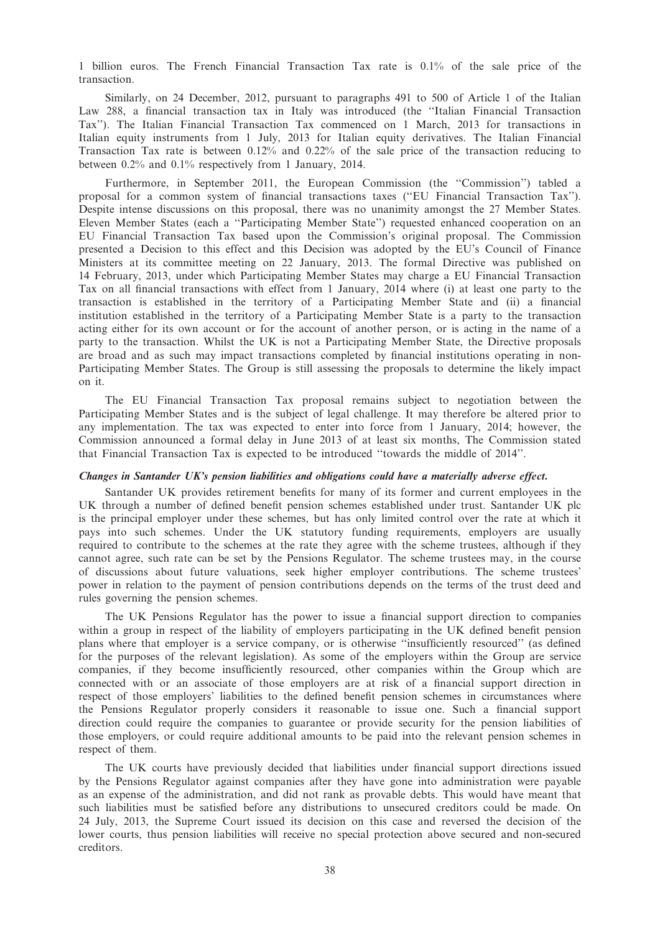1 billion euros. The French Financial Transaction Tax rate is 0.1% of the sale price of the transaction.

Similarly, on 24 December, 2012, pursuant to paragraphs 491 to 500 of Article 1 of the Italian Law 288, a financial transaction tax in Italy was introduced (the ''Italian Financial Transaction Tax''). The Italian Financial Transaction Tax commenced on 1 March, 2013 for transactions in Italian equity instruments from 1 July, 2013 for Italian equity derivatives. The Italian Financial Transaction Tax rate is between 0.12% and 0.22% of the sale price of the transaction reducing to between 0.2% and 0.1% respectively from 1 January, 2014.

Furthermore, in September 2011, the European Commission (the ''Commission'') tabled a proposal for a common system of financial transactions taxes (''EU Financial Transaction Tax''). Despite intense discussions on this proposal, there was no unanimity amongst the 27 Member States. Eleven Member States (each a ''Participating Member State'') requested enhanced cooperation on an EU Financial Transaction Tax based upon the Commission's original proposal. The Commission presented a Decision to this effect and this Decision was adopted by the EU's Council of Finance Ministers at its committee meeting on 22 January, 2013. The formal Directive was published on 14 February, 2013, under which Participating Member States may charge a EU Financial Transaction Tax on all financial transactions with effect from 1 January, 2014 where (i) at least one party to the transaction is established in the territory of a Participating Member State and (ii) a financial institution established in the territory of a Participating Member State is a party to the transaction acting either for its own account or for the account of another person, or is acting in the name of a party to the transaction. Whilst the UK is not a Participating Member State, the Directive proposals are broad and as such may impact transactions completed by financial institutions operating in non-Participating Member States. The Group is still assessing the proposals to determine the likely impact on it.

The EU Financial Transaction Tax proposal remains subject to negotiation between the Participating Member States and is the subject of legal challenge. It may therefore be altered prior to any implementation. The tax was expected to enter into force from 1 January, 2014; however, the Commission announced a formal delay in June 2013 of at least six months, The Commission stated that Financial Transaction Tax is expected to be introduced ''towards the middle of 2014''.

#### Changes in Santander UK's pension liabilities and obligations could have a materially adverse effect.

Santander UK provides retirement benefits for many of its former and current employees in the UK through a number of defined benefit pension schemes established under trust. Santander UK plc is the principal employer under these schemes, but has only limited control over the rate at which it pays into such schemes. Under the UK statutory funding requirements, employers are usually required to contribute to the schemes at the rate they agree with the scheme trustees, although if they cannot agree, such rate can be set by the Pensions Regulator. The scheme trustees may, in the course of discussions about future valuations, seek higher employer contributions. The scheme trustees' power in relation to the payment of pension contributions depends on the terms of the trust deed and rules governing the pension schemes.

The UK Pensions Regulator has the power to issue a financial support direction to companies within a group in respect of the liability of employers participating in the UK defined benefit pension plans where that employer is a service company, or is otherwise ''insufficiently resourced'' (as defined for the purposes of the relevant legislation). As some of the employers within the Group are service companies, if they become insufficiently resourced, other companies within the Group which are connected with or an associate of those employers are at risk of a financial support direction in respect of those employers' liabilities to the defined benefit pension schemes in circumstances where the Pensions Regulator properly considers it reasonable to issue one. Such a financial support direction could require the companies to guarantee or provide security for the pension liabilities of those employers, or could require additional amounts to be paid into the relevant pension schemes in respect of them.

The UK courts have previously decided that liabilities under financial support directions issued by the Pensions Regulator against companies after they have gone into administration were payable as an expense of the administration, and did not rank as provable debts. This would have meant that such liabilities must be satisfied before any distributions to unsecured creditors could be made. On 24 July, 2013, the Supreme Court issued its decision on this case and reversed the decision of the lower courts, thus pension liabilities will receive no special protection above secured and non-secured creditors.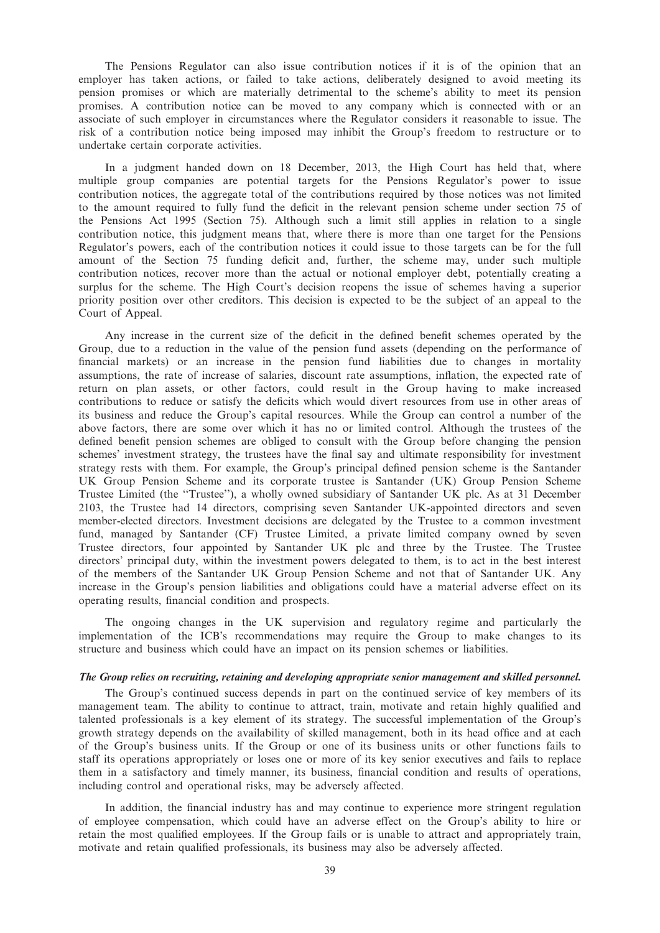The Pensions Regulator can also issue contribution notices if it is of the opinion that an employer has taken actions, or failed to take actions, deliberately designed to avoid meeting its pension promises or which are materially detrimental to the scheme's ability to meet its pension promises. A contribution notice can be moved to any company which is connected with or an associate of such employer in circumstances where the Regulator considers it reasonable to issue. The risk of a contribution notice being imposed may inhibit the Group's freedom to restructure or to undertake certain corporate activities.

In a judgment handed down on 18 December, 2013, the High Court has held that, where multiple group companies are potential targets for the Pensions Regulator's power to issue contribution notices, the aggregate total of the contributions required by those notices was not limited to the amount required to fully fund the deficit in the relevant pension scheme under section 75 of the Pensions Act 1995 (Section 75). Although such a limit still applies in relation to a single contribution notice, this judgment means that, where there is more than one target for the Pensions Regulator's powers, each of the contribution notices it could issue to those targets can be for the full amount of the Section 75 funding deficit and, further, the scheme may, under such multiple contribution notices, recover more than the actual or notional employer debt, potentially creating a surplus for the scheme. The High Court's decision reopens the issue of schemes having a superior priority position over other creditors. This decision is expected to be the subject of an appeal to the Court of Appeal.

Any increase in the current size of the deficit in the defined benefit schemes operated by the Group, due to a reduction in the value of the pension fund assets (depending on the performance of financial markets) or an increase in the pension fund liabilities due to changes in mortality assumptions, the rate of increase of salaries, discount rate assumptions, inflation, the expected rate of return on plan assets, or other factors, could result in the Group having to make increased contributions to reduce or satisfy the deficits which would divert resources from use in other areas of its business and reduce the Group's capital resources. While the Group can control a number of the above factors, there are some over which it has no or limited control. Although the trustees of the defined benefit pension schemes are obliged to consult with the Group before changing the pension schemes' investment strategy, the trustees have the final say and ultimate responsibility for investment strategy rests with them. For example, the Group's principal defined pension scheme is the Santander UK Group Pension Scheme and its corporate trustee is Santander (UK) Group Pension Scheme Trustee Limited (the ''Trustee''), a wholly owned subsidiary of Santander UK plc. As at 31 December 2103, the Trustee had 14 directors, comprising seven Santander UK-appointed directors and seven member-elected directors. Investment decisions are delegated by the Trustee to a common investment fund, managed by Santander (CF) Trustee Limited, a private limited company owned by seven Trustee directors, four appointed by Santander UK plc and three by the Trustee. The Trustee directors' principal duty, within the investment powers delegated to them, is to act in the best interest of the members of the Santander UK Group Pension Scheme and not that of Santander UK. Any increase in the Group's pension liabilities and obligations could have a material adverse effect on its operating results, financial condition and prospects.

The ongoing changes in the UK supervision and regulatory regime and particularly the implementation of the ICB's recommendations may require the Group to make changes to its structure and business which could have an impact on its pension schemes or liabilities.

#### The Group relies on recruiting, retaining and developing appropriate senior management and skilled personnel.

The Group's continued success depends in part on the continued service of key members of its management team. The ability to continue to attract, train, motivate and retain highly qualified and talented professionals is a key element of its strategy. The successful implementation of the Group's growth strategy depends on the availability of skilled management, both in its head office and at each of the Group's business units. If the Group or one of its business units or other functions fails to staff its operations appropriately or loses one or more of its key senior executives and fails to replace them in a satisfactory and timely manner, its business, financial condition and results of operations, including control and operational risks, may be adversely affected.

In addition, the financial industry has and may continue to experience more stringent regulation of employee compensation, which could have an adverse effect on the Group's ability to hire or retain the most qualified employees. If the Group fails or is unable to attract and appropriately train, motivate and retain qualified professionals, its business may also be adversely affected.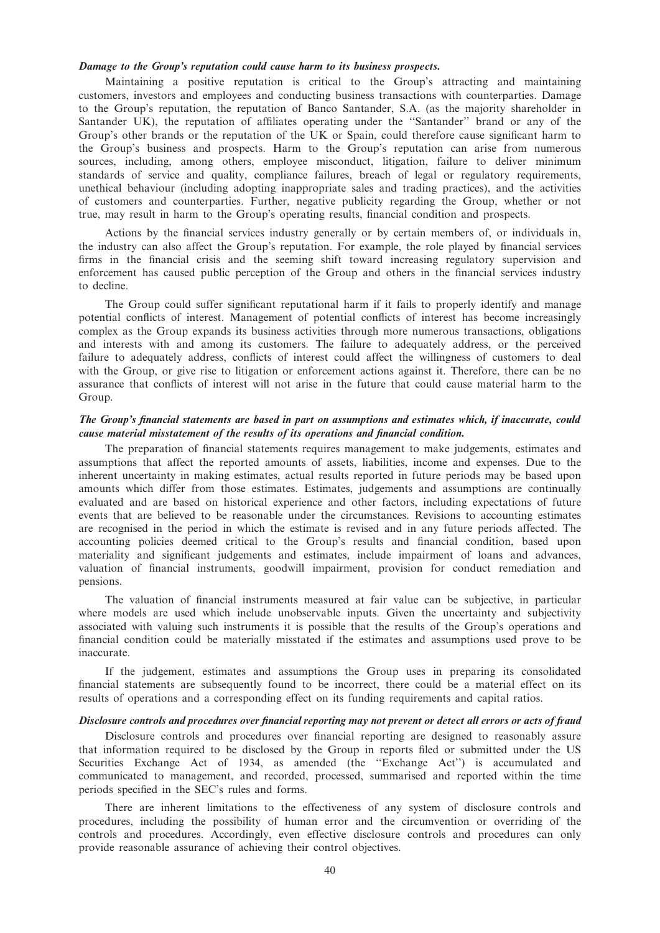# Damage to the Group's reputation could cause harm to its business prospects.

Maintaining a positive reputation is critical to the Group's attracting and maintaining customers, investors and employees and conducting business transactions with counterparties. Damage to the Group's reputation, the reputation of Banco Santander, S.A. (as the majority shareholder in Santander UK), the reputation of affiliates operating under the ''Santander'' brand or any of the Group's other brands or the reputation of the UK or Spain, could therefore cause significant harm to the Group's business and prospects. Harm to the Group's reputation can arise from numerous sources, including, among others, employee misconduct, litigation, failure to deliver minimum standards of service and quality, compliance failures, breach of legal or regulatory requirements, unethical behaviour (including adopting inappropriate sales and trading practices), and the activities of customers and counterparties. Further, negative publicity regarding the Group, whether or not true, may result in harm to the Group's operating results, financial condition and prospects.

Actions by the financial services industry generally or by certain members of, or individuals in, the industry can also affect the Group's reputation. For example, the role played by financial services firms in the financial crisis and the seeming shift toward increasing regulatory supervision and enforcement has caused public perception of the Group and others in the financial services industry to decline.

The Group could suffer significant reputational harm if it fails to properly identify and manage potential conflicts of interest. Management of potential conflicts of interest has become increasingly complex as the Group expands its business activities through more numerous transactions, obligations and interests with and among its customers. The failure to adequately address, or the perceived failure to adequately address, conflicts of interest could affect the willingness of customers to deal with the Group, or give rise to litigation or enforcement actions against it. Therefore, there can be no assurance that conflicts of interest will not arise in the future that could cause material harm to the Group.

# The Group's financial statements are based in part on assumptions and estimates which, if inaccurate, could cause material misstatement of the results of its operations and financial condition.

The preparation of financial statements requires management to make judgements, estimates and assumptions that affect the reported amounts of assets, liabilities, income and expenses. Due to the inherent uncertainty in making estimates, actual results reported in future periods may be based upon amounts which differ from those estimates. Estimates, judgements and assumptions are continually evaluated and are based on historical experience and other factors, including expectations of future events that are believed to be reasonable under the circumstances. Revisions to accounting estimates are recognised in the period in which the estimate is revised and in any future periods affected. The accounting policies deemed critical to the Group's results and financial condition, based upon materiality and significant judgements and estimates, include impairment of loans and advances, valuation of financial instruments, goodwill impairment, provision for conduct remediation and pensions.

The valuation of financial instruments measured at fair value can be subjective, in particular where models are used which include unobservable inputs. Given the uncertainty and subjectivity associated with valuing such instruments it is possible that the results of the Group's operations and financial condition could be materially misstated if the estimates and assumptions used prove to be inaccurate.

If the judgement, estimates and assumptions the Group uses in preparing its consolidated financial statements are subsequently found to be incorrect, there could be a material effect on its results of operations and a corresponding effect on its funding requirements and capital ratios.

# Disclosure controls and procedures over financial reporting may not prevent or detect all errors or acts of fraud

Disclosure controls and procedures over financial reporting are designed to reasonably assure that information required to be disclosed by the Group in reports filed or submitted under the US Securities Exchange Act of 1934, as amended (the ''Exchange Act'') is accumulated and communicated to management, and recorded, processed, summarised and reported within the time periods specified in the SEC's rules and forms.

There are inherent limitations to the effectiveness of any system of disclosure controls and procedures, including the possibility of human error and the circumvention or overriding of the controls and procedures. Accordingly, even effective disclosure controls and procedures can only provide reasonable assurance of achieving their control objectives.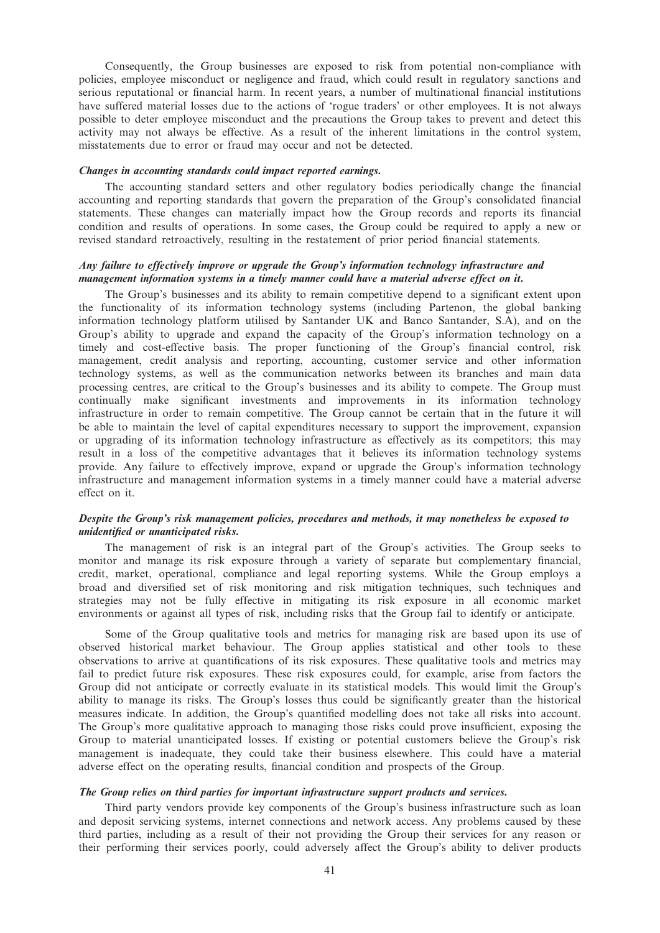Consequently, the Group businesses are exposed to risk from potential non-compliance with policies, employee misconduct or negligence and fraud, which could result in regulatory sanctions and serious reputational or financial harm. In recent years, a number of multinational financial institutions have suffered material losses due to the actions of 'rogue traders' or other employees. It is not always possible to deter employee misconduct and the precautions the Group takes to prevent and detect this activity may not always be effective. As a result of the inherent limitations in the control system, misstatements due to error or fraud may occur and not be detected.

#### Changes in accounting standards could impact reported earnings.

The accounting standard setters and other regulatory bodies periodically change the financial accounting and reporting standards that govern the preparation of the Group's consolidated financial statements. These changes can materially impact how the Group records and reports its financial condition and results of operations. In some cases, the Group could be required to apply a new or revised standard retroactively, resulting in the restatement of prior period financial statements.

## Any failure to effectively improve or upgrade the Group's information technology infrastructure and management information systems in a timely manner could have a material adverse effect on it.

The Group's businesses and its ability to remain competitive depend to a significant extent upon the functionality of its information technology systems (including Partenon, the global banking information technology platform utilised by Santander UK and Banco Santander, S.A), and on the Group's ability to upgrade and expand the capacity of the Group's information technology on a timely and cost-effective basis. The proper functioning of the Group's financial control, risk management, credit analysis and reporting, accounting, customer service and other information technology systems, as well as the communication networks between its branches and main data processing centres, are critical to the Group's businesses and its ability to compete. The Group must continually make significant investments and improvements in its information technology infrastructure in order to remain competitive. The Group cannot be certain that in the future it will be able to maintain the level of capital expenditures necessary to support the improvement, expansion or upgrading of its information technology infrastructure as effectively as its competitors; this may result in a loss of the competitive advantages that it believes its information technology systems provide. Any failure to effectively improve, expand or upgrade the Group's information technology infrastructure and management information systems in a timely manner could have a material adverse effect on it.

# Despite the Group's risk management policies, procedures and methods, it may nonetheless be exposed to unidentified or unanticipated risks.

The management of risk is an integral part of the Group's activities. The Group seeks to monitor and manage its risk exposure through a variety of separate but complementary financial, credit, market, operational, compliance and legal reporting systems. While the Group employs a broad and diversified set of risk monitoring and risk mitigation techniques, such techniques and strategies may not be fully effective in mitigating its risk exposure in all economic market environments or against all types of risk, including risks that the Group fail to identify or anticipate.

Some of the Group qualitative tools and metrics for managing risk are based upon its use of observed historical market behaviour. The Group applies statistical and other tools to these observations to arrive at quantifications of its risk exposures. These qualitative tools and metrics may fail to predict future risk exposures. These risk exposures could, for example, arise from factors the Group did not anticipate or correctly evaluate in its statistical models. This would limit the Group's ability to manage its risks. The Group's losses thus could be significantly greater than the historical measures indicate. In addition, the Group's quantified modelling does not take all risks into account. The Group's more qualitative approach to managing those risks could prove insufficient, exposing the Group to material unanticipated losses. If existing or potential customers believe the Group's risk management is inadequate, they could take their business elsewhere. This could have a material adverse effect on the operating results, financial condition and prospects of the Group.

# The Group relies on third parties for important infrastructure support products and services.

Third party vendors provide key components of the Group's business infrastructure such as loan and deposit servicing systems, internet connections and network access. Any problems caused by these third parties, including as a result of their not providing the Group their services for any reason or their performing their services poorly, could adversely affect the Group's ability to deliver products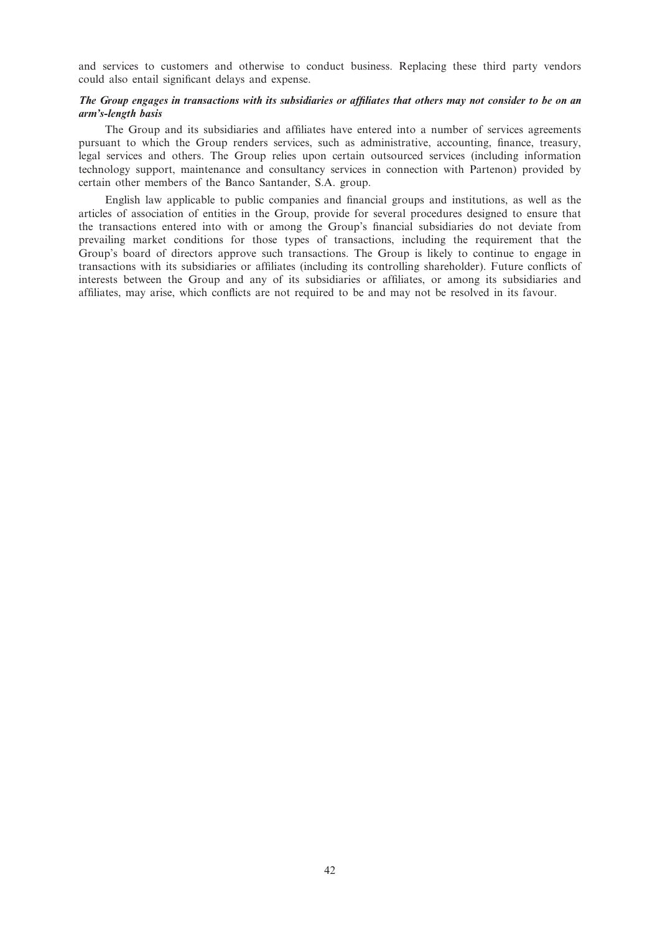and services to customers and otherwise to conduct business. Replacing these third party vendors could also entail significant delays and expense.

# The Group engages in transactions with its subsidiaries or affiliates that others may not consider to be on an arm's-length basis

The Group and its subsidiaries and affiliates have entered into a number of services agreements pursuant to which the Group renders services, such as administrative, accounting, finance, treasury, legal services and others. The Group relies upon certain outsourced services (including information technology support, maintenance and consultancy services in connection with Partenon) provided by certain other members of the Banco Santander, S.A. group.

English law applicable to public companies and financial groups and institutions, as well as the articles of association of entities in the Group, provide for several procedures designed to ensure that the transactions entered into with or among the Group's financial subsidiaries do not deviate from prevailing market conditions for those types of transactions, including the requirement that the Group's board of directors approve such transactions. The Group is likely to continue to engage in transactions with its subsidiaries or affiliates (including its controlling shareholder). Future conflicts of interests between the Group and any of its subsidiaries or affiliates, or among its subsidiaries and affiliates, may arise, which conflicts are not required to be and may not be resolved in its favour.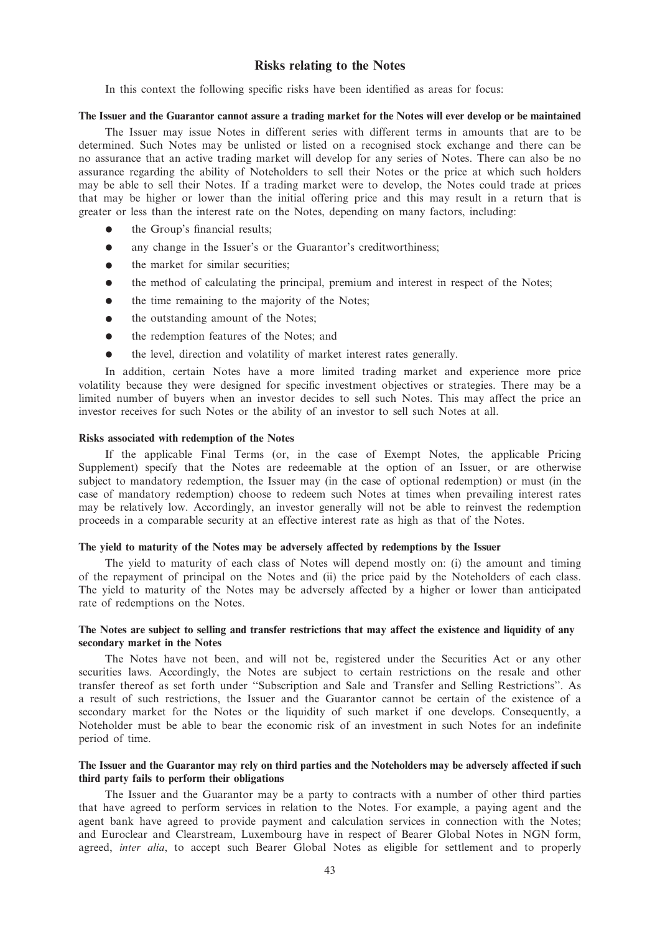# Risks relating to the Notes

In this context the following specific risks have been identified as areas for focus:

#### The Issuer and the Guarantor cannot assure a trading market for the Notes will ever develop or be maintained

The Issuer may issue Notes in different series with different terms in amounts that are to be determined. Such Notes may be unlisted or listed on a recognised stock exchange and there can be no assurance that an active trading market will develop for any series of Notes. There can also be no assurance regarding the ability of Noteholders to sell their Notes or the price at which such holders may be able to sell their Notes. If a trading market were to develop, the Notes could trade at prices that may be higher or lower than the initial offering price and this may result in a return that is greater or less than the interest rate on the Notes, depending on many factors, including:

- $\bullet$  the Group's financial results;
- any change in the Issuer's or the Guarantor's creditworthiness;
- $\bullet$  the market for similar securities:
- the method of calculating the principal, premium and interest in respect of the Notes;
- $\bullet$  the time remaining to the majority of the Notes;
- the outstanding amount of the Notes;
- the redemption features of the Notes; and
- the level, direction and volatility of market interest rates generally.

In addition, certain Notes have a more limited trading market and experience more price volatility because they were designed for specific investment objectives or strategies. There may be a limited number of buyers when an investor decides to sell such Notes. This may affect the price an investor receives for such Notes or the ability of an investor to sell such Notes at all.

#### Risks associated with redemption of the Notes

If the applicable Final Terms (or, in the case of Exempt Notes, the applicable Pricing Supplement) specify that the Notes are redeemable at the option of an Issuer, or are otherwise subject to mandatory redemption, the Issuer may (in the case of optional redemption) or must (in the case of mandatory redemption) choose to redeem such Notes at times when prevailing interest rates may be relatively low. Accordingly, an investor generally will not be able to reinvest the redemption proceeds in a comparable security at an effective interest rate as high as that of the Notes.

#### The yield to maturity of the Notes may be adversely affected by redemptions by the Issuer

The yield to maturity of each class of Notes will depend mostly on: (i) the amount and timing of the repayment of principal on the Notes and (ii) the price paid by the Noteholders of each class. The yield to maturity of the Notes may be adversely affected by a higher or lower than anticipated rate of redemptions on the Notes.

# The Notes are subject to selling and transfer restrictions that may affect the existence and liquidity of any secondary market in the Notes

The Notes have not been, and will not be, registered under the Securities Act or any other securities laws. Accordingly, the Notes are subject to certain restrictions on the resale and other transfer thereof as set forth under ''Subscription and Sale and Transfer and Selling Restrictions''. As a result of such restrictions, the Issuer and the Guarantor cannot be certain of the existence of a secondary market for the Notes or the liquidity of such market if one develops. Consequently, a Noteholder must be able to bear the economic risk of an investment in such Notes for an indefinite period of time.

# The Issuer and the Guarantor may rely on third parties and the Noteholders may be adversely affected if such third party fails to perform their obligations

The Issuer and the Guarantor may be a party to contracts with a number of other third parties that have agreed to perform services in relation to the Notes. For example, a paying agent and the agent bank have agreed to provide payment and calculation services in connection with the Notes; and Euroclear and Clearstream, Luxembourg have in respect of Bearer Global Notes in NGN form, agreed, inter alia, to accept such Bearer Global Notes as eligible for settlement and to properly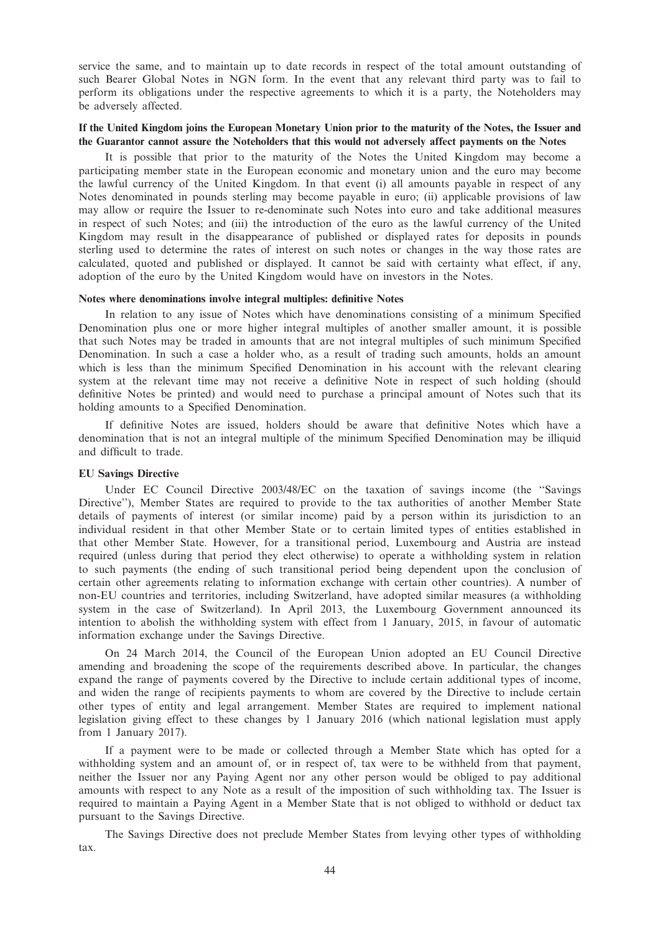service the same, and to maintain up to date records in respect of the total amount outstanding of such Bearer Global Notes in NGN form. In the event that any relevant third party was to fail to perform its obligations under the respective agreements to which it is a party, the Noteholders may be adversely affected.

# If the United Kingdom joins the European Monetary Union prior to the maturity of the Notes, the Issuer and the Guarantor cannot assure the Noteholders that this would not adversely affect payments on the Notes

It is possible that prior to the maturity of the Notes the United Kingdom may become a participating member state in the European economic and monetary union and the euro may become the lawful currency of the United Kingdom. In that event (i) all amounts payable in respect of any Notes denominated in pounds sterling may become payable in euro; (ii) applicable provisions of law may allow or require the Issuer to re-denominate such Notes into euro and take additional measures in respect of such Notes; and (iii) the introduction of the euro as the lawful currency of the United Kingdom may result in the disappearance of published or displayed rates for deposits in pounds sterling used to determine the rates of interest on such notes or changes in the way those rates are calculated, quoted and published or displayed. It cannot be said with certainty what effect, if any, adoption of the euro by the United Kingdom would have on investors in the Notes.

#### Notes where denominations involve integral multiples: definitive Notes

In relation to any issue of Notes which have denominations consisting of a minimum Specified Denomination plus one or more higher integral multiples of another smaller amount, it is possible that such Notes may be traded in amounts that are not integral multiples of such minimum Specified Denomination. In such a case a holder who, as a result of trading such amounts, holds an amount which is less than the minimum Specified Denomination in his account with the relevant clearing system at the relevant time may not receive a definitive Note in respect of such holding (should definitive Notes be printed) and would need to purchase a principal amount of Notes such that its holding amounts to a Specified Denomination.

If definitive Notes are issued, holders should be aware that definitive Notes which have a denomination that is not an integral multiple of the minimum Specified Denomination may be illiquid and difficult to trade.

#### EU Savings Directive

Under EC Council Directive 2003/48/EC on the taxation of savings income (the ''Savings Directive''), Member States are required to provide to the tax authorities of another Member State details of payments of interest (or similar income) paid by a person within its jurisdiction to an individual resident in that other Member State or to certain limited types of entities established in that other Member State. However, for a transitional period, Luxembourg and Austria are instead required (unless during that period they elect otherwise) to operate a withholding system in relation to such payments (the ending of such transitional period being dependent upon the conclusion of certain other agreements relating to information exchange with certain other countries). A number of non-EU countries and territories, including Switzerland, have adopted similar measures (a withholding system in the case of Switzerland). In April 2013, the Luxembourg Government announced its intention to abolish the withholding system with effect from 1 January, 2015, in favour of automatic information exchange under the Savings Directive.

On 24 March 2014, the Council of the European Union adopted an EU Council Directive amending and broadening the scope of the requirements described above. In particular, the changes expand the range of payments covered by the Directive to include certain additional types of income, and widen the range of recipients payments to whom are covered by the Directive to include certain other types of entity and legal arrangement. Member States are required to implement national legislation giving effect to these changes by 1 January 2016 (which national legislation must apply from 1 January 2017).

If a payment were to be made or collected through a Member State which has opted for a withholding system and an amount of, or in respect of, tax were to be withheld from that payment, neither the Issuer nor any Paying Agent nor any other person would be obliged to pay additional amounts with respect to any Note as a result of the imposition of such withholding tax. The Issuer is required to maintain a Paying Agent in a Member State that is not obliged to withhold or deduct tax pursuant to the Savings Directive.

The Savings Directive does not preclude Member States from levying other types of withholding tax.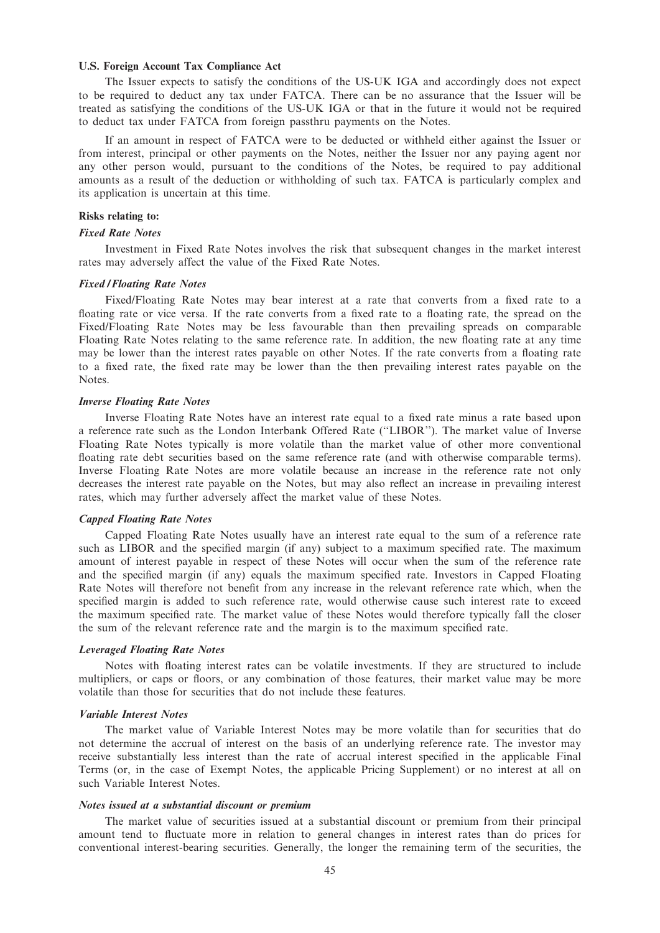# U.S. Foreign Account Tax Compliance Act

The Issuer expects to satisfy the conditions of the US-UK IGA and accordingly does not expect to be required to deduct any tax under FATCA. There can be no assurance that the Issuer will be treated as satisfying the conditions of the US-UK IGA or that in the future it would not be required to deduct tax under FATCA from foreign passthru payments on the Notes.

If an amount in respect of FATCA were to be deducted or withheld either against the Issuer or from interest, principal or other payments on the Notes, neither the Issuer nor any paying agent nor any other person would, pursuant to the conditions of the Notes, be required to pay additional amounts as a result of the deduction or withholding of such tax. FATCA is particularly complex and its application is uncertain at this time.

# Risks relating to:

#### Fixed Rate Notes

Investment in Fixed Rate Notes involves the risk that subsequent changes in the market interest rates may adversely affect the value of the Fixed Rate Notes.

## Fixed / Floating Rate Notes

Fixed/Floating Rate Notes may bear interest at a rate that converts from a fixed rate to a floating rate or vice versa. If the rate converts from a fixed rate to a floating rate, the spread on the Fixed/Floating Rate Notes may be less favourable than then prevailing spreads on comparable Floating Rate Notes relating to the same reference rate. In addition, the new floating rate at any time may be lower than the interest rates payable on other Notes. If the rate converts from a floating rate to a fixed rate, the fixed rate may be lower than the then prevailing interest rates payable on the Notes.

#### Inverse Floating Rate Notes

Inverse Floating Rate Notes have an interest rate equal to a fixed rate minus a rate based upon a reference rate such as the London Interbank Offered Rate (''LIBOR''). The market value of Inverse Floating Rate Notes typically is more volatile than the market value of other more conventional floating rate debt securities based on the same reference rate (and with otherwise comparable terms). Inverse Floating Rate Notes are more volatile because an increase in the reference rate not only decreases the interest rate payable on the Notes, but may also reflect an increase in prevailing interest rates, which may further adversely affect the market value of these Notes.

#### Capped Floating Rate Notes

Capped Floating Rate Notes usually have an interest rate equal to the sum of a reference rate such as LIBOR and the specified margin (if any) subject to a maximum specified rate. The maximum amount of interest payable in respect of these Notes will occur when the sum of the reference rate and the specified margin (if any) equals the maximum specified rate. Investors in Capped Floating Rate Notes will therefore not benefit from any increase in the relevant reference rate which, when the specified margin is added to such reference rate, would otherwise cause such interest rate to exceed the maximum specified rate. The market value of these Notes would therefore typically fall the closer the sum of the relevant reference rate and the margin is to the maximum specified rate.

#### Leveraged Floating Rate Notes

Notes with floating interest rates can be volatile investments. If they are structured to include multipliers, or caps or floors, or any combination of those features, their market value may be more volatile than those for securities that do not include these features.

#### Variable Interest Notes

The market value of Variable Interest Notes may be more volatile than for securities that do not determine the accrual of interest on the basis of an underlying reference rate. The investor may receive substantially less interest than the rate of accrual interest specified in the applicable Final Terms (or, in the case of Exempt Notes, the applicable Pricing Supplement) or no interest at all on such Variable Interest Notes.

#### Notes issued at a substantial discount or premium

The market value of securities issued at a substantial discount or premium from their principal amount tend to fluctuate more in relation to general changes in interest rates than do prices for conventional interest-bearing securities. Generally, the longer the remaining term of the securities, the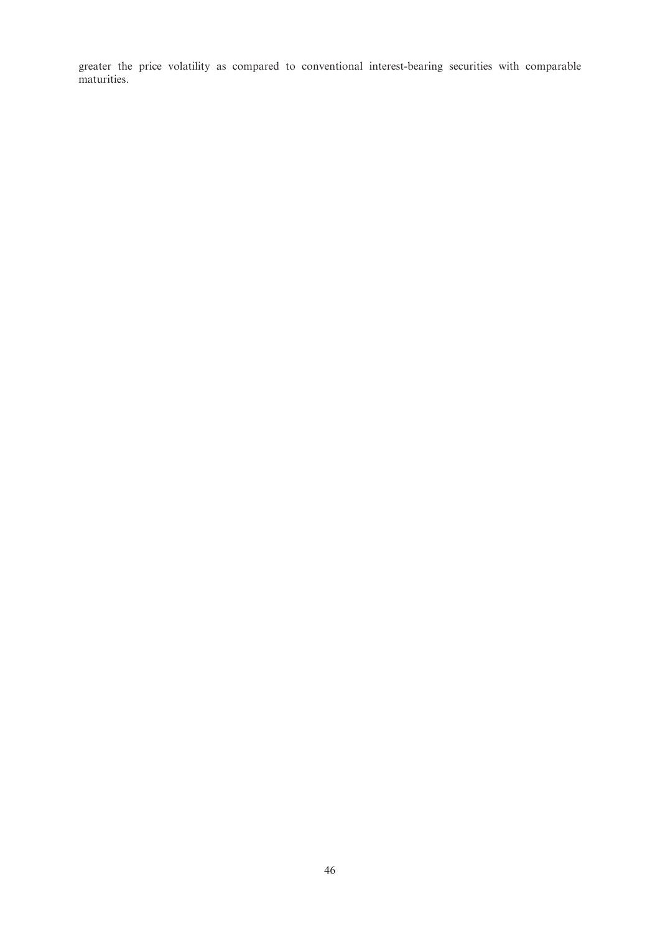greater the price volatility as compared to conventional interest-bearing securities with comparable maturities.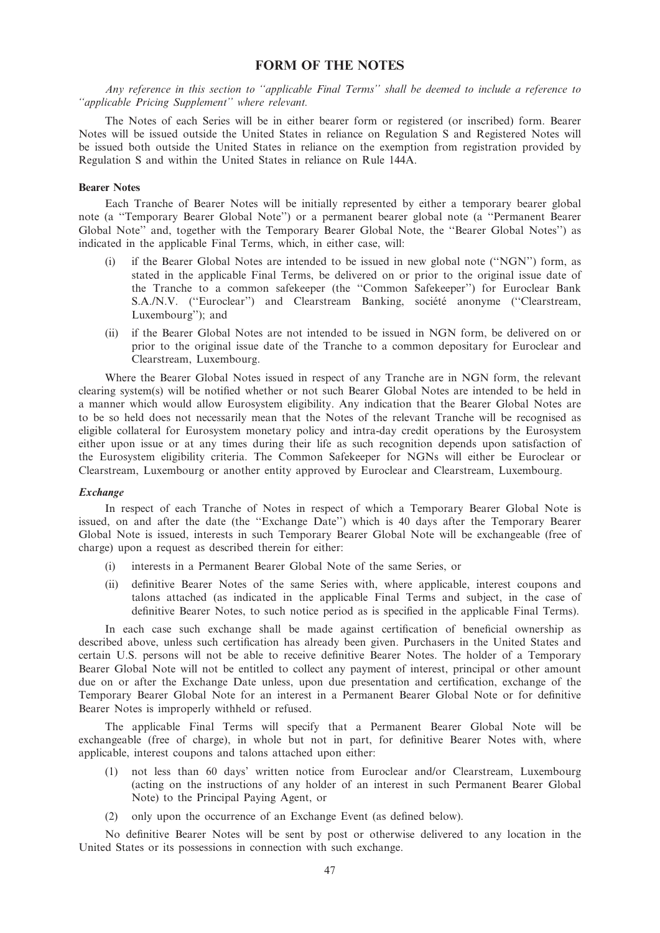# FORM OF THE NOTES

Any reference in this section to ''applicable Final Terms'' shall be deemed to include a reference to ''applicable Pricing Supplement'' where relevant.

The Notes of each Series will be in either bearer form or registered (or inscribed) form. Bearer Notes will be issued outside the United States in reliance on Regulation S and Registered Notes will be issued both outside the United States in reliance on the exemption from registration provided by Regulation S and within the United States in reliance on Rule 144A.

# Bearer Notes

Each Tranche of Bearer Notes will be initially represented by either a temporary bearer global note (a ''Temporary Bearer Global Note'') or a permanent bearer global note (a ''Permanent Bearer Global Note'' and, together with the Temporary Bearer Global Note, the ''Bearer Global Notes'') as indicated in the applicable Final Terms, which, in either case, will:

- (i) if the Bearer Global Notes are intended to be issued in new global note (''NGN'') form, as stated in the applicable Final Terms, be delivered on or prior to the original issue date of the Tranche to a common safekeeper (the ''Common Safekeeper'') for Euroclear Bank S.A./N.V. ("Euroclear") and Clearstream Banking, société anonyme ("Clearstream, Luxembourg''); and
- (ii) if the Bearer Global Notes are not intended to be issued in NGN form, be delivered on or prior to the original issue date of the Tranche to a common depositary for Euroclear and Clearstream, Luxembourg.

Where the Bearer Global Notes issued in respect of any Tranche are in NGN form, the relevant clearing system(s) will be notified whether or not such Bearer Global Notes are intended to be held in a manner which would allow Eurosystem eligibility. Any indication that the Bearer Global Notes are to be so held does not necessarily mean that the Notes of the relevant Tranche will be recognised as eligible collateral for Eurosystem monetary policy and intra-day credit operations by the Eurosystem either upon issue or at any times during their life as such recognition depends upon satisfaction of the Eurosystem eligibility criteria. The Common Safekeeper for NGNs will either be Euroclear or Clearstream, Luxembourg or another entity approved by Euroclear and Clearstream, Luxembourg.

#### **Exchange**

In respect of each Tranche of Notes in respect of which a Temporary Bearer Global Note is issued, on and after the date (the ''Exchange Date'') which is 40 days after the Temporary Bearer Global Note is issued, interests in such Temporary Bearer Global Note will be exchangeable (free of charge) upon a request as described therein for either:

- (i) interests in a Permanent Bearer Global Note of the same Series, or
- (ii) definitive Bearer Notes of the same Series with, where applicable, interest coupons and talons attached (as indicated in the applicable Final Terms and subject, in the case of definitive Bearer Notes, to such notice period as is specified in the applicable Final Terms).

In each case such exchange shall be made against certification of beneficial ownership as described above, unless such certification has already been given. Purchasers in the United States and certain U.S. persons will not be able to receive definitive Bearer Notes. The holder of a Temporary Bearer Global Note will not be entitled to collect any payment of interest, principal or other amount due on or after the Exchange Date unless, upon due presentation and certification, exchange of the Temporary Bearer Global Note for an interest in a Permanent Bearer Global Note or for definitive Bearer Notes is improperly withheld or refused.

The applicable Final Terms will specify that a Permanent Bearer Global Note will be exchangeable (free of charge), in whole but not in part, for definitive Bearer Notes with, where applicable, interest coupons and talons attached upon either:

- (1) not less than 60 days' written notice from Euroclear and/or Clearstream, Luxembourg (acting on the instructions of any holder of an interest in such Permanent Bearer Global Note) to the Principal Paying Agent, or
- (2) only upon the occurrence of an Exchange Event (as defined below).

No definitive Bearer Notes will be sent by post or otherwise delivered to any location in the United States or its possessions in connection with such exchange.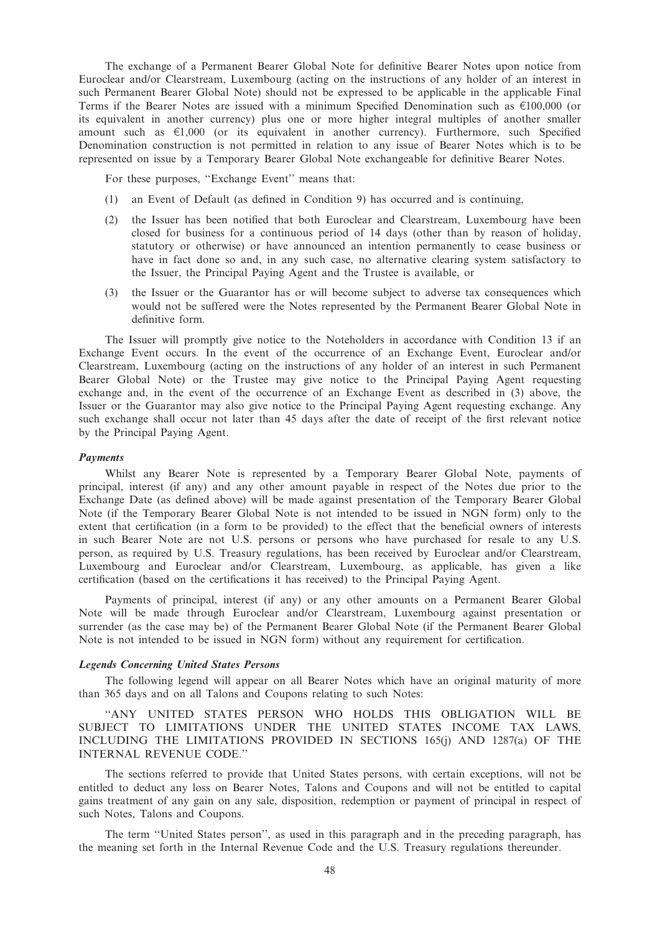The exchange of a Permanent Bearer Global Note for definitive Bearer Notes upon notice from Euroclear and/or Clearstream, Luxembourg (acting on the instructions of any holder of an interest in such Permanent Bearer Global Note) should not be expressed to be applicable in the applicable Final Terms if the Bearer Notes are issued with a minimum Specified Denomination such as  $\epsilon$ 100,000 (or its equivalent in another currency) plus one or more higher integral multiples of another smaller amount such as  $\epsilon$ 1,000 (or its equivalent in another currency). Furthermore, such Specified Denomination construction is not permitted in relation to any issue of Bearer Notes which is to be represented on issue by a Temporary Bearer Global Note exchangeable for definitive Bearer Notes.

For these purposes, ''Exchange Event'' means that:

- (1) an Event of Default (as defined in Condition 9) has occurred and is continuing,
- (2) the Issuer has been notified that both Euroclear and Clearstream, Luxembourg have been closed for business for a continuous period of 14 days (other than by reason of holiday, statutory or otherwise) or have announced an intention permanently to cease business or have in fact done so and, in any such case, no alternative clearing system satisfactory to the Issuer, the Principal Paying Agent and the Trustee is available, or
- (3) the Issuer or the Guarantor has or will become subject to adverse tax consequences which would not be suffered were the Notes represented by the Permanent Bearer Global Note in definitive form.

The Issuer will promptly give notice to the Noteholders in accordance with Condition 13 if an Exchange Event occurs. In the event of the occurrence of an Exchange Event, Euroclear and/or Clearstream, Luxembourg (acting on the instructions of any holder of an interest in such Permanent Bearer Global Note) or the Trustee may give notice to the Principal Paying Agent requesting exchange and, in the event of the occurrence of an Exchange Event as described in (3) above, the Issuer or the Guarantor may also give notice to the Principal Paying Agent requesting exchange. Any such exchange shall occur not later than 45 days after the date of receipt of the first relevant notice by the Principal Paying Agent.

## Payments

Whilst any Bearer Note is represented by a Temporary Bearer Global Note, payments of principal, interest (if any) and any other amount payable in respect of the Notes due prior to the Exchange Date (as defined above) will be made against presentation of the Temporary Bearer Global Note (if the Temporary Bearer Global Note is not intended to be issued in NGN form) only to the extent that certification (in a form to be provided) to the effect that the beneficial owners of interests in such Bearer Note are not U.S. persons or persons who have purchased for resale to any U.S. person, as required by U.S. Treasury regulations, has been received by Euroclear and/or Clearstream, Luxembourg and Euroclear and/or Clearstream, Luxembourg, as applicable, has given a like certification (based on the certifications it has received) to the Principal Paying Agent.

Payments of principal, interest (if any) or any other amounts on a Permanent Bearer Global Note will be made through Euroclear and/or Clearstream, Luxembourg against presentation or surrender (as the case may be) of the Permanent Bearer Global Note (if the Permanent Bearer Global Note is not intended to be issued in NGN form) without any requirement for certification.

#### Legends Concerning United States Persons

The following legend will appear on all Bearer Notes which have an original maturity of more than 365 days and on all Talons and Coupons relating to such Notes:

''ANY UNITED STATES PERSON WHO HOLDS THIS OBLIGATION WILL BE SUBJECT TO LIMITATIONS UNDER THE UNITED STATES INCOME TAX LAWS, INCLUDING THE LIMITATIONS PROVIDED IN SECTIONS 165(j) AND 1287(a) OF THE INTERNAL REVENUE CODE.''

The sections referred to provide that United States persons, with certain exceptions, will not be entitled to deduct any loss on Bearer Notes, Talons and Coupons and will not be entitled to capital gains treatment of any gain on any sale, disposition, redemption or payment of principal in respect of such Notes, Talons and Coupons.

The term ''United States person'', as used in this paragraph and in the preceding paragraph, has the meaning set forth in the Internal Revenue Code and the U.S. Treasury regulations thereunder.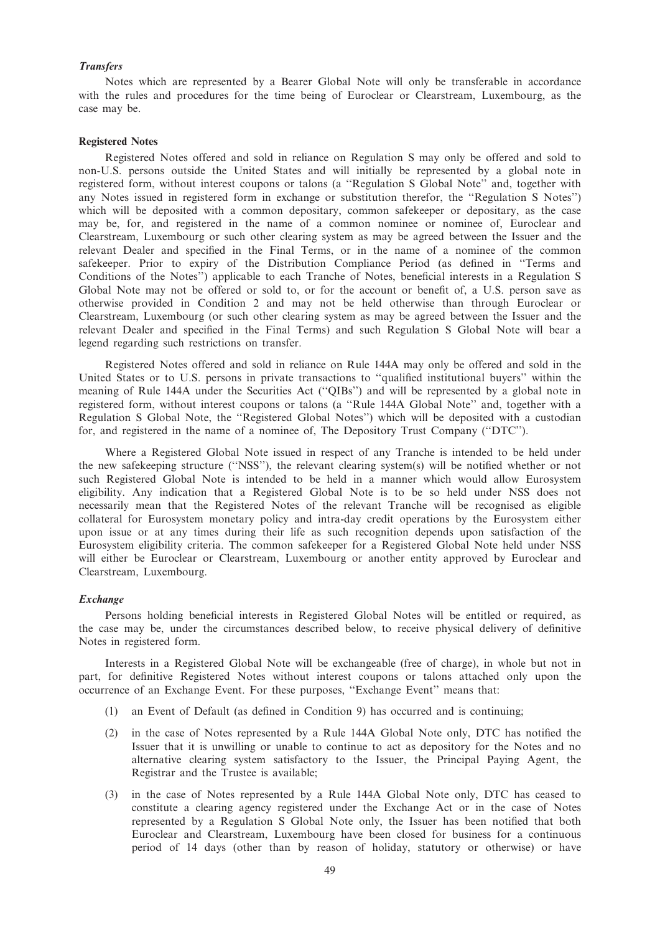# **Transfers**

Notes which are represented by a Bearer Global Note will only be transferable in accordance with the rules and procedures for the time being of Euroclear or Clearstream, Luxembourg, as the case may be.

#### Registered Notes

Registered Notes offered and sold in reliance on Regulation S may only be offered and sold to non-U.S. persons outside the United States and will initially be represented by a global note in registered form, without interest coupons or talons (a ''Regulation S Global Note'' and, together with any Notes issued in registered form in exchange or substitution therefor, the ''Regulation S Notes'') which will be deposited with a common depositary, common safekeeper or depositary, as the case may be, for, and registered in the name of a common nominee or nominee of, Euroclear and Clearstream, Luxembourg or such other clearing system as may be agreed between the Issuer and the relevant Dealer and specified in the Final Terms, or in the name of a nominee of the common safekeeper. Prior to expiry of the Distribution Compliance Period (as defined in ''Terms and Conditions of the Notes'') applicable to each Tranche of Notes, beneficial interests in a Regulation S Global Note may not be offered or sold to, or for the account or benefit of, a U.S. person save as otherwise provided in Condition 2 and may not be held otherwise than through Euroclear or Clearstream, Luxembourg (or such other clearing system as may be agreed between the Issuer and the relevant Dealer and specified in the Final Terms) and such Regulation S Global Note will bear a legend regarding such restrictions on transfer.

Registered Notes offered and sold in reliance on Rule 144A may only be offered and sold in the United States or to U.S. persons in private transactions to ''qualified institutional buyers'' within the meaning of Rule 144A under the Securities Act (''QIBs'') and will be represented by a global note in registered form, without interest coupons or talons (a ''Rule 144A Global Note'' and, together with a Regulation S Global Note, the ''Registered Global Notes'') which will be deposited with a custodian for, and registered in the name of a nominee of, The Depository Trust Company (''DTC'').

Where a Registered Global Note issued in respect of any Tranche is intended to be held under the new safekeeping structure (''NSS''), the relevant clearing system(s) will be notified whether or not such Registered Global Note is intended to be held in a manner which would allow Eurosystem eligibility. Any indication that a Registered Global Note is to be so held under NSS does not necessarily mean that the Registered Notes of the relevant Tranche will be recognised as eligible collateral for Eurosystem monetary policy and intra-day credit operations by the Eurosystem either upon issue or at any times during their life as such recognition depends upon satisfaction of the Eurosystem eligibility criteria. The common safekeeper for a Registered Global Note held under NSS will either be Euroclear or Clearstream, Luxembourg or another entity approved by Euroclear and Clearstream, Luxembourg.

#### **Exchange**

Persons holding beneficial interests in Registered Global Notes will be entitled or required, as the case may be, under the circumstances described below, to receive physical delivery of definitive Notes in registered form.

Interests in a Registered Global Note will be exchangeable (free of charge), in whole but not in part, for definitive Registered Notes without interest coupons or talons attached only upon the occurrence of an Exchange Event. For these purposes, ''Exchange Event'' means that:

- (1) an Event of Default (as defined in Condition 9) has occurred and is continuing;
- (2) in the case of Notes represented by a Rule 144A Global Note only, DTC has notified the Issuer that it is unwilling or unable to continue to act as depository for the Notes and no alternative clearing system satisfactory to the Issuer, the Principal Paying Agent, the Registrar and the Trustee is available;
- (3) in the case of Notes represented by a Rule 144A Global Note only, DTC has ceased to constitute a clearing agency registered under the Exchange Act or in the case of Notes represented by a Regulation S Global Note only, the Issuer has been notified that both Euroclear and Clearstream, Luxembourg have been closed for business for a continuous period of 14 days (other than by reason of holiday, statutory or otherwise) or have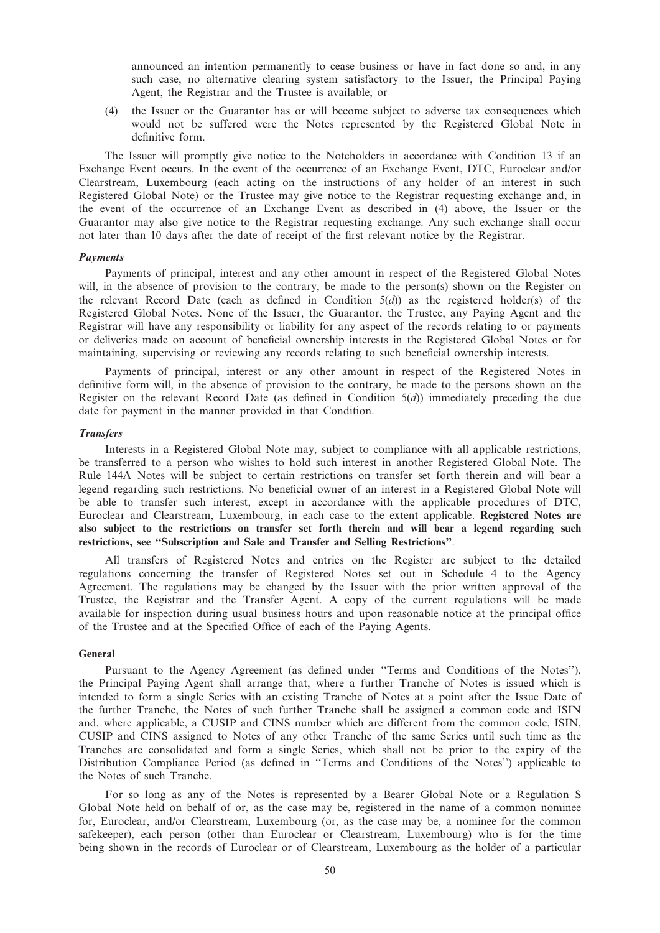announced an intention permanently to cease business or have in fact done so and, in any such case, no alternative clearing system satisfactory to the Issuer, the Principal Paying Agent, the Registrar and the Trustee is available; or

(4) the Issuer or the Guarantor has or will become subject to adverse tax consequences which would not be suffered were the Notes represented by the Registered Global Note in definitive form.

The Issuer will promptly give notice to the Noteholders in accordance with Condition 13 if an Exchange Event occurs. In the event of the occurrence of an Exchange Event, DTC, Euroclear and/or Clearstream, Luxembourg (each acting on the instructions of any holder of an interest in such Registered Global Note) or the Trustee may give notice to the Registrar requesting exchange and, in the event of the occurrence of an Exchange Event as described in (4) above, the Issuer or the Guarantor may also give notice to the Registrar requesting exchange. Any such exchange shall occur not later than 10 days after the date of receipt of the first relevant notice by the Registrar.

#### Payments

Payments of principal, interest and any other amount in respect of the Registered Global Notes will, in the absence of provision to the contrary, be made to the person(s) shown on the Register on the relevant Record Date (each as defined in Condition  $5(d)$ ) as the registered holder(s) of the Registered Global Notes. None of the Issuer, the Guarantor, the Trustee, any Paying Agent and the Registrar will have any responsibility or liability for any aspect of the records relating to or payments or deliveries made on account of beneficial ownership interests in the Registered Global Notes or for maintaining, supervising or reviewing any records relating to such beneficial ownership interests.

Payments of principal, interest or any other amount in respect of the Registered Notes in definitive form will, in the absence of provision to the contrary, be made to the persons shown on the Register on the relevant Record Date (as defined in Condition  $5(d)$ ) immediately preceding the due date for payment in the manner provided in that Condition.

### **Transfers**

Interests in a Registered Global Note may, subject to compliance with all applicable restrictions, be transferred to a person who wishes to hold such interest in another Registered Global Note. The Rule 144A Notes will be subject to certain restrictions on transfer set forth therein and will bear a legend regarding such restrictions. No beneficial owner of an interest in a Registered Global Note will be able to transfer such interest, except in accordance with the applicable procedures of DTC, Euroclear and Clearstream, Luxembourg, in each case to the extent applicable. Registered Notes are also subject to the restrictions on transfer set forth therein and will bear a legend regarding such restrictions, see ''Subscription and Sale and Transfer and Selling Restrictions''.

All transfers of Registered Notes and entries on the Register are subject to the detailed regulations concerning the transfer of Registered Notes set out in Schedule 4 to the Agency Agreement. The regulations may be changed by the Issuer with the prior written approval of the Trustee, the Registrar and the Transfer Agent. A copy of the current regulations will be made available for inspection during usual business hours and upon reasonable notice at the principal office of the Trustee and at the Specified Office of each of the Paying Agents.

### General

Pursuant to the Agency Agreement (as defined under ''Terms and Conditions of the Notes''), the Principal Paying Agent shall arrange that, where a further Tranche of Notes is issued which is intended to form a single Series with an existing Tranche of Notes at a point after the Issue Date of the further Tranche, the Notes of such further Tranche shall be assigned a common code and ISIN and, where applicable, a CUSIP and CINS number which are different from the common code, ISIN, CUSIP and CINS assigned to Notes of any other Tranche of the same Series until such time as the Tranches are consolidated and form a single Series, which shall not be prior to the expiry of the Distribution Compliance Period (as defined in ''Terms and Conditions of the Notes'') applicable to the Notes of such Tranche.

For so long as any of the Notes is represented by a Bearer Global Note or a Regulation S Global Note held on behalf of or, as the case may be, registered in the name of a common nominee for, Euroclear, and/or Clearstream, Luxembourg (or, as the case may be, a nominee for the common safekeeper), each person (other than Euroclear or Clearstream, Luxembourg) who is for the time being shown in the records of Euroclear or of Clearstream, Luxembourg as the holder of a particular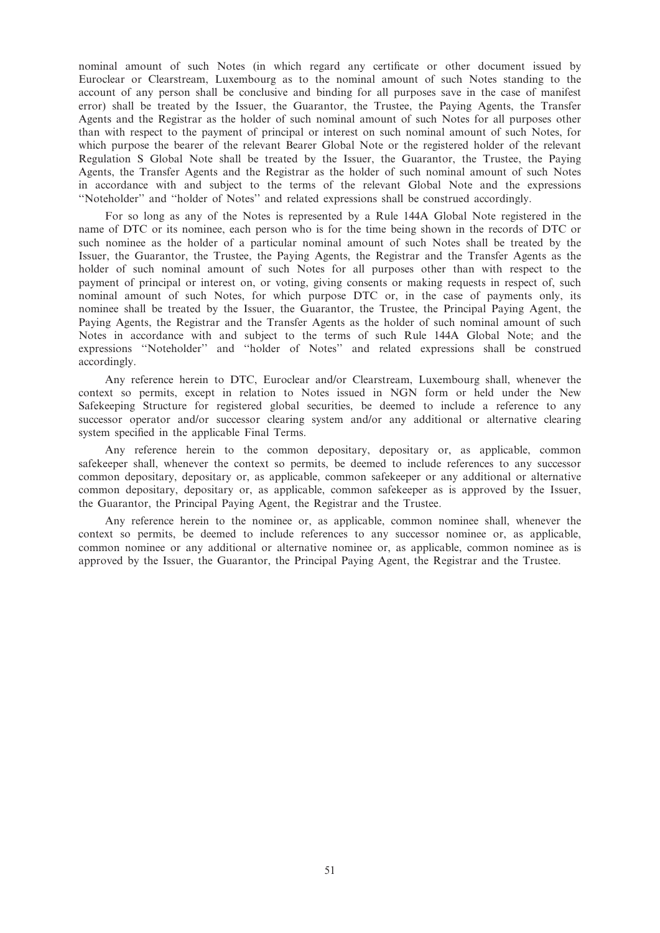nominal amount of such Notes (in which regard any certificate or other document issued by Euroclear or Clearstream, Luxembourg as to the nominal amount of such Notes standing to the account of any person shall be conclusive and binding for all purposes save in the case of manifest error) shall be treated by the Issuer, the Guarantor, the Trustee, the Paying Agents, the Transfer Agents and the Registrar as the holder of such nominal amount of such Notes for all purposes other than with respect to the payment of principal or interest on such nominal amount of such Notes, for which purpose the bearer of the relevant Bearer Global Note or the registered holder of the relevant Regulation S Global Note shall be treated by the Issuer, the Guarantor, the Trustee, the Paying Agents, the Transfer Agents and the Registrar as the holder of such nominal amount of such Notes in accordance with and subject to the terms of the relevant Global Note and the expressions ''Noteholder'' and ''holder of Notes'' and related expressions shall be construed accordingly.

For so long as any of the Notes is represented by a Rule 144A Global Note registered in the name of DTC or its nominee, each person who is for the time being shown in the records of DTC or such nominee as the holder of a particular nominal amount of such Notes shall be treated by the Issuer, the Guarantor, the Trustee, the Paying Agents, the Registrar and the Transfer Agents as the holder of such nominal amount of such Notes for all purposes other than with respect to the payment of principal or interest on, or voting, giving consents or making requests in respect of, such nominal amount of such Notes, for which purpose DTC or, in the case of payments only, its nominee shall be treated by the Issuer, the Guarantor, the Trustee, the Principal Paying Agent, the Paying Agents, the Registrar and the Transfer Agents as the holder of such nominal amount of such Notes in accordance with and subject to the terms of such Rule 144A Global Note; and the expressions ''Noteholder'' and ''holder of Notes'' and related expressions shall be construed accordingly.

Any reference herein to DTC, Euroclear and/or Clearstream, Luxembourg shall, whenever the context so permits, except in relation to Notes issued in NGN form or held under the New Safekeeping Structure for registered global securities, be deemed to include a reference to any successor operator and/or successor clearing system and/or any additional or alternative clearing system specified in the applicable Final Terms.

Any reference herein to the common depositary, depositary or, as applicable, common safekeeper shall, whenever the context so permits, be deemed to include references to any successor common depositary, depositary or, as applicable, common safekeeper or any additional or alternative common depositary, depositary or, as applicable, common safekeeper as is approved by the Issuer, the Guarantor, the Principal Paying Agent, the Registrar and the Trustee.

Any reference herein to the nominee or, as applicable, common nominee shall, whenever the context so permits, be deemed to include references to any successor nominee or, as applicable, common nominee or any additional or alternative nominee or, as applicable, common nominee as is approved by the Issuer, the Guarantor, the Principal Paying Agent, the Registrar and the Trustee.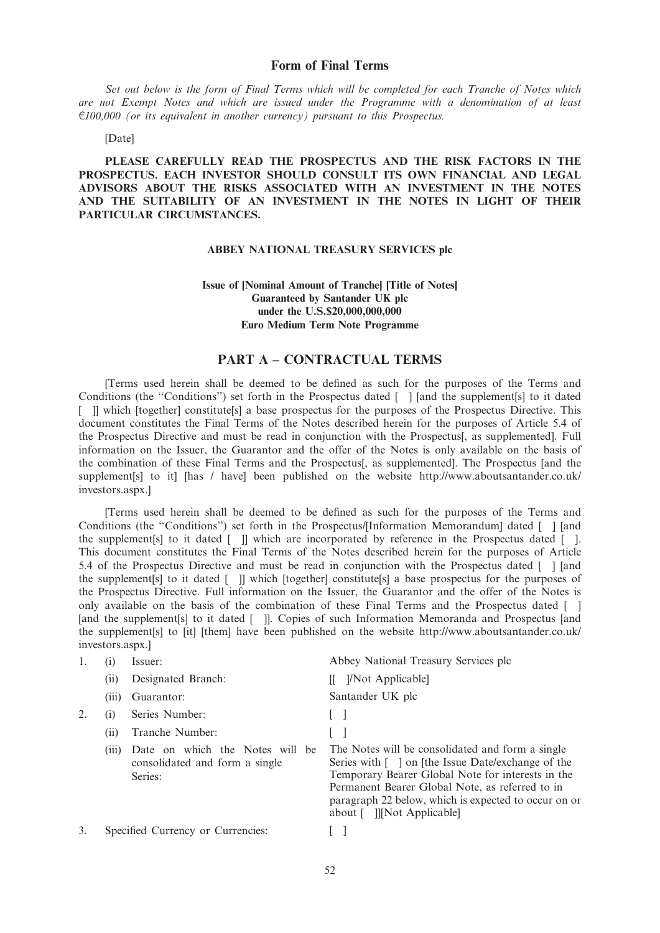# Form of Final Terms

Set out below is the form of Final Terms which will be completed for each Tranche of Notes which are not Exempt Notes and which are issued under the Programme with a denomination of at least  $E100,000$  (or its equivalent in another currency) pursuant to this Prospectus.

#### [Date]

PLEASE CAREFULLY READ THE PROSPECTUS AND THE RISK FACTORS IN THE PROSPECTUS. EACH INVESTOR SHOULD CONSULT ITS OWN FINANCIAL AND LEGAL ADVISORS ABOUT THE RISKS ASSOCIATED WITH AN INVESTMENT IN THE NOTES AND THE SUITABILITY OF AN INVESTMENT IN THE NOTES IN LIGHT OF THEIR PARTICULAR CIRCUMSTANCES.

#### ABBEY NATIONAL TREASURY SERVICES plc

# Issue of [Nominal Amount of Tranche] [Title of Notes] Guaranteed by Santander UK plc under the U.S.\$20,000,000,000 Euro Medium Term Note Programme

# PART A – CONTRACTUAL TERMS

[Terms used herein shall be deemed to be defined as such for the purposes of the Terms and Conditions (the "Conditions") set forth in the Prospectus dated [ ] [and the supplement[s] to it dated [ ]] which [together] constitute[s] a base prospectus for the purposes of the Prospectus Directive. This document constitutes the Final Terms of the Notes described herein for the purposes of Article 5.4 of the Prospectus Directive and must be read in conjunction with the Prospectus[, as supplemented]. Full information on the Issuer, the Guarantor and the offer of the Notes is only available on the basis of the combination of these Final Terms and the Prospectus[, as supplemented]. The Prospectus [and the supplement[s] to it] [has / have] been published on the website http://www.aboutsantander.co.uk/ investors.aspx.]

[Terms used herein shall be deemed to be defined as such for the purposes of the Terms and Conditions (the ''Conditions'') set forth in the Prospectus/[Information Memorandum] dated [ ] [and the supplement[s] to it dated [ ]] which are incorporated by reference in the Prospectus dated [ ]. This document constitutes the Final Terms of the Notes described herein for the purposes of Article 5.4 of the Prospectus Directive and must be read in conjunction with the Prospectus dated [ ] [and the supplement[s] to it dated [ ]] which [together] constitute[s] a base prospectus for the purposes of the Prospectus Directive. Full information on the Issuer, the Guarantor and the offer of the Notes is only available on the basis of the combination of these Final Terms and the Prospectus dated [ ] [and the supplement<sup>[s]</sup> to it dated [ ]]. Copies of such Information Memoranda and Prospectus [and the supplement[s] to [it] [them] have been published on the website http://www.aboutsantander.co.uk/ investors.aspx.]

|    | (1)   | Issuer:                                                                      | Abbey National Treasury Services plc                                                                                                                                                                                                                                                                 |
|----|-------|------------------------------------------------------------------------------|------------------------------------------------------------------------------------------------------------------------------------------------------------------------------------------------------------------------------------------------------------------------------------------------------|
|    | (i)   | Designated Branch:                                                           | [ <i>Not Applicable</i> ]                                                                                                                                                                                                                                                                            |
|    | (iii) | Guarantor:                                                                   | Santander UK plc                                                                                                                                                                                                                                                                                     |
|    | (1)   | Series Number:                                                               |                                                                                                                                                                                                                                                                                                      |
|    | (i)   | Tranche Number:                                                              |                                                                                                                                                                                                                                                                                                      |
|    | (111) | Date on which the Notes will be<br>consolidated and form a single<br>Series: | The Notes will be consolidated and form a single<br>Series with [ ] on [the Issue Date/exchange of the<br>Temporary Bearer Global Note for interests in the<br>Permanent Bearer Global Note, as referred to in<br>paragraph 22 below, which is expected to occur on or<br>about [ ]][Not Applicable] |
| 3. |       | Specified Currency or Currencies:                                            |                                                                                                                                                                                                                                                                                                      |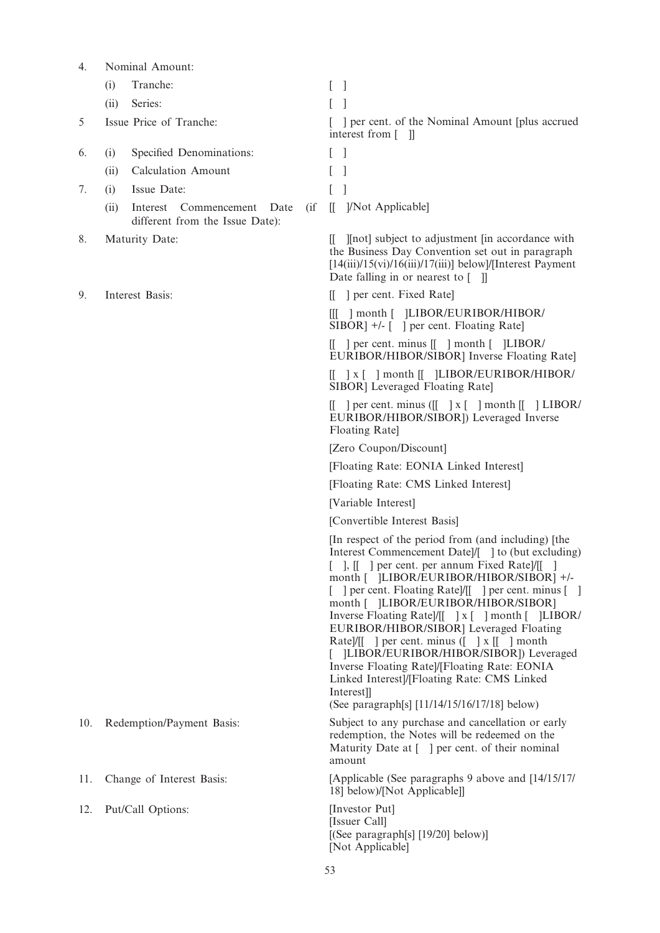| 4.  |      | Nominal Amount:                                                            |                                                                                                                                                                                                                                                                                                                                                                                                                                                                                                                                                                                                                                                                |
|-----|------|----------------------------------------------------------------------------|----------------------------------------------------------------------------------------------------------------------------------------------------------------------------------------------------------------------------------------------------------------------------------------------------------------------------------------------------------------------------------------------------------------------------------------------------------------------------------------------------------------------------------------------------------------------------------------------------------------------------------------------------------------|
|     | (i)  | Tranche:                                                                   |                                                                                                                                                                                                                                                                                                                                                                                                                                                                                                                                                                                                                                                                |
|     | (ii) | Series:                                                                    |                                                                                                                                                                                                                                                                                                                                                                                                                                                                                                                                                                                                                                                                |
| 5   |      | Issue Price of Tranche:                                                    | ] per cent. of the Nominal Amount [plus accrued<br>interest from $\lceil \quad \rceil$                                                                                                                                                                                                                                                                                                                                                                                                                                                                                                                                                                         |
| 6.  | (i)  | Specified Denominations:                                                   | $\overline{\phantom{a}}$                                                                                                                                                                                                                                                                                                                                                                                                                                                                                                                                                                                                                                       |
|     | (ii) | <b>Calculation Amount</b>                                                  |                                                                                                                                                                                                                                                                                                                                                                                                                                                                                                                                                                                                                                                                |
| 7.  | (i)  | Issue Date:                                                                |                                                                                                                                                                                                                                                                                                                                                                                                                                                                                                                                                                                                                                                                |
|     | (ii) | Interest<br>Commencement Date<br>$\int$<br>different from the Issue Date): | ]/Not Applicable]<br>$\mathbb{I}$                                                                                                                                                                                                                                                                                                                                                                                                                                                                                                                                                                                                                              |
| 8.  |      | Maturity Date:                                                             | [[not] subject to adjustment [in accordance with<br>Ш.<br>the Business Day Convention set out in paragraph<br>$[14(iii)/15(vi)/16(iii)/17(iii)]$ below]/[Interest Payment]<br>Date falling in or nearest to $\begin{bmatrix} \quad \end{bmatrix}$                                                                                                                                                                                                                                                                                                                                                                                                              |
| 9.  |      | Interest Basis:                                                            | [[ ] per cent. Fixed Rate]                                                                                                                                                                                                                                                                                                                                                                                                                                                                                                                                                                                                                                     |
|     |      |                                                                            | [[[ ] month [ ]LIBOR/EURIBOR/HIBOR/<br>SIBOR] +/- [ ] per cent. Floating Rate]                                                                                                                                                                                                                                                                                                                                                                                                                                                                                                                                                                                 |
|     |      |                                                                            | $\begin{bmatrix} \end{bmatrix}$ per cent. minus $\begin{bmatrix} \end{bmatrix}$ month $\begin{bmatrix} \end{bmatrix}$ LIBOR/<br>EURIBOR/HIBOR/SIBOR] Inverse Floating Rate]                                                                                                                                                                                                                                                                                                                                                                                                                                                                                    |
|     |      |                                                                            | $\begin{bmatrix} 1 & x \\ y & z \end{bmatrix}$ month $\begin{bmatrix} 1 & y \\ 1 & z \end{bmatrix}$ LIBOR/EURIBOR/HIBOR/<br>SIBOR] Leveraged Floating Rate]                                                                                                                                                                                                                                                                                                                                                                                                                                                                                                    |
|     |      |                                                                            | $\begin{bmatrix} \end{bmatrix}$ per cent. minus ( $\begin{bmatrix} \end{bmatrix}$ x $\begin{bmatrix} \end{bmatrix}$ month $\begin{bmatrix} \end{bmatrix}$ LIBOR/<br>EURIBOR/HIBOR/SIBOR]) Leveraged Inverse<br>Floating Rate]                                                                                                                                                                                                                                                                                                                                                                                                                                  |
|     |      |                                                                            | [Zero Coupon/Discount]                                                                                                                                                                                                                                                                                                                                                                                                                                                                                                                                                                                                                                         |
|     |      |                                                                            | [Floating Rate: EONIA Linked Interest]                                                                                                                                                                                                                                                                                                                                                                                                                                                                                                                                                                                                                         |
|     |      |                                                                            | [Floating Rate: CMS Linked Interest]                                                                                                                                                                                                                                                                                                                                                                                                                                                                                                                                                                                                                           |
|     |      |                                                                            | [Variable Interest]                                                                                                                                                                                                                                                                                                                                                                                                                                                                                                                                                                                                                                            |
|     |      |                                                                            | [Convertible Interest Basis]                                                                                                                                                                                                                                                                                                                                                                                                                                                                                                                                                                                                                                   |
|     |      |                                                                            | [In respect of the period from (and including) [the<br>Interest Commencement Datel/[ 1 to (but excluding)<br>[ ], [[ ] per cent. per annum Fixed Rate]/[[<br>month [ ]LIBOR/EURIBOR/HIBOR/SIBOR] +/-<br>] per cent. Floating Rate]/[[ ] per cent. minus [ ]<br>month [ ]LIBOR/EURIBOR/HIBOR/SIBOR]<br>Inverse Floating Rate]/[[ ] x [ ] month [ ]LIBOR/<br>EURIBOR/HIBOR/SIBOR] Leveraged Floating<br>Rate]/[[ ] per cent. minus $($ $]$ x $[$ $]$ month<br>]LIBOR/EURIBOR/HIBOR/SIBOR]) Leveraged<br>Inverse Floating Rate /[Floating Rate: EONIA<br>Linked Interest]/[Floating Rate: CMS Linked<br>Interest]<br>(See paragraph[s] [11/14/15/16/17/18] below) |
| 10. |      | Redemption/Payment Basis:                                                  | Subject to any purchase and cancellation or early<br>redemption, the Notes will be redeemed on the<br>Maturity Date at [1] per cent. of their nominal<br>amount                                                                                                                                                                                                                                                                                                                                                                                                                                                                                                |
| 11. |      | Change of Interest Basis:                                                  | [Applicable (See paragraphs 9 above and [14/15/17]<br>18] below)/[Not Applicable]]                                                                                                                                                                                                                                                                                                                                                                                                                                                                                                                                                                             |
| 12. |      | Put/Call Options:                                                          | [Investor Put]<br>[Issuer Call]<br>[(See paragraph[s] [19/20] below)]<br>[Not Applicable]                                                                                                                                                                                                                                                                                                                                                                                                                                                                                                                                                                      |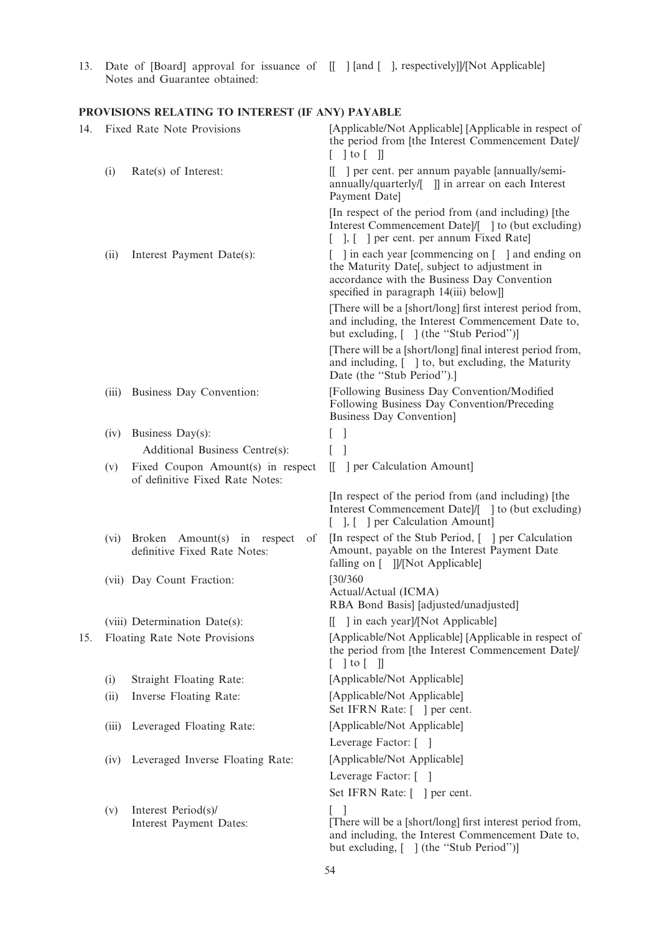13. Date of [Board] approval for issuance of Notes and Guarantee obtained: [[ ] [and [ ], respectively]]/[Not Applicable]

# PROVISIONS RELATING TO INTEREST (IF ANY) PAYABLE

| 14. |       | Fixed Rate Note Provisions                                           | [Applicable/Not Applicable] [Applicable in respect of<br>the period from [the Interest Commencement Date]/<br>$[$ $]$ to $[$ $]$                                                                         |
|-----|-------|----------------------------------------------------------------------|----------------------------------------------------------------------------------------------------------------------------------------------------------------------------------------------------------|
|     | (i)   | Rate(s) of Interest:                                                 | [[ ] per cent. per annum payable [annually/semi-<br>annually/quarterly/[ ]] in arrear on each Interest<br>Payment Date]                                                                                  |
|     |       |                                                                      | [In respect of the period from (and including) [the<br>Interest Commencement Date]/[ ] to (but excluding)<br>[ ], [ ] per cent. per annum Fixed Rate]                                                    |
|     | (ii)  | Interest Payment Date(s):                                            | $\lceil$ 1 in each year [commencing on $\lceil$ 1 and ending on<br>the Maturity Date[, subject to adjustment in<br>accordance with the Business Day Convention<br>specified in paragraph 14(iii) below]] |
|     |       |                                                                      | [There will be a [short/long] first interest period from,<br>and including, the Interest Commencement Date to,<br>but excluding, [ ] (the "Stub Period")]                                                |
|     |       |                                                                      | [There will be a [short/long] final interest period from,<br>and including, [ ] to, but excluding, the Maturity<br>Date (the "Stub Period").]                                                            |
|     | (iii) | Business Day Convention:                                             | [Following Business Day Convention/Modified<br>Following Business Day Convention/Preceding<br><b>Business Day Convention]</b>                                                                            |
|     | (iv)  | Business Day(s):                                                     | $\mathbf{I}$<br>L                                                                                                                                                                                        |
|     |       | Additional Business Centre(s):                                       | 1<br>L                                                                                                                                                                                                   |
|     | (v)   | Fixed Coupon Amount(s) in respect<br>of definitive Fixed Rate Notes: | ] per Calculation Amount]<br>$\mathbf{H}$                                                                                                                                                                |
|     |       |                                                                      | [In respect of the period from (and including) [the<br>Interest Commencement Datel/[ ] to (but excluding)<br>[ ], [ ] per Calculation Amount]                                                            |
|     | (vi)  | Broken Amount(s) in respect<br>of<br>definitive Fixed Rate Notes:    | [In respect of the Stub Period, [] per Calculation<br>Amount, payable on the Interest Payment Date<br>falling on [ ]]/[Not Applicable]                                                                   |
|     |       | (vii) Day Count Fraction:                                            | [30/360]<br>Actual/Actual (ICMA)<br>RBA Bond Basis] [adjusted/unadjusted]                                                                                                                                |
|     |       | (viii) Determination Date(s):                                        | [[ ] in each year]/[Not Applicable]                                                                                                                                                                      |
| 15. |       | Floating Rate Note Provisions                                        | [Applicable/Not Applicable] [Applicable in respect of<br>the period from [the Interest Commencement Date]/<br>$\lceil$   to $\lceil$                                                                     |
|     | (i)   | Straight Floating Rate:                                              | [Applicable/Not Applicable]                                                                                                                                                                              |
|     | (ii)  | Inverse Floating Rate:                                               | [Applicable/Not Applicable]<br>Set IFRN Rate: [ ] per cent.                                                                                                                                              |
|     | (iii) | Leveraged Floating Rate:                                             | [Applicable/Not Applicable]                                                                                                                                                                              |
|     |       |                                                                      | Leverage Factor: []                                                                                                                                                                                      |
|     |       | (iv) Leveraged Inverse Floating Rate:                                | [Applicable/Not Applicable]                                                                                                                                                                              |
|     |       |                                                                      | Leverage Factor: []                                                                                                                                                                                      |
|     |       |                                                                      | Set IFRN Rate: [ ] per cent.                                                                                                                                                                             |
|     | (v)   | Interest Period(s)/<br>Interest Payment Dates:                       | [There will be a [short/long] first interest period from,<br>and including, the Interest Commencement Date to,<br>but excluding, [ ] (the "Stub Period")]                                                |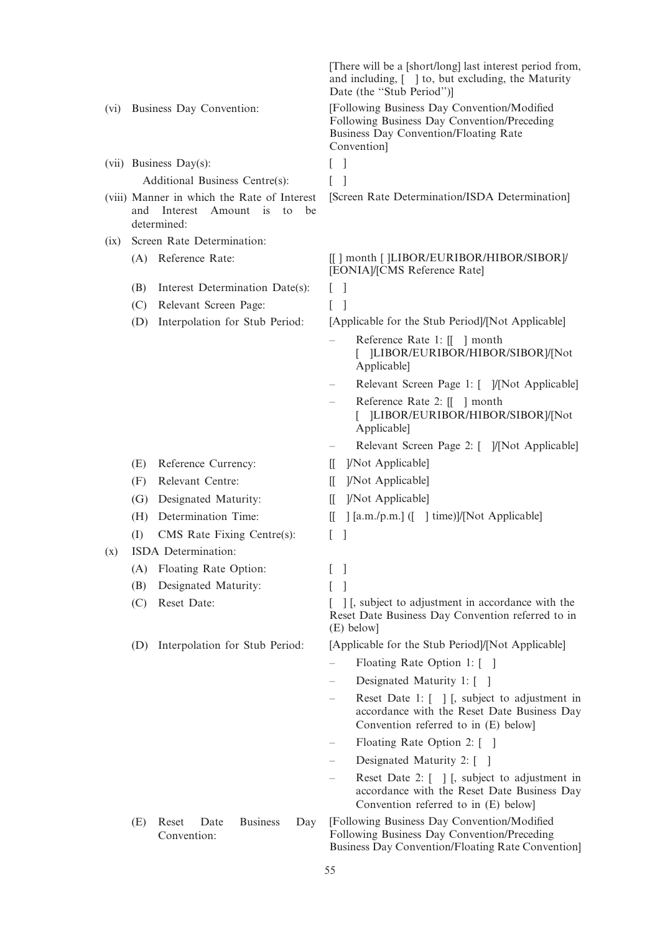|      |                                                                                                                  | [There will be a [short/long] last interest period from,<br>and including, [ ] to, but excluding, the Maturity<br>Date (the "Stub Period")]                             |
|------|------------------------------------------------------------------------------------------------------------------|-------------------------------------------------------------------------------------------------------------------------------------------------------------------------|
| (vi) | Business Day Convention:                                                                                         | [Following Business Day Convention/Modified<br>Following Business Day Convention/Preceding<br><b>Business Day Convention/Floating Rate</b><br>Convention]               |
|      | (vii) Business Day(s):                                                                                           | $\Box$                                                                                                                                                                  |
|      | Additional Business Centre(s):                                                                                   | L                                                                                                                                                                       |
|      | (viii) Manner in which the Rate of Interest<br>Amount<br>and<br>Interest<br><i>is</i><br>be<br>to<br>determined: | [Screen Rate Determination/ISDA Determination]                                                                                                                          |
| (ix) | Screen Rate Determination:                                                                                       |                                                                                                                                                                         |
|      | (A) Reference Rate:                                                                                              | [[] month []LIBOR/EURIBOR/HIBOR/SIBOR]/<br>[EONIA]/[CMS Reference Rate]                                                                                                 |
|      | Interest Determination Date(s):<br>(B)                                                                           | $\perp$                                                                                                                                                                 |
|      | (C)<br>Relevant Screen Page:                                                                                     | $\mathbf{I}$                                                                                                                                                            |
|      | (D)<br>Interpolation for Stub Period:                                                                            | [Applicable for the Stub Period]/[Not Applicable]                                                                                                                       |
|      |                                                                                                                  | Reference Rate 1: [[ ] month<br>[ ]LIBOR/EURIBOR/HIBOR/SIBOR]/[Not<br>Applicable]                                                                                       |
|      |                                                                                                                  | Relevant Screen Page 1: [ ]/[Not Applicable]                                                                                                                            |
|      |                                                                                                                  | Reference Rate 2: [[ ] month<br>[ ]LIBOR/EURIBOR/HIBOR/SIBOR]/[Not<br>Applicable]                                                                                       |
|      |                                                                                                                  | Relevant Screen Page 2: [ ]/[Not Applicable]                                                                                                                            |
|      | Reference Currency:<br>(E)                                                                                       | ]/Not Applicable]<br>Ш.                                                                                                                                                 |
|      | Relevant Centre:<br>(F)                                                                                          | ]/Not Applicable]<br>II.                                                                                                                                                |
|      | Designated Maturity:<br>(G)                                                                                      | ]/Not Applicable]<br>$\mathbb{I}$                                                                                                                                       |
|      | Determination Time:<br>(H)                                                                                       | [[a.m./p.m.] ([ ] time)]/[Not Applicable]<br>Ш                                                                                                                          |
|      | CMS Rate Fixing Centre(s):<br>(I)                                                                                | L<br>-1                                                                                                                                                                 |
| (x)  | ISDA Determination:                                                                                              |                                                                                                                                                                         |
|      | Floating Rate Option:<br>(A)                                                                                     | I                                                                                                                                                                       |
|      | Designated Maturity:<br>(B)                                                                                      |                                                                                                                                                                         |
|      | (C)<br>Reset Date:                                                                                               | [1], subject to adjustment in accordance with the<br>Reset Date Business Day Convention referred to in<br>(E) below]                                                    |
|      | Interpolation for Stub Period:<br>(D)                                                                            | [Applicable for the Stub Period]/[Not Applicable]                                                                                                                       |
|      |                                                                                                                  | Floating Rate Option 1: []                                                                                                                                              |
|      |                                                                                                                  | Designated Maturity 1: []                                                                                                                                               |
|      |                                                                                                                  | Reset Date 1: $\begin{bmatrix} 1 \\ 1 \end{bmatrix}$ [, subject to adjustment in<br>accordance with the Reset Date Business Day<br>Convention referred to in (E) below] |
|      |                                                                                                                  | Floating Rate Option 2: []                                                                                                                                              |
|      |                                                                                                                  | Designated Maturity 2: []                                                                                                                                               |
|      |                                                                                                                  | Reset Date 2: $\begin{bmatrix} 1 \\ 1 \end{bmatrix}$ [, subject to adjustment in<br>accordance with the Reset Date Business Day<br>Convention referred to in (E) below] |
|      | <b>Business</b><br>(E)<br>Reset<br>Date<br>Day<br>Convention:                                                    | [Following Business Day Convention/Modified<br>Following Business Day Convention/Preceding<br>Business Day Convention/Floating Rate Convention]                         |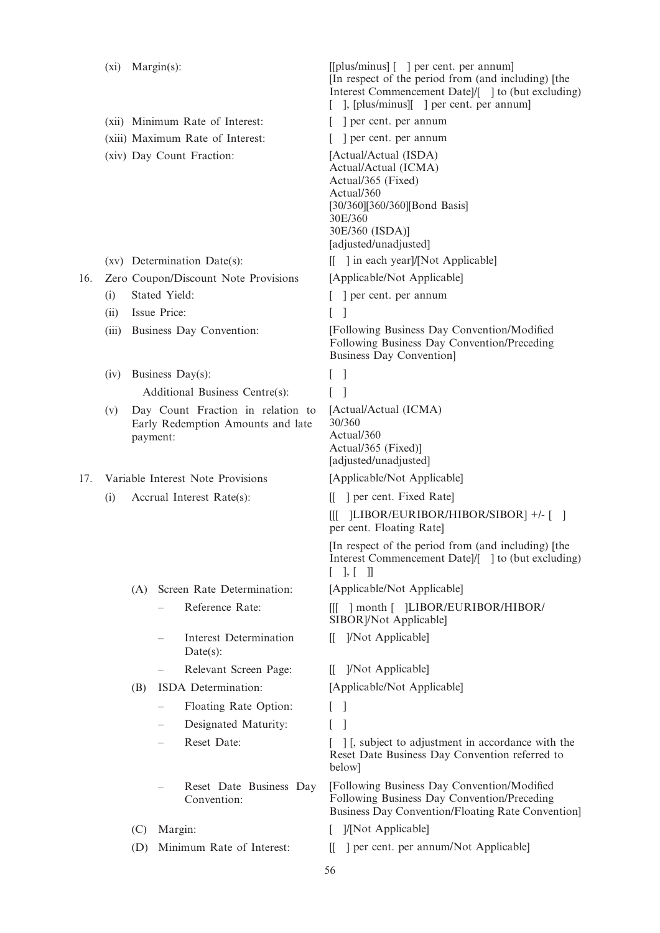|     | (xi)  |          | $Margin(s)$ :                                                          | [[plus/minus] [] per cent. per annum]<br>[In respect of the period from (and including) [the<br>Interest Commencement Date]/[ ] to (but excluding)<br>], [plus/minus][ ] per cent. per annum] |
|-----|-------|----------|------------------------------------------------------------------------|-----------------------------------------------------------------------------------------------------------------------------------------------------------------------------------------------|
|     |       |          | (xii) Minimum Rate of Interest:                                        | ] per cent. per annum                                                                                                                                                                         |
|     |       |          | (xiii) Maximum Rate of Interest:                                       | per cent. per annum                                                                                                                                                                           |
|     |       |          | (xiv) Day Count Fraction:                                              | [Actual/Actual (ISDA)<br>Actual/Actual (ICMA)<br>Actual/365 (Fixed)<br>Actual/360<br>[30/360][360/360][Bond Basis]<br>30E/360<br>30E/360 (ISDA)]<br>[adjusted/unadjusted]                     |
|     |       |          | (xv) Determination Date(s):                                            | [[ ] in each year]/[Not Applicable]                                                                                                                                                           |
| 16. |       |          | Zero Coupon/Discount Note Provisions                                   | [Applicable/Not Applicable]                                                                                                                                                                   |
|     | (i)   |          | Stated Yield:                                                          | ] per cent. per annum                                                                                                                                                                         |
|     | (ii)  |          | Issue Price:                                                           | -1<br>L                                                                                                                                                                                       |
|     | (iii) |          | Business Day Convention:                                               | [Following Business Day Convention/Modified]<br>Following Business Day Convention/Preceding<br><b>Business Day Convention</b>                                                                 |
|     | (iv)  |          | Business Day(s):                                                       | - 1                                                                                                                                                                                           |
|     |       |          | Additional Business Centre(s):                                         |                                                                                                                                                                                               |
|     | (v)   | payment: | Day Count Fraction in relation to<br>Early Redemption Amounts and late | [Actual/Actual (ICMA)<br>30/360<br>Actual/360<br>Actual/365 (Fixed)]<br>[adjusted/unadjusted]                                                                                                 |
| 17. |       |          | Variable Interest Note Provisions                                      | [Applicable/Not Applicable]                                                                                                                                                                   |
|     | (i)   |          | Accrual Interest Rate(s):                                              | ] per cent. Fixed Rate<br>$\mathbf{H}$                                                                                                                                                        |
|     |       |          |                                                                        | [1] -/- [1] JLIBOR/EURIBOR/HIBOR/SIBOR]<br>Ш<br>per cent. Floating Rate]                                                                                                                      |
|     |       |          |                                                                        | [In respect of the period from (and including) [the<br>Interest Commencement Date /[ ] to (but excluding)<br>$\vert \cdot \vert$<br>$\mathbb{I}$                                              |
|     |       | (A)      | Screen Rate Determination:                                             | [Applicable/Not Applicable]                                                                                                                                                                   |
|     |       |          | Reference Rate:                                                        | [[[ ] month [ ]LIBOR/EURIBOR/HIBOR/<br>SIBOR]/Not Applicable]                                                                                                                                 |
|     |       |          | Interest Determination<br>$Date(s)$ :                                  | ]/Not Applicable]<br>Ш.                                                                                                                                                                       |
|     |       |          | Relevant Screen Page:                                                  | ]/Not Applicable]<br>Ш.                                                                                                                                                                       |
|     |       | (B)      | ISDA Determination:                                                    | [Applicable/Not Applicable]                                                                                                                                                                   |
|     |       |          | Floating Rate Option:                                                  | $\overline{1}$                                                                                                                                                                                |
|     |       |          | Designated Maturity:                                                   |                                                                                                                                                                                               |
|     |       |          | Reset Date:                                                            | [1], subject to adjustment in accordance with the<br>Reset Date Business Day Convention referred to<br>below]                                                                                 |
|     |       |          | Reset Date Business Day<br>Convention:                                 | [Following Business Day Convention/Modified<br>Following Business Day Convention/Preceding<br>Business Day Convention/Floating Rate Convention]                                               |
|     |       | (C)      | Margin:                                                                | ]/[Not Applicable]                                                                                                                                                                            |
|     |       | (D)      | Minimum Rate of Interest:                                              | ] per cent. per annum/Not Applicable]<br>Ш                                                                                                                                                    |
|     |       |          |                                                                        | 56                                                                                                                                                                                            |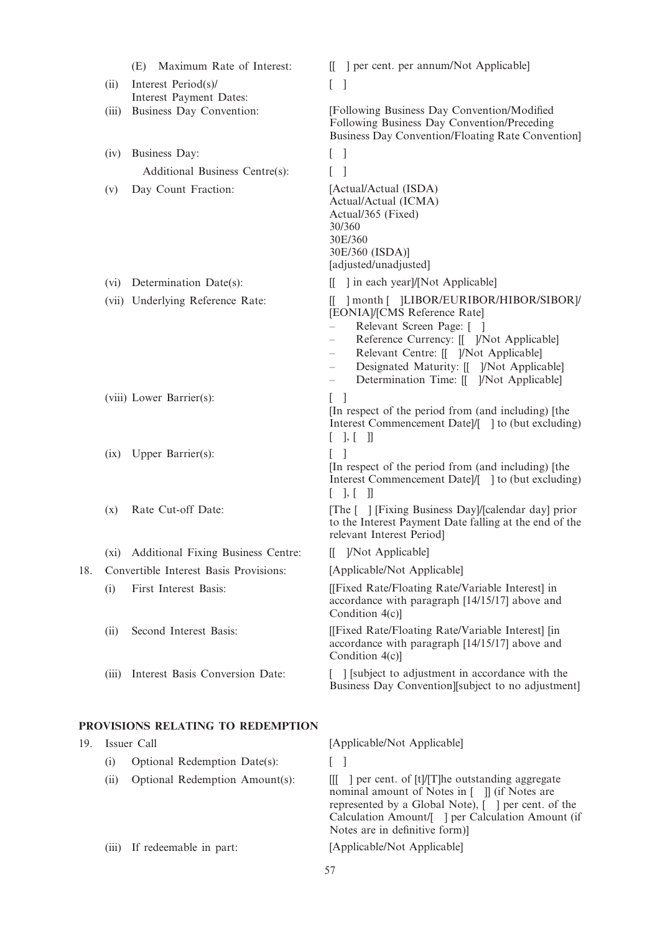|     |       | Maximum Rate of Interest:<br>(E)                    | ] per cent. per annum/Not Applicable]<br>$\mathbf{H}$                                                                                                                                                                                                                                                        |
|-----|-------|-----------------------------------------------------|--------------------------------------------------------------------------------------------------------------------------------------------------------------------------------------------------------------------------------------------------------------------------------------------------------------|
|     | (ii)  | Interest Period(s)/                                 | L<br>-1                                                                                                                                                                                                                                                                                                      |
|     | (iii) | Interest Payment Dates:<br>Business Day Convention: | [Following Business Day Convention/Modified]                                                                                                                                                                                                                                                                 |
|     |       |                                                     | Following Business Day Convention/Preceding<br>Business Day Convention/Floating Rate Convention]                                                                                                                                                                                                             |
|     | (iv)  | Business Day:                                       | - 1<br>L                                                                                                                                                                                                                                                                                                     |
|     |       | Additional Business Centre(s):                      |                                                                                                                                                                                                                                                                                                              |
|     | (v)   | Day Count Fraction:                                 | [Actual/Actual (ISDA)<br>Actual/Actual (ICMA)<br>Actual/365 (Fixed)<br>30/360<br>30E/360<br>30E/360 (ISDA)]<br>[adjusted/unadjusted]                                                                                                                                                                         |
|     | (vi)  | Determination Date(s):                              | $\left[\begin{array}{c c} \end{array}\right]$ in each year]/[Not Applicable]                                                                                                                                                                                                                                 |
|     |       | (vii) Underlying Reference Rate:                    | ] month [ ]LIBOR/EURIBOR/HIBOR/SIBOR]/<br>[EONIA]/[CMS Reference Rate]<br>Relevant Screen Page: []<br>Reference Currency: [[ ]/Not Applicable]<br>Relevant Centre: [[ ]/Not Applicable]<br>Designated Maturity: [[ ]/Not Applicable]<br>Determination Time: [[ ]/Not Applicable]<br>$\overline{\phantom{m}}$ |
|     |       | (viii) Lower Barrier(s):                            | $\lceil \; \rceil$<br>[In respect of the period from (and including) [the<br>Interest Commencement Datel/[ ] to (but excluding)<br>$[$ $], [$ $]]$                                                                                                                                                           |
|     | (ix)  | Upper Barrier(s):                                   | [In respect of the period from (and including) [the<br>Interest Commencement Date]/[ ] to (but excluding)<br>$[ \quad ], [ \quad ]]$                                                                                                                                                                         |
|     | (x)   | Rate Cut-off Date:                                  | [The [ ] [Fixing Business Day]/[calendar day] prior<br>to the Interest Payment Date falling at the end of the<br>relevant Interest Period]                                                                                                                                                                   |
|     |       | (xi) Additional Fixing Business Centre:             | [[ ]/Not Applicable]                                                                                                                                                                                                                                                                                         |
| 18. |       | Convertible Interest Basis Provisions:              | [Applicable/Not Applicable]                                                                                                                                                                                                                                                                                  |
|     | (i)   | First Interest Basis:                               | [[Fixed Rate/Floating Rate/Variable Interest] in<br>accordance with paragraph [14/15/17] above and<br>Condition 4(c)]                                                                                                                                                                                        |
|     | (ii)  | Second Interest Basis:                              | [[Fixed Rate/Floating Rate/Variable Interest] [in]<br>accordance with paragraph [14/15/17] above and<br>Condition 4(c)]                                                                                                                                                                                      |
|     | (iii) | Interest Basis Conversion Date:                     | [ ] [subject to adjustment in accordance with the<br>Business Day Convention [subject to no adjustment]                                                                                                                                                                                                      |
|     |       | PROVISIONS RELATING TO REDEMPTION                   |                                                                                                                                                                                                                                                                                                              |
| 19. |       | Issuer Call                                         | [Applicable/Not Applicable]                                                                                                                                                                                                                                                                                  |
|     | (i)   | Optional Redemption Date(s):                        | $\overline{\phantom{a}}$<br>L                                                                                                                                                                                                                                                                                |
|     | (ii)  | Optional Redemption Amount(s):                      | the game of [t]/[T] he outstanding aggregate<br>Ш<br>nominal amount of Notes in [ ]] (if Notes are<br>represented by a Global Note), [ ] per cent. of the<br>Calculation Amount/[ ] per Calculation Amount (if<br>Notes are in definitive form)]                                                             |
|     | (iii) | If redeemable in part:                              | [Applicable/Not Applicable]                                                                                                                                                                                                                                                                                  |

57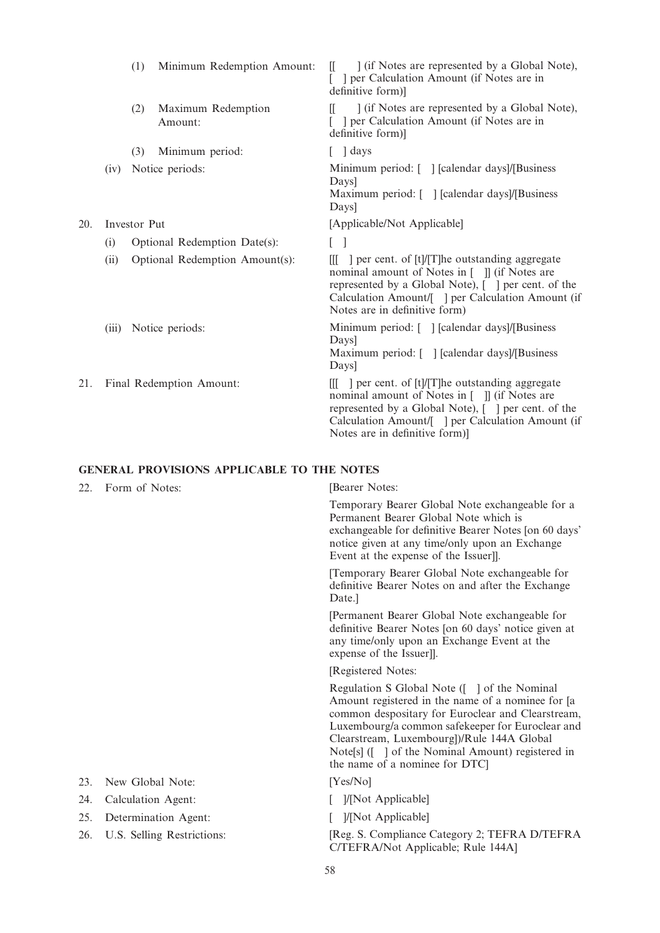|     |       | (1)          | Minimum Redemption Amount:     | ] (if Notes are represented by a Global Note),<br>$\mathbb{I}$<br>] per Calculation Amount (if Notes are in<br>definitive form)]                                                                                                                          |
|-----|-------|--------------|--------------------------------|-----------------------------------------------------------------------------------------------------------------------------------------------------------------------------------------------------------------------------------------------------------|
|     |       | (2)          | Maximum Redemption<br>Amount:  | 1 (if Notes are represented by a Global Note),<br>IL.<br>] per Calculation Amount (if Notes are in<br>definitive form)]                                                                                                                                   |
|     |       | (3)          | Minimum period:                | days                                                                                                                                                                                                                                                      |
|     | (iv)  |              | Notice periods:                | Minimum period: [ ] [calendar days]/[Business]<br>Days<br>Maximum period: [ ] [calendar days]/[Business<br>Days                                                                                                                                           |
| 20. |       | Investor Put |                                | [Applicable/Not Applicable]                                                                                                                                                                                                                               |
|     | (i)   |              | Optional Redemption Date(s):   | $\lceil$ $\rceil$                                                                                                                                                                                                                                         |
|     | (ii)  |              | Optional Redemption Amount(s): | given 1 per cent. of [t]/[T]he outstanding aggregate<br>ШL<br>nominal amount of Notes in [ ] [ (if Notes are<br>represented by a Global Note), [ ] per cent. of the<br>Calculation Amount/[ ] per Calculation Amount (if<br>Notes are in definitive form) |
|     | (iii) |              | Notice periods:                | Minimum period: [ ] [calendar days]/[Business]<br>Days<br>Maximum period: [ ] [calendar days]/[Business<br>Days]                                                                                                                                          |
| 21. |       |              | Final Redemption Amount:       | [[[ ] per cent. of [t]/[T]he outstanding aggregate<br>nominal amount of Notes in [ ]] (if Notes are<br>represented by a Global Note), [ ] per cent. of the<br>Calculation Amount/[ ] per Calculation Amount (if<br>Notes are in definitive form)]         |

# GENERAL PROVISIONS APPLICABLE TO THE NOTES

| 22. | Form of Notes:             | [Bearer Notes:                                                                                                                                                                                                                                                                                                                                  |
|-----|----------------------------|-------------------------------------------------------------------------------------------------------------------------------------------------------------------------------------------------------------------------------------------------------------------------------------------------------------------------------------------------|
|     |                            | Temporary Bearer Global Note exchangeable for a<br>Permanent Bearer Global Note which is<br>exchangeable for definitive Bearer Notes [on 60 days'<br>notice given at any time/only upon an Exchange<br>Event at the expense of the Issuer].                                                                                                     |
|     |                            | [Temporary Bearer Global Note exchangeable for<br>definitive Bearer Notes on and after the Exchange<br>Date.                                                                                                                                                                                                                                    |
|     |                            | [Permanent Bearer Global Note exchangeable for<br>definitive Bearer Notes [on 60 days' notice given at<br>any time/only upon an Exchange Event at the<br>expense of the Issuer]].                                                                                                                                                               |
|     |                            | [Registered Notes:                                                                                                                                                                                                                                                                                                                              |
|     |                            | Regulation S Global Note ([ ] of the Nominal<br>Amount registered in the name of a nominee for [a]<br>common despositary for Euroclear and Clearstream,<br>Luxembourg/a common safekeeper for Euroclear and<br>Clearstream, Luxembourg])/Rule 144A Global<br>Note[s] ([ ] of the Nominal Amount) registered in<br>the name of a nominee for DTC |
| 23. | New Global Note:           | [Yes/No]                                                                                                                                                                                                                                                                                                                                        |
| 24. | Calculation Agent:         | ]/[Not Applicable]                                                                                                                                                                                                                                                                                                                              |
| 25. | Determination Agent:       | ]/[Not Applicable]                                                                                                                                                                                                                                                                                                                              |
| 26. | U.S. Selling Restrictions: | [Reg. S. Compliance Category 2; TEFRA D/TEFRA<br>C/TEFRA/Not Applicable; Rule 144A]                                                                                                                                                                                                                                                             |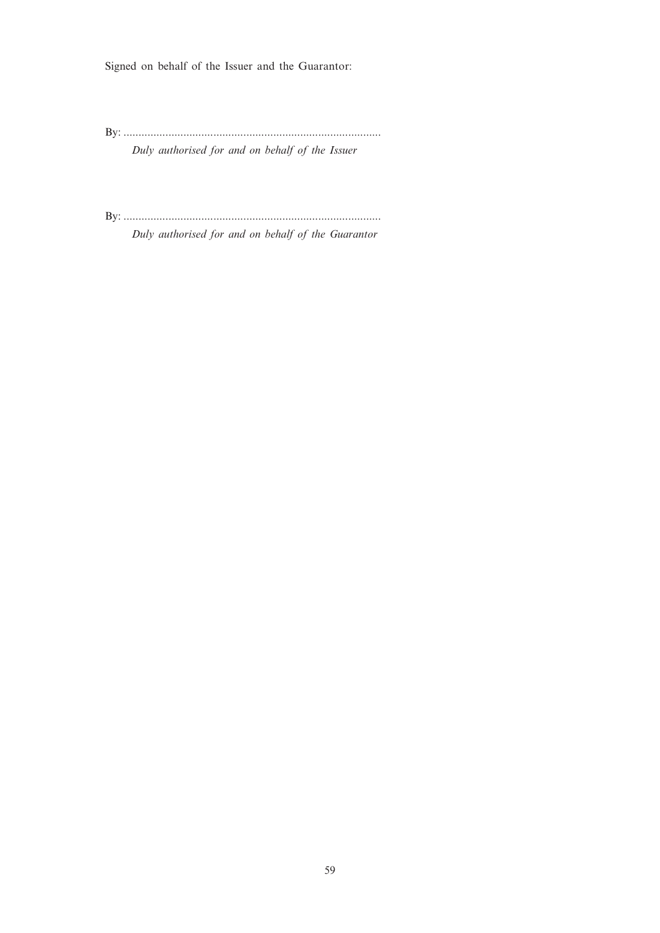Signed on behalf of the Issuer and the Guarantor:

By: ......................................................................................

Duly authorised for and on behalf of the Issuer

By: ...................................................................................... Duly authorised for and on behalf of the Guarantor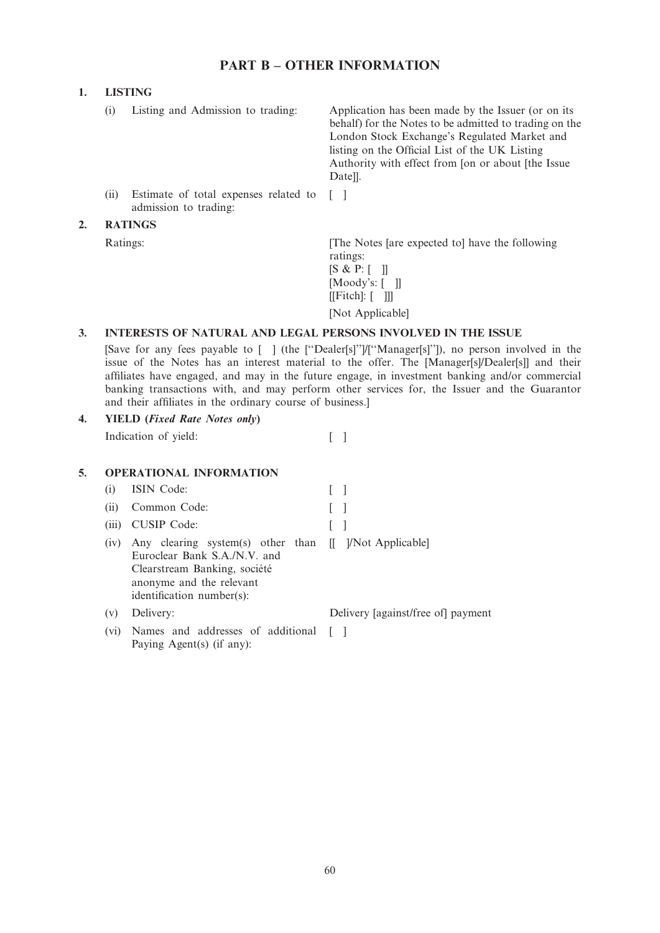# PART B – OTHER INFORMATION

# 1. LISTING

|    | (i) | Listing and Admission to trading:                              | Application has been made by the Issuer (or on its<br>behalf) for the Notes to be admitted to trading on the<br>London Stock Exchange's Regulated Market and<br>listing on the Official List of the UK Listing<br>Authority with effect from [on or about [the Issue]<br>Datell. |
|----|-----|----------------------------------------------------------------|----------------------------------------------------------------------------------------------------------------------------------------------------------------------------------------------------------------------------------------------------------------------------------|
|    | (i) | Estimate of total expenses related to<br>admission to trading: |                                                                                                                                                                                                                                                                                  |
| 2. |     | <b>RATINGS</b>                                                 |                                                                                                                                                                                                                                                                                  |
|    |     | Ratings:                                                       | The Notes [are expected to] have the following<br>ratings:<br>[S & P: [ ] ]<br>[Moody's: $\lceil$ 1]<br>$[[\text{Fitch}]: [$ ]]                                                                                                                                                  |

[Not Applicable]

# 3. INTERESTS OF NATURAL AND LEGAL PERSONS INVOLVED IN THE ISSUE

[Save for any fees payable to [ ] (the [''Dealer[s]'']/[''Manager[s]'']), no person involved in the issue of the Notes has an interest material to the offer. The [Manager[s]/Dealer[s]] and their affiliates have engaged, and may in the future engage, in investment banking and/or commercial banking transactions with, and may perform other services for, the Issuer and the Guarantor and their affiliates in the ordinary course of business.]

# 4. YIELD (Fixed Rate Notes only)

Indication of yield: [ ]

# 5. OPERATIONAL INFORMATION

Paying Agent(s) (if any):

| (i)   | <b>ISIN</b> Code:                                                                                                                                                               |                                    |
|-------|---------------------------------------------------------------------------------------------------------------------------------------------------------------------------------|------------------------------------|
| (ii)  | Common Code:                                                                                                                                                                    |                                    |
| (iii) | <b>CUSIP</b> Code:                                                                                                                                                              |                                    |
| (iv)  | Any clearing system(s) other than [[ ]/Not Applicable]<br>Euroclear Bank S.A./N.V. and<br>Clearstream Banking, société<br>anonyme and the relevant<br>identification number(s): |                                    |
| (v)   | Delivery:                                                                                                                                                                       | Delivery [against/free of] payment |
| (vi)  | Names and addresses of additional                                                                                                                                               |                                    |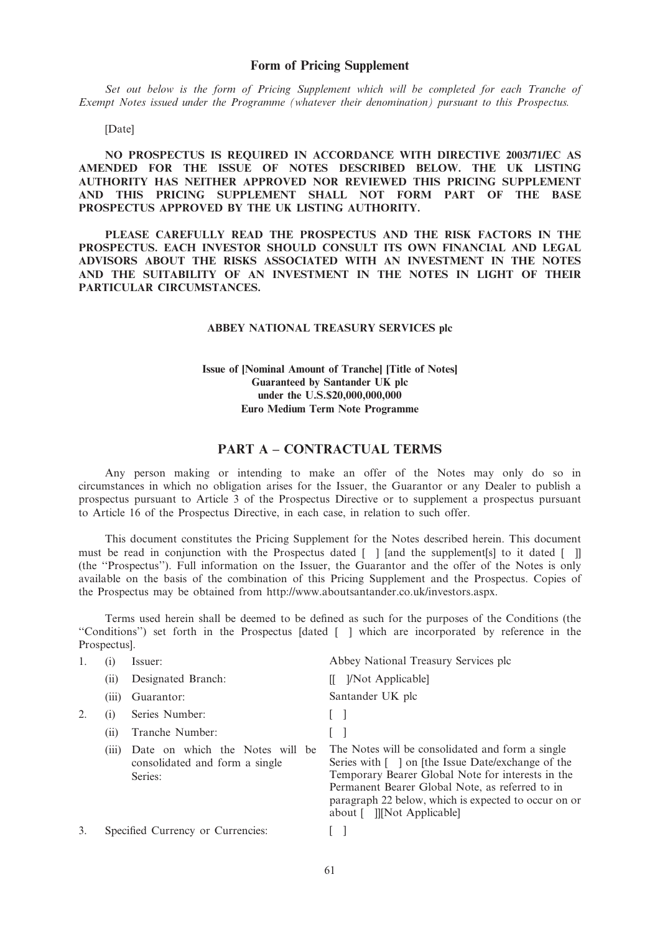Set out below is the form of Pricing Supplement which will be completed for each Tranche of Exempt Notes issued under the Programme (whatever their denomination) pursuant to this Prospectus.

[Date]

NO PROSPECTUS IS REQUIRED IN ACCORDANCE WITH DIRECTIVE 2003/71/EC AS AMENDED FOR THE ISSUE OF NOTES DESCRIBED BELOW. THE UK LISTING AUTHORITY HAS NEITHER APPROVED NOR REVIEWED THIS PRICING SUPPLEMENT AND THIS PRICING SUPPLEMENT SHALL NOT FORM PART OF THE BASE PROSPECTUS APPROVED BY THE UK LISTING AUTHORITY.

PLEASE CAREFULLY READ THE PROSPECTUS AND THE RISK FACTORS IN THE PROSPECTUS. EACH INVESTOR SHOULD CONSULT ITS OWN FINANCIAL AND LEGAL ADVISORS ABOUT THE RISKS ASSOCIATED WITH AN INVESTMENT IN THE NOTES AND THE SUITABILITY OF AN INVESTMENT IN THE NOTES IN LIGHT OF THEIR PARTICULAR CIRCUMSTANCES.

### ABBEY NATIONAL TREASURY SERVICES plc

# Issue of [Nominal Amount of Tranche] [Title of Notes] Guaranteed by Santander UK plc under the U.S.\$20,000,000,000 Euro Medium Term Note Programme

# PART A – CONTRACTUAL TERMS

Any person making or intending to make an offer of the Notes may only do so in circumstances in which no obligation arises for the Issuer, the Guarantor or any Dealer to publish a prospectus pursuant to Article 3 of the Prospectus Directive or to supplement a prospectus pursuant to Article 16 of the Prospectus Directive, in each case, in relation to such offer.

This document constitutes the Pricing Supplement for the Notes described herein. This document must be read in conjunction with the Prospectus dated  $\lceil \ \rceil$  [and the supplement[s] to it dated  $\lceil \ \rceil$ ] (the ''Prospectus''). Full information on the Issuer, the Guarantor and the offer of the Notes is only available on the basis of the combination of this Pricing Supplement and the Prospectus. Copies of the Prospectus may be obtained from http://www.aboutsantander.co.uk/investors.aspx.

Terms used herein shall be deemed to be defined as such for the purposes of the Conditions (the ''Conditions'') set forth in the Prospectus [dated [ ] which are incorporated by reference in the Prospectus].

|    | (1)   | Issuer:                                                                      | Abbey National Treasury Services plc                                                                                                                                                                                                                                                                                      |
|----|-------|------------------------------------------------------------------------------|---------------------------------------------------------------------------------------------------------------------------------------------------------------------------------------------------------------------------------------------------------------------------------------------------------------------------|
|    | (i)   | Designated Branch:                                                           | [ <i>Not Applicable</i> ]                                                                                                                                                                                                                                                                                                 |
|    | (iii) | Guarantor:                                                                   | Santander UK plc                                                                                                                                                                                                                                                                                                          |
|    | (1)   | Series Number:                                                               |                                                                                                                                                                                                                                                                                                                           |
|    | (11)  | Tranche Number:                                                              |                                                                                                                                                                                                                                                                                                                           |
|    | (111) | Date on which the Notes will be<br>consolidated and form a single<br>Series: | The Notes will be consolidated and form a single<br>Series with [ ] on [the Issue Date/exchange of the<br>Temporary Bearer Global Note for interests in the<br>Permanent Bearer Global Note, as referred to in<br>paragraph 22 below, which is expected to occur on or<br>about $\lceil$ $\rceil$ $\lceil Not$ Applicable |
| 3. |       | Specified Currency or Currencies:                                            |                                                                                                                                                                                                                                                                                                                           |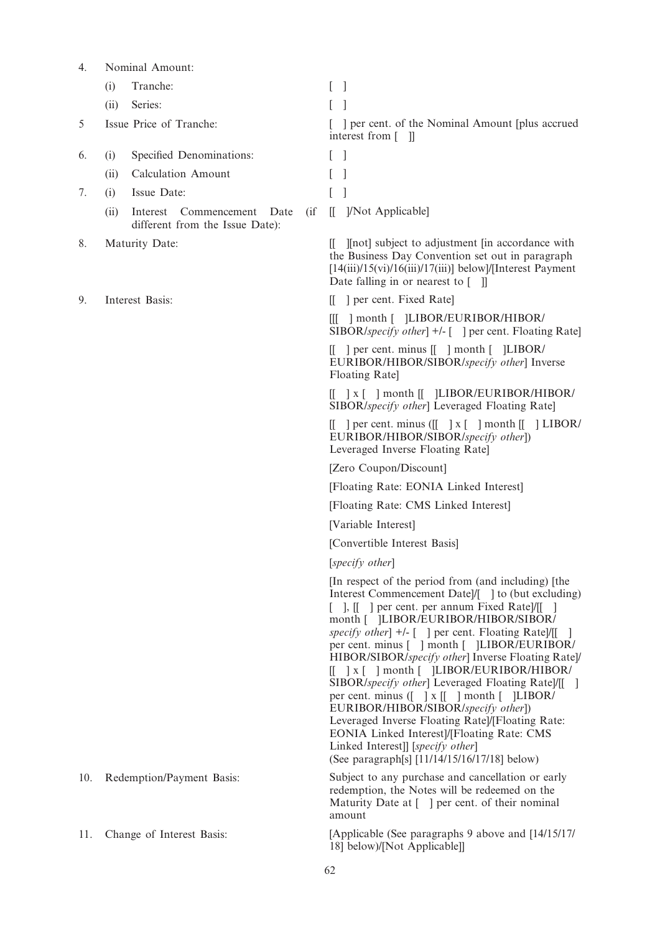| 4.  | Nominal Amount:                                                                       |                                                                                                                                                                                                                                                                                                                                                                                                                                                                                                                                                                                                                                                                                                                                                                                                      |
|-----|---------------------------------------------------------------------------------------|------------------------------------------------------------------------------------------------------------------------------------------------------------------------------------------------------------------------------------------------------------------------------------------------------------------------------------------------------------------------------------------------------------------------------------------------------------------------------------------------------------------------------------------------------------------------------------------------------------------------------------------------------------------------------------------------------------------------------------------------------------------------------------------------------|
|     | Tranche:<br>(i)                                                                       | L<br>-1                                                                                                                                                                                                                                                                                                                                                                                                                                                                                                                                                                                                                                                                                                                                                                                              |
|     | Series:<br>(ii)                                                                       | L                                                                                                                                                                                                                                                                                                                                                                                                                                                                                                                                                                                                                                                                                                                                                                                                    |
| 5   | Issue Price of Tranche:                                                               | ] per cent. of the Nominal Amount [plus accrued]<br>interest from $\lceil \quad \rceil$                                                                                                                                                                                                                                                                                                                                                                                                                                                                                                                                                                                                                                                                                                              |
| 6.  | Specified Denominations:<br>(i)                                                       | $\mathbf{I}$                                                                                                                                                                                                                                                                                                                                                                                                                                                                                                                                                                                                                                                                                                                                                                                         |
|     | <b>Calculation Amount</b><br>(ii)                                                     |                                                                                                                                                                                                                                                                                                                                                                                                                                                                                                                                                                                                                                                                                                                                                                                                      |
| 7.  | Issue Date:<br>(i)                                                                    |                                                                                                                                                                                                                                                                                                                                                                                                                                                                                                                                                                                                                                                                                                                                                                                                      |
|     | $\int$<br>(ii)<br>Interest<br>Commencement<br>Date<br>different from the Issue Date): | ]/Not Applicable]<br>$\mathbb{I}$                                                                                                                                                                                                                                                                                                                                                                                                                                                                                                                                                                                                                                                                                                                                                                    |
| 8.  | Maturity Date:                                                                        | [[not] subject to adjustment [in accordance with]<br>Ш.<br>the Business Day Convention set out in paragraph<br>$[14(iii)/15(vi)/16(iii)/17(iii)]$ below]/[Interest Payment]<br>Date falling in or nearest to $\begin{bmatrix} \quad \end{bmatrix}$                                                                                                                                                                                                                                                                                                                                                                                                                                                                                                                                                   |
| 9.  | Interest Basis:                                                                       | [[ ] per cent. Fixed Rate]                                                                                                                                                                                                                                                                                                                                                                                                                                                                                                                                                                                                                                                                                                                                                                           |
|     |                                                                                       | [[[ ] month [ ]LIBOR/EURIBOR/HIBOR/<br>SIBOR/specify other $\vert + \vert - \vert$ = $\vert$ per cent. Floating Rate                                                                                                                                                                                                                                                                                                                                                                                                                                                                                                                                                                                                                                                                                 |
|     |                                                                                       | $\begin{bmatrix} \end{bmatrix}$ per cent. minus $\begin{bmatrix} \end{bmatrix}$ month $\begin{bmatrix} \end{bmatrix}$ LIBOR/<br>EURIBOR/HIBOR/SIBOR/specify other] Inverse<br>Floating Rate]                                                                                                                                                                                                                                                                                                                                                                                                                                                                                                                                                                                                         |
|     |                                                                                       | $\begin{bmatrix} 1 & x \\ y & z \end{bmatrix}$ month $\begin{bmatrix} 1 & y \\ 1 & z \end{bmatrix}$ LIBOR/EURIBOR/HIBOR/<br>SIBOR/specify other] Leveraged Floating Rate]                                                                                                                                                                                                                                                                                                                                                                                                                                                                                                                                                                                                                            |
|     |                                                                                       | $\begin{bmatrix} \end{bmatrix}$ per cent. minus $\begin{bmatrix} \end{bmatrix}$ x $\begin{bmatrix} \end{bmatrix}$ month $\begin{bmatrix} \end{bmatrix}$ LIBOR/<br>EURIBOR/HIBOR/SIBOR/specify other])<br>Leveraged Inverse Floating Rate]                                                                                                                                                                                                                                                                                                                                                                                                                                                                                                                                                            |
|     |                                                                                       | [Zero Coupon/Discount]                                                                                                                                                                                                                                                                                                                                                                                                                                                                                                                                                                                                                                                                                                                                                                               |
|     |                                                                                       | [Floating Rate: EONIA Linked Interest]                                                                                                                                                                                                                                                                                                                                                                                                                                                                                                                                                                                                                                                                                                                                                               |
|     |                                                                                       | [Floating Rate: CMS Linked Interest]                                                                                                                                                                                                                                                                                                                                                                                                                                                                                                                                                                                                                                                                                                                                                                 |
|     |                                                                                       | [Variable Interest]                                                                                                                                                                                                                                                                                                                                                                                                                                                                                                                                                                                                                                                                                                                                                                                  |
|     |                                                                                       | [Convertible Interest Basis]                                                                                                                                                                                                                                                                                                                                                                                                                                                                                                                                                                                                                                                                                                                                                                         |
|     |                                                                                       | [specify other]                                                                                                                                                                                                                                                                                                                                                                                                                                                                                                                                                                                                                                                                                                                                                                                      |
|     |                                                                                       | [In respect of the period from (and including) [the<br>Interest Commencement Datel/[ ] to (but excluding)<br>[ ], [[ ] per cent. per annum Fixed Rate]/[[ ]<br>month [ ]LIBOR/EURIBOR/HIBOR/SIBOR/<br>specify other] +/- [ ] per cent. Floating Rate]/[[ ]<br>per cent. minus [ ] month [ ]LIBOR/EURIBOR/<br>HIBOR/SIBOR/specify other] Inverse Floating Rate]/<br>$\begin{bmatrix} 1 & x \\ 1 & x \end{bmatrix}$ month $\begin{bmatrix} 1 & LIBOR/EURIBOR/HIBOR/$<br>SIBOR/specify other] Leveraged Floating Rate]/[[]<br>per cent. minus ([ ] x [[ ] month [ ]LIBOR/<br>EURIBOR/HIBOR/SIBOR/specify other])<br>Leveraged Inverse Floating Rate]/[Floating Rate:<br>EONIA Linked Interest]/[Floating Rate: CMS<br>Linked Interest]] [specify other]<br>(See paragraph[s] [11/14/15/16/17/18] below) |
| 10. | Redemption/Payment Basis:                                                             | Subject to any purchase and cancellation or early<br>redemption, the Notes will be redeemed on the<br>Maturity Date at [ ] per cent. of their nominal<br>amount                                                                                                                                                                                                                                                                                                                                                                                                                                                                                                                                                                                                                                      |
| 11. | Change of Interest Basis:                                                             | [Applicable (See paragraphs 9 above and [14/15/17]<br>18] below)/[Not Applicable]]                                                                                                                                                                                                                                                                                                                                                                                                                                                                                                                                                                                                                                                                                                                   |

62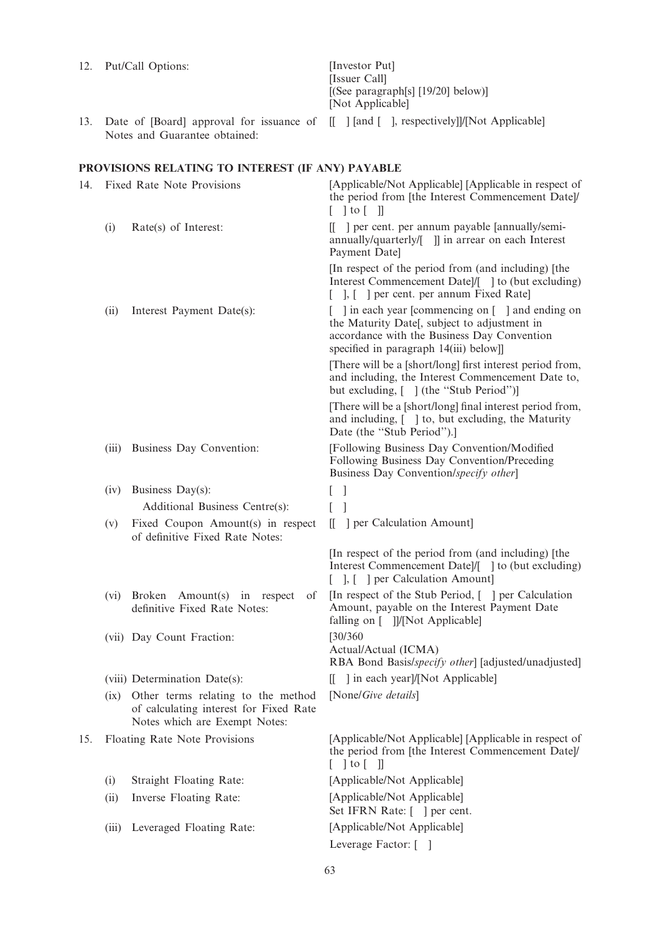[Issuer Call] [(See paragraph[s] [19/20] below)] [Not Applicable] 13. Date of [Board] approval for issuance of [[ ] [and [ ], respectively]]/[Not Applicable] Notes and Guarantee obtained: PROVISIONS RELATING TO INTEREST (IF ANY) PAYABLE 14. Fixed Rate Note Provisions [Applicable/Not Applicable] [Applicable in respect of the period from [the Interest Commencement Date]/  $\lceil$   $\lceil$  to  $\lceil$   $\rceil$ (i) Rate(s) of Interest:  $\begin{bmatrix} \n\end{bmatrix}$  per cent. per annum payable [annually/semiannually/quarterly/[ ]] in arrear on each Interest Payment Date] [In respect of the period from (and including) [the Interest Commencement Date]/[ ] to (but excluding) [ ], [ ] per cent. per annum Fixed Rate] (ii) Interest Payment Date(s):  $\begin{bmatrix} \cdot & \cdot & \cdot \\ \cdot & \cdot & \cdot \\ \cdot & \cdot & \cdot \end{bmatrix}$  in each year [commencing on [ ] and ending on the Maturity Date[, subject to adjustment in accordance with the Business Day Convention specified in paragraph 14(iii) below]] [There will be a [short/long] first interest period from, and including, the Interest Commencement Date to, but excluding,  $[ ]$  (the "Stub Period")] [There will be a [short/long] final interest period from, and including,  $\lceil \ \ \rceil$  to, but excluding, the Maturity Date (the "Stub Period").] (iii) Business Day Convention: [Following Business Day Convention/Modified Following Business Day Convention/Preceding Business Day Convention/specify other] (iv) Business Day(s):  $\begin{bmatrix} \phantom{-} \end{bmatrix}$ Additional Business Centre(s): [ ] (v) Fixed Coupon Amount(s) in respect of definitive Fixed Rate Notes: [[ ] per Calculation Amount] [In respect of the period from (and including) [the Interest Commencement Date]/[ ] to (but excluding) [ ], [ ] per Calculation Amount] (vi) Broken Amount(s) in respect of definitive Fixed Rate Notes: [In respect of the Stub Period, [ ] per Calculation Amount, payable on the Interest Payment Date falling on [ ]]/[Not Applicable] (vii) Day Count Fraction: [30/360 Actual/Actual (ICMA) RBA Bond Basis/specify other] [adjusted/unadjusted] (viii) Determination Date(s): [[ ] in each year]/[Not Applicable] (ix) Other terms relating to the method of calculating interest for Fixed Rate Notes which are Exempt Notes: [None/Give details] 15. Floating Rate Note Provisions [Applicable/Not Applicable] [Applicable in respect of the period from [the Interest Commencement Date]/  $\lceil$   $\lceil$  to  $\lceil$   $\rceil$ (i) Straight Floating Rate: [Applicable/Not Applicable] (ii) Inverse Floating Rate: [Applicable/Not Applicable] Set IFRN Rate: [ ] per cent. (iii) Leveraged Floating Rate: [Applicable/Not Applicable] Leverage Factor: [ ]

12. Put/Call Options: [Investor Put]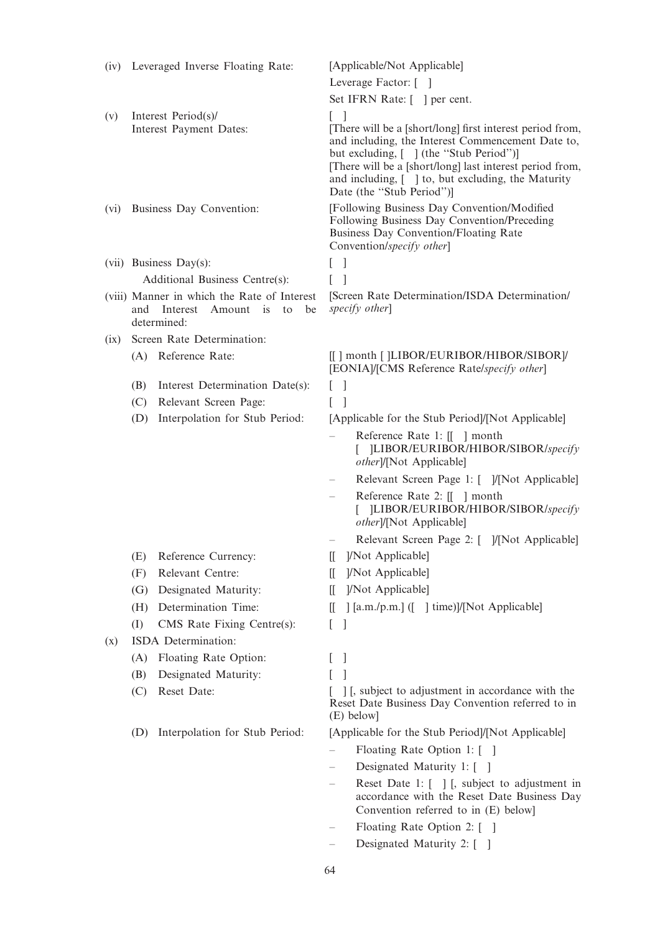|      | (iv) Leveraged Inverse Floating Rate:                                                   | [Applicable/Not Applicable]                                                                                                                                                                                                                                                                              |
|------|-----------------------------------------------------------------------------------------|----------------------------------------------------------------------------------------------------------------------------------------------------------------------------------------------------------------------------------------------------------------------------------------------------------|
|      |                                                                                         | Leverage Factor: []                                                                                                                                                                                                                                                                                      |
|      |                                                                                         | Set IFRN Rate: [] per cent.                                                                                                                                                                                                                                                                              |
| (v)  | Interest Period(s)/                                                                     | $\lceil$ $\rceil$                                                                                                                                                                                                                                                                                        |
|      | Interest Payment Dates:                                                                 | [There will be a [short/long] first interest period from,<br>and including, the Interest Commencement Date to,<br>but excluding, [ ] (the "Stub Period")]<br>[There will be a [short/long] last interest period from,<br>and including, [ ] to, but excluding, the Maturity<br>Date (the "Stub Period")] |
| (vi) | Business Day Convention:                                                                | [Following Business Day Convention/Modified<br>Following Business Day Convention/Preceding<br>Business Day Convention/Floating Rate<br>Convention/specify other]                                                                                                                                         |
|      | $(vii)$ Business Day(s):                                                                | $\overline{1}$<br>L                                                                                                                                                                                                                                                                                      |
|      | Additional Business Centre(s):                                                          |                                                                                                                                                                                                                                                                                                          |
|      | (viii) Manner in which the Rate of Interest<br>Amount is<br>and Interest<br>determined: | [Screen Rate Determination/ISDA Determination/<br>specify other]<br>be<br>to                                                                                                                                                                                                                             |
| (ix) | Screen Rate Determination:                                                              |                                                                                                                                                                                                                                                                                                          |
|      | (A) Reference Rate:                                                                     | [[] month []LIBOR/EURIBOR/HIBOR/SIBOR]/<br>[EONIA]/[CMS Reference Rate/specify other]                                                                                                                                                                                                                    |
|      | Interest Determination Date(s):<br>(B)                                                  | $\Box$                                                                                                                                                                                                                                                                                                   |
|      | Relevant Screen Page:<br>(C)                                                            | L                                                                                                                                                                                                                                                                                                        |
|      | Interpolation for Stub Period:<br>(D)                                                   | [Applicable for the Stub Period]/[Not Applicable]                                                                                                                                                                                                                                                        |
|      |                                                                                         | Reference Rate 1: [[ ] month<br>[ ]LIBOR/EURIBOR/HIBOR/SIBOR/specify<br>other]/[Not Applicable]                                                                                                                                                                                                          |
|      |                                                                                         | Relevant Screen Page 1: [ ]/[Not Applicable]                                                                                                                                                                                                                                                             |
|      |                                                                                         | Reference Rate 2: [[ ] month<br>[ ]LIBOR/EURIBOR/HIBOR/SIBOR/specify<br>other]/[Not Applicable]                                                                                                                                                                                                          |
|      |                                                                                         | Relevant Screen Page 2: [ ]/[Not Applicable]                                                                                                                                                                                                                                                             |
|      | (E) Reference Currency:                                                                 | [[ ]/Not Applicable]                                                                                                                                                                                                                                                                                     |
|      | Relevant Centre:<br>(F)                                                                 | ]/Not Applicable]<br>IL.                                                                                                                                                                                                                                                                                 |
|      | Designated Maturity:<br>(G)                                                             | ]/Not Applicable]<br>IL.                                                                                                                                                                                                                                                                                 |
|      | Determination Time:<br>(H)                                                              | [[a.m./p.m.] ([ ] time)]/[Not Applicable]<br>Ш.                                                                                                                                                                                                                                                          |
|      | CMS Rate Fixing Centre(s):<br>(I)                                                       | $\overline{\phantom{a}}$<br>L                                                                                                                                                                                                                                                                            |
| (x)  | ISDA Determination:                                                                     |                                                                                                                                                                                                                                                                                                          |
|      | Floating Rate Option:<br>(A)                                                            | $\mathbf{I}$                                                                                                                                                                                                                                                                                             |
|      | Designated Maturity:<br>(B)                                                             | 1                                                                                                                                                                                                                                                                                                        |
|      | Reset Date:<br>(C)                                                                      | [1], subject to adjustment in accordance with the<br>Reset Date Business Day Convention referred to in<br>(E) below]                                                                                                                                                                                     |
|      | Interpolation for Stub Period:<br>(D)                                                   | [Applicable for the Stub Period]/[Not Applicable]                                                                                                                                                                                                                                                        |
|      |                                                                                         | Floating Rate Option 1: [ ]                                                                                                                                                                                                                                                                              |
|      |                                                                                         | Designated Maturity 1: []                                                                                                                                                                                                                                                                                |
|      |                                                                                         | Reset Date 1: [ ] [, subject to adjustment in<br>accordance with the Reset Date Business Day<br>Convention referred to in (E) below]                                                                                                                                                                     |
|      |                                                                                         | Floating Rate Option 2: [ ]                                                                                                                                                                                                                                                                              |
|      |                                                                                         | Designated Maturity 2: [ ]                                                                                                                                                                                                                                                                               |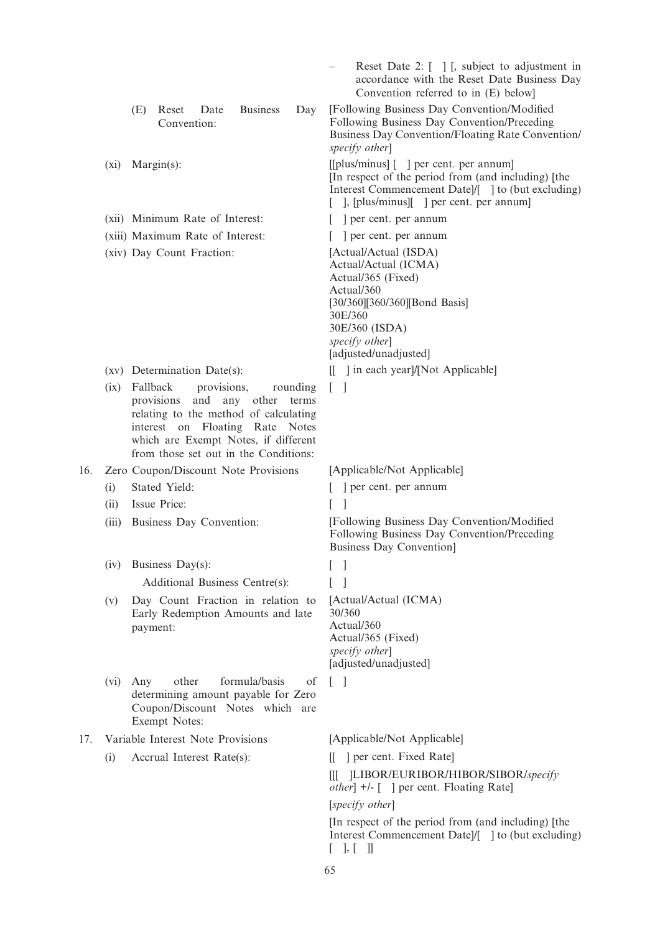|     |       |     |                                                                                                                                                                                                    |                 |                   |                       | Reset Date 2: $\lceil \ \rceil$ $\lceil$ , subject to adjustment in<br>accordance with the Reset Date Business Day<br>Convention referred to in (E) below]                                                                                        |  |
|-----|-------|-----|----------------------------------------------------------------------------------------------------------------------------------------------------------------------------------------------------|-----------------|-------------------|-----------------------|---------------------------------------------------------------------------------------------------------------------------------------------------------------------------------------------------------------------------------------------------|--|
|     |       | (E) | Reset<br>Date<br>Convention:                                                                                                                                                                       | <b>Business</b> | Day               |                       | [Following Business Day Convention/Modified]<br>Following Business Day Convention/Preceding<br>Business Day Convention/Floating Rate Convention/<br>specify other]                                                                                |  |
|     | (xi)  |     | $Margin(s)$ :                                                                                                                                                                                      |                 |                   |                       | [[plus/minus] [] per cent. per annum]<br>[In respect of the period from (and including) [the<br>Interest Commencement Date]/[ ] to (but excluding)<br>$\lceil \cdot \rceil$ , $\lceil \cdot \rceil$ , $\lceil \cdot \rceil$   per cent. per annum |  |
|     |       |     | (xii) Minimum Rate of Interest:                                                                                                                                                                    |                 |                   | ] per cent. per annum |                                                                                                                                                                                                                                                   |  |
|     |       |     | (xiii) Maximum Rate of Interest:                                                                                                                                                                   |                 |                   |                       | ] per cent. per annum                                                                                                                                                                                                                             |  |
|     |       |     | (xiv) Day Count Fraction:                                                                                                                                                                          |                 |                   | 30E/360               | [Actual/Actual (ISDA)<br>Actual/Actual (ICMA)<br>Actual/365 (Fixed)<br>Actual/360<br>[30/360][360/360][Bond Basis]<br>30E/360 (ISDA)<br>specify other]<br>[adjusted/unadjusted]                                                                   |  |
|     |       |     | (xv) Determination Date(s):                                                                                                                                                                        |                 |                   |                       | $\left  \begin{array}{c} \end{array} \right $ in each yearl/[Not Applicable]                                                                                                                                                                      |  |
|     | (ix)  |     | Fallback<br>provisions,<br>provisions<br>relating to the method of calculating<br>interest on Floating Rate Notes<br>which are Exempt Notes, if different<br>from those set out in the Conditions: | and any other   | rounding<br>terms | $\lceil$ 1            |                                                                                                                                                                                                                                                   |  |
| 16. |       |     | Zero Coupon/Discount Note Provisions                                                                                                                                                               |                 |                   |                       | [Applicable/Not Applicable]                                                                                                                                                                                                                       |  |
|     | (i)   |     | Stated Yield:                                                                                                                                                                                      |                 |                   |                       | er cent. per annum                                                                                                                                                                                                                                |  |
|     | (ii)  |     | Issue Price:                                                                                                                                                                                       |                 |                   | L                     |                                                                                                                                                                                                                                                   |  |
|     | (iii) |     | Business Day Convention:                                                                                                                                                                           |                 |                   |                       | [Following Business Day Convention/Modified<br>Following Business Day Convention/Preceding<br><b>Business Day Convention]</b>                                                                                                                     |  |
|     | (iv)  |     | Business Day(s):                                                                                                                                                                                   |                 |                   |                       |                                                                                                                                                                                                                                                   |  |
|     |       |     | Additional Business Centre(s):                                                                                                                                                                     |                 |                   |                       |                                                                                                                                                                                                                                                   |  |
|     | (v)   |     | Day Count Fraction in relation to<br>Early Redemption Amounts and late<br>payment:                                                                                                                 |                 |                   | 30/360                | [Actual/Actual (ICMA)<br>Actual/360<br>Actual/365 (Fixed)<br>specify other]<br>[adjusted/unadjusted]                                                                                                                                              |  |
|     | (vi)  | Any | other<br>determining amount payable for Zero<br>Coupon/Discount Notes which are<br>Exempt Notes:                                                                                                   | formula/basis   | οf                | $\lceil$ 1            |                                                                                                                                                                                                                                                   |  |
| 17. |       |     | Variable Interest Note Provisions                                                                                                                                                                  |                 |                   |                       | [Applicable/Not Applicable]                                                                                                                                                                                                                       |  |
|     | (i)   |     | Accrual Interest Rate(s):                                                                                                                                                                          |                 |                   | Ш.                    | ] per cent. Fixed Rate]                                                                                                                                                                                                                           |  |
|     |       |     |                                                                                                                                                                                                    |                 |                   | Ш                     | ]LIBOR/EURIBOR/HIBOR/SIBOR/specify<br><i>other</i> ] +/- [ ] per cent. Floating Rate]                                                                                                                                                             |  |
|     |       |     |                                                                                                                                                                                                    |                 |                   |                       | [specify other]<br>$\pi$ respect of the period from (and including) $\pi$                                                                                                                                                                         |  |
|     |       |     |                                                                                                                                                                                                    |                 |                   |                       |                                                                                                                                                                                                                                                   |  |

[In respect of the period from (and including) [the Interest Commencement Date]/[ ] to (but excluding)  $[\quad],\,[\quad]$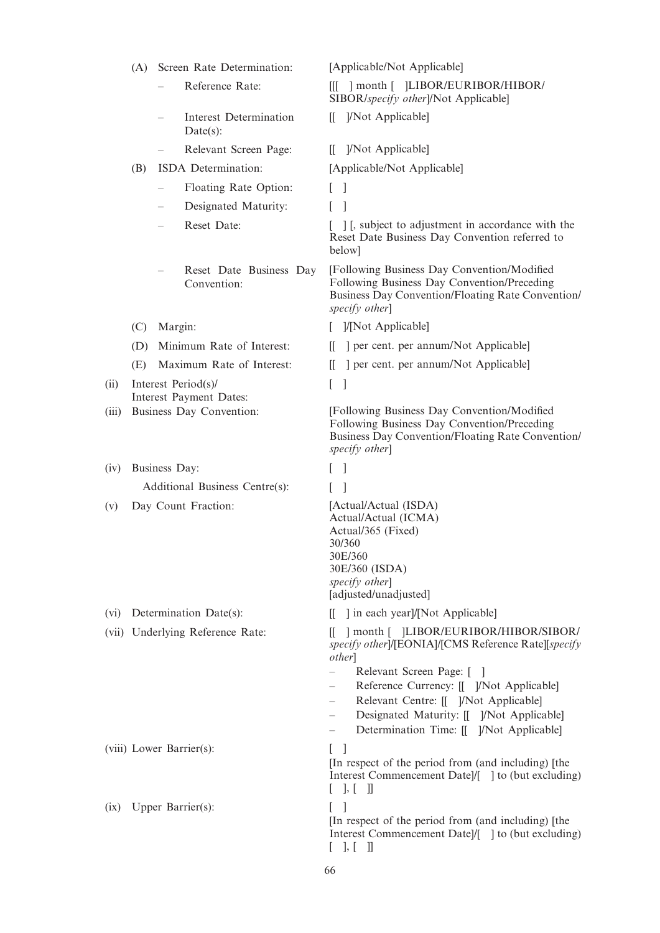|       | (A)                                                 | Screen Rate Determination: |                                        | [Applicable/Not Applicable]                                                                                                                                                                                                                                                                                                   |  |  |
|-------|-----------------------------------------------------|----------------------------|----------------------------------------|-------------------------------------------------------------------------------------------------------------------------------------------------------------------------------------------------------------------------------------------------------------------------------------------------------------------------------|--|--|
|       |                                                     |                            | Reference Rate:                        | ] month [ ]LIBOR/EURIBOR/HIBOR/<br>Ш<br>SIBOR/specify other]/Not Applicable]                                                                                                                                                                                                                                                  |  |  |
|       |                                                     |                            | Interest Determination<br>Date(s):     | ]/Not Applicable]<br>Ш.                                                                                                                                                                                                                                                                                                       |  |  |
|       |                                                     |                            | Relevant Screen Page:                  | ]/Not Applicable]<br>Ш.                                                                                                                                                                                                                                                                                                       |  |  |
|       | (B)                                                 |                            | ISDA Determination:                    | [Applicable/Not Applicable]                                                                                                                                                                                                                                                                                                   |  |  |
|       |                                                     |                            | Floating Rate Option:                  | $\Box$                                                                                                                                                                                                                                                                                                                        |  |  |
|       |                                                     |                            | Designated Maturity:                   |                                                                                                                                                                                                                                                                                                                               |  |  |
|       |                                                     |                            | Reset Date:                            | [ ] [, subject to adjustment in accordance with the<br>Reset Date Business Day Convention referred to<br>below]                                                                                                                                                                                                               |  |  |
|       |                                                     |                            | Reset Date Business Day<br>Convention: | [Following Business Day Convention/Modified<br>Following Business Day Convention/Preceding<br>Business Day Convention/Floating Rate Convention/<br>specify other]                                                                                                                                                             |  |  |
|       | (C)                                                 | Margin:                    |                                        | /[Not Applicable]                                                                                                                                                                                                                                                                                                             |  |  |
|       | (D)                                                 |                            | Minimum Rate of Interest:              | ] per cent. per annum/Not Applicable]<br>Ш.                                                                                                                                                                                                                                                                                   |  |  |
|       | (E)                                                 |                            | Maximum Rate of Interest:              | ] per cent. per annum/Not Applicable]<br>IL.                                                                                                                                                                                                                                                                                  |  |  |
| (ii)  |                                                     |                            | Interest Period(s)/                    | $[\quad]$                                                                                                                                                                                                                                                                                                                     |  |  |
| (iii) | Interest Payment Dates:<br>Business Day Convention: |                            |                                        | [Following Business Day Convention/Modified<br>Following Business Day Convention/Preceding<br>Business Day Convention/Floating Rate Convention/<br>specify other]                                                                                                                                                             |  |  |
| (iv)  |                                                     | Business Day:              |                                        | $\overline{\phantom{a}}$                                                                                                                                                                                                                                                                                                      |  |  |
|       |                                                     |                            | Additional Business Centre(s):         |                                                                                                                                                                                                                                                                                                                               |  |  |
| (v)   | Day Count Fraction:                                 |                            |                                        | [Actual/Actual (ISDA)<br>Actual/Actual (ICMA)<br>Actual/365 (Fixed)<br>30/360<br>30E/360<br>30E/360 (ISDA)<br>specify other]<br>[adjusted/unadjusted]                                                                                                                                                                         |  |  |
| (vi)  |                                                     |                            | Determination Date(s):                 | 1 in each yearl/[Not Applicable]<br>Ш.                                                                                                                                                                                                                                                                                        |  |  |
|       |                                                     |                            | (vii) Underlying Reference Rate:       | ] month [ ]LIBOR/EURIBOR/HIBOR/SIBOR/<br>specify other]/[EONIA]/[CMS Reference Rate][specify<br><i>other</i> ]<br>Relevant Screen Page: []<br>Reference Currency: [[ ]/Not Applicable]<br>Relevant Centre: [[ ]/Not Applicable]<br>—<br>Designated Maturity: [[ ]/Not Applicable]<br>Determination Time: [[ ]/Not Applicable] |  |  |
|       |                                                     |                            | (viii) Lower Barrier(s):               | $\mathbf{I}$<br>L<br>[In respect of the period from (and including) [the<br>Interest Commencement Date]/[ ] to (but excluding)<br>[ , [ , [ ] ]                                                                                                                                                                               |  |  |
| (ix)  |                                                     |                            | Upper Barrier(s):                      | L<br>[In respect of the period from (and including) [the<br>Interest Commencement Date]/[ ] to (but excluding)<br>$[ \quad ], [ \quad ]]$                                                                                                                                                                                     |  |  |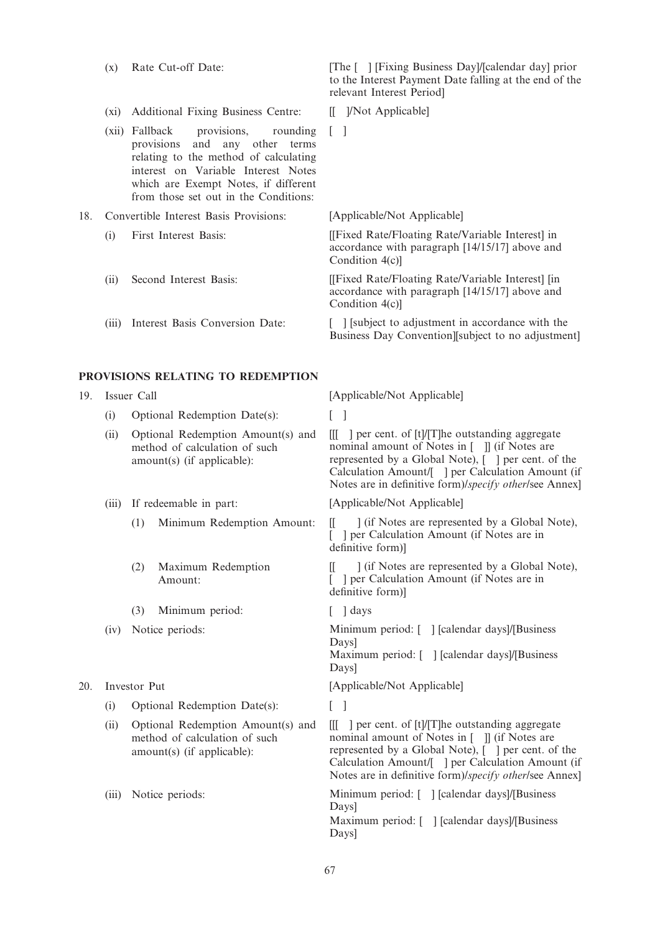- 
- (xi) Additional Fixing Business Centre: [[ ]/Not Applicable]
- (xii) Fallback provisions, rounding provisions and any other terms relating to the method of calculating interest on Variable Interest Notes which are Exempt Notes, if different from those set out in the Conditions:
- 18. Convertible Interest Basis Provisions: [Applicable/Not Applicable]
	-
	-
	-

#### PROVISIONS RELATING TO REDEMPTION

- - (i) Optional Redemption Date(s): [ ]
	- (ii) Optional Redemption Amount(s) and method of calculation of such amount(s) (if applicable):
	- -
		- (2) Maximum Redemption Amount:
		- (3) Minimum period: [ ] days
	-
- - (i) Optional Redemption Date(s):  $\lceil \cdot \rceil$
	- (ii) Optional Redemption Amount(s) and method of calculation of such amount(s) (if applicable):
	-

(x) Rate Cut-off Date: [The [ ] [Fixing Business Day]/[calendar day] prior to the Interest Payment Date falling at the end of the relevant Interest Period]

- 
- $\lceil$   $\rceil$
- 

(i) First Interest Basis: [[Fixed Rate/Floating Rate/Variable Interest] in accordance with paragraph [14/15/17] above and Condition 4(c)]

(ii) Second Interest Basis: [[Fixed Rate/Floating Rate/Variable Interest] [in accordance with paragraph [14/15/17] above and Condition 4(c)]

(iii) Interest Basis Conversion Date: [ ] [subject to adjustment in accordance with the Business Day Convention Isubject to no adjustment

19. Issuer Call [Applicable/Not Applicable]

 $[$ [ $]$  ] per cent. of  $[t]/[T]$ he outstanding aggregate nominal amount of Notes in [ ]] (if Notes are represented by a Global Note), [ ] per cent. of the Calculation Amount/[ ] per Calculation Amount (if Notes are in definitive form)/specify other/see Annex]

(iii) If redeemable in part: [Applicable/Not Applicable]

(1) Minimum Redemption Amount: [[ ] (if Notes are represented by a Global Note), [ ] per Calculation Amount (if Notes are in definitive form)]

> [[ ] (if Notes are represented by a Global Note), [ ] per Calculation Amount (if Notes are in definitive form)]

(iv) Notice periods: Minimum period: [ ] [calendar days]/[Business Days]

Maximum period: [ ] [calendar days]/[Business Days]

20. Investor Put [Applicable/Not Applicable]

[[[ ] per cent. of [t]/[T]he outstanding aggregate nominal amount of Notes in [ ]] (if Notes are represented by a Global Note), [ ] per cent. of the Calculation Amount/[ ] per Calculation Amount (if Notes are in definitive form)/specify other/see Annex]

(iii) Notice periods: Minimum period: [ ] [calendar days]/[Business Days] Maximum period: [ ] [calendar days]/[Business] Days]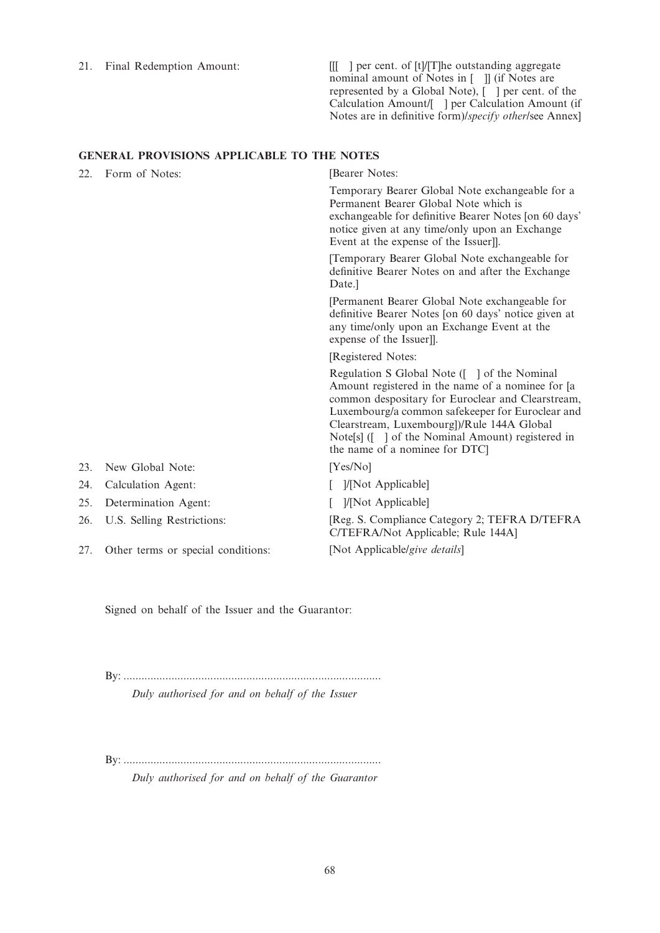21. Final Redemption Amount: [[[ ] per cent. of [t]/[T]he outstanding aggregate nominal amount of Notes in [ ]] (if Notes are represented by a Global Note), [ ] per cent. of the Calculation Amount/[ ] per Calculation Amount (if Notes are in definitive form)/specify other/see Annex]

# GENERAL PROVISIONS APPLICABLE TO THE NOTES

| 22. | Form of Notes:                     | [Bearer Notes:                                                                                                                                                                                                                                                                                                                                  |
|-----|------------------------------------|-------------------------------------------------------------------------------------------------------------------------------------------------------------------------------------------------------------------------------------------------------------------------------------------------------------------------------------------------|
|     |                                    | Temporary Bearer Global Note exchangeable for a<br>Permanent Bearer Global Note which is<br>exchangeable for definitive Bearer Notes [on 60 days'<br>notice given at any time/only upon an Exchange<br>Event at the expense of the Issuer]].                                                                                                    |
|     |                                    | [Temporary Bearer Global Note exchangeable for<br>definitive Bearer Notes on and after the Exchange<br>Date.]                                                                                                                                                                                                                                   |
|     |                                    | [Permanent Bearer Global Note exchangeable for<br>definitive Bearer Notes [on 60 days' notice given at<br>any time/only upon an Exchange Event at the<br>expense of the Issuer].                                                                                                                                                                |
|     |                                    | [Registered Notes:                                                                                                                                                                                                                                                                                                                              |
|     |                                    | Regulation S Global Note ([ ] of the Nominal<br>Amount registered in the name of a nominee for [a]<br>common despositary for Euroclear and Clearstream,<br>Luxembourg/a common safekeeper for Euroclear and<br>Clearstream, Luxembourg])/Rule 144A Global<br>Note[s] ([ ] of the Nominal Amount) registered in<br>the name of a nominee for DTC |
| 23. | New Global Note:                   | [Yes/No]                                                                                                                                                                                                                                                                                                                                        |
| 24. | Calculation Agent:                 | ]/[Not Applicable]                                                                                                                                                                                                                                                                                                                              |
| 25. | Determination Agent:               | ]/[Not Applicable]                                                                                                                                                                                                                                                                                                                              |
| 26. | U.S. Selling Restrictions:         | [Reg. S. Compliance Category 2; TEFRA D/TEFRA<br>C/TEFRA/Not Applicable; Rule 144A]                                                                                                                                                                                                                                                             |
| 27. | Other terms or special conditions: | [Not Applicable/give details]                                                                                                                                                                                                                                                                                                                   |

Signed on behalf of the Issuer and the Guarantor:

By: ...................................................................................... Duly authorised for and on behalf of the Issuer

By: ......................................................................................

Duly authorised for and on behalf of the Guarantor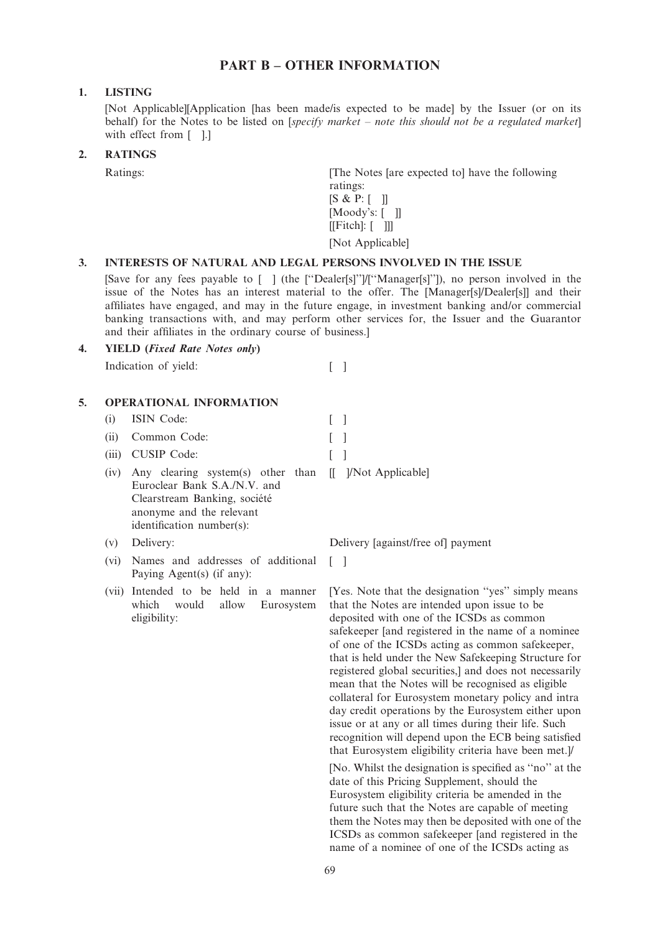# PART B – OTHER INFORMATION

# 1. LISTING

[Not Applicable][Application [has been made/is expected to be made] by the Issuer (or on its behalf) for the Notes to be listed on [*specify market – note this should not be a regulated market*] with effect from [ ].]

# 2. RATINGS

Ratings: [The Notes [are expected to] have the following ratings:  $[S & P: [$  ]]  $[Moody's: [$  ]]  $[[Fitch]: [ ] ]]$ [Not Applicable]

# 3. INTERESTS OF NATURAL AND LEGAL PERSONS INVOLVED IN THE ISSUE

[Save for any fees payable to [ ] (the [''Dealer[s]'']/[''Manager[s]'']), no person involved in the issue of the Notes has an interest material to the offer. The [Manager[s]/Dealer[s]] and their affiliates have engaged, and may in the future engage, in investment banking and/or commercial banking transactions with, and may perform other services for, the Issuer and the Guarantor and their affiliates in the ordinary course of business.]

| 4. YIELD ( <i>Fixed Rate Notes only</i> ) |  |
|-------------------------------------------|--|
| Indication of yield:                      |  |

## 5. OPERATIONAL INFORMATION

(i) ISIN Code: [ ] (ii) Common Code: [ ] (iii) CUSIP Code: (iv) Any clearing system(s) other than [[ ]/Not Applicable] Euroclear Bank S.A./N.V. and Clearstream Banking, société anonyme and the relevant

(vi) Names and addresses of additional Paying Agent(s) (if any):

identification number(s):

(vii) Intended to be held in a manner which would allow Eurosystem eligibility:

(v) Delivery: Delivery [against/free of] payment

 $\lceil$   $\rceil$ 

[Yes. Note that the designation ''yes'' simply means that the Notes are intended upon issue to be deposited with one of the ICSDs as common safekeeper [and registered in the name of a nominee of one of the ICSDs acting as common safekeeper, that is held under the New Safekeeping Structure for registered global securities,] and does not necessarily mean that the Notes will be recognised as eligible collateral for Eurosystem monetary policy and intra day credit operations by the Eurosystem either upon issue or at any or all times during their life. Such recognition will depend upon the ECB being satisfied that Eurosystem eligibility criteria have been met.]/

[No. Whilst the designation is specified as ''no'' at the date of this Pricing Supplement, should the Eurosystem eligibility criteria be amended in the future such that the Notes are capable of meeting them the Notes may then be deposited with one of the ICSDs as common safekeeper [and registered in the name of a nominee of one of the ICSDs acting as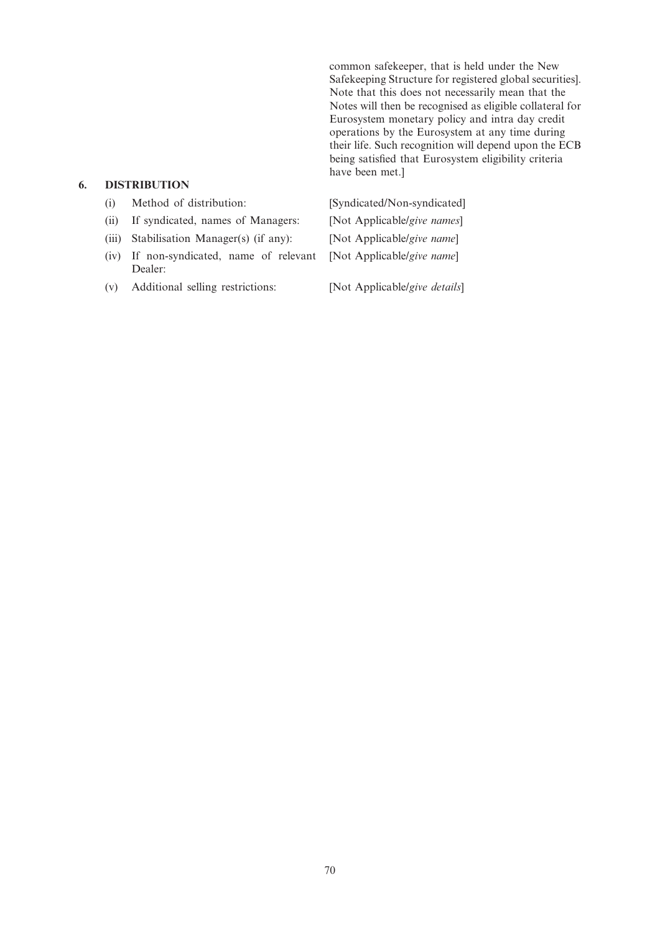common safekeeper, that is held under the New Safekeeping Structure for registered global securities]. Note that this does not necessarily mean that the Notes will then be recognised as eligible collateral for Eurosystem monetary policy and intra day credit operations by the Eurosystem at any time during their life. Such recognition will depend upon the ECB being satisfied that Eurosystem eligibility criteria have been met.]

# 6. DISTRIBUTION

| (i)   | Method of distribution:                        | [Syndicated/Non-syndicated]   |
|-------|------------------------------------------------|-------------------------------|
| (ii)  | If syndicated, names of Managers:              | [Not Applicable/give names]   |
| (iii) | Stabilisation Manager(s) (if any):             | [Not Applicable/give name]    |
| (iv)  | If non-syndicated, name of relevant<br>Dealer: | [Not Applicable/give name]    |
| (v)   | Additional selling restrictions:               | [Not Applicable/give details] |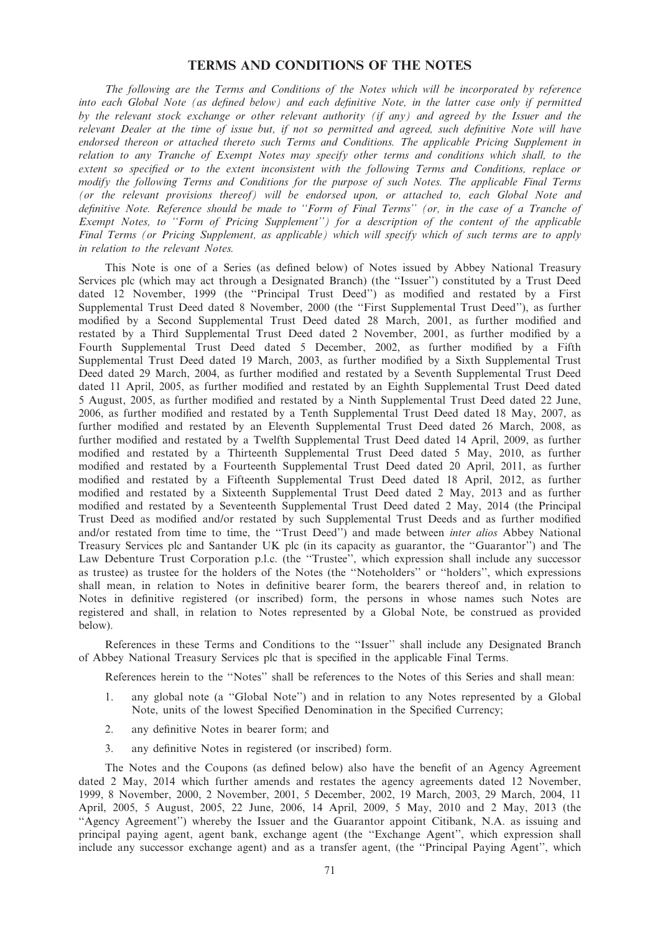# TERMS AND CONDITIONS OF THE NOTES

The following are the Terms and Conditions of the Notes which will be incorporated by reference into each Global Note (as defined below) and each definitive Note, in the latter case only if permitted by the relevant stock exchange or other relevant authority (if any) and agreed by the Issuer and the relevant Dealer at the time of issue but, if not so permitted and agreed, such definitive Note will have endorsed thereon or attached thereto such Terms and Conditions. The applicable Pricing Supplement in relation to any Tranche of Exempt Notes may specify other terms and conditions which shall, to the extent so specified or to the extent inconsistent with the following Terms and Conditions, replace or modify the following Terms and Conditions for the purpose of such Notes. The applicable Final Terms (or the relevant provisions thereof) will be endorsed upon, or attached to, each Global Note and definitive Note. Reference should be made to ''Form of Final Terms'' (or, in the case of a Tranche of Exempt Notes, to ''Form of Pricing Supplement'') for a description of the content of the applicable Final Terms (or Pricing Supplement, as applicable) which will specify which of such terms are to apply in relation to the relevant Notes.

This Note is one of a Series (as defined below) of Notes issued by Abbey National Treasury Services plc (which may act through a Designated Branch) (the ''Issuer'') constituted by a Trust Deed dated 12 November, 1999 (the ''Principal Trust Deed'') as modified and restated by a First Supplemental Trust Deed dated 8 November, 2000 (the ''First Supplemental Trust Deed''), as further modified by a Second Supplemental Trust Deed dated 28 March, 2001, as further modified and restated by a Third Supplemental Trust Deed dated 2 November, 2001, as further modified by a Fourth Supplemental Trust Deed dated 5 December, 2002, as further modified by a Fifth Supplemental Trust Deed dated 19 March, 2003, as further modified by a Sixth Supplemental Trust Deed dated 29 March, 2004, as further modified and restated by a Seventh Supplemental Trust Deed dated 11 April, 2005, as further modified and restated by an Eighth Supplemental Trust Deed dated 5 August, 2005, as further modified and restated by a Ninth Supplemental Trust Deed dated 22 June, 2006, as further modified and restated by a Tenth Supplemental Trust Deed dated 18 May, 2007, as further modified and restated by an Eleventh Supplemental Trust Deed dated 26 March, 2008, as further modified and restated by a Twelfth Supplemental Trust Deed dated 14 April, 2009, as further modified and restated by a Thirteenth Supplemental Trust Deed dated 5 May, 2010, as further modified and restated by a Fourteenth Supplemental Trust Deed dated 20 April, 2011, as further modified and restated by a Fifteenth Supplemental Trust Deed dated 18 April, 2012, as further modified and restated by a Sixteenth Supplemental Trust Deed dated 2 May, 2013 and as further modified and restated by a Seventeenth Supplemental Trust Deed dated 2 May, 2014 (the Principal Trust Deed as modified and/or restated by such Supplemental Trust Deeds and as further modified and/or restated from time to time, the ''Trust Deed'') and made between inter alios Abbey National Treasury Services plc and Santander UK plc (in its capacity as guarantor, the ''Guarantor'') and The Law Debenture Trust Corporation p.l.c. (the "Trustee", which expression shall include any successor as trustee) as trustee for the holders of the Notes (the ''Noteholders'' or ''holders'', which expressions shall mean, in relation to Notes in definitive bearer form, the bearers thereof and, in relation to Notes in definitive registered (or inscribed) form, the persons in whose names such Notes are registered and shall, in relation to Notes represented by a Global Note, be construed as provided below).

References in these Terms and Conditions to the ''Issuer'' shall include any Designated Branch of Abbey National Treasury Services plc that is specified in the applicable Final Terms.

References herein to the ''Notes'' shall be references to the Notes of this Series and shall mean:

- 1. any global note (a ''Global Note'') and in relation to any Notes represented by a Global Note, units of the lowest Specified Denomination in the Specified Currency;
- 2. any definitive Notes in bearer form; and
- 3. any definitive Notes in registered (or inscribed) form.

The Notes and the Coupons (as defined below) also have the benefit of an Agency Agreement dated 2 May, 2014 which further amends and restates the agency agreements dated 12 November, 1999, 8 November, 2000, 2 November, 2001, 5 December, 2002, 19 March, 2003, 29 March, 2004, 11 April, 2005, 5 August, 2005, 22 June, 2006, 14 April, 2009, 5 May, 2010 and 2 May, 2013 (the ''Agency Agreement'') whereby the Issuer and the Guarantor appoint Citibank, N.A. as issuing and principal paying agent, agent bank, exchange agent (the ''Exchange Agent'', which expression shall include any successor exchange agent) and as a transfer agent, (the ''Principal Paying Agent'', which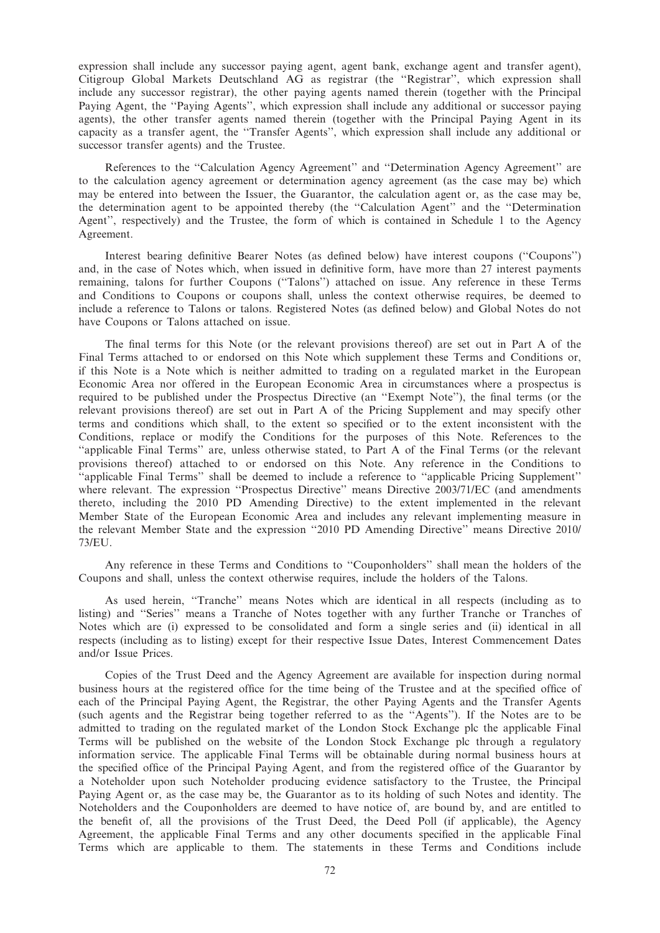expression shall include any successor paying agent, agent bank, exchange agent and transfer agent), Citigroup Global Markets Deutschland AG as registrar (the ''Registrar'', which expression shall include any successor registrar), the other paying agents named therein (together with the Principal Paying Agent, the ''Paying Agents'', which expression shall include any additional or successor paying agents), the other transfer agents named therein (together with the Principal Paying Agent in its capacity as a transfer agent, the ''Transfer Agents'', which expression shall include any additional or successor transfer agents) and the Trustee.

References to the ''Calculation Agency Agreement'' and ''Determination Agency Agreement'' are to the calculation agency agreement or determination agency agreement (as the case may be) which may be entered into between the Issuer, the Guarantor, the calculation agent or, as the case may be, the determination agent to be appointed thereby (the ''Calculation Agent'' and the ''Determination Agent'', respectively) and the Trustee, the form of which is contained in Schedule 1 to the Agency Agreement.

Interest bearing definitive Bearer Notes (as defined below) have interest coupons (''Coupons'') and, in the case of Notes which, when issued in definitive form, have more than 27 interest payments remaining, talons for further Coupons (''Talons'') attached on issue. Any reference in these Terms and Conditions to Coupons or coupons shall, unless the context otherwise requires, be deemed to include a reference to Talons or talons. Registered Notes (as defined below) and Global Notes do not have Coupons or Talons attached on issue.

The final terms for this Note (or the relevant provisions thereof) are set out in Part A of the Final Terms attached to or endorsed on this Note which supplement these Terms and Conditions or, if this Note is a Note which is neither admitted to trading on a regulated market in the European Economic Area nor offered in the European Economic Area in circumstances where a prospectus is required to be published under the Prospectus Directive (an ''Exempt Note''), the final terms (or the relevant provisions thereof) are set out in Part A of the Pricing Supplement and may specify other terms and conditions which shall, to the extent so specified or to the extent inconsistent with the Conditions, replace or modify the Conditions for the purposes of this Note. References to the ''applicable Final Terms'' are, unless otherwise stated, to Part A of the Final Terms (or the relevant provisions thereof) attached to or endorsed on this Note. Any reference in the Conditions to ''applicable Final Terms'' shall be deemed to include a reference to ''applicable Pricing Supplement'' where relevant. The expression "Prospectus Directive" means Directive 2003/71/EC (and amendments thereto, including the 2010 PD Amending Directive) to the extent implemented in the relevant Member State of the European Economic Area and includes any relevant implementing measure in the relevant Member State and the expression ''2010 PD Amending Directive'' means Directive 2010/ 73/EU.

Any reference in these Terms and Conditions to ''Couponholders'' shall mean the holders of the Coupons and shall, unless the context otherwise requires, include the holders of the Talons.

As used herein, ''Tranche'' means Notes which are identical in all respects (including as to listing) and ''Series'' means a Tranche of Notes together with any further Tranche or Tranches of Notes which are (i) expressed to be consolidated and form a single series and (ii) identical in all respects (including as to listing) except for their respective Issue Dates, Interest Commencement Dates and/or Issue Prices.

Copies of the Trust Deed and the Agency Agreement are available for inspection during normal business hours at the registered office for the time being of the Trustee and at the specified office of each of the Principal Paying Agent, the Registrar, the other Paying Agents and the Transfer Agents (such agents and the Registrar being together referred to as the ''Agents''). If the Notes are to be admitted to trading on the regulated market of the London Stock Exchange plc the applicable Final Terms will be published on the website of the London Stock Exchange plc through a regulatory information service. The applicable Final Terms will be obtainable during normal business hours at the specified office of the Principal Paying Agent, and from the registered office of the Guarantor by a Noteholder upon such Noteholder producing evidence satisfactory to the Trustee, the Principal Paying Agent or, as the case may be, the Guarantor as to its holding of such Notes and identity. The Noteholders and the Couponholders are deemed to have notice of, are bound by, and are entitled to the benefit of, all the provisions of the Trust Deed, the Deed Poll (if applicable), the Agency Agreement, the applicable Final Terms and any other documents specified in the applicable Final Terms which are applicable to them. The statements in these Terms and Conditions include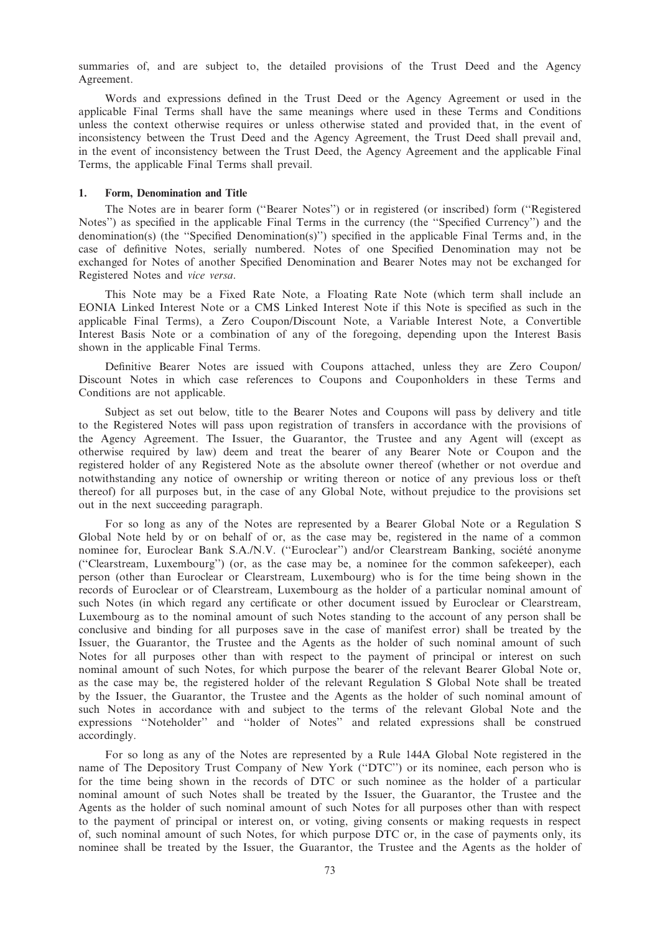summaries of, and are subject to, the detailed provisions of the Trust Deed and the Agency Agreement.

Words and expressions defined in the Trust Deed or the Agency Agreement or used in the applicable Final Terms shall have the same meanings where used in these Terms and Conditions unless the context otherwise requires or unless otherwise stated and provided that, in the event of inconsistency between the Trust Deed and the Agency Agreement, the Trust Deed shall prevail and, in the event of inconsistency between the Trust Deed, the Agency Agreement and the applicable Final Terms, the applicable Final Terms shall prevail.

#### 1. Form, Denomination and Title

The Notes are in bearer form (''Bearer Notes'') or in registered (or inscribed) form (''Registered Notes'') as specified in the applicable Final Terms in the currency (the ''Specified Currency'') and the denomination(s) (the ''Specified Denomination(s)'') specified in the applicable Final Terms and, in the case of definitive Notes, serially numbered. Notes of one Specified Denomination may not be exchanged for Notes of another Specified Denomination and Bearer Notes may not be exchanged for Registered Notes and vice versa.

This Note may be a Fixed Rate Note, a Floating Rate Note (which term shall include an EONIA Linked Interest Note or a CMS Linked Interest Note if this Note is specified as such in the applicable Final Terms), a Zero Coupon/Discount Note, a Variable Interest Note, a Convertible Interest Basis Note or a combination of any of the foregoing, depending upon the Interest Basis shown in the applicable Final Terms.

Definitive Bearer Notes are issued with Coupons attached, unless they are Zero Coupon/ Discount Notes in which case references to Coupons and Couponholders in these Terms and Conditions are not applicable.

Subject as set out below, title to the Bearer Notes and Coupons will pass by delivery and title to the Registered Notes will pass upon registration of transfers in accordance with the provisions of the Agency Agreement. The Issuer, the Guarantor, the Trustee and any Agent will (except as otherwise required by law) deem and treat the bearer of any Bearer Note or Coupon and the registered holder of any Registered Note as the absolute owner thereof (whether or not overdue and notwithstanding any notice of ownership or writing thereon or notice of any previous loss or theft thereof) for all purposes but, in the case of any Global Note, without prejudice to the provisions set out in the next succeeding paragraph.

For so long as any of the Notes are represented by a Bearer Global Note or a Regulation S Global Note held by or on behalf of or, as the case may be, registered in the name of a common nominee for, Euroclear Bank S.A./N.V. ("Euroclear") and/or Clearstream Banking, société anonyme (''Clearstream, Luxembourg'') (or, as the case may be, a nominee for the common safekeeper), each person (other than Euroclear or Clearstream, Luxembourg) who is for the time being shown in the records of Euroclear or of Clearstream, Luxembourg as the holder of a particular nominal amount of such Notes (in which regard any certificate or other document issued by Euroclear or Clearstream, Luxembourg as to the nominal amount of such Notes standing to the account of any person shall be conclusive and binding for all purposes save in the case of manifest error) shall be treated by the Issuer, the Guarantor, the Trustee and the Agents as the holder of such nominal amount of such Notes for all purposes other than with respect to the payment of principal or interest on such nominal amount of such Notes, for which purpose the bearer of the relevant Bearer Global Note or, as the case may be, the registered holder of the relevant Regulation S Global Note shall be treated by the Issuer, the Guarantor, the Trustee and the Agents as the holder of such nominal amount of such Notes in accordance with and subject to the terms of the relevant Global Note and the expressions ''Noteholder'' and ''holder of Notes'' and related expressions shall be construed accordingly.

For so long as any of the Notes are represented by a Rule 144A Global Note registered in the name of The Depository Trust Company of New York (''DTC'') or its nominee, each person who is for the time being shown in the records of DTC or such nominee as the holder of a particular nominal amount of such Notes shall be treated by the Issuer, the Guarantor, the Trustee and the Agents as the holder of such nominal amount of such Notes for all purposes other than with respect to the payment of principal or interest on, or voting, giving consents or making requests in respect of, such nominal amount of such Notes, for which purpose DTC or, in the case of payments only, its nominee shall be treated by the Issuer, the Guarantor, the Trustee and the Agents as the holder of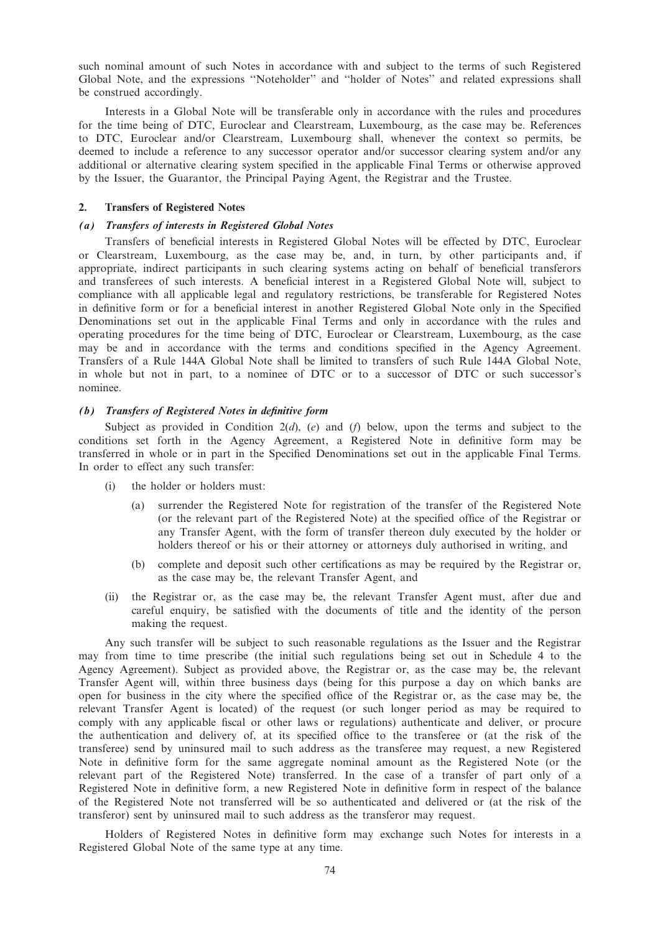such nominal amount of such Notes in accordance with and subject to the terms of such Registered Global Note, and the expressions ''Noteholder'' and ''holder of Notes'' and related expressions shall be construed accordingly.

Interests in a Global Note will be transferable only in accordance with the rules and procedures for the time being of DTC, Euroclear and Clearstream, Luxembourg, as the case may be. References to DTC, Euroclear and/or Clearstream, Luxembourg shall, whenever the context so permits, be deemed to include a reference to any successor operator and/or successor clearing system and/or any additional or alternative clearing system specified in the applicable Final Terms or otherwise approved by the Issuer, the Guarantor, the Principal Paying Agent, the Registrar and the Trustee.

## 2. Transfers of Registered Notes

## (a) Transfers of interests in Registered Global Notes

Transfers of beneficial interests in Registered Global Notes will be effected by DTC, Euroclear or Clearstream, Luxembourg, as the case may be, and, in turn, by other participants and, if appropriate, indirect participants in such clearing systems acting on behalf of beneficial transferors and transferees of such interests. A beneficial interest in a Registered Global Note will, subject to compliance with all applicable legal and regulatory restrictions, be transferable for Registered Notes in definitive form or for a beneficial interest in another Registered Global Note only in the Specified Denominations set out in the applicable Final Terms and only in accordance with the rules and operating procedures for the time being of DTC, Euroclear or Clearstream, Luxembourg, as the case may be and in accordance with the terms and conditions specified in the Agency Agreement. Transfers of a Rule 144A Global Note shall be limited to transfers of such Rule 144A Global Note, in whole but not in part, to a nominee of DTC or to a successor of DTC or such successor's nominee.

## (b) Transfers of Registered Notes in definitive form

Subject as provided in Condition  $2(d)$ ,  $(e)$  and  $(f)$  below, upon the terms and subject to the conditions set forth in the Agency Agreement, a Registered Note in definitive form may be transferred in whole or in part in the Specified Denominations set out in the applicable Final Terms. In order to effect any such transfer:

- (i) the holder or holders must:
	- (a) surrender the Registered Note for registration of the transfer of the Registered Note (or the relevant part of the Registered Note) at the specified office of the Registrar or any Transfer Agent, with the form of transfer thereon duly executed by the holder or holders thereof or his or their attorney or attorneys duly authorised in writing, and
	- (b) complete and deposit such other certifications as may be required by the Registrar or, as the case may be, the relevant Transfer Agent, and
- (ii) the Registrar or, as the case may be, the relevant Transfer Agent must, after due and careful enquiry, be satisfied with the documents of title and the identity of the person making the request.

Any such transfer will be subject to such reasonable regulations as the Issuer and the Registrar may from time to time prescribe (the initial such regulations being set out in Schedule 4 to the Agency Agreement). Subject as provided above, the Registrar or, as the case may be, the relevant Transfer Agent will, within three business days (being for this purpose a day on which banks are open for business in the city where the specified office of the Registrar or, as the case may be, the relevant Transfer Agent is located) of the request (or such longer period as may be required to comply with any applicable fiscal or other laws or regulations) authenticate and deliver, or procure the authentication and delivery of, at its specified office to the transferee or (at the risk of the transferee) send by uninsured mail to such address as the transferee may request, a new Registered Note in definitive form for the same aggregate nominal amount as the Registered Note (or the relevant part of the Registered Note) transferred. In the case of a transfer of part only of a Registered Note in definitive form, a new Registered Note in definitive form in respect of the balance of the Registered Note not transferred will be so authenticated and delivered or (at the risk of the transferor) sent by uninsured mail to such address as the transferor may request.

Holders of Registered Notes in definitive form may exchange such Notes for interests in a Registered Global Note of the same type at any time.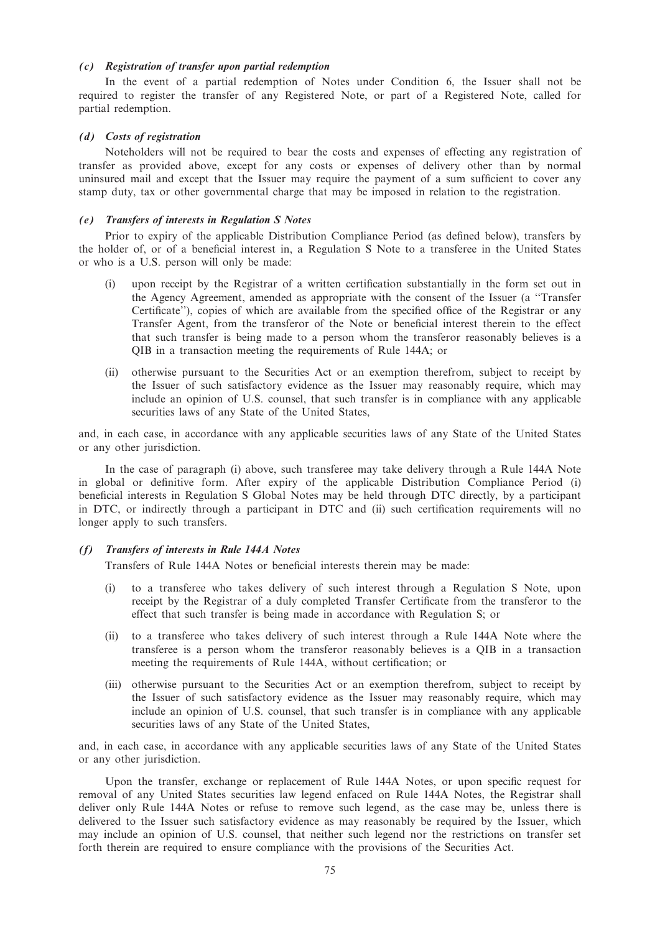# (c) Registration of transfer upon partial redemption

In the event of a partial redemption of Notes under Condition 6, the Issuer shall not be required to register the transfer of any Registered Note, or part of a Registered Note, called for partial redemption.

#### (d) Costs of registration

Noteholders will not be required to bear the costs and expenses of effecting any registration of transfer as provided above, except for any costs or expenses of delivery other than by normal uninsured mail and except that the Issuer may require the payment of a sum sufficient to cover any stamp duty, tax or other governmental charge that may be imposed in relation to the registration.

#### (e) Transfers of interests in Regulation S Notes

Prior to expiry of the applicable Distribution Compliance Period (as defined below), transfers by the holder of, or of a beneficial interest in, a Regulation S Note to a transferee in the United States or who is a U.S. person will only be made:

- (i) upon receipt by the Registrar of a written certification substantially in the form set out in the Agency Agreement, amended as appropriate with the consent of the Issuer (a ''Transfer Certificate''), copies of which are available from the specified office of the Registrar or any Transfer Agent, from the transferor of the Note or beneficial interest therein to the effect that such transfer is being made to a person whom the transferor reasonably believes is a QIB in a transaction meeting the requirements of Rule 144A; or
- (ii) otherwise pursuant to the Securities Act or an exemption therefrom, subject to receipt by the Issuer of such satisfactory evidence as the Issuer may reasonably require, which may include an opinion of U.S. counsel, that such transfer is in compliance with any applicable securities laws of any State of the United States,

and, in each case, in accordance with any applicable securities laws of any State of the United States or any other jurisdiction.

In the case of paragraph (i) above, such transferee may take delivery through a Rule 144A Note in global or definitive form. After expiry of the applicable Distribution Compliance Period (i) beneficial interests in Regulation S Global Notes may be held through DTC directly, by a participant in DTC, or indirectly through a participant in DTC and (ii) such certification requirements will no longer apply to such transfers.

#### (f) Transfers of interests in Rule 144A Notes

Transfers of Rule 144A Notes or beneficial interests therein may be made:

- (i) to a transferee who takes delivery of such interest through a Regulation S Note, upon receipt by the Registrar of a duly completed Transfer Certificate from the transferor to the effect that such transfer is being made in accordance with Regulation S; or
- (ii) to a transferee who takes delivery of such interest through a Rule 144A Note where the transferee is a person whom the transferor reasonably believes is a QIB in a transaction meeting the requirements of Rule 144A, without certification; or
- (iii) otherwise pursuant to the Securities Act or an exemption therefrom, subject to receipt by the Issuer of such satisfactory evidence as the Issuer may reasonably require, which may include an opinion of U.S. counsel, that such transfer is in compliance with any applicable securities laws of any State of the United States,

and, in each case, in accordance with any applicable securities laws of any State of the United States or any other jurisdiction.

Upon the transfer, exchange or replacement of Rule 144A Notes, or upon specific request for removal of any United States securities law legend enfaced on Rule 144A Notes, the Registrar shall deliver only Rule 144A Notes or refuse to remove such legend, as the case may be, unless there is delivered to the Issuer such satisfactory evidence as may reasonably be required by the Issuer, which may include an opinion of U.S. counsel, that neither such legend nor the restrictions on transfer set forth therein are required to ensure compliance with the provisions of the Securities Act.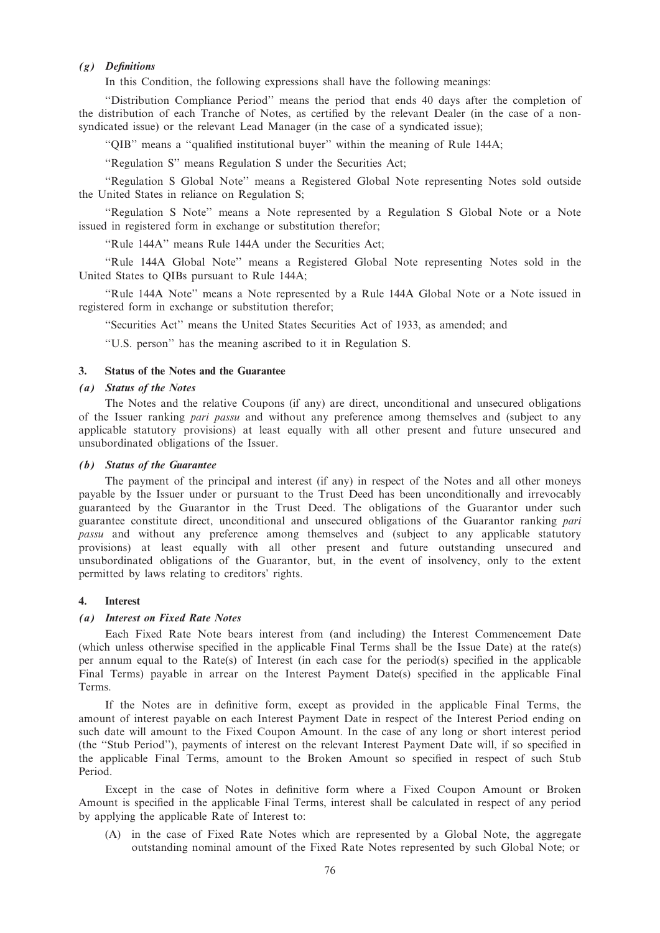# (g) Definitions

In this Condition, the following expressions shall have the following meanings:

''Distribution Compliance Period'' means the period that ends 40 days after the completion of the distribution of each Tranche of Notes, as certified by the relevant Dealer (in the case of a nonsyndicated issue) or the relevant Lead Manager (in the case of a syndicated issue);

''QIB'' means a ''qualified institutional buyer'' within the meaning of Rule 144A;

''Regulation S'' means Regulation S under the Securities Act;

''Regulation S Global Note'' means a Registered Global Note representing Notes sold outside the United States in reliance on Regulation S;

''Regulation S Note'' means a Note represented by a Regulation S Global Note or a Note issued in registered form in exchange or substitution therefor;

''Rule 144A'' means Rule 144A under the Securities Act;

''Rule 144A Global Note'' means a Registered Global Note representing Notes sold in the United States to QIBs pursuant to Rule 144A;

''Rule 144A Note'' means a Note represented by a Rule 144A Global Note or a Note issued in registered form in exchange or substitution therefor;

''Securities Act'' means the United States Securities Act of 1933, as amended; and

''U.S. person'' has the meaning ascribed to it in Regulation S.

# 3. Status of the Notes and the Guarantee

## (a) Status of the Notes

The Notes and the relative Coupons (if any) are direct, unconditional and unsecured obligations of the Issuer ranking *pari passu* and without any preference among themselves and (subject to any applicable statutory provisions) at least equally with all other present and future unsecured and unsubordinated obligations of the Issuer.

#### (b) Status of the Guarantee

The payment of the principal and interest (if any) in respect of the Notes and all other moneys payable by the Issuer under or pursuant to the Trust Deed has been unconditionally and irrevocably guaranteed by the Guarantor in the Trust Deed. The obligations of the Guarantor under such guarantee constitute direct, unconditional and unsecured obligations of the Guarantor ranking pari passu and without any preference among themselves and (subject to any applicable statutory provisions) at least equally with all other present and future outstanding unsecured and unsubordinated obligations of the Guarantor, but, in the event of insolvency, only to the extent permitted by laws relating to creditors' rights.

## 4. Interest

#### (a) Interest on Fixed Rate Notes

Each Fixed Rate Note bears interest from (and including) the Interest Commencement Date (which unless otherwise specified in the applicable Final Terms shall be the Issue Date) at the rate(s) per annum equal to the Rate(s) of Interest (in each case for the period(s) specified in the applicable Final Terms) payable in arrear on the Interest Payment Date(s) specified in the applicable Final Terms.

If the Notes are in definitive form, except as provided in the applicable Final Terms, the amount of interest payable on each Interest Payment Date in respect of the Interest Period ending on such date will amount to the Fixed Coupon Amount. In the case of any long or short interest period (the ''Stub Period''), payments of interest on the relevant Interest Payment Date will, if so specified in the applicable Final Terms, amount to the Broken Amount so specified in respect of such Stub Period.

Except in the case of Notes in definitive form where a Fixed Coupon Amount or Broken Amount is specified in the applicable Final Terms, interest shall be calculated in respect of any period by applying the applicable Rate of Interest to:

(A) in the case of Fixed Rate Notes which are represented by a Global Note, the aggregate outstanding nominal amount of the Fixed Rate Notes represented by such Global Note; or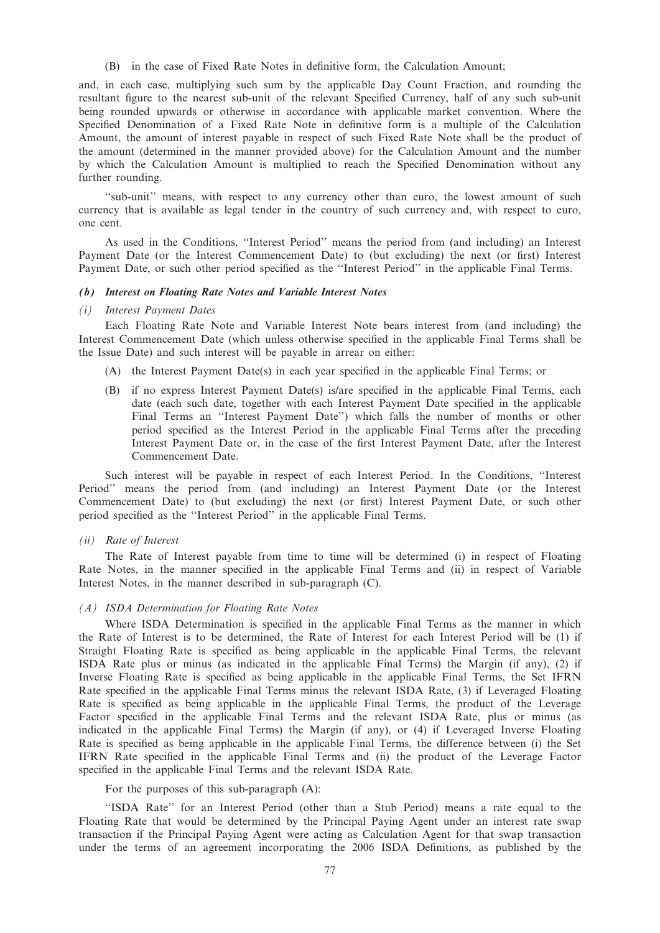(B) in the case of Fixed Rate Notes in definitive form, the Calculation Amount;

and, in each case, multiplying such sum by the applicable Day Count Fraction, and rounding the resultant figure to the nearest sub-unit of the relevant Specified Currency, half of any such sub-unit being rounded upwards or otherwise in accordance with applicable market convention. Where the Specified Denomination of a Fixed Rate Note in definitive form is a multiple of the Calculation Amount, the amount of interest payable in respect of such Fixed Rate Note shall be the product of the amount (determined in the manner provided above) for the Calculation Amount and the number by which the Calculation Amount is multiplied to reach the Specified Denomination without any further rounding.

"sub-unit" means, with respect to any currency other than euro, the lowest amount of such currency that is available as legal tender in the country of such currency and, with respect to euro, one cent.

As used in the Conditions, ''Interest Period'' means the period from (and including) an Interest Payment Date (or the Interest Commencement Date) to (but excluding) the next (or first) Interest Payment Date, or such other period specified as the ''Interest Period'' in the applicable Final Terms.

#### (b) Interest on Floating Rate Notes and Variable Interest Notes

# (i) Interest Payment Dates

Each Floating Rate Note and Variable Interest Note bears interest from (and including) the Interest Commencement Date (which unless otherwise specified in the applicable Final Terms shall be the Issue Date) and such interest will be payable in arrear on either:

- (A) the Interest Payment Date(s) in each year specified in the applicable Final Terms; or
- (B) if no express Interest Payment Date(s) is/are specified in the applicable Final Terms, each date (each such date, together with each Interest Payment Date specified in the applicable Final Terms an ''Interest Payment Date'') which falls the number of months or other period specified as the Interest Period in the applicable Final Terms after the preceding Interest Payment Date or, in the case of the first Interest Payment Date, after the Interest Commencement Date.

Such interest will be payable in respect of each Interest Period. In the Conditions, ''Interest Period'' means the period from (and including) an Interest Payment Date (or the Interest Commencement Date) to (but excluding) the next (or first) Interest Payment Date, or such other period specified as the ''Interest Period'' in the applicable Final Terms.

#### (ii) Rate of Interest

The Rate of Interest payable from time to time will be determined (i) in respect of Floating Rate Notes, in the manner specified in the applicable Final Terms and (ii) in respect of Variable Interest Notes, in the manner described in sub-paragraph (C).

#### (A) ISDA Determination for Floating Rate Notes

Where ISDA Determination is specified in the applicable Final Terms as the manner in which the Rate of Interest is to be determined, the Rate of Interest for each Interest Period will be (1) if Straight Floating Rate is specified as being applicable in the applicable Final Terms, the relevant ISDA Rate plus or minus (as indicated in the applicable Final Terms) the Margin (if any), (2) if Inverse Floating Rate is specified as being applicable in the applicable Final Terms, the Set IFRN Rate specified in the applicable Final Terms minus the relevant ISDA Rate, (3) if Leveraged Floating Rate is specified as being applicable in the applicable Final Terms, the product of the Leverage Factor specified in the applicable Final Terms and the relevant ISDA Rate, plus or minus (as indicated in the applicable Final Terms) the Margin (if any), or (4) if Leveraged Inverse Floating Rate is specified as being applicable in the applicable Final Terms, the difference between (i) the Set IFRN Rate specified in the applicable Final Terms and (ii) the product of the Leverage Factor specified in the applicable Final Terms and the relevant ISDA Rate.

For the purposes of this sub-paragraph (A):

''ISDA Rate'' for an Interest Period (other than a Stub Period) means a rate equal to the Floating Rate that would be determined by the Principal Paying Agent under an interest rate swap transaction if the Principal Paying Agent were acting as Calculation Agent for that swap transaction under the terms of an agreement incorporating the 2006 ISDA Definitions, as published by the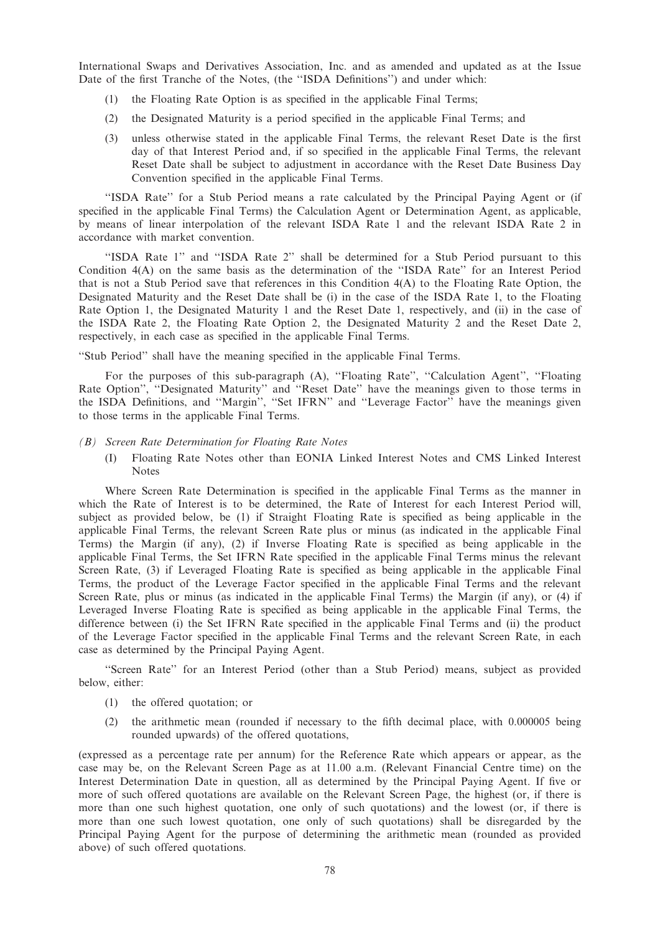International Swaps and Derivatives Association, Inc. and as amended and updated as at the Issue Date of the first Tranche of the Notes, (the ''ISDA Definitions'') and under which:

- (1) the Floating Rate Option is as specified in the applicable Final Terms;
- (2) the Designated Maturity is a period specified in the applicable Final Terms; and
- (3) unless otherwise stated in the applicable Final Terms, the relevant Reset Date is the first day of that Interest Period and, if so specified in the applicable Final Terms, the relevant Reset Date shall be subject to adjustment in accordance with the Reset Date Business Day Convention specified in the applicable Final Terms.

''ISDA Rate'' for a Stub Period means a rate calculated by the Principal Paying Agent or (if specified in the applicable Final Terms) the Calculation Agent or Determination Agent, as applicable, by means of linear interpolation of the relevant ISDA Rate 1 and the relevant ISDA Rate 2 in accordance with market convention.

''ISDA Rate 1'' and ''ISDA Rate 2'' shall be determined for a Stub Period pursuant to this Condition 4(A) on the same basis as the determination of the ''ISDA Rate'' for an Interest Period that is not a Stub Period save that references in this Condition 4(A) to the Floating Rate Option, the Designated Maturity and the Reset Date shall be (i) in the case of the ISDA Rate 1, to the Floating Rate Option 1, the Designated Maturity 1 and the Reset Date 1, respectively, and (ii) in the case of the ISDA Rate 2, the Floating Rate Option 2, the Designated Maturity 2 and the Reset Date 2, respectively, in each case as specified in the applicable Final Terms.

''Stub Period'' shall have the meaning specified in the applicable Final Terms.

For the purposes of this sub-paragraph (A), ''Floating Rate'', ''Calculation Agent'', ''Floating Rate Option", "Designated Maturity" and "Reset Date" have the meanings given to those terms in the ISDA Definitions, and ''Margin'', ''Set IFRN'' and ''Leverage Factor'' have the meanings given to those terms in the applicable Final Terms.

## (B) Screen Rate Determination for Floating Rate Notes

(I) Floating Rate Notes other than EONIA Linked Interest Notes and CMS Linked Interest Notes

Where Screen Rate Determination is specified in the applicable Final Terms as the manner in which the Rate of Interest is to be determined, the Rate of Interest for each Interest Period will, subject as provided below, be (1) if Straight Floating Rate is specified as being applicable in the applicable Final Terms, the relevant Screen Rate plus or minus (as indicated in the applicable Final Terms) the Margin (if any), (2) if Inverse Floating Rate is specified as being applicable in the applicable Final Terms, the Set IFRN Rate specified in the applicable Final Terms minus the relevant Screen Rate, (3) if Leveraged Floating Rate is specified as being applicable in the applicable Final Terms, the product of the Leverage Factor specified in the applicable Final Terms and the relevant Screen Rate, plus or minus (as indicated in the applicable Final Terms) the Margin (if any), or (4) if Leveraged Inverse Floating Rate is specified as being applicable in the applicable Final Terms, the difference between (i) the Set IFRN Rate specified in the applicable Final Terms and (ii) the product of the Leverage Factor specified in the applicable Final Terms and the relevant Screen Rate, in each case as determined by the Principal Paying Agent.

''Screen Rate'' for an Interest Period (other than a Stub Period) means, subject as provided below, either:

- (1) the offered quotation; or
- (2) the arithmetic mean (rounded if necessary to the fifth decimal place, with 0.000005 being rounded upwards) of the offered quotations,

(expressed as a percentage rate per annum) for the Reference Rate which appears or appear, as the case may be, on the Relevant Screen Page as at 11.00 a.m. (Relevant Financial Centre time) on the Interest Determination Date in question, all as determined by the Principal Paying Agent. If five or more of such offered quotations are available on the Relevant Screen Page, the highest (or, if there is more than one such highest quotation, one only of such quotations) and the lowest (or, if there is more than one such lowest quotation, one only of such quotations) shall be disregarded by the Principal Paying Agent for the purpose of determining the arithmetic mean (rounded as provided above) of such offered quotations.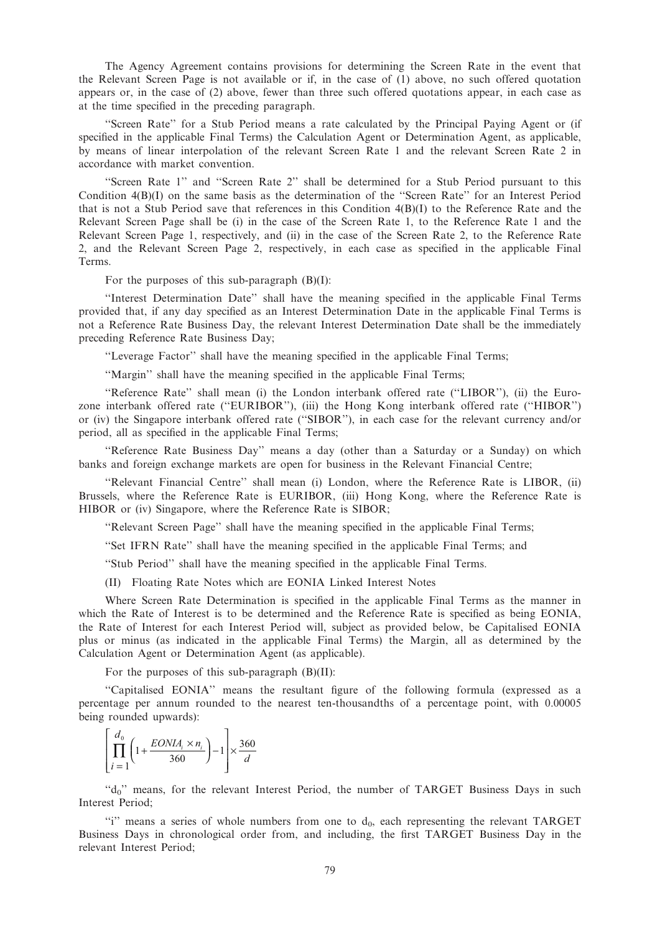The Agency Agreement contains provisions for determining the Screen Rate in the event that the Relevant Screen Page is not available or if, in the case of (1) above, no such offered quotation appears or, in the case of (2) above, fewer than three such offered quotations appear, in each case as at the time specified in the preceding paragraph.

''Screen Rate'' for a Stub Period means a rate calculated by the Principal Paying Agent or (if specified in the applicable Final Terms) the Calculation Agent or Determination Agent, as applicable, by means of linear interpolation of the relevant Screen Rate 1 and the relevant Screen Rate 2 in accordance with market convention.

''Screen Rate 1'' and ''Screen Rate 2'' shall be determined for a Stub Period pursuant to this Condition  $4(B)(I)$  on the same basis as the determination of the "Screen Rate" for an Interest Period that is not a Stub Period save that references in this Condition 4(B)(I) to the Reference Rate and the Relevant Screen Page shall be (i) in the case of the Screen Rate 1, to the Reference Rate 1 and the Relevant Screen Page 1, respectively, and (ii) in the case of the Screen Rate 2, to the Reference Rate 2, and the Relevant Screen Page 2, respectively, in each case as specified in the applicable Final Terms.

For the purposes of this sub-paragraph  $(B)(I)$ :

''Interest Determination Date'' shall have the meaning specified in the applicable Final Terms provided that, if any day specified as an Interest Determination Date in the applicable Final Terms is not a Reference Rate Business Day, the relevant Interest Determination Date shall be the immediately preceding Reference Rate Business Day;

''Leverage Factor'' shall have the meaning specified in the applicable Final Terms;

''Margin'' shall have the meaning specified in the applicable Final Terms;

''Reference Rate'' shall mean (i) the London interbank offered rate (''LIBOR''), (ii) the Eurozone interbank offered rate (''EURIBOR''), (iii) the Hong Kong interbank offered rate (''HIBOR'') or (iv) the Singapore interbank offered rate (''SIBOR''), in each case for the relevant currency and/or period, all as specified in the applicable Final Terms;

''Reference Rate Business Day'' means a day (other than a Saturday or a Sunday) on which banks and foreign exchange markets are open for business in the Relevant Financial Centre;

''Relevant Financial Centre'' shall mean (i) London, where the Reference Rate is LIBOR, (ii) Brussels, where the Reference Rate is EURIBOR, (iii) Hong Kong, where the Reference Rate is HIBOR or (iv) Singapore, where the Reference Rate is SIBOR;

''Relevant Screen Page'' shall have the meaning specified in the applicable Final Terms;

''Set IFRN Rate'' shall have the meaning specified in the applicable Final Terms; and

''Stub Period'' shall have the meaning specified in the applicable Final Terms.

(II) Floating Rate Notes which are EONIA Linked Interest Notes

Where Screen Rate Determination is specified in the applicable Final Terms as the manner in which the Rate of Interest is to be determined and the Reference Rate is specified as being EONIA, the Rate of Interest for each Interest Period will, subject as provided below, be Capitalised EONIA plus or minus (as indicated in the applicable Final Terms) the Margin, all as determined by the Calculation Agent or Determination Agent (as applicable).

For the purposes of this sub-paragraph (B)(II):

''Capitalised EONIA'' means the resultant figure of the following formula (expressed as a percentage per annum rounded to the nearest ten-thousandths of a percentage point, with 0.00005 being rounded upwards):

$$
\left[\prod_{i=1}^{d_0} \left(1 + \frac{EONIA_i \times n_i}{360}\right) - 1\right] \times \frac{360}{d}
$$

"d<sub>0</sub>" means, for the relevant Interest Period, the number of TARGET Business Days in such Interest Period;

 $\gamma$  means a series of whole numbers from one to  $d_0$ , each representing the relevant TARGET Business Days in chronological order from, and including, the first TARGET Business Day in the relevant Interest Period;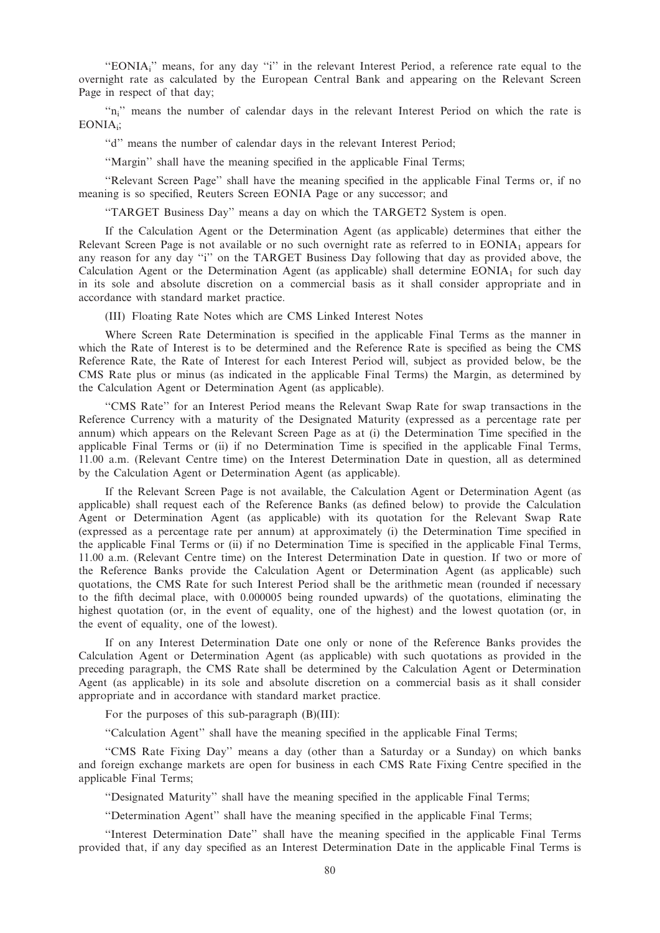"EONIA<sub>i</sub>" means, for any day "i" in the relevant Interest Period, a reference rate equal to the overnight rate as calculated by the European Central Bank and appearing on the Relevant Screen Page in respect of that day;

"n<sub>i</sub>" means the number of calendar days in the relevant Interest Period on which the rate is EONIAi;

''d'' means the number of calendar days in the relevant Interest Period;

''Margin'' shall have the meaning specified in the applicable Final Terms;

''Relevant Screen Page'' shall have the meaning specified in the applicable Final Terms or, if no meaning is so specified, Reuters Screen EONIA Page or any successor; and

''TARGET Business Day'' means a day on which the TARGET2 System is open.

If the Calculation Agent or the Determination Agent (as applicable) determines that either the Relevant Screen Page is not available or no such overnight rate as referred to in  $EONIA<sub>1</sub>$  appears for any reason for any day ''i'' on the TARGET Business Day following that day as provided above, the Calculation Agent or the Determination Agent (as applicable) shall determine  $EONIA<sub>1</sub>$  for such day in its sole and absolute discretion on a commercial basis as it shall consider appropriate and in accordance with standard market practice.

(III) Floating Rate Notes which are CMS Linked Interest Notes

Where Screen Rate Determination is specified in the applicable Final Terms as the manner in which the Rate of Interest is to be determined and the Reference Rate is specified as being the CMS Reference Rate, the Rate of Interest for each Interest Period will, subject as provided below, be the CMS Rate plus or minus (as indicated in the applicable Final Terms) the Margin, as determined by the Calculation Agent or Determination Agent (as applicable).

''CMS Rate'' for an Interest Period means the Relevant Swap Rate for swap transactions in the Reference Currency with a maturity of the Designated Maturity (expressed as a percentage rate per annum) which appears on the Relevant Screen Page as at (i) the Determination Time specified in the applicable Final Terms or (ii) if no Determination Time is specified in the applicable Final Terms, 11.00 a.m. (Relevant Centre time) on the Interest Determination Date in question, all as determined by the Calculation Agent or Determination Agent (as applicable).

If the Relevant Screen Page is not available, the Calculation Agent or Determination Agent (as applicable) shall request each of the Reference Banks (as defined below) to provide the Calculation Agent or Determination Agent (as applicable) with its quotation for the Relevant Swap Rate (expressed as a percentage rate per annum) at approximately (i) the Determination Time specified in the applicable Final Terms or (ii) if no Determination Time is specified in the applicable Final Terms, 11.00 a.m. (Relevant Centre time) on the Interest Determination Date in question. If two or more of the Reference Banks provide the Calculation Agent or Determination Agent (as applicable) such quotations, the CMS Rate for such Interest Period shall be the arithmetic mean (rounded if necessary to the fifth decimal place, with 0.000005 being rounded upwards) of the quotations, eliminating the highest quotation (or, in the event of equality, one of the highest) and the lowest quotation (or, in the event of equality, one of the lowest).

If on any Interest Determination Date one only or none of the Reference Banks provides the Calculation Agent or Determination Agent (as applicable) with such quotations as provided in the preceding paragraph, the CMS Rate shall be determined by the Calculation Agent or Determination Agent (as applicable) in its sole and absolute discretion on a commercial basis as it shall consider appropriate and in accordance with standard market practice.

For the purposes of this sub-paragraph (B)(III):

''Calculation Agent'' shall have the meaning specified in the applicable Final Terms;

''CMS Rate Fixing Day'' means a day (other than a Saturday or a Sunday) on which banks and foreign exchange markets are open for business in each CMS Rate Fixing Centre specified in the applicable Final Terms;

''Designated Maturity'' shall have the meaning specified in the applicable Final Terms;

''Determination Agent'' shall have the meaning specified in the applicable Final Terms;

''Interest Determination Date'' shall have the meaning specified in the applicable Final Terms provided that, if any day specified as an Interest Determination Date in the applicable Final Terms is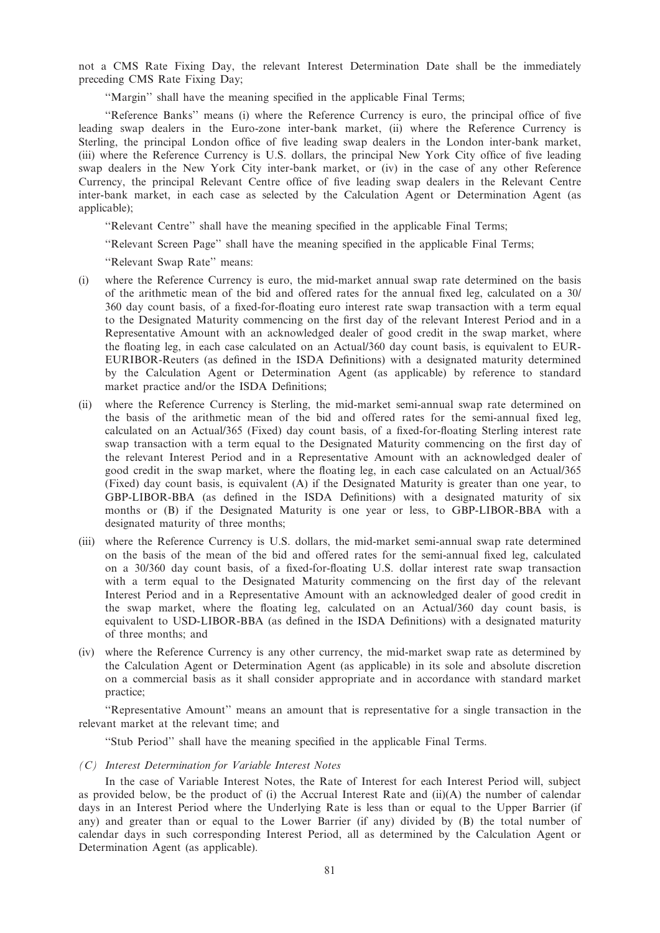not a CMS Rate Fixing Day, the relevant Interest Determination Date shall be the immediately preceding CMS Rate Fixing Day;

"Margin" shall have the meaning specified in the applicable Final Terms;

''Reference Banks'' means (i) where the Reference Currency is euro, the principal office of five leading swap dealers in the Euro-zone inter-bank market, (ii) where the Reference Currency is Sterling, the principal London office of five leading swap dealers in the London inter-bank market, (iii) where the Reference Currency is U.S. dollars, the principal New York City office of five leading swap dealers in the New York City inter-bank market, or (iv) in the case of any other Reference Currency, the principal Relevant Centre office of five leading swap dealers in the Relevant Centre inter-bank market, in each case as selected by the Calculation Agent or Determination Agent (as applicable);

''Relevant Centre'' shall have the meaning specified in the applicable Final Terms;

''Relevant Screen Page'' shall have the meaning specified in the applicable Final Terms;

''Relevant Swap Rate'' means:

- (i) where the Reference Currency is euro, the mid-market annual swap rate determined on the basis of the arithmetic mean of the bid and offered rates for the annual fixed leg, calculated on a 30/ 360 day count basis, of a fixed-for-floating euro interest rate swap transaction with a term equal to the Designated Maturity commencing on the first day of the relevant Interest Period and in a Representative Amount with an acknowledged dealer of good credit in the swap market, where the floating leg, in each case calculated on an Actual/360 day count basis, is equivalent to EUR-EURIBOR-Reuters (as defined in the ISDA Definitions) with a designated maturity determined by the Calculation Agent or Determination Agent (as applicable) by reference to standard market practice and/or the ISDA Definitions;
- (ii) where the Reference Currency is Sterling, the mid-market semi-annual swap rate determined on the basis of the arithmetic mean of the bid and offered rates for the semi-annual fixed leg, calculated on an Actual/365 (Fixed) day count basis, of a fixed-for-floating Sterling interest rate swap transaction with a term equal to the Designated Maturity commencing on the first day of the relevant Interest Period and in a Representative Amount with an acknowledged dealer of good credit in the swap market, where the floating leg, in each case calculated on an Actual/365 (Fixed) day count basis, is equivalent (A) if the Designated Maturity is greater than one year, to GBP-LIBOR-BBA (as defined in the ISDA Definitions) with a designated maturity of six months or (B) if the Designated Maturity is one year or less, to GBP-LIBOR-BBA with a designated maturity of three months;
- (iii) where the Reference Currency is U.S. dollars, the mid-market semi-annual swap rate determined on the basis of the mean of the bid and offered rates for the semi-annual fixed leg, calculated on a 30/360 day count basis, of a fixed-for-floating U.S. dollar interest rate swap transaction with a term equal to the Designated Maturity commencing on the first day of the relevant Interest Period and in a Representative Amount with an acknowledged dealer of good credit in the swap market, where the floating leg, calculated on an Actual/360 day count basis, is equivalent to USD-LIBOR-BBA (as defined in the ISDA Definitions) with a designated maturity of three months; and
- (iv) where the Reference Currency is any other currency, the mid-market swap rate as determined by the Calculation Agent or Determination Agent (as applicable) in its sole and absolute discretion on a commercial basis as it shall consider appropriate and in accordance with standard market practice;

''Representative Amount'' means an amount that is representative for a single transaction in the relevant market at the relevant time; and

''Stub Period'' shall have the meaning specified in the applicable Final Terms.

(C) Interest Determination for Variable Interest Notes

In the case of Variable Interest Notes, the Rate of Interest for each Interest Period will, subject as provided below, be the product of (i) the Accrual Interest Rate and (ii)(A) the number of calendar days in an Interest Period where the Underlying Rate is less than or equal to the Upper Barrier (if any) and greater than or equal to the Lower Barrier (if any) divided by (B) the total number of calendar days in such corresponding Interest Period, all as determined by the Calculation Agent or Determination Agent (as applicable).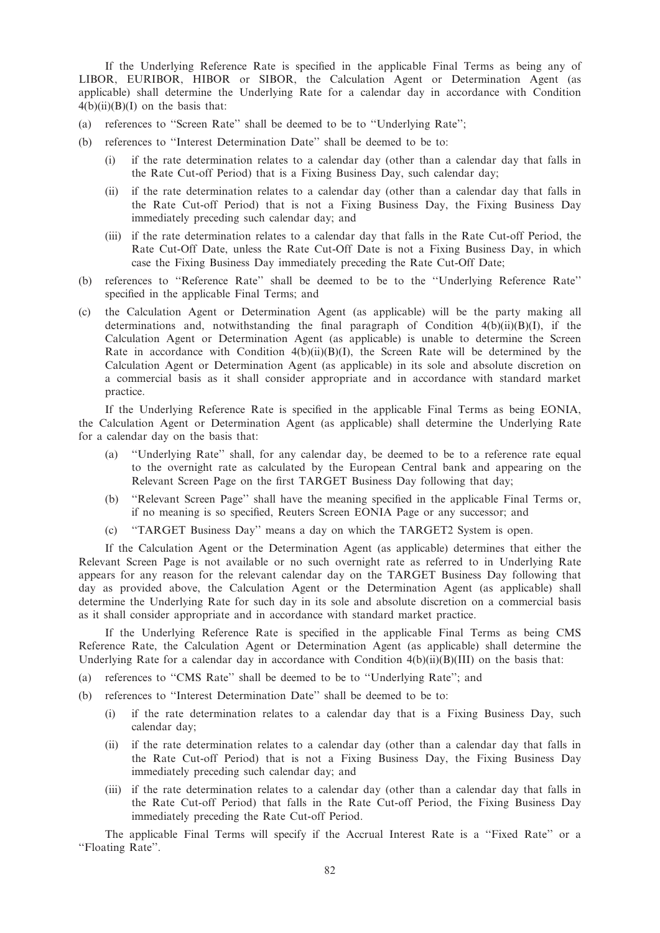If the Underlying Reference Rate is specified in the applicable Final Terms as being any of LIBOR, EURIBOR, HIBOR or SIBOR, the Calculation Agent or Determination Agent (as applicable) shall determine the Underlying Rate for a calendar day in accordance with Condition  $4(b)(ii)(B)(I)$  on the basis that:

- (a) references to ''Screen Rate'' shall be deemed to be to ''Underlying Rate'';
- (b) references to ''Interest Determination Date'' shall be deemed to be to:
	- (i) if the rate determination relates to a calendar day (other than a calendar day that falls in the Rate Cut-off Period) that is a Fixing Business Day, such calendar day;
	- (ii) if the rate determination relates to a calendar day (other than a calendar day that falls in the Rate Cut-off Period) that is not a Fixing Business Day, the Fixing Business Day immediately preceding such calendar day; and
	- (iii) if the rate determination relates to a calendar day that falls in the Rate Cut-off Period, the Rate Cut-Off Date, unless the Rate Cut-Off Date is not a Fixing Business Day, in which case the Fixing Business Day immediately preceding the Rate Cut-Off Date;
- (b) references to ''Reference Rate'' shall be deemed to be to the ''Underlying Reference Rate'' specified in the applicable Final Terms; and
- (c) the Calculation Agent or Determination Agent (as applicable) will be the party making all determinations and, notwithstanding the final paragraph of Condition  $4(b)(ii)(B)(I)$ , if the Calculation Agent or Determination Agent (as applicable) is unable to determine the Screen Rate in accordance with Condition  $4(b)(ii)(B)(I)$ , the Screen Rate will be determined by the Calculation Agent or Determination Agent (as applicable) in its sole and absolute discretion on a commercial basis as it shall consider appropriate and in accordance with standard market practice.

If the Underlying Reference Rate is specified in the applicable Final Terms as being EONIA, the Calculation Agent or Determination Agent (as applicable) shall determine the Underlying Rate for a calendar day on the basis that:

- (a) ''Underlying Rate'' shall, for any calendar day, be deemed to be to a reference rate equal to the overnight rate as calculated by the European Central bank and appearing on the Relevant Screen Page on the first TARGET Business Day following that day;
- (b) ''Relevant Screen Page'' shall have the meaning specified in the applicable Final Terms or, if no meaning is so specified, Reuters Screen EONIA Page or any successor; and
- (c) ''TARGET Business Day'' means a day on which the TARGET2 System is open.

If the Calculation Agent or the Determination Agent (as applicable) determines that either the Relevant Screen Page is not available or no such overnight rate as referred to in Underlying Rate appears for any reason for the relevant calendar day on the TARGET Business Day following that day as provided above, the Calculation Agent or the Determination Agent (as applicable) shall determine the Underlying Rate for such day in its sole and absolute discretion on a commercial basis as it shall consider appropriate and in accordance with standard market practice.

If the Underlying Reference Rate is specified in the applicable Final Terms as being CMS Reference Rate, the Calculation Agent or Determination Agent (as applicable) shall determine the Underlying Rate for a calendar day in accordance with Condition  $4(b)(ii)(B)(III)$  on the basis that:

- (a) references to ''CMS Rate'' shall be deemed to be to ''Underlying Rate''; and
- (b) references to ''Interest Determination Date'' shall be deemed to be to:
	- (i) if the rate determination relates to a calendar day that is a Fixing Business Day, such calendar day;
	- (ii) if the rate determination relates to a calendar day (other than a calendar day that falls in the Rate Cut-off Period) that is not a Fixing Business Day, the Fixing Business Day immediately preceding such calendar day; and
	- (iii) if the rate determination relates to a calendar day (other than a calendar day that falls in the Rate Cut-off Period) that falls in the Rate Cut-off Period, the Fixing Business Day immediately preceding the Rate Cut-off Period.

The applicable Final Terms will specify if the Accrual Interest Rate is a ''Fixed Rate'' or a ''Floating Rate''.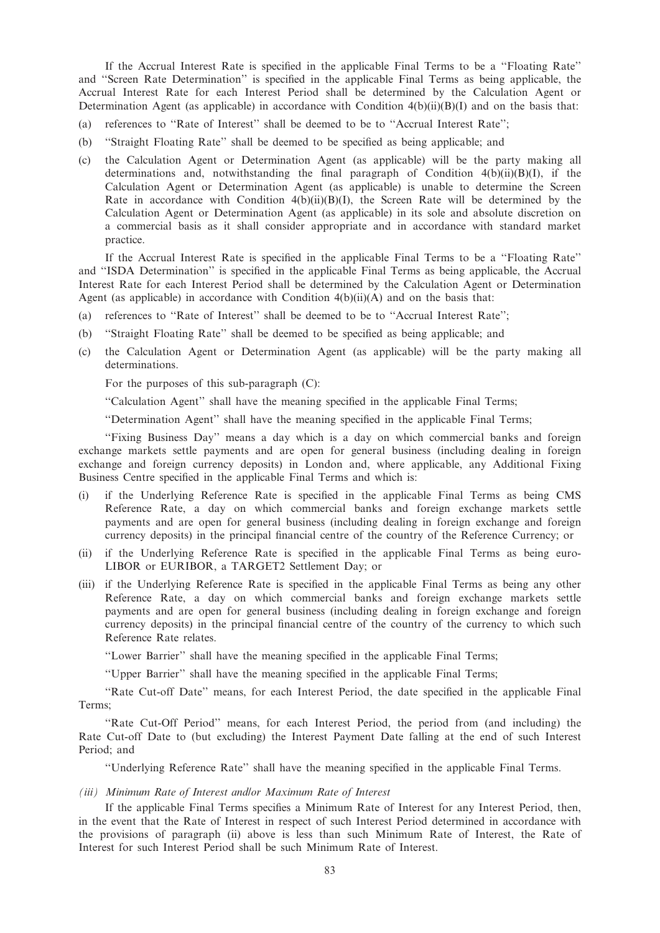If the Accrual Interest Rate is specified in the applicable Final Terms to be a ''Floating Rate'' and ''Screen Rate Determination'' is specified in the applicable Final Terms as being applicable, the Accrual Interest Rate for each Interest Period shall be determined by the Calculation Agent or Determination Agent (as applicable) in accordance with Condition  $4(b)(ii)(B)(I)$  and on the basis that:

- (a) references to ''Rate of Interest'' shall be deemed to be to ''Accrual Interest Rate'';
- (b) ''Straight Floating Rate'' shall be deemed to be specified as being applicable; and
- (c) the Calculation Agent or Determination Agent (as applicable) will be the party making all determinations and, notwithstanding the final paragraph of Condition  $4(b)(ii)(B)(I)$ , if the Calculation Agent or Determination Agent (as applicable) is unable to determine the Screen Rate in accordance with Condition 4(b)(ii)(B)(I), the Screen Rate will be determined by the Calculation Agent or Determination Agent (as applicable) in its sole and absolute discretion on a commercial basis as it shall consider appropriate and in accordance with standard market practice.

If the Accrual Interest Rate is specified in the applicable Final Terms to be a ''Floating Rate'' and ''ISDA Determination'' is specified in the applicable Final Terms as being applicable, the Accrual Interest Rate for each Interest Period shall be determined by the Calculation Agent or Determination Agent (as applicable) in accordance with Condition  $4(b)(ii)(A)$  and on the basis that:

- (a) references to ''Rate of Interest'' shall be deemed to be to ''Accrual Interest Rate'';
- (b) ''Straight Floating Rate'' shall be deemed to be specified as being applicable; and
- (c) the Calculation Agent or Determination Agent (as applicable) will be the party making all determinations.

For the purposes of this sub-paragraph (C):

''Calculation Agent'' shall have the meaning specified in the applicable Final Terms;

''Determination Agent'' shall have the meaning specified in the applicable Final Terms;

''Fixing Business Day'' means a day which is a day on which commercial banks and foreign exchange markets settle payments and are open for general business (including dealing in foreign exchange and foreign currency deposits) in London and, where applicable, any Additional Fixing Business Centre specified in the applicable Final Terms and which is:

- (i) if the Underlying Reference Rate is specified in the applicable Final Terms as being CMS Reference Rate, a day on which commercial banks and foreign exchange markets settle payments and are open for general business (including dealing in foreign exchange and foreign currency deposits) in the principal financial centre of the country of the Reference Currency; or
- (ii) if the Underlying Reference Rate is specified in the applicable Final Terms as being euro-LIBOR or EURIBOR, a TARGET2 Settlement Day; or
- (iii) if the Underlying Reference Rate is specified in the applicable Final Terms as being any other Reference Rate, a day on which commercial banks and foreign exchange markets settle payments and are open for general business (including dealing in foreign exchange and foreign currency deposits) in the principal financial centre of the country of the currency to which such Reference Rate relates.

''Lower Barrier'' shall have the meaning specified in the applicable Final Terms;

''Upper Barrier'' shall have the meaning specified in the applicable Final Terms;

''Rate Cut-off Date'' means, for each Interest Period, the date specified in the applicable Final Terms;

''Rate Cut-Off Period'' means, for each Interest Period, the period from (and including) the Rate Cut-off Date to (but excluding) the Interest Payment Date falling at the end of such Interest Period; and

''Underlying Reference Rate'' shall have the meaning specified in the applicable Final Terms.

#### (iii) Minimum Rate of Interest and/or Maximum Rate of Interest

If the applicable Final Terms specifies a Minimum Rate of Interest for any Interest Period, then, in the event that the Rate of Interest in respect of such Interest Period determined in accordance with the provisions of paragraph (ii) above is less than such Minimum Rate of Interest, the Rate of Interest for such Interest Period shall be such Minimum Rate of Interest.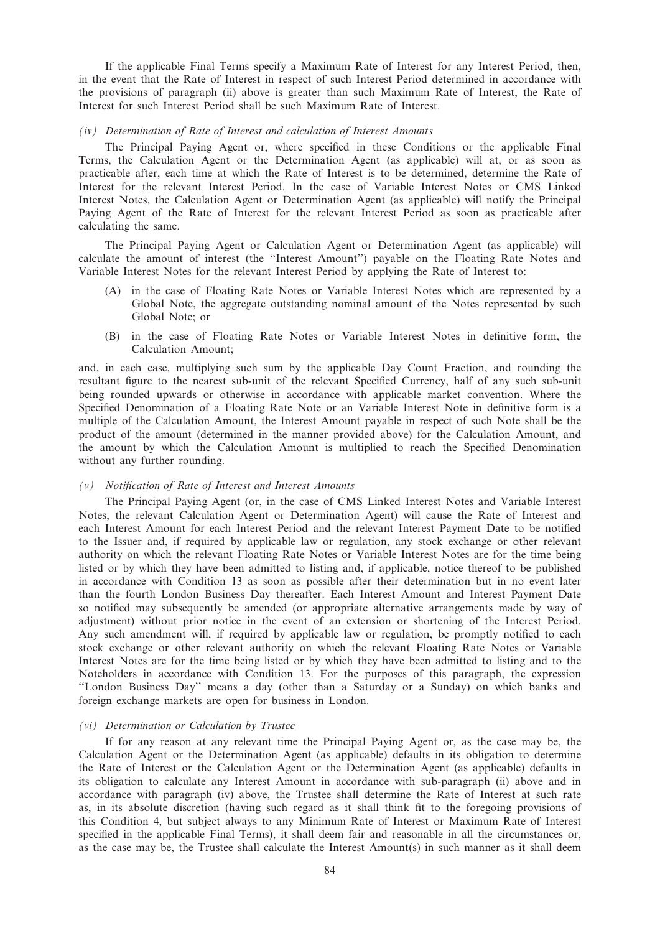If the applicable Final Terms specify a Maximum Rate of Interest for any Interest Period, then, in the event that the Rate of Interest in respect of such Interest Period determined in accordance with the provisions of paragraph (ii) above is greater than such Maximum Rate of Interest, the Rate of Interest for such Interest Period shall be such Maximum Rate of Interest.

# (iv) Determination of Rate of Interest and calculation of Interest Amounts

The Principal Paying Agent or, where specified in these Conditions or the applicable Final Terms, the Calculation Agent or the Determination Agent (as applicable) will at, or as soon as practicable after, each time at which the Rate of Interest is to be determined, determine the Rate of Interest for the relevant Interest Period. In the case of Variable Interest Notes or CMS Linked Interest Notes, the Calculation Agent or Determination Agent (as applicable) will notify the Principal Paying Agent of the Rate of Interest for the relevant Interest Period as soon as practicable after calculating the same.

The Principal Paying Agent or Calculation Agent or Determination Agent (as applicable) will calculate the amount of interest (the ''Interest Amount'') payable on the Floating Rate Notes and Variable Interest Notes for the relevant Interest Period by applying the Rate of Interest to:

- (A) in the case of Floating Rate Notes or Variable Interest Notes which are represented by a Global Note, the aggregate outstanding nominal amount of the Notes represented by such Global Note; or
- (B) in the case of Floating Rate Notes or Variable Interest Notes in definitive form, the Calculation Amount;

and, in each case, multiplying such sum by the applicable Day Count Fraction, and rounding the resultant figure to the nearest sub-unit of the relevant Specified Currency, half of any such sub-unit being rounded upwards or otherwise in accordance with applicable market convention. Where the Specified Denomination of a Floating Rate Note or an Variable Interest Note in definitive form is a multiple of the Calculation Amount, the Interest Amount payable in respect of such Note shall be the product of the amount (determined in the manner provided above) for the Calculation Amount, and the amount by which the Calculation Amount is multiplied to reach the Specified Denomination without any further rounding.

#### (v) Notification of Rate of Interest and Interest Amounts

The Principal Paying Agent (or, in the case of CMS Linked Interest Notes and Variable Interest Notes, the relevant Calculation Agent or Determination Agent) will cause the Rate of Interest and each Interest Amount for each Interest Period and the relevant Interest Payment Date to be notified to the Issuer and, if required by applicable law or regulation, any stock exchange or other relevant authority on which the relevant Floating Rate Notes or Variable Interest Notes are for the time being listed or by which they have been admitted to listing and, if applicable, notice thereof to be published in accordance with Condition 13 as soon as possible after their determination but in no event later than the fourth London Business Day thereafter. Each Interest Amount and Interest Payment Date so notified may subsequently be amended (or appropriate alternative arrangements made by way of adjustment) without prior notice in the event of an extension or shortening of the Interest Period. Any such amendment will, if required by applicable law or regulation, be promptly notified to each stock exchange or other relevant authority on which the relevant Floating Rate Notes or Variable Interest Notes are for the time being listed or by which they have been admitted to listing and to the Noteholders in accordance with Condition 13. For the purposes of this paragraph, the expression ''London Business Day'' means a day (other than a Saturday or a Sunday) on which banks and foreign exchange markets are open for business in London.

#### (vi) Determination or Calculation by Trustee

If for any reason at any relevant time the Principal Paying Agent or, as the case may be, the Calculation Agent or the Determination Agent (as applicable) defaults in its obligation to determine the Rate of Interest or the Calculation Agent or the Determination Agent (as applicable) defaults in its obligation to calculate any Interest Amount in accordance with sub-paragraph (ii) above and in accordance with paragraph (iv) above, the Trustee shall determine the Rate of Interest at such rate as, in its absolute discretion (having such regard as it shall think fit to the foregoing provisions of this Condition 4, but subject always to any Minimum Rate of Interest or Maximum Rate of Interest specified in the applicable Final Terms), it shall deem fair and reasonable in all the circumstances or, as the case may be, the Trustee shall calculate the Interest Amount(s) in such manner as it shall deem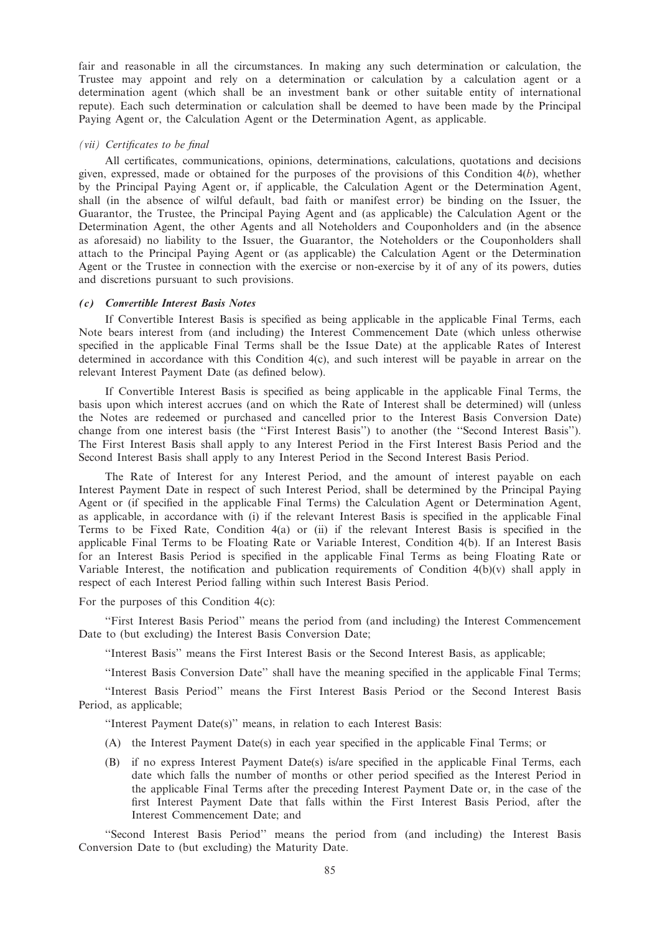fair and reasonable in all the circumstances. In making any such determination or calculation, the Trustee may appoint and rely on a determination or calculation by a calculation agent or a determination agent (which shall be an investment bank or other suitable entity of international repute). Each such determination or calculation shall be deemed to have been made by the Principal Paying Agent or, the Calculation Agent or the Determination Agent, as applicable.

## (vii) Certificates to be final

All certificates, communications, opinions, determinations, calculations, quotations and decisions given, expressed, made or obtained for the purposes of the provisions of this Condition  $4(b)$ , whether by the Principal Paying Agent or, if applicable, the Calculation Agent or the Determination Agent, shall (in the absence of wilful default, bad faith or manifest error) be binding on the Issuer, the Guarantor, the Trustee, the Principal Paying Agent and (as applicable) the Calculation Agent or the Determination Agent, the other Agents and all Noteholders and Couponholders and (in the absence as aforesaid) no liability to the Issuer, the Guarantor, the Noteholders or the Couponholders shall attach to the Principal Paying Agent or (as applicable) the Calculation Agent or the Determination Agent or the Trustee in connection with the exercise or non-exercise by it of any of its powers, duties and discretions pursuant to such provisions.

## (c) Convertible Interest Basis Notes

If Convertible Interest Basis is specified as being applicable in the applicable Final Terms, each Note bears interest from (and including) the Interest Commencement Date (which unless otherwise specified in the applicable Final Terms shall be the Issue Date) at the applicable Rates of Interest determined in accordance with this Condition 4(c), and such interest will be payable in arrear on the relevant Interest Payment Date (as defined below).

If Convertible Interest Basis is specified as being applicable in the applicable Final Terms, the basis upon which interest accrues (and on which the Rate of Interest shall be determined) will (unless the Notes are redeemed or purchased and cancelled prior to the Interest Basis Conversion Date) change from one interest basis (the ''First Interest Basis'') to another (the ''Second Interest Basis''). The First Interest Basis shall apply to any Interest Period in the First Interest Basis Period and the Second Interest Basis shall apply to any Interest Period in the Second Interest Basis Period.

The Rate of Interest for any Interest Period, and the amount of interest payable on each Interest Payment Date in respect of such Interest Period, shall be determined by the Principal Paying Agent or (if specified in the applicable Final Terms) the Calculation Agent or Determination Agent, as applicable, in accordance with (i) if the relevant Interest Basis is specified in the applicable Final Terms to be Fixed Rate, Condition 4(a) or (ii) if the relevant Interest Basis is specified in the applicable Final Terms to be Floating Rate or Variable Interest, Condition 4(b). If an Interest Basis for an Interest Basis Period is specified in the applicable Final Terms as being Floating Rate or Variable Interest, the notification and publication requirements of Condition  $4(b)(v)$  shall apply in respect of each Interest Period falling within such Interest Basis Period.

For the purposes of this Condition 4(c):

''First Interest Basis Period'' means the period from (and including) the Interest Commencement Date to (but excluding) the Interest Basis Conversion Date;

''Interest Basis'' means the First Interest Basis or the Second Interest Basis, as applicable;

''Interest Basis Conversion Date'' shall have the meaning specified in the applicable Final Terms;

''Interest Basis Period'' means the First Interest Basis Period or the Second Interest Basis Period, as applicable;

''Interest Payment Date(s)'' means, in relation to each Interest Basis:

- (A) the Interest Payment Date(s) in each year specified in the applicable Final Terms; or
- (B) if no express Interest Payment Date(s) is/are specified in the applicable Final Terms, each date which falls the number of months or other period specified as the Interest Period in the applicable Final Terms after the preceding Interest Payment Date or, in the case of the first Interest Payment Date that falls within the First Interest Basis Period, after the Interest Commencement Date; and

"Second Interest Basis Period" means the period from (and including) the Interest Basis Conversion Date to (but excluding) the Maturity Date.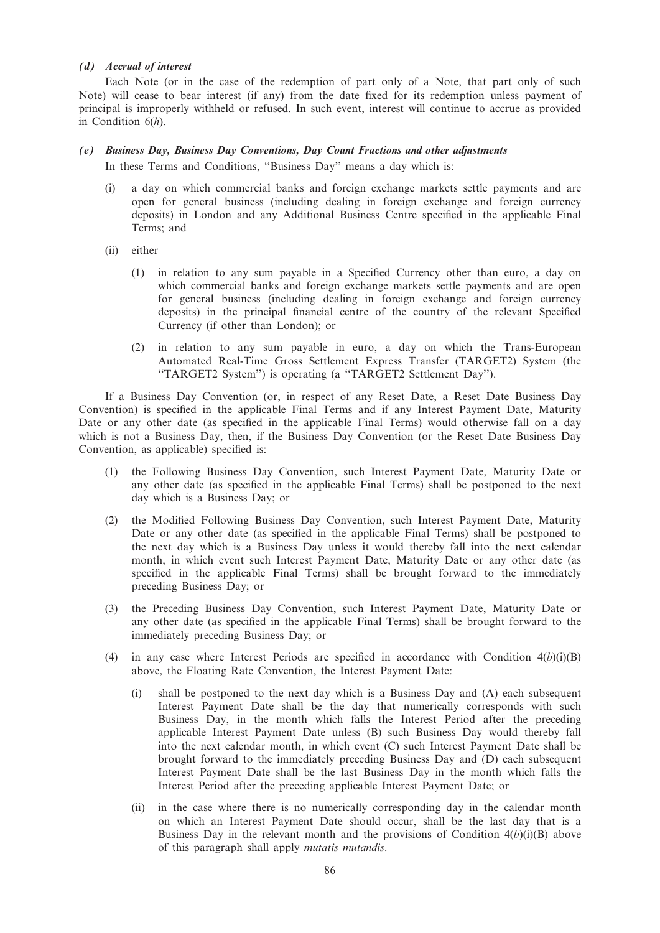## (d) Accrual of interest

Each Note (or in the case of the redemption of part only of a Note, that part only of such Note) will cease to bear interest (if any) from the date fixed for its redemption unless payment of principal is improperly withheld or refused. In such event, interest will continue to accrue as provided in Condition  $6(h)$ .

## (e) Business Day, Business Day Conventions, Day Count Fractions and other adjustments

In these Terms and Conditions, ''Business Day'' means a day which is:

- (i) a day on which commercial banks and foreign exchange markets settle payments and are open for general business (including dealing in foreign exchange and foreign currency deposits) in London and any Additional Business Centre specified in the applicable Final Terms; and
- (ii) either
	- (1) in relation to any sum payable in a Specified Currency other than euro, a day on which commercial banks and foreign exchange markets settle payments and are open for general business (including dealing in foreign exchange and foreign currency deposits) in the principal financial centre of the country of the relevant Specified Currency (if other than London); or
	- (2) in relation to any sum payable in euro, a day on which the Trans-European Automated Real-Time Gross Settlement Express Transfer (TARGET2) System (the ''TARGET2 System'') is operating (a ''TARGET2 Settlement Day'').

If a Business Day Convention (or, in respect of any Reset Date, a Reset Date Business Day Convention) is specified in the applicable Final Terms and if any Interest Payment Date, Maturity Date or any other date (as specified in the applicable Final Terms) would otherwise fall on a day which is not a Business Day, then, if the Business Day Convention (or the Reset Date Business Day Convention, as applicable) specified is:

- (1) the Following Business Day Convention, such Interest Payment Date, Maturity Date or any other date (as specified in the applicable Final Terms) shall be postponed to the next day which is a Business Day; or
- (2) the Modified Following Business Day Convention, such Interest Payment Date, Maturity Date or any other date (as specified in the applicable Final Terms) shall be postponed to the next day which is a Business Day unless it would thereby fall into the next calendar month, in which event such Interest Payment Date, Maturity Date or any other date (as specified in the applicable Final Terms) shall be brought forward to the immediately preceding Business Day; or
- (3) the Preceding Business Day Convention, such Interest Payment Date, Maturity Date or any other date (as specified in the applicable Final Terms) shall be brought forward to the immediately preceding Business Day; or
- (4) in any case where Interest Periods are specified in accordance with Condition  $4(b)(i)(B)$ above, the Floating Rate Convention, the Interest Payment Date:
	- (i) shall be postponed to the next day which is a Business Day and (A) each subsequent Interest Payment Date shall be the day that numerically corresponds with such Business Day, in the month which falls the Interest Period after the preceding applicable Interest Payment Date unless (B) such Business Day would thereby fall into the next calendar month, in which event (C) such Interest Payment Date shall be brought forward to the immediately preceding Business Day and (D) each subsequent Interest Payment Date shall be the last Business Day in the month which falls the Interest Period after the preceding applicable Interest Payment Date; or
	- (ii) in the case where there is no numerically corresponding day in the calendar month on which an Interest Payment Date should occur, shall be the last day that is a Business Day in the relevant month and the provisions of Condition  $4(b)(i)(B)$  above of this paragraph shall apply mutatis mutandis.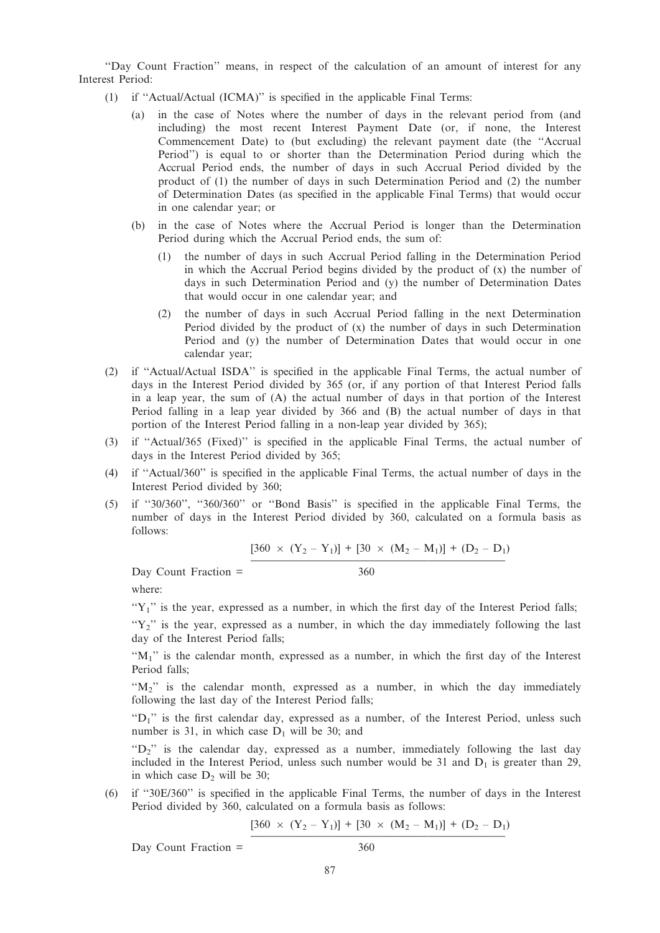''Day Count Fraction'' means, in respect of the calculation of an amount of interest for any Interest Period:

- (1) if ''Actual/Actual (ICMA)'' is specified in the applicable Final Terms:
	- (a) in the case of Notes where the number of days in the relevant period from (and including) the most recent Interest Payment Date (or, if none, the Interest Commencement Date) to (but excluding) the relevant payment date (the ''Accrual Period'') is equal to or shorter than the Determination Period during which the Accrual Period ends, the number of days in such Accrual Period divided by the product of (1) the number of days in such Determination Period and (2) the number of Determination Dates (as specified in the applicable Final Terms) that would occur in one calendar year; or
	- (b) in the case of Notes where the Accrual Period is longer than the Determination Period during which the Accrual Period ends, the sum of:
		- (1) the number of days in such Accrual Period falling in the Determination Period in which the Accrual Period begins divided by the product of  $(x)$  the number of days in such Determination Period and (y) the number of Determination Dates that would occur in one calendar year; and
		- (2) the number of days in such Accrual Period falling in the next Determination Period divided by the product of (x) the number of days in such Determination Period and (y) the number of Determination Dates that would occur in one calendar year;
- (2) if ''Actual/Actual ISDA'' is specified in the applicable Final Terms, the actual number of days in the Interest Period divided by 365 (or, if any portion of that Interest Period falls in a leap year, the sum of (A) the actual number of days in that portion of the Interest Period falling in a leap year divided by 366 and (B) the actual number of days in that portion of the Interest Period falling in a non-leap year divided by 365);
- (3) if ''Actual/365 (Fixed)'' is specified in the applicable Final Terms, the actual number of days in the Interest Period divided by 365;
- (4) if ''Actual/360'' is specified in the applicable Final Terms, the actual number of days in the Interest Period divided by 360;
- (5) if ''30/360'', ''360/360'' or ''Bond Basis'' is specified in the applicable Final Terms, the number of days in the Interest Period divided by 360, calculated on a formula basis as follows:

$$
[360 \times (Y_2 - Y_1)] + [30 \times (M_2 - M_1)] + (D_2 - D_1)
$$

Day Count Fraction = 360

where:

 $Y_1$ " is the year, expressed as a number, in which the first day of the Interest Period falls;

 $Y_2$ " is the year, expressed as a number, in which the day immediately following the last day of the Interest Period falls;

"M<sub>1</sub>" is the calendar month, expressed as a number, in which the first day of the Interest Period falls;

 $(M_2)$  is the calendar month, expressed as a number, in which the day immediately following the last day of the Interest Period falls;

" $D_1$ " is the first calendar day, expressed as a number, of the Interest Period, unless such number is 31, in which case  $D_1$  will be 30; and

"D<sub>2</sub>" is the calendar day, expressed as a number, immediately following the last day included in the Interest Period, unless such number would be 31 and  $D_1$  is greater than 29, in which case  $D_2$  will be 30;

(6) if ''30E/360'' is specified in the applicable Final Terms, the number of days in the Interest Period divided by 360, calculated on a formula basis as follows:

$$
[360 \times (Y_2 - Y_1)] + [30 \times (M_2 - M_1)] + (D_2 - D_1)
$$

Day Count Fraction = 360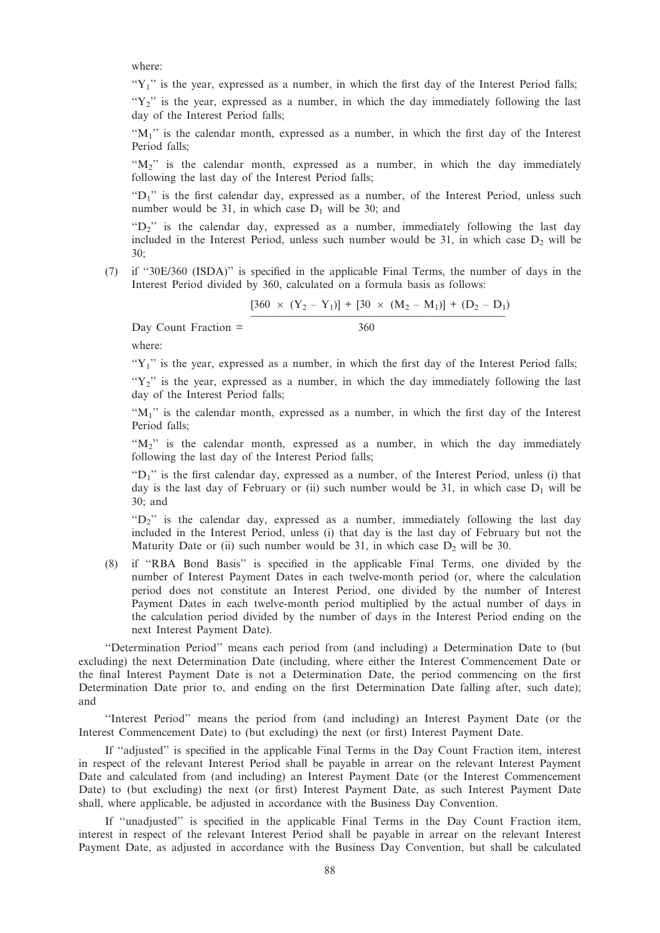where:

 $Y_1$ " is the year, expressed as a number, in which the first day of the Interest Period falls;

" $Y_2$ " is the year, expressed as a number, in which the day immediately following the last day of the Interest Period falls;

" $M_1$ " is the calendar month, expressed as a number, in which the first day of the Interest Period falls;

" $M_2$ " is the calendar month, expressed as a number, in which the day immediately following the last day of the Interest Period falls;

" $D_1$ " is the first calendar day, expressed as a number, of the Interest Period, unless such number would be 31, in which case  $D_1$  will be 30; and

 $P^{\prime\prime}$  is the calendar day, expressed as a number, immediately following the last day included in the Interest Period, unless such number would be 31, in which case  $D_2$  will be 30;

(7) if ''30E/360 (ISDA)'' is specified in the applicable Final Terms, the number of days in the Interest Period divided by 360, calculated on a formula basis as follows:

 $[360 \times (Y_2 - Y_1)] + [30 \times (M_2 - M_1)] + (D_2 - D_1)$ 

Day Count Fraction = 360

where:

 $Y_1$ " is the year, expressed as a number, in which the first day of the Interest Period falls;

" $Y_2$ " is the year, expressed as a number, in which the day immediately following the last day of the Interest Period falls;

" $M_1$ " is the calendar month, expressed as a number, in which the first day of the Interest Period falls;

 $M_2$ " is the calendar month, expressed as a number, in which the day immediately following the last day of the Interest Period falls;

" $D_1$ " is the first calendar day, expressed as a number, of the Interest Period, unless (i) that day is the last day of February or (ii) such number would be 31, in which case  $D_1$  will be 30; and

" $D_2$ " is the calendar day, expressed as a number, immediately following the last day included in the Interest Period, unless (i) that day is the last day of February but not the Maturity Date or (ii) such number would be 31, in which case  $D_2$  will be 30.

(8) if ''RBA Bond Basis'' is specified in the applicable Final Terms, one divided by the number of Interest Payment Dates in each twelve-month period (or, where the calculation period does not constitute an Interest Period, one divided by the number of Interest Payment Dates in each twelve-month period multiplied by the actual number of days in the calculation period divided by the number of days in the Interest Period ending on the next Interest Payment Date).

''Determination Period'' means each period from (and including) a Determination Date to (but excluding) the next Determination Date (including, where either the Interest Commencement Date or the final Interest Payment Date is not a Determination Date, the period commencing on the first Determination Date prior to, and ending on the first Determination Date falling after, such date); and

''Interest Period'' means the period from (and including) an Interest Payment Date (or the Interest Commencement Date) to (but excluding) the next (or first) Interest Payment Date.

If ''adjusted'' is specified in the applicable Final Terms in the Day Count Fraction item, interest in respect of the relevant Interest Period shall be payable in arrear on the relevant Interest Payment Date and calculated from (and including) an Interest Payment Date (or the Interest Commencement Date) to (but excluding) the next (or first) Interest Payment Date, as such Interest Payment Date shall, where applicable, be adjusted in accordance with the Business Day Convention.

If ''unadjusted'' is specified in the applicable Final Terms in the Day Count Fraction item, interest in respect of the relevant Interest Period shall be payable in arrear on the relevant Interest Payment Date, as adjusted in accordance with the Business Day Convention, but shall be calculated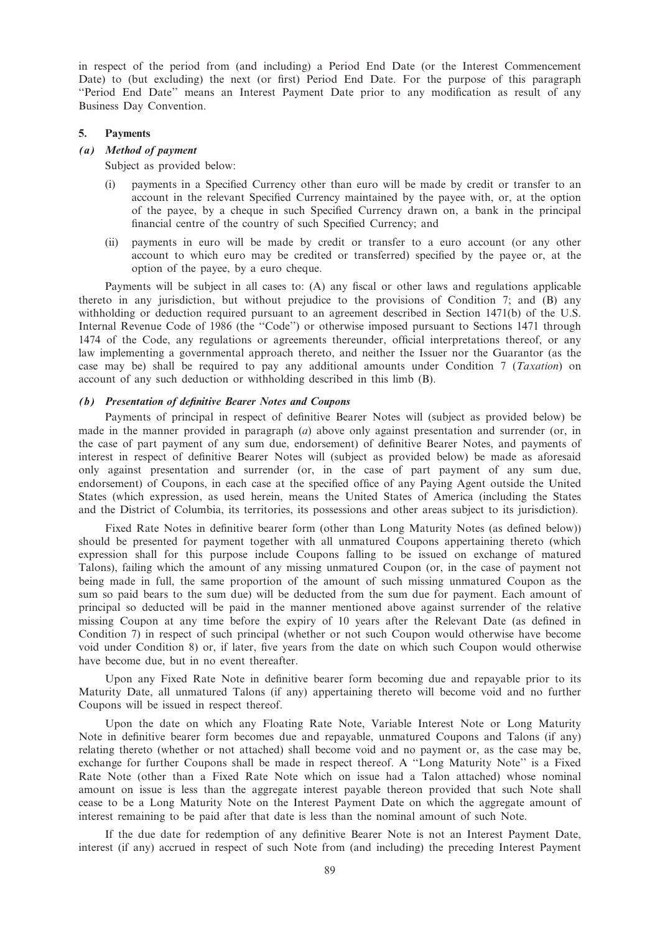in respect of the period from (and including) a Period End Date (or the Interest Commencement Date) to (but excluding) the next (or first) Period End Date. For the purpose of this paragraph ''Period End Date'' means an Interest Payment Date prior to any modification as result of any Business Day Convention.

#### 5. Payments

# (a) Method of payment

Subject as provided below:

- (i) payments in a Specified Currency other than euro will be made by credit or transfer to an account in the relevant Specified Currency maintained by the payee with, or, at the option of the payee, by a cheque in such Specified Currency drawn on, a bank in the principal financial centre of the country of such Specified Currency; and
- (ii) payments in euro will be made by credit or transfer to a euro account (or any other account to which euro may be credited or transferred) specified by the payee or, at the option of the payee, by a euro cheque.

Payments will be subject in all cases to: (A) any fiscal or other laws and regulations applicable thereto in any jurisdiction, but without prejudice to the provisions of Condition 7; and (B) any withholding or deduction required pursuant to an agreement described in Section 1471(b) of the U.S. Internal Revenue Code of 1986 (the ''Code'') or otherwise imposed pursuant to Sections 1471 through 1474 of the Code, any regulations or agreements thereunder, official interpretations thereof, or any law implementing a governmental approach thereto, and neither the Issuer nor the Guarantor (as the case may be) shall be required to pay any additional amounts under Condition 7 (Taxation) on account of any such deduction or withholding described in this limb (B).

#### (b) Presentation of definitive Bearer Notes and Coupons

Payments of principal in respect of definitive Bearer Notes will (subject as provided below) be made in the manner provided in paragraph (a) above only against presentation and surrender (or, in the case of part payment of any sum due, endorsement) of definitive Bearer Notes, and payments of interest in respect of definitive Bearer Notes will (subject as provided below) be made as aforesaid only against presentation and surrender (or, in the case of part payment of any sum due, endorsement) of Coupons, in each case at the specified office of any Paying Agent outside the United States (which expression, as used herein, means the United States of America (including the States and the District of Columbia, its territories, its possessions and other areas subject to its jurisdiction).

Fixed Rate Notes in definitive bearer form (other than Long Maturity Notes (as defined below)) should be presented for payment together with all unmatured Coupons appertaining thereto (which expression shall for this purpose include Coupons falling to be issued on exchange of matured Talons), failing which the amount of any missing unmatured Coupon (or, in the case of payment not being made in full, the same proportion of the amount of such missing unmatured Coupon as the sum so paid bears to the sum due) will be deducted from the sum due for payment. Each amount of principal so deducted will be paid in the manner mentioned above against surrender of the relative missing Coupon at any time before the expiry of 10 years after the Relevant Date (as defined in Condition 7) in respect of such principal (whether or not such Coupon would otherwise have become void under Condition 8) or, if later, five years from the date on which such Coupon would otherwise have become due, but in no event thereafter.

Upon any Fixed Rate Note in definitive bearer form becoming due and repayable prior to its Maturity Date, all unmatured Talons (if any) appertaining thereto will become void and no further Coupons will be issued in respect thereof.

Upon the date on which any Floating Rate Note, Variable Interest Note or Long Maturity Note in definitive bearer form becomes due and repayable, unmatured Coupons and Talons (if any) relating thereto (whether or not attached) shall become void and no payment or, as the case may be, exchange for further Coupons shall be made in respect thereof. A ''Long Maturity Note'' is a Fixed Rate Note (other than a Fixed Rate Note which on issue had a Talon attached) whose nominal amount on issue is less than the aggregate interest payable thereon provided that such Note shall cease to be a Long Maturity Note on the Interest Payment Date on which the aggregate amount of interest remaining to be paid after that date is less than the nominal amount of such Note.

If the due date for redemption of any definitive Bearer Note is not an Interest Payment Date, interest (if any) accrued in respect of such Note from (and including) the preceding Interest Payment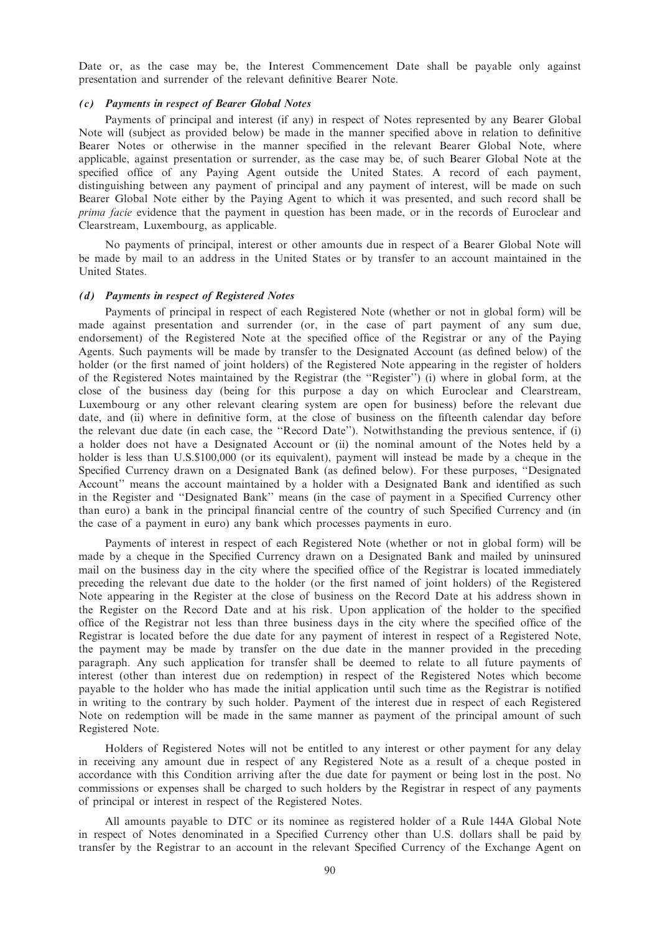Date or, as the case may be, the Interest Commencement Date shall be payable only against presentation and surrender of the relevant definitive Bearer Note.

## (c) Payments in respect of Bearer Global Notes

Payments of principal and interest (if any) in respect of Notes represented by any Bearer Global Note will (subject as provided below) be made in the manner specified above in relation to definitive Bearer Notes or otherwise in the manner specified in the relevant Bearer Global Note, where applicable, against presentation or surrender, as the case may be, of such Bearer Global Note at the specified office of any Paying Agent outside the United States. A record of each payment, distinguishing between any payment of principal and any payment of interest, will be made on such Bearer Global Note either by the Paying Agent to which it was presented, and such record shall be prima facie evidence that the payment in question has been made, or in the records of Euroclear and Clearstream, Luxembourg, as applicable.

No payments of principal, interest or other amounts due in respect of a Bearer Global Note will be made by mail to an address in the United States or by transfer to an account maintained in the United States.

#### (d) Payments in respect of Registered Notes

Payments of principal in respect of each Registered Note (whether or not in global form) will be made against presentation and surrender (or, in the case of part payment of any sum due, endorsement) of the Registered Note at the specified office of the Registrar or any of the Paying Agents. Such payments will be made by transfer to the Designated Account (as defined below) of the holder (or the first named of joint holders) of the Registered Note appearing in the register of holders of the Registered Notes maintained by the Registrar (the ''Register'') (i) where in global form, at the close of the business day (being for this purpose a day on which Euroclear and Clearstream, Luxembourg or any other relevant clearing system are open for business) before the relevant due date, and (ii) where in definitive form, at the close of business on the fifteenth calendar day before the relevant due date (in each case, the ''Record Date''). Notwithstanding the previous sentence, if (i) a holder does not have a Designated Account or (ii) the nominal amount of the Notes held by a holder is less than U.S.\$100,000 (or its equivalent), payment will instead be made by a cheque in the Specified Currency drawn on a Designated Bank (as defined below). For these purposes, ''Designated Account'' means the account maintained by a holder with a Designated Bank and identified as such in the Register and ''Designated Bank'' means (in the case of payment in a Specified Currency other than euro) a bank in the principal financial centre of the country of such Specified Currency and (in the case of a payment in euro) any bank which processes payments in euro.

Payments of interest in respect of each Registered Note (whether or not in global form) will be made by a cheque in the Specified Currency drawn on a Designated Bank and mailed by uninsured mail on the business day in the city where the specified office of the Registrar is located immediately preceding the relevant due date to the holder (or the first named of joint holders) of the Registered Note appearing in the Register at the close of business on the Record Date at his address shown in the Register on the Record Date and at his risk. Upon application of the holder to the specified office of the Registrar not less than three business days in the city where the specified office of the Registrar is located before the due date for any payment of interest in respect of a Registered Note, the payment may be made by transfer on the due date in the manner provided in the preceding paragraph. Any such application for transfer shall be deemed to relate to all future payments of interest (other than interest due on redemption) in respect of the Registered Notes which become payable to the holder who has made the initial application until such time as the Registrar is notified in writing to the contrary by such holder. Payment of the interest due in respect of each Registered Note on redemption will be made in the same manner as payment of the principal amount of such Registered Note.

Holders of Registered Notes will not be entitled to any interest or other payment for any delay in receiving any amount due in respect of any Registered Note as a result of a cheque posted in accordance with this Condition arriving after the due date for payment or being lost in the post. No commissions or expenses shall be charged to such holders by the Registrar in respect of any payments of principal or interest in respect of the Registered Notes.

All amounts payable to DTC or its nominee as registered holder of a Rule 144A Global Note in respect of Notes denominated in a Specified Currency other than U.S. dollars shall be paid by transfer by the Registrar to an account in the relevant Specified Currency of the Exchange Agent on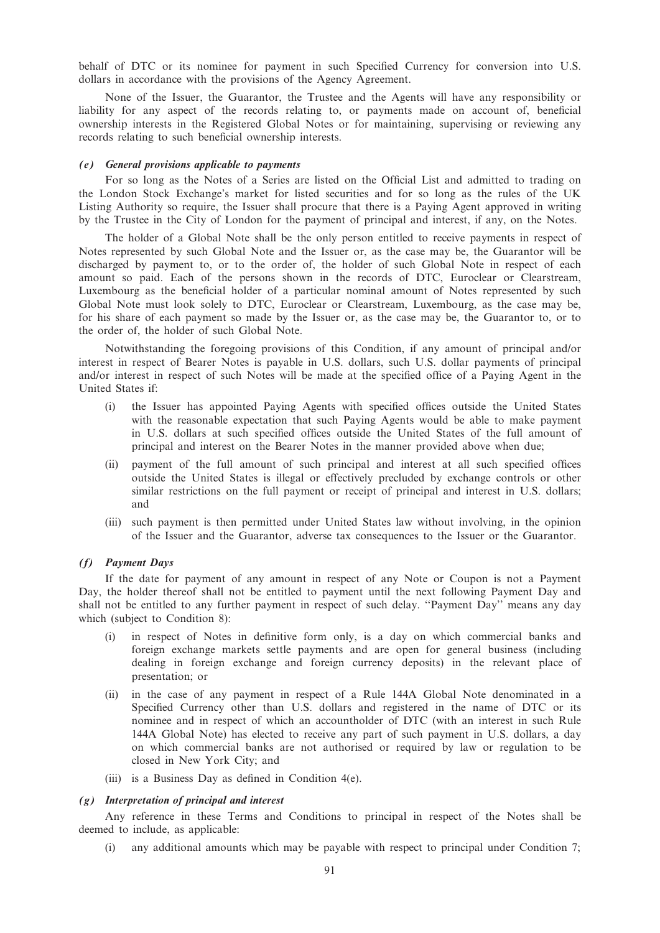behalf of DTC or its nominee for payment in such Specified Currency for conversion into U.S. dollars in accordance with the provisions of the Agency Agreement.

None of the Issuer, the Guarantor, the Trustee and the Agents will have any responsibility or liability for any aspect of the records relating to, or payments made on account of, beneficial ownership interests in the Registered Global Notes or for maintaining, supervising or reviewing any records relating to such beneficial ownership interests.

#### (e) General provisions applicable to payments

For so long as the Notes of a Series are listed on the Official List and admitted to trading on the London Stock Exchange's market for listed securities and for so long as the rules of the UK Listing Authority so require, the Issuer shall procure that there is a Paying Agent approved in writing by the Trustee in the City of London for the payment of principal and interest, if any, on the Notes.

The holder of a Global Note shall be the only person entitled to receive payments in respect of Notes represented by such Global Note and the Issuer or, as the case may be, the Guarantor will be discharged by payment to, or to the order of, the holder of such Global Note in respect of each amount so paid. Each of the persons shown in the records of DTC, Euroclear or Clearstream, Luxembourg as the beneficial holder of a particular nominal amount of Notes represented by such Global Note must look solely to DTC, Euroclear or Clearstream, Luxembourg, as the case may be, for his share of each payment so made by the Issuer or, as the case may be, the Guarantor to, or to the order of, the holder of such Global Note.

Notwithstanding the foregoing provisions of this Condition, if any amount of principal and/or interest in respect of Bearer Notes is payable in U.S. dollars, such U.S. dollar payments of principal and/or interest in respect of such Notes will be made at the specified office of a Paying Agent in the United States if:

- (i) the Issuer has appointed Paying Agents with specified offices outside the United States with the reasonable expectation that such Paying Agents would be able to make payment in U.S. dollars at such specified offices outside the United States of the full amount of principal and interest on the Bearer Notes in the manner provided above when due;
- (ii) payment of the full amount of such principal and interest at all such specified offices outside the United States is illegal or effectively precluded by exchange controls or other similar restrictions on the full payment or receipt of principal and interest in U.S. dollars; and
- (iii) such payment is then permitted under United States law without involving, in the opinion of the Issuer and the Guarantor, adverse tax consequences to the Issuer or the Guarantor.

# (f) Payment Days

If the date for payment of any amount in respect of any Note or Coupon is not a Payment Day, the holder thereof shall not be entitled to payment until the next following Payment Day and shall not be entitled to any further payment in respect of such delay. ''Payment Day'' means any day which (subject to Condition 8):

- (i) in respect of Notes in definitive form only, is a day on which commercial banks and foreign exchange markets settle payments and are open for general business (including dealing in foreign exchange and foreign currency deposits) in the relevant place of presentation; or
- (ii) in the case of any payment in respect of a Rule 144A Global Note denominated in a Specified Currency other than U.S. dollars and registered in the name of DTC or its nominee and in respect of which an accountholder of DTC (with an interest in such Rule 144A Global Note) has elected to receive any part of such payment in U.S. dollars, a day on which commercial banks are not authorised or required by law or regulation to be closed in New York City; and
- (iii) is a Business Day as defined in Condition 4(e).

#### (g) Interpretation of principal and interest

Any reference in these Terms and Conditions to principal in respect of the Notes shall be deemed to include, as applicable:

(i) any additional amounts which may be payable with respect to principal under Condition 7;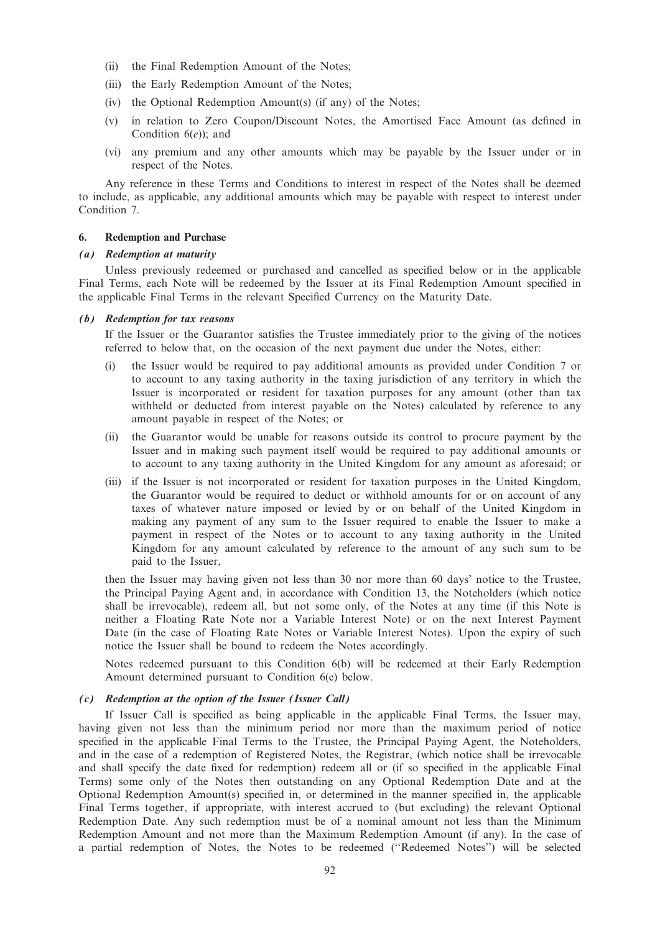- (ii) the Final Redemption Amount of the Notes;
- (iii) the Early Redemption Amount of the Notes;
- (iv) the Optional Redemption Amount(s) (if any) of the Notes;
- (v) in relation to Zero Coupon/Discount Notes, the Amortised Face Amount (as defined in Condition  $6(e)$ ; and
- (vi) any premium and any other amounts which may be payable by the Issuer under or in respect of the Notes.

Any reference in these Terms and Conditions to interest in respect of the Notes shall be deemed to include, as applicable, any additional amounts which may be payable with respect to interest under Condition 7.

## 6. Redemption and Purchase

#### (a) Redemption at maturity

Unless previously redeemed or purchased and cancelled as specified below or in the applicable Final Terms, each Note will be redeemed by the Issuer at its Final Redemption Amount specified in the applicable Final Terms in the relevant Specified Currency on the Maturity Date.

#### (b) Redemption for tax reasons

If the Issuer or the Guarantor satisfies the Trustee immediately prior to the giving of the notices referred to below that, on the occasion of the next payment due under the Notes, either:

- (i) the Issuer would be required to pay additional amounts as provided under Condition 7 or to account to any taxing authority in the taxing jurisdiction of any territory in which the Issuer is incorporated or resident for taxation purposes for any amount (other than tax withheld or deducted from interest payable on the Notes) calculated by reference to any amount payable in respect of the Notes; or
- (ii) the Guarantor would be unable for reasons outside its control to procure payment by the Issuer and in making such payment itself would be required to pay additional amounts or to account to any taxing authority in the United Kingdom for any amount as aforesaid; or
- (iii) if the Issuer is not incorporated or resident for taxation purposes in the United Kingdom, the Guarantor would be required to deduct or withhold amounts for or on account of any taxes of whatever nature imposed or levied by or on behalf of the United Kingdom in making any payment of any sum to the Issuer required to enable the Issuer to make a payment in respect of the Notes or to account to any taxing authority in the United Kingdom for any amount calculated by reference to the amount of any such sum to be paid to the Issuer,

then the Issuer may having given not less than 30 nor more than 60 days' notice to the Trustee, the Principal Paying Agent and, in accordance with Condition 13, the Noteholders (which notice shall be irrevocable), redeem all, but not some only, of the Notes at any time (if this Note is neither a Floating Rate Note nor a Variable Interest Note) or on the next Interest Payment Date (in the case of Floating Rate Notes or Variable Interest Notes). Upon the expiry of such notice the Issuer shall be bound to redeem the Notes accordingly.

Notes redeemed pursuant to this Condition 6(b) will be redeemed at their Early Redemption Amount determined pursuant to Condition 6(e) below.

#### (c) Redemption at the option of the Issuer (Issuer Call)

If Issuer Call is specified as being applicable in the applicable Final Terms, the Issuer may, having given not less than the minimum period nor more than the maximum period of notice specified in the applicable Final Terms to the Trustee, the Principal Paying Agent, the Noteholders, and in the case of a redemption of Registered Notes, the Registrar, (which notice shall be irrevocable and shall specify the date fixed for redemption) redeem all or (if so specified in the applicable Final Terms) some only of the Notes then outstanding on any Optional Redemption Date and at the Optional Redemption Amount(s) specified in, or determined in the manner specified in, the applicable Final Terms together, if appropriate, with interest accrued to (but excluding) the relevant Optional Redemption Date. Any such redemption must be of a nominal amount not less than the Minimum Redemption Amount and not more than the Maximum Redemption Amount (if any). In the case of a partial redemption of Notes, the Notes to be redeemed (''Redeemed Notes'') will be selected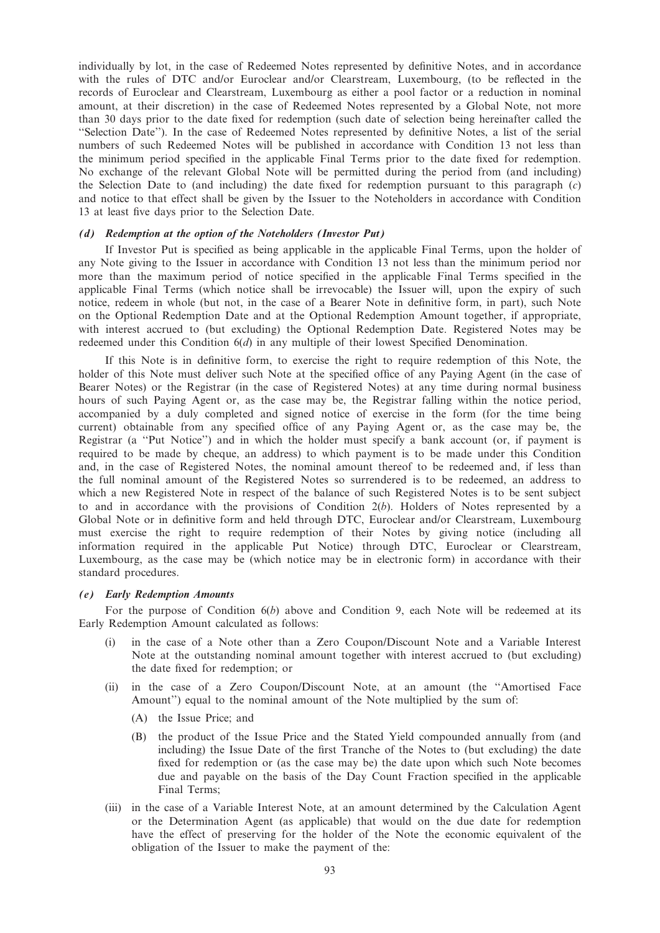individually by lot, in the case of Redeemed Notes represented by definitive Notes, and in accordance with the rules of DTC and/or Euroclear and/or Clearstream, Luxembourg, (to be reflected in the records of Euroclear and Clearstream, Luxembourg as either a pool factor or a reduction in nominal amount, at their discretion) in the case of Redeemed Notes represented by a Global Note, not more than 30 days prior to the date fixed for redemption (such date of selection being hereinafter called the ''Selection Date''). In the case of Redeemed Notes represented by definitive Notes, a list of the serial numbers of such Redeemed Notes will be published in accordance with Condition 13 not less than the minimum period specified in the applicable Final Terms prior to the date fixed for redemption. No exchange of the relevant Global Note will be permitted during the period from (and including) the Selection Date to (and including) the date fixed for redemption pursuant to this paragraph  $(c)$ and notice to that effect shall be given by the Issuer to the Noteholders in accordance with Condition 13 at least five days prior to the Selection Date.

#### (d) Redemption at the option of the Noteholders (Investor Put)

If Investor Put is specified as being applicable in the applicable Final Terms, upon the holder of any Note giving to the Issuer in accordance with Condition 13 not less than the minimum period nor more than the maximum period of notice specified in the applicable Final Terms specified in the applicable Final Terms (which notice shall be irrevocable) the Issuer will, upon the expiry of such notice, redeem in whole (but not, in the case of a Bearer Note in definitive form, in part), such Note on the Optional Redemption Date and at the Optional Redemption Amount together, if appropriate, with interest accrued to (but excluding) the Optional Redemption Date. Registered Notes may be redeemed under this Condition 6(d) in any multiple of their lowest Specified Denomination.

If this Note is in definitive form, to exercise the right to require redemption of this Note, the holder of this Note must deliver such Note at the specified office of any Paying Agent (in the case of Bearer Notes) or the Registrar (in the case of Registered Notes) at any time during normal business hours of such Paying Agent or, as the case may be, the Registrar falling within the notice period, accompanied by a duly completed and signed notice of exercise in the form (for the time being current) obtainable from any specified office of any Paying Agent or, as the case may be, the Registrar (a ''Put Notice'') and in which the holder must specify a bank account (or, if payment is required to be made by cheque, an address) to which payment is to be made under this Condition and, in the case of Registered Notes, the nominal amount thereof to be redeemed and, if less than the full nominal amount of the Registered Notes so surrendered is to be redeemed, an address to which a new Registered Note in respect of the balance of such Registered Notes is to be sent subject to and in accordance with the provisions of Condition  $2(b)$ . Holders of Notes represented by a Global Note or in definitive form and held through DTC, Euroclear and/or Clearstream, Luxembourg must exercise the right to require redemption of their Notes by giving notice (including all information required in the applicable Put Notice) through DTC, Euroclear or Clearstream, Luxembourg, as the case may be (which notice may be in electronic form) in accordance with their standard procedures.

#### (e) Early Redemption Amounts

For the purpose of Condition  $6(b)$  above and Condition 9, each Note will be redeemed at its Early Redemption Amount calculated as follows:

- (i) in the case of a Note other than a Zero Coupon/Discount Note and a Variable Interest Note at the outstanding nominal amount together with interest accrued to (but excluding) the date fixed for redemption; or
- (ii) in the case of a Zero Coupon/Discount Note, at an amount (the ''Amortised Face Amount'') equal to the nominal amount of the Note multiplied by the sum of:
	- (A) the Issue Price; and
	- (B) the product of the Issue Price and the Stated Yield compounded annually from (and including) the Issue Date of the first Tranche of the Notes to (but excluding) the date fixed for redemption or (as the case may be) the date upon which such Note becomes due and payable on the basis of the Day Count Fraction specified in the applicable Final Terms;
- (iii) in the case of a Variable Interest Note, at an amount determined by the Calculation Agent or the Determination Agent (as applicable) that would on the due date for redemption have the effect of preserving for the holder of the Note the economic equivalent of the obligation of the Issuer to make the payment of the: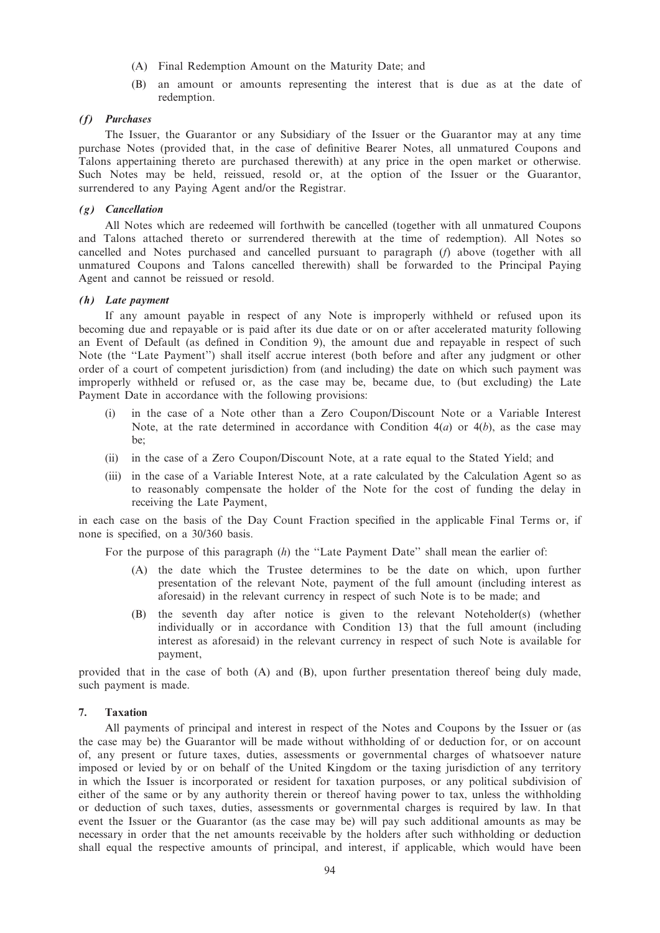- (A) Final Redemption Amount on the Maturity Date; and
- (B) an amount or amounts representing the interest that is due as at the date of redemption.

# (f) Purchases

The Issuer, the Guarantor or any Subsidiary of the Issuer or the Guarantor may at any time purchase Notes (provided that, in the case of definitive Bearer Notes, all unmatured Coupons and Talons appertaining thereto are purchased therewith) at any price in the open market or otherwise. Such Notes may be held, reissued, resold or, at the option of the Issuer or the Guarantor, surrendered to any Paying Agent and/or the Registrar.

#### (g) Cancellation

All Notes which are redeemed will forthwith be cancelled (together with all unmatured Coupons and Talons attached thereto or surrendered therewith at the time of redemption). All Notes so cancelled and Notes purchased and cancelled pursuant to paragraph (f) above (together with all unmatured Coupons and Talons cancelled therewith) shall be forwarded to the Principal Paying Agent and cannot be reissued or resold.

## (h) Late payment

If any amount payable in respect of any Note is improperly withheld or refused upon its becoming due and repayable or is paid after its due date or on or after accelerated maturity following an Event of Default (as defined in Condition 9), the amount due and repayable in respect of such Note (the ''Late Payment'') shall itself accrue interest (both before and after any judgment or other order of a court of competent jurisdiction) from (and including) the date on which such payment was improperly withheld or refused or, as the case may be, became due, to (but excluding) the Late Payment Date in accordance with the following provisions:

- (i) in the case of a Note other than a Zero Coupon/Discount Note or a Variable Interest Note, at the rate determined in accordance with Condition  $4(a)$  or  $4(b)$ , as the case may be;
- (ii) in the case of a Zero Coupon/Discount Note, at a rate equal to the Stated Yield; and
- (iii) in the case of a Variable Interest Note, at a rate calculated by the Calculation Agent so as to reasonably compensate the holder of the Note for the cost of funding the delay in receiving the Late Payment,

in each case on the basis of the Day Count Fraction specified in the applicable Final Terms or, if none is specified, on a 30/360 basis.

For the purpose of this paragraph (h) the "Late Payment Date" shall mean the earlier of:

- (A) the date which the Trustee determines to be the date on which, upon further presentation of the relevant Note, payment of the full amount (including interest as aforesaid) in the relevant currency in respect of such Note is to be made; and
- (B) the seventh day after notice is given to the relevant Noteholder(s) (whether individually or in accordance with Condition 13) that the full amount (including interest as aforesaid) in the relevant currency in respect of such Note is available for payment,

provided that in the case of both (A) and (B), upon further presentation thereof being duly made, such payment is made.

### 7. Taxation

All payments of principal and interest in respect of the Notes and Coupons by the Issuer or (as the case may be) the Guarantor will be made without withholding of or deduction for, or on account of, any present or future taxes, duties, assessments or governmental charges of whatsoever nature imposed or levied by or on behalf of the United Kingdom or the taxing jurisdiction of any territory in which the Issuer is incorporated or resident for taxation purposes, or any political subdivision of either of the same or by any authority therein or thereof having power to tax, unless the withholding or deduction of such taxes, duties, assessments or governmental charges is required by law. In that event the Issuer or the Guarantor (as the case may be) will pay such additional amounts as may be necessary in order that the net amounts receivable by the holders after such withholding or deduction shall equal the respective amounts of principal, and interest, if applicable, which would have been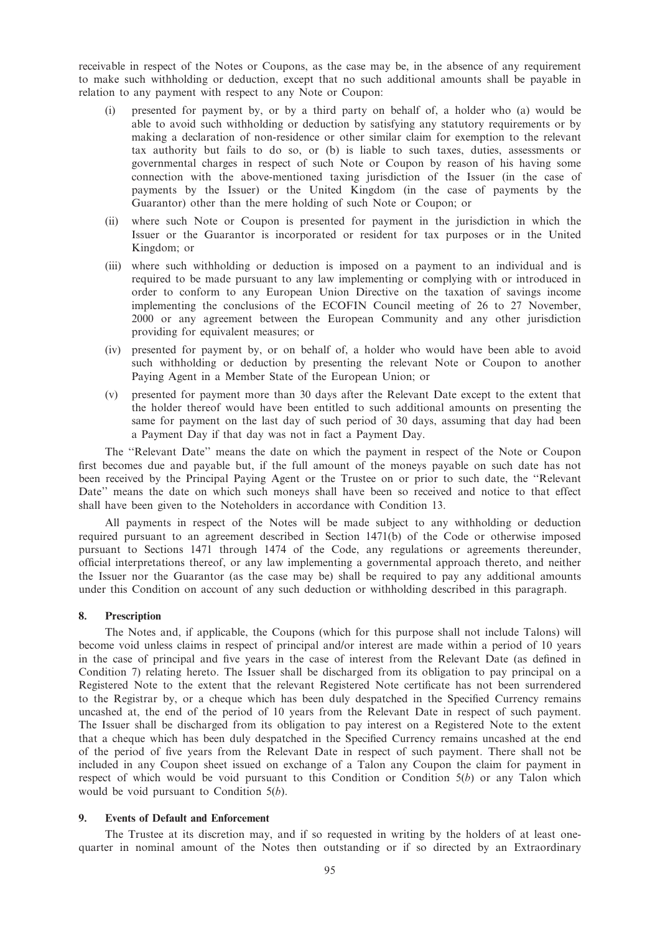receivable in respect of the Notes or Coupons, as the case may be, in the absence of any requirement to make such withholding or deduction, except that no such additional amounts shall be payable in relation to any payment with respect to any Note or Coupon:

- (i) presented for payment by, or by a third party on behalf of, a holder who (a) would be able to avoid such withholding or deduction by satisfying any statutory requirements or by making a declaration of non-residence or other similar claim for exemption to the relevant tax authority but fails to do so, or (b) is liable to such taxes, duties, assessments or governmental charges in respect of such Note or Coupon by reason of his having some connection with the above-mentioned taxing jurisdiction of the Issuer (in the case of payments by the Issuer) or the United Kingdom (in the case of payments by the Guarantor) other than the mere holding of such Note or Coupon; or
- (ii) where such Note or Coupon is presented for payment in the jurisdiction in which the Issuer or the Guarantor is incorporated or resident for tax purposes or in the United Kingdom; or
- (iii) where such withholding or deduction is imposed on a payment to an individual and is required to be made pursuant to any law implementing or complying with or introduced in order to conform to any European Union Directive on the taxation of savings income implementing the conclusions of the ECOFIN Council meeting of 26 to 27 November, 2000 or any agreement between the European Community and any other jurisdiction providing for equivalent measures; or
- (iv) presented for payment by, or on behalf of, a holder who would have been able to avoid such withholding or deduction by presenting the relevant Note or Coupon to another Paying Agent in a Member State of the European Union; or
- (v) presented for payment more than 30 days after the Relevant Date except to the extent that the holder thereof would have been entitled to such additional amounts on presenting the same for payment on the last day of such period of 30 days, assuming that day had been a Payment Day if that day was not in fact a Payment Day.

The ''Relevant Date'' means the date on which the payment in respect of the Note or Coupon first becomes due and payable but, if the full amount of the moneys payable on such date has not been received by the Principal Paying Agent or the Trustee on or prior to such date, the ''Relevant Date'' means the date on which such moneys shall have been so received and notice to that effect shall have been given to the Noteholders in accordance with Condition 13.

All payments in respect of the Notes will be made subject to any withholding or deduction required pursuant to an agreement described in Section 1471(b) of the Code or otherwise imposed pursuant to Sections 1471 through 1474 of the Code, any regulations or agreements thereunder, official interpretations thereof, or any law implementing a governmental approach thereto, and neither the Issuer nor the Guarantor (as the case may be) shall be required to pay any additional amounts under this Condition on account of any such deduction or withholding described in this paragraph.

#### 8. Prescription

The Notes and, if applicable, the Coupons (which for this purpose shall not include Talons) will become void unless claims in respect of principal and/or interest are made within a period of 10 years in the case of principal and five years in the case of interest from the Relevant Date (as defined in Condition 7) relating hereto. The Issuer shall be discharged from its obligation to pay principal on a Registered Note to the extent that the relevant Registered Note certificate has not been surrendered to the Registrar by, or a cheque which has been duly despatched in the Specified Currency remains uncashed at, the end of the period of 10 years from the Relevant Date in respect of such payment. The Issuer shall be discharged from its obligation to pay interest on a Registered Note to the extent that a cheque which has been duly despatched in the Specified Currency remains uncashed at the end of the period of five years from the Relevant Date in respect of such payment. There shall not be included in any Coupon sheet issued on exchange of a Talon any Coupon the claim for payment in respect of which would be void pursuant to this Condition or Condition  $5(b)$  or any Talon which would be void pursuant to Condition  $5(b)$ .

## 9. Events of Default and Enforcement

The Trustee at its discretion may, and if so requested in writing by the holders of at least onequarter in nominal amount of the Notes then outstanding or if so directed by an Extraordinary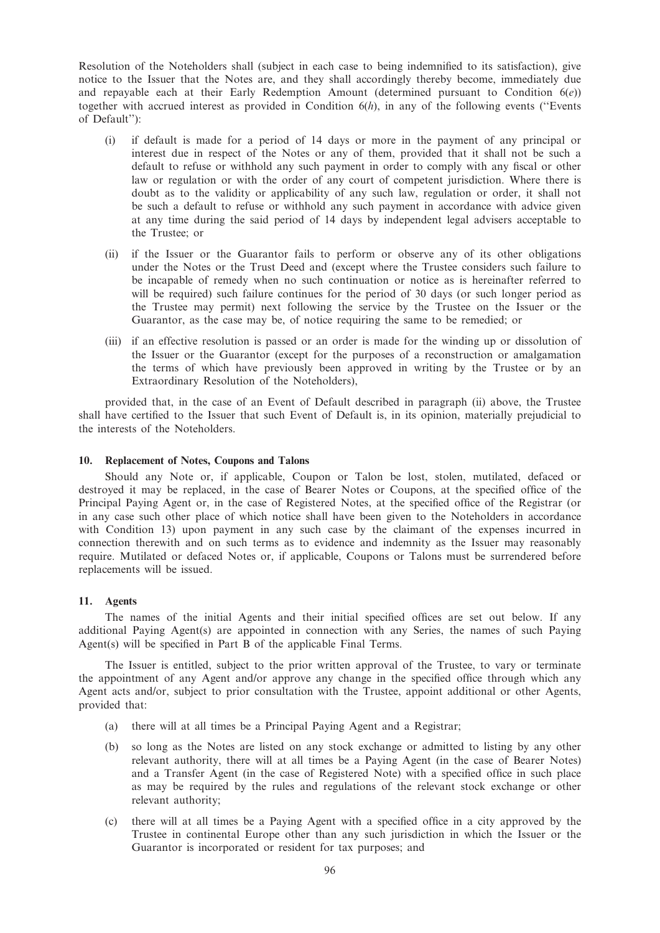Resolution of the Noteholders shall (subject in each case to being indemnified to its satisfaction), give notice to the Issuer that the Notes are, and they shall accordingly thereby become, immediately due and repayable each at their Early Redemption Amount (determined pursuant to Condition  $6(e)$ ) together with accrued interest as provided in Condition  $6(h)$ , in any of the following events ("Events") of Default''):

- (i) if default is made for a period of 14 days or more in the payment of any principal or interest due in respect of the Notes or any of them, provided that it shall not be such a default to refuse or withhold any such payment in order to comply with any fiscal or other law or regulation or with the order of any court of competent jurisdiction. Where there is doubt as to the validity or applicability of any such law, regulation or order, it shall not be such a default to refuse or withhold any such payment in accordance with advice given at any time during the said period of 14 days by independent legal advisers acceptable to the Trustee; or
- (ii) if the Issuer or the Guarantor fails to perform or observe any of its other obligations under the Notes or the Trust Deed and (except where the Trustee considers such failure to be incapable of remedy when no such continuation or notice as is hereinafter referred to will be required) such failure continues for the period of 30 days (or such longer period as the Trustee may permit) next following the service by the Trustee on the Issuer or the Guarantor, as the case may be, of notice requiring the same to be remedied; or
- (iii) if an effective resolution is passed or an order is made for the winding up or dissolution of the Issuer or the Guarantor (except for the purposes of a reconstruction or amalgamation the terms of which have previously been approved in writing by the Trustee or by an Extraordinary Resolution of the Noteholders),

provided that, in the case of an Event of Default described in paragraph (ii) above, the Trustee shall have certified to the Issuer that such Event of Default is, in its opinion, materially prejudicial to the interests of the Noteholders.

#### 10. Replacement of Notes, Coupons and Talons

Should any Note or, if applicable, Coupon or Talon be lost, stolen, mutilated, defaced or destroyed it may be replaced, in the case of Bearer Notes or Coupons, at the specified office of the Principal Paying Agent or, in the case of Registered Notes, at the specified office of the Registrar (or in any case such other place of which notice shall have been given to the Noteholders in accordance with Condition 13) upon payment in any such case by the claimant of the expenses incurred in connection therewith and on such terms as to evidence and indemnity as the Issuer may reasonably require. Mutilated or defaced Notes or, if applicable, Coupons or Talons must be surrendered before replacements will be issued.

# 11. Agents

The names of the initial Agents and their initial specified offices are set out below. If any additional Paying Agent(s) are appointed in connection with any Series, the names of such Paying Agent(s) will be specified in Part B of the applicable Final Terms.

The Issuer is entitled, subject to the prior written approval of the Trustee, to vary or terminate the appointment of any Agent and/or approve any change in the specified office through which any Agent acts and/or, subject to prior consultation with the Trustee, appoint additional or other Agents, provided that:

- (a) there will at all times be a Principal Paying Agent and a Registrar;
- (b) so long as the Notes are listed on any stock exchange or admitted to listing by any other relevant authority, there will at all times be a Paying Agent (in the case of Bearer Notes) and a Transfer Agent (in the case of Registered Note) with a specified office in such place as may be required by the rules and regulations of the relevant stock exchange or other relevant authority;
- (c) there will at all times be a Paying Agent with a specified office in a city approved by the Trustee in continental Europe other than any such jurisdiction in which the Issuer or the Guarantor is incorporated or resident for tax purposes; and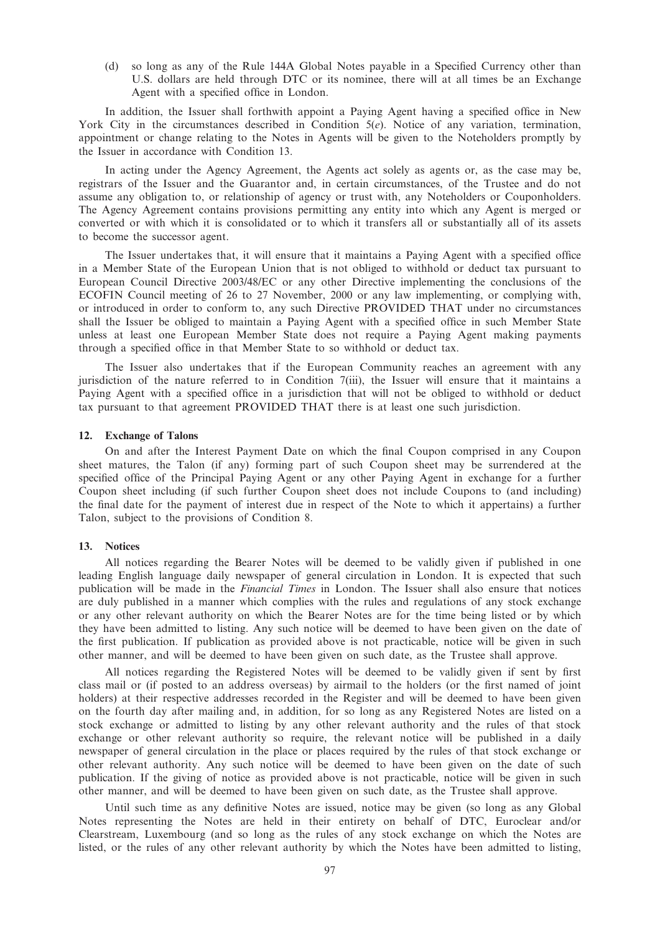(d) so long as any of the Rule 144A Global Notes payable in a Specified Currency other than U.S. dollars are held through DTC or its nominee, there will at all times be an Exchange Agent with a specified office in London.

In addition, the Issuer shall forthwith appoint a Paying Agent having a specified office in New York City in the circumstances described in Condition 5(e). Notice of any variation, termination, appointment or change relating to the Notes in Agents will be given to the Noteholders promptly by the Issuer in accordance with Condition 13.

In acting under the Agency Agreement, the Agents act solely as agents or, as the case may be, registrars of the Issuer and the Guarantor and, in certain circumstances, of the Trustee and do not assume any obligation to, or relationship of agency or trust with, any Noteholders or Couponholders. The Agency Agreement contains provisions permitting any entity into which any Agent is merged or converted or with which it is consolidated or to which it transfers all or substantially all of its assets to become the successor agent.

The Issuer undertakes that, it will ensure that it maintains a Paying Agent with a specified office in a Member State of the European Union that is not obliged to withhold or deduct tax pursuant to European Council Directive 2003/48/EC or any other Directive implementing the conclusions of the ECOFIN Council meeting of 26 to 27 November, 2000 or any law implementing, or complying with, or introduced in order to conform to, any such Directive PROVIDED THAT under no circumstances shall the Issuer be obliged to maintain a Paying Agent with a specified office in such Member State unless at least one European Member State does not require a Paying Agent making payments through a specified office in that Member State to so withhold or deduct tax.

The Issuer also undertakes that if the European Community reaches an agreement with any jurisdiction of the nature referred to in Condition 7(iii), the Issuer will ensure that it maintains a Paying Agent with a specified office in a jurisdiction that will not be obliged to withhold or deduct tax pursuant to that agreement PROVIDED THAT there is at least one such jurisdiction.

## 12. Exchange of Talons

On and after the Interest Payment Date on which the final Coupon comprised in any Coupon sheet matures, the Talon (if any) forming part of such Coupon sheet may be surrendered at the specified office of the Principal Paying Agent or any other Paying Agent in exchange for a further Coupon sheet including (if such further Coupon sheet does not include Coupons to (and including) the final date for the payment of interest due in respect of the Note to which it appertains) a further Talon, subject to the provisions of Condition 8.

#### 13. Notices

All notices regarding the Bearer Notes will be deemed to be validly given if published in one leading English language daily newspaper of general circulation in London. It is expected that such publication will be made in the Financial Times in London. The Issuer shall also ensure that notices are duly published in a manner which complies with the rules and regulations of any stock exchange or any other relevant authority on which the Bearer Notes are for the time being listed or by which they have been admitted to listing. Any such notice will be deemed to have been given on the date of the first publication. If publication as provided above is not practicable, notice will be given in such other manner, and will be deemed to have been given on such date, as the Trustee shall approve.

All notices regarding the Registered Notes will be deemed to be validly given if sent by first class mail or (if posted to an address overseas) by airmail to the holders (or the first named of joint holders) at their respective addresses recorded in the Register and will be deemed to have been given on the fourth day after mailing and, in addition, for so long as any Registered Notes are listed on a stock exchange or admitted to listing by any other relevant authority and the rules of that stock exchange or other relevant authority so require, the relevant notice will be published in a daily newspaper of general circulation in the place or places required by the rules of that stock exchange or other relevant authority. Any such notice will be deemed to have been given on the date of such publication. If the giving of notice as provided above is not practicable, notice will be given in such other manner, and will be deemed to have been given on such date, as the Trustee shall approve.

Until such time as any definitive Notes are issued, notice may be given (so long as any Global Notes representing the Notes are held in their entirety on behalf of DTC, Euroclear and/or Clearstream, Luxembourg (and so long as the rules of any stock exchange on which the Notes are listed, or the rules of any other relevant authority by which the Notes have been admitted to listing,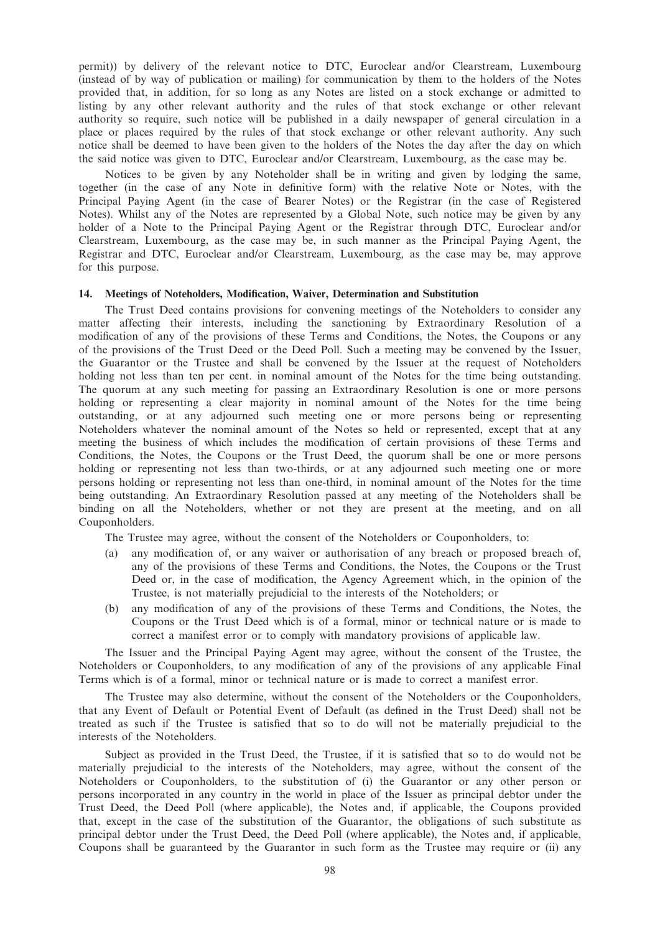permit)) by delivery of the relevant notice to DTC, Euroclear and/or Clearstream, Luxembourg (instead of by way of publication or mailing) for communication by them to the holders of the Notes provided that, in addition, for so long as any Notes are listed on a stock exchange or admitted to listing by any other relevant authority and the rules of that stock exchange or other relevant authority so require, such notice will be published in a daily newspaper of general circulation in a place or places required by the rules of that stock exchange or other relevant authority. Any such notice shall be deemed to have been given to the holders of the Notes the day after the day on which the said notice was given to DTC, Euroclear and/or Clearstream, Luxembourg, as the case may be.

Notices to be given by any Noteholder shall be in writing and given by lodging the same, together (in the case of any Note in definitive form) with the relative Note or Notes, with the Principal Paying Agent (in the case of Bearer Notes) or the Registrar (in the case of Registered Notes). Whilst any of the Notes are represented by a Global Note, such notice may be given by any holder of a Note to the Principal Paying Agent or the Registrar through DTC, Euroclear and/or Clearstream, Luxembourg, as the case may be, in such manner as the Principal Paying Agent, the Registrar and DTC, Euroclear and/or Clearstream, Luxembourg, as the case may be, may approve for this purpose.

#### 14. Meetings of Noteholders, Modification, Waiver, Determination and Substitution

The Trust Deed contains provisions for convening meetings of the Noteholders to consider any matter affecting their interests, including the sanctioning by Extraordinary Resolution of a modification of any of the provisions of these Terms and Conditions, the Notes, the Coupons or any of the provisions of the Trust Deed or the Deed Poll. Such a meeting may be convened by the Issuer, the Guarantor or the Trustee and shall be convened by the Issuer at the request of Noteholders holding not less than ten per cent. in nominal amount of the Notes for the time being outstanding. The quorum at any such meeting for passing an Extraordinary Resolution is one or more persons holding or representing a clear majority in nominal amount of the Notes for the time being outstanding, or at any adjourned such meeting one or more persons being or representing Noteholders whatever the nominal amount of the Notes so held or represented, except that at any meeting the business of which includes the modification of certain provisions of these Terms and Conditions, the Notes, the Coupons or the Trust Deed, the quorum shall be one or more persons holding or representing not less than two-thirds, or at any adjourned such meeting one or more persons holding or representing not less than one-third, in nominal amount of the Notes for the time being outstanding. An Extraordinary Resolution passed at any meeting of the Noteholders shall be binding on all the Noteholders, whether or not they are present at the meeting, and on all Couponholders.

The Trustee may agree, without the consent of the Noteholders or Couponholders, to:

- (a) any modification of, or any waiver or authorisation of any breach or proposed breach of, any of the provisions of these Terms and Conditions, the Notes, the Coupons or the Trust Deed or, in the case of modification, the Agency Agreement which, in the opinion of the Trustee, is not materially prejudicial to the interests of the Noteholders; or
- (b) any modification of any of the provisions of these Terms and Conditions, the Notes, the Coupons or the Trust Deed which is of a formal, minor or technical nature or is made to correct a manifest error or to comply with mandatory provisions of applicable law.

The Issuer and the Principal Paying Agent may agree, without the consent of the Trustee, the Noteholders or Couponholders, to any modification of any of the provisions of any applicable Final Terms which is of a formal, minor or technical nature or is made to correct a manifest error.

The Trustee may also determine, without the consent of the Noteholders or the Couponholders, that any Event of Default or Potential Event of Default (as defined in the Trust Deed) shall not be treated as such if the Trustee is satisfied that so to do will not be materially prejudicial to the interests of the Noteholders.

Subject as provided in the Trust Deed, the Trustee, if it is satisfied that so to do would not be materially prejudicial to the interests of the Noteholders, may agree, without the consent of the Noteholders or Couponholders, to the substitution of (i) the Guarantor or any other person or persons incorporated in any country in the world in place of the Issuer as principal debtor under the Trust Deed, the Deed Poll (where applicable), the Notes and, if applicable, the Coupons provided that, except in the case of the substitution of the Guarantor, the obligations of such substitute as principal debtor under the Trust Deed, the Deed Poll (where applicable), the Notes and, if applicable, Coupons shall be guaranteed by the Guarantor in such form as the Trustee may require or (ii) any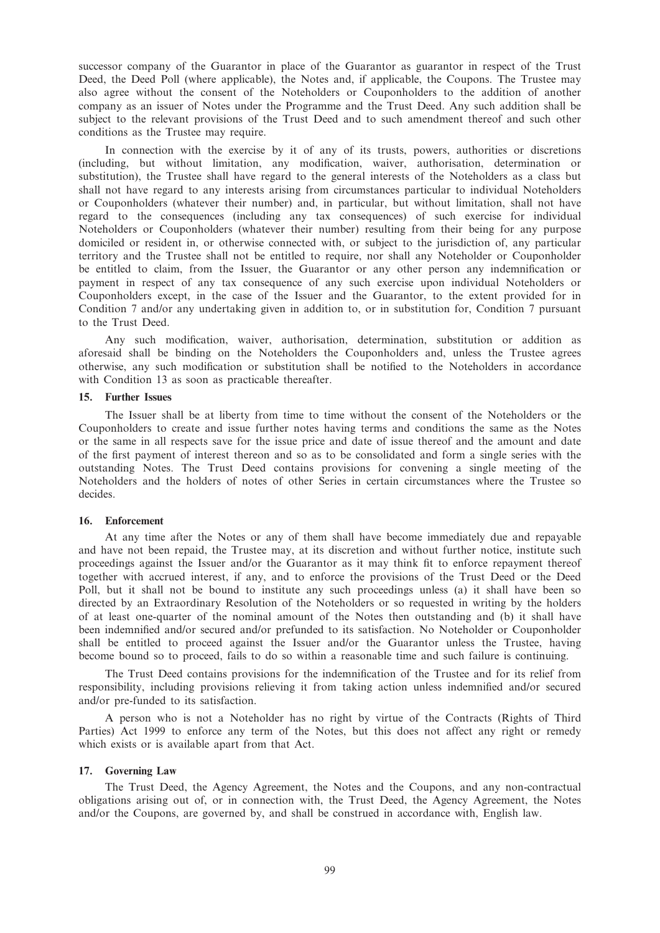successor company of the Guarantor in place of the Guarantor as guarantor in respect of the Trust Deed, the Deed Poll (where applicable), the Notes and, if applicable, the Coupons. The Trustee may also agree without the consent of the Noteholders or Couponholders to the addition of another company as an issuer of Notes under the Programme and the Trust Deed. Any such addition shall be subject to the relevant provisions of the Trust Deed and to such amendment thereof and such other conditions as the Trustee may require.

In connection with the exercise by it of any of its trusts, powers, authorities or discretions (including, but without limitation, any modification, waiver, authorisation, determination or substitution), the Trustee shall have regard to the general interests of the Noteholders as a class but shall not have regard to any interests arising from circumstances particular to individual Noteholders or Couponholders (whatever their number) and, in particular, but without limitation, shall not have regard to the consequences (including any tax consequences) of such exercise for individual Noteholders or Couponholders (whatever their number) resulting from their being for any purpose domiciled or resident in, or otherwise connected with, or subject to the jurisdiction of, any particular territory and the Trustee shall not be entitled to require, nor shall any Noteholder or Couponholder be entitled to claim, from the Issuer, the Guarantor or any other person any indemnification or payment in respect of any tax consequence of any such exercise upon individual Noteholders or Couponholders except, in the case of the Issuer and the Guarantor, to the extent provided for in Condition 7 and/or any undertaking given in addition to, or in substitution for, Condition 7 pursuant to the Trust Deed.

Any such modification, waiver, authorisation, determination, substitution or addition as aforesaid shall be binding on the Noteholders the Couponholders and, unless the Trustee agrees otherwise, any such modification or substitution shall be notified to the Noteholders in accordance with Condition 13 as soon as practicable thereafter.

#### 15. Further Issues

The Issuer shall be at liberty from time to time without the consent of the Noteholders or the Couponholders to create and issue further notes having terms and conditions the same as the Notes or the same in all respects save for the issue price and date of issue thereof and the amount and date of the first payment of interest thereon and so as to be consolidated and form a single series with the outstanding Notes. The Trust Deed contains provisions for convening a single meeting of the Noteholders and the holders of notes of other Series in certain circumstances where the Trustee so decides.

#### 16. Enforcement

At any time after the Notes or any of them shall have become immediately due and repayable and have not been repaid, the Trustee may, at its discretion and without further notice, institute such proceedings against the Issuer and/or the Guarantor as it may think fit to enforce repayment thereof together with accrued interest, if any, and to enforce the provisions of the Trust Deed or the Deed Poll, but it shall not be bound to institute any such proceedings unless (a) it shall have been so directed by an Extraordinary Resolution of the Noteholders or so requested in writing by the holders of at least one-quarter of the nominal amount of the Notes then outstanding and (b) it shall have been indemnified and/or secured and/or prefunded to its satisfaction. No Noteholder or Couponholder shall be entitled to proceed against the Issuer and/or the Guarantor unless the Trustee, having become bound so to proceed, fails to do so within a reasonable time and such failure is continuing.

The Trust Deed contains provisions for the indemnification of the Trustee and for its relief from responsibility, including provisions relieving it from taking action unless indemnified and/or secured and/or pre-funded to its satisfaction.

A person who is not a Noteholder has no right by virtue of the Contracts (Rights of Third Parties) Act 1999 to enforce any term of the Notes, but this does not affect any right or remedy which exists or is available apart from that Act.

#### 17. Governing Law

The Trust Deed, the Agency Agreement, the Notes and the Coupons, and any non-contractual obligations arising out of, or in connection with, the Trust Deed, the Agency Agreement, the Notes and/or the Coupons, are governed by, and shall be construed in accordance with, English law.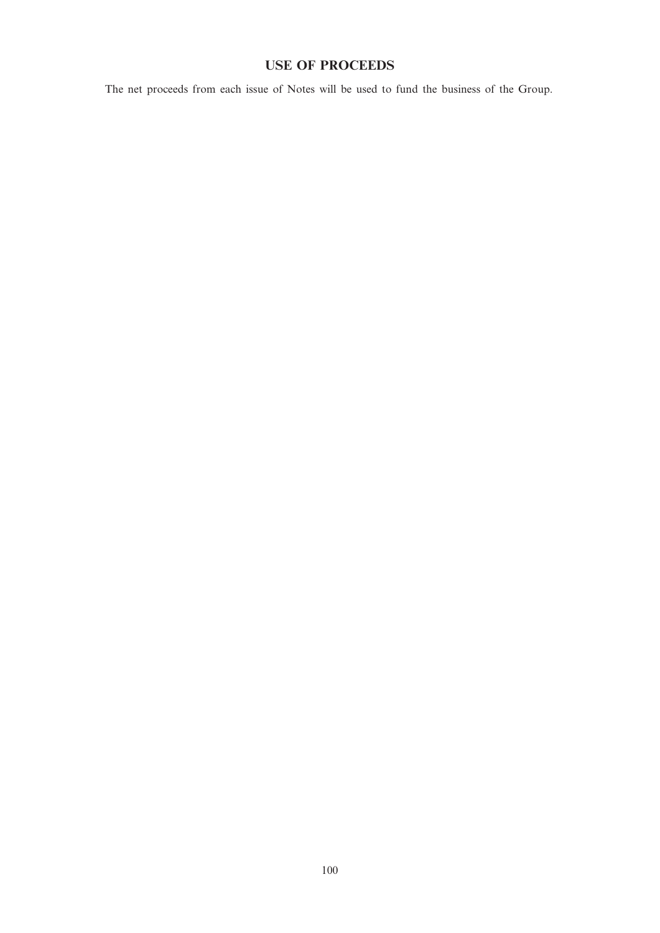# USE OF PROCEEDS

The net proceeds from each issue of Notes will be used to fund the business of the Group.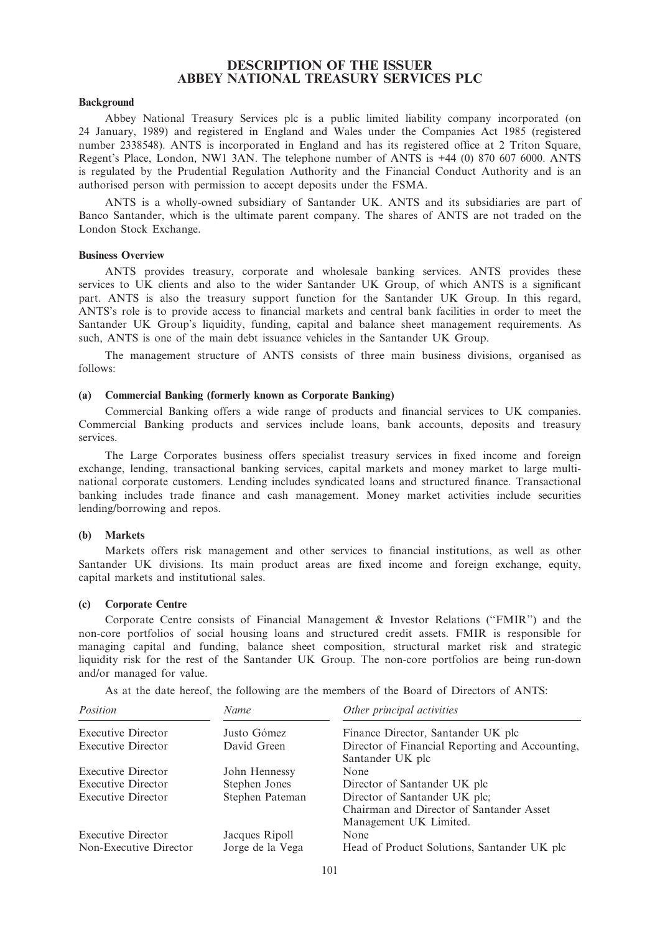# DESCRIPTION OF THE ISSUER ABBEY NATIONAL TREASURY SERVICES PLC

## Background

Abbey National Treasury Services plc is a public limited liability company incorporated (on 24 January, 1989) and registered in England and Wales under the Companies Act 1985 (registered number 2338548). ANTS is incorporated in England and has its registered office at 2 Triton Square, Regent's Place, London, NW1 3AN. The telephone number of ANTS is +44 (0) 870 607 6000. ANTS is regulated by the Prudential Regulation Authority and the Financial Conduct Authority and is an authorised person with permission to accept deposits under the FSMA.

ANTS is a wholly-owned subsidiary of Santander UK. ANTS and its subsidiaries are part of Banco Santander, which is the ultimate parent company. The shares of ANTS are not traded on the London Stock Exchange.

## Business Overview

ANTS provides treasury, corporate and wholesale banking services. ANTS provides these services to UK clients and also to the wider Santander UK Group, of which ANTS is a significant part. ANTS is also the treasury support function for the Santander UK Group. In this regard, ANTS's role is to provide access to financial markets and central bank facilities in order to meet the Santander UK Group's liquidity, funding, capital and balance sheet management requirements. As such, ANTS is one of the main debt issuance vehicles in the Santander UK Group.

The management structure of ANTS consists of three main business divisions, organised as follows:

# (a) Commercial Banking (formerly known as Corporate Banking)

Commercial Banking offers a wide range of products and financial services to UK companies. Commercial Banking products and services include loans, bank accounts, deposits and treasury services.

The Large Corporates business offers specialist treasury services in fixed income and foreign exchange, lending, transactional banking services, capital markets and money market to large multinational corporate customers. Lending includes syndicated loans and structured finance. Transactional banking includes trade finance and cash management. Money market activities include securities lending/borrowing and repos.

#### (b) Markets

Markets offers risk management and other services to financial institutions, as well as other Santander UK divisions. Its main product areas are fixed income and foreign exchange, equity, capital markets and institutional sales.

# (c) Corporate Centre

Corporate Centre consists of Financial Management & Investor Relations (''FMIR'') and the non-core portfolios of social housing loans and structured credit assets. FMIR is responsible for managing capital and funding, balance sheet composition, structural market risk and strategic liquidity risk for the rest of the Santander UK Group. The non-core portfolios are being run-down and/or managed for value.

As at the date hereof, the following are the members of the Board of Directors of ANTS:

| Position                  | Name             | Other principal activities                      |
|---------------------------|------------------|-------------------------------------------------|
| <b>Executive Director</b> | Justo Gómez      | Finance Director, Santander UK plc              |
| <b>Executive Director</b> | David Green      | Director of Financial Reporting and Accounting, |
|                           |                  | Santander UK plc                                |
| <b>Executive Director</b> | John Hennessy    | None                                            |
| <b>Executive Director</b> | Stephen Jones    | Director of Santander UK plc                    |
| <b>Executive Director</b> | Stephen Pateman  | Director of Santander UK plc;                   |
|                           |                  | Chairman and Director of Santander Asset        |
|                           |                  | Management UK Limited.                          |
| <b>Executive Director</b> | Jacques Ripoll   | None                                            |
| Non-Executive Director    | Jorge de la Vega | Head of Product Solutions, Santander UK plc     |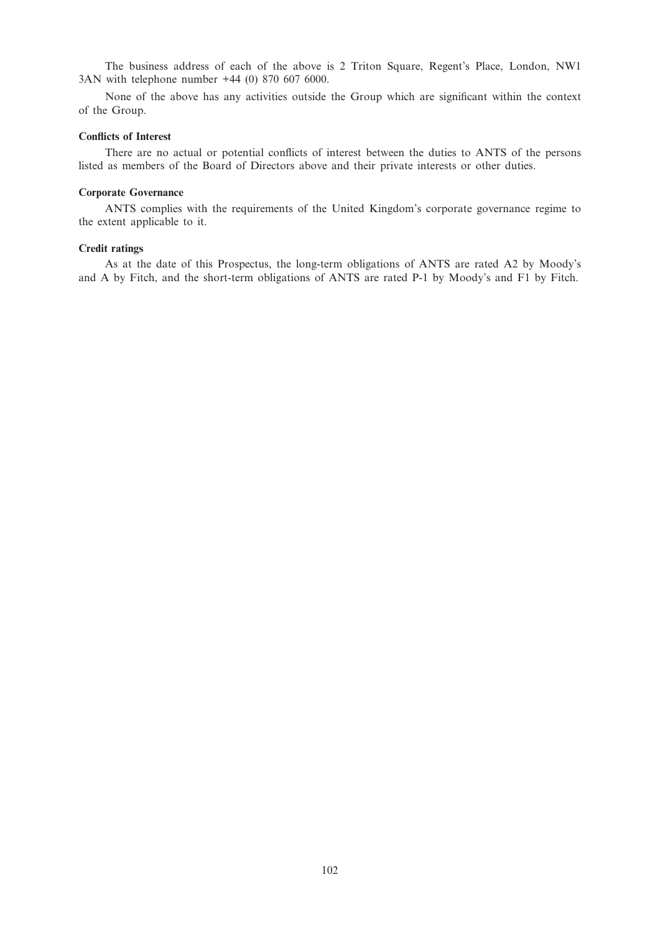The business address of each of the above is 2 Triton Square, Regent's Place, London, NW1 3AN with telephone number +44 (0) 870 607 6000.

None of the above has any activities outside the Group which are significant within the context of the Group.

#### Conflicts of Interest

There are no actual or potential conflicts of interest between the duties to ANTS of the persons listed as members of the Board of Directors above and their private interests or other duties.

## Corporate Governance

ANTS complies with the requirements of the United Kingdom's corporate governance regime to the extent applicable to it.

## Credit ratings

As at the date of this Prospectus, the long-term obligations of ANTS are rated A2 by Moody's and A by Fitch, and the short-term obligations of ANTS are rated P-1 by Moody's and F1 by Fitch.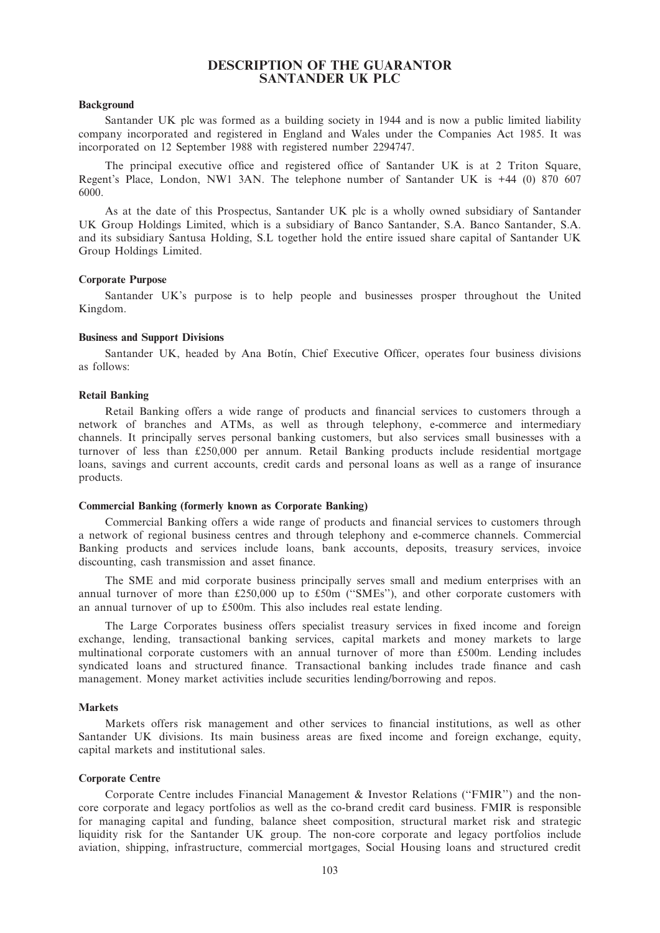# DESCRIPTION OF THE GUARANTOR SANTANDER UK PLC

## Background

Santander UK plc was formed as a building society in 1944 and is now a public limited liability company incorporated and registered in England and Wales under the Companies Act 1985. It was incorporated on 12 September 1988 with registered number 2294747.

The principal executive office and registered office of Santander UK is at 2 Triton Square, Regent's Place, London, NW1 3AN. The telephone number of Santander UK is +44 (0) 870 607 6000.

As at the date of this Prospectus, Santander UK plc is a wholly owned subsidiary of Santander UK Group Holdings Limited, which is a subsidiary of Banco Santander, S.A. Banco Santander, S.A. and its subsidiary Santusa Holding, S.L together hold the entire issued share capital of Santander UK Group Holdings Limited.

#### Corporate Purpose

Santander UK's purpose is to help people and businesses prosper throughout the United Kingdom.

## Business and Support Divisions

Santander UK, headed by Ana Botín, Chief Executive Officer, operates four business divisions as follows:

## Retail Banking

Retail Banking offers a wide range of products and financial services to customers through a network of branches and ATMs, as well as through telephony, e-commerce and intermediary channels. It principally serves personal banking customers, but also services small businesses with a turnover of less than £250,000 per annum. Retail Banking products include residential mortgage loans, savings and current accounts, credit cards and personal loans as well as a range of insurance products.

#### Commercial Banking (formerly known as Corporate Banking)

Commercial Banking offers a wide range of products and financial services to customers through a network of regional business centres and through telephony and e-commerce channels. Commercial Banking products and services include loans, bank accounts, deposits, treasury services, invoice discounting, cash transmission and asset finance.

The SME and mid corporate business principally serves small and medium enterprises with an annual turnover of more than £250,000 up to £50m (''SMEs''), and other corporate customers with an annual turnover of up to £500m. This also includes real estate lending.

The Large Corporates business offers specialist treasury services in fixed income and foreign exchange, lending, transactional banking services, capital markets and money markets to large multinational corporate customers with an annual turnover of more than £500m. Lending includes syndicated loans and structured finance. Transactional banking includes trade finance and cash management. Money market activities include securities lending/borrowing and repos.

#### Markets

Markets offers risk management and other services to financial institutions, as well as other Santander UK divisions. Its main business areas are fixed income and foreign exchange, equity, capital markets and institutional sales.

#### Corporate Centre

Corporate Centre includes Financial Management & Investor Relations (''FMIR'') and the noncore corporate and legacy portfolios as well as the co-brand credit card business. FMIR is responsible for managing capital and funding, balance sheet composition, structural market risk and strategic liquidity risk for the Santander UK group. The non-core corporate and legacy portfolios include aviation, shipping, infrastructure, commercial mortgages, Social Housing loans and structured credit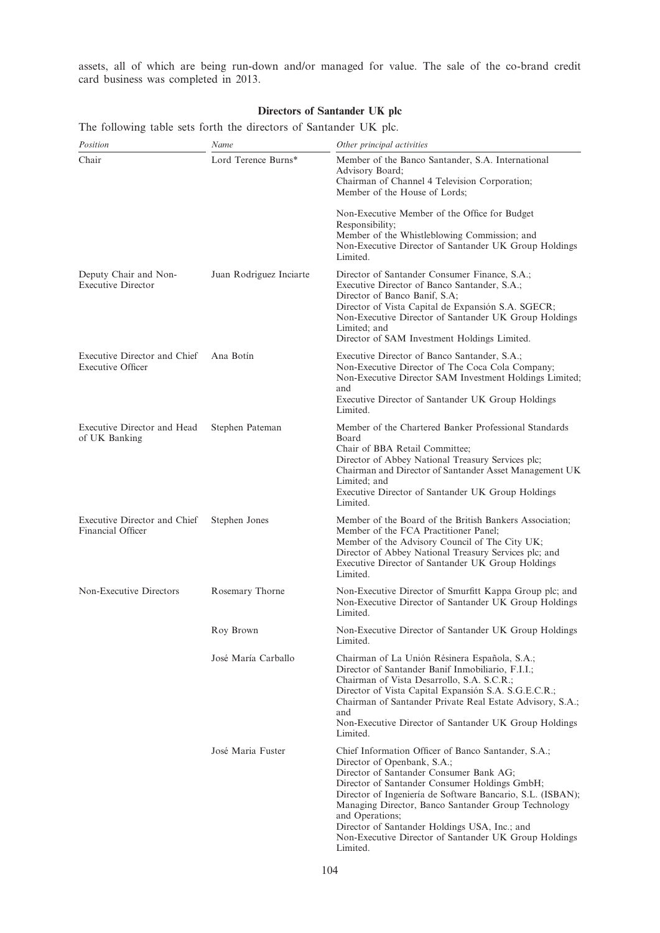assets, all of which are being run-down and/or managed for value. The sale of the co-brand credit card business was completed in 2013.

# Directors of Santander UK plc

The following table sets forth the directors of Santander UK plc.

| Position                                                 | Name                    | Other principal activities                                                                                                                                                                                                                                                                                                                                                                                                                   |
|----------------------------------------------------------|-------------------------|----------------------------------------------------------------------------------------------------------------------------------------------------------------------------------------------------------------------------------------------------------------------------------------------------------------------------------------------------------------------------------------------------------------------------------------------|
| Chair                                                    | Lord Terence Burns*     | Member of the Banco Santander, S.A. International<br>Advisory Board;<br>Chairman of Channel 4 Television Corporation;<br>Member of the House of Lords;                                                                                                                                                                                                                                                                                       |
|                                                          |                         | Non-Executive Member of the Office for Budget<br>Responsibility;<br>Member of the Whistleblowing Commission; and<br>Non-Executive Director of Santander UK Group Holdings<br>Limited.                                                                                                                                                                                                                                                        |
| Deputy Chair and Non-<br><b>Executive Director</b>       | Juan Rodriguez Inciarte | Director of Santander Consumer Finance, S.A.;<br>Executive Director of Banco Santander, S.A.;<br>Director of Banco Banif, S.A;<br>Director of Vista Capital de Expansión S.A. SGECR;<br>Non-Executive Director of Santander UK Group Holdings<br>Limited; and<br>Director of SAM Investment Holdings Limited.                                                                                                                                |
| Executive Director and Chief<br><b>Executive Officer</b> | Ana Botin               | Executive Director of Banco Santander, S.A.;<br>Non-Executive Director of The Coca Cola Company;<br>Non-Executive Director SAM Investment Holdings Limited;<br>and<br>Executive Director of Santander UK Group Holdings<br>Limited.                                                                                                                                                                                                          |
| Executive Director and Head<br>of UK Banking             | Stephen Pateman         | Member of the Chartered Banker Professional Standards<br>Board<br>Chair of BBA Retail Committee;<br>Director of Abbey National Treasury Services plc;<br>Chairman and Director of Santander Asset Management UK<br>Limited; and<br>Executive Director of Santander UK Group Holdings<br>Limited.                                                                                                                                             |
| Executive Director and Chief<br>Financial Officer        | Stephen Jones           | Member of the Board of the British Bankers Association;<br>Member of the FCA Practitioner Panel;<br>Member of the Advisory Council of The City UK;<br>Director of Abbey National Treasury Services plc; and<br>Executive Director of Santander UK Group Holdings<br>Limited.                                                                                                                                                                 |
| Non-Executive Directors                                  | Rosemary Thorne         | Non-Executive Director of Smurfitt Kappa Group plc; and<br>Non-Executive Director of Santander UK Group Holdings<br>Limited.                                                                                                                                                                                                                                                                                                                 |
|                                                          | Roy Brown               | Non-Executive Director of Santander UK Group Holdings<br>Limited.                                                                                                                                                                                                                                                                                                                                                                            |
|                                                          | José María Carballo     | Chairman of La Unión Résinera Española, S.A.;<br>Director of Santander Banif Inmobiliario, F.I.I.;<br>Chairman of Vista Desarrollo, S.A. S.C.R.;<br>Director of Vista Capital Expansión S.A. S.G.E.C.R.;<br>Chairman of Santander Private Real Estate Advisory, S.A.;<br>and<br>Non-Executive Director of Santander UK Group Holdings<br>Limited.                                                                                            |
|                                                          | José Maria Fuster       | Chief Information Officer of Banco Santander, S.A.;<br>Director of Openbank, S.A.;<br>Director of Santander Consumer Bank AG;<br>Director of Santander Consumer Holdings GmbH;<br>Director of Ingeniería de Software Bancario, S.L. (ISBAN);<br>Managing Director, Banco Santander Group Technology<br>and Operations;<br>Director of Santander Holdings USA, Inc.; and<br>Non-Executive Director of Santander UK Group Holdings<br>Limited. |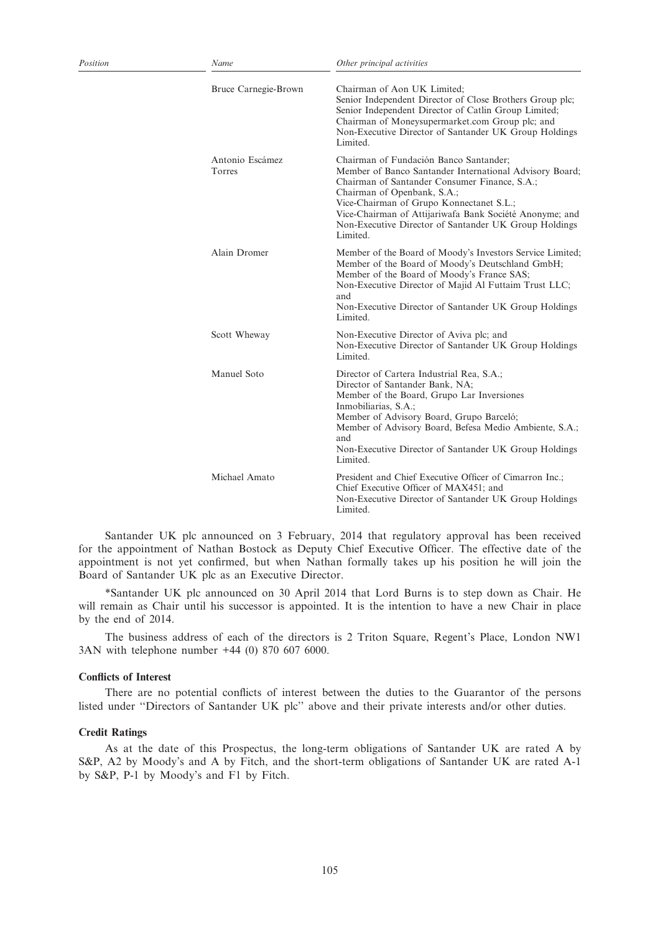| Position | Name                      | Other principal activities                                                                                                                                                                                                                                                                                                                                    |
|----------|---------------------------|---------------------------------------------------------------------------------------------------------------------------------------------------------------------------------------------------------------------------------------------------------------------------------------------------------------------------------------------------------------|
|          | Bruce Carnegie-Brown      | Chairman of Aon UK Limited;<br>Senior Independent Director of Close Brothers Group plc;<br>Senior Independent Director of Catlin Group Limited;<br>Chairman of Moneysupermarket.com Group plc; and<br>Non-Executive Director of Santander UK Group Holdings<br>Limited.                                                                                       |
|          | Antonio Escámez<br>Torres | Chairman of Fundación Banco Santander;<br>Member of Banco Santander International Advisory Board;<br>Chairman of Santander Consumer Finance, S.A.;<br>Chairman of Openbank, S.A.;<br>Vice-Chairman of Grupo Konnectanet S.L.;<br>Vice-Chairman of Attijariwafa Bank Société Anonyme; and<br>Non-Executive Director of Santander UK Group Holdings<br>Limited. |
|          | Alain Dromer              | Member of the Board of Moody's Investors Service Limited;<br>Member of the Board of Moody's Deutschland GmbH;<br>Member of the Board of Moody's France SAS;<br>Non-Executive Director of Majid Al Futtaim Trust LLC;<br>and<br>Non-Executive Director of Santander UK Group Holdings<br>Limited.                                                              |
|          | Scott Wheway              | Non-Executive Director of Aviva plc; and<br>Non-Executive Director of Santander UK Group Holdings<br>Limited.                                                                                                                                                                                                                                                 |
|          | Manuel Soto               | Director of Cartera Industrial Rea, S.A.;<br>Director of Santander Bank, NA;<br>Member of the Board, Grupo Lar Inversiones<br>Inmobiliarias, S.A.;<br>Member of Advisory Board, Grupo Barceló;<br>Member of Advisory Board, Befesa Medio Ambiente, S.A.;<br>and<br>Non-Executive Director of Santander UK Group Holdings<br>Limited.                          |
|          | Michael Amato             | President and Chief Executive Officer of Cimarron Inc.;<br>Chief Executive Officer of MAX451; and<br>Non-Executive Director of Santander UK Group Holdings<br>Limited.                                                                                                                                                                                        |

Santander UK plc announced on 3 February, 2014 that regulatory approval has been received for the appointment of Nathan Bostock as Deputy Chief Executive Officer. The effective date of the appointment is not yet confirmed, but when Nathan formally takes up his position he will join the Board of Santander UK plc as an Executive Director.

\*Santander UK plc announced on 30 April 2014 that Lord Burns is to step down as Chair. He will remain as Chair until his successor is appointed. It is the intention to have a new Chair in place by the end of 2014.

The business address of each of the directors is 2 Triton Square, Regent's Place, London NW1 3AN with telephone number +44 (0) 870 607 6000.

## Conflicts of Interest

There are no potential conflicts of interest between the duties to the Guarantor of the persons listed under "Directors of Santander UK plc" above and their private interests and/or other duties.

## Credit Ratings

As at the date of this Prospectus, the long-term obligations of Santander UK are rated A by S&P, A2 by Moody's and A by Fitch, and the short-term obligations of Santander UK are rated A-1 by S&P, P-1 by Moody's and F1 by Fitch.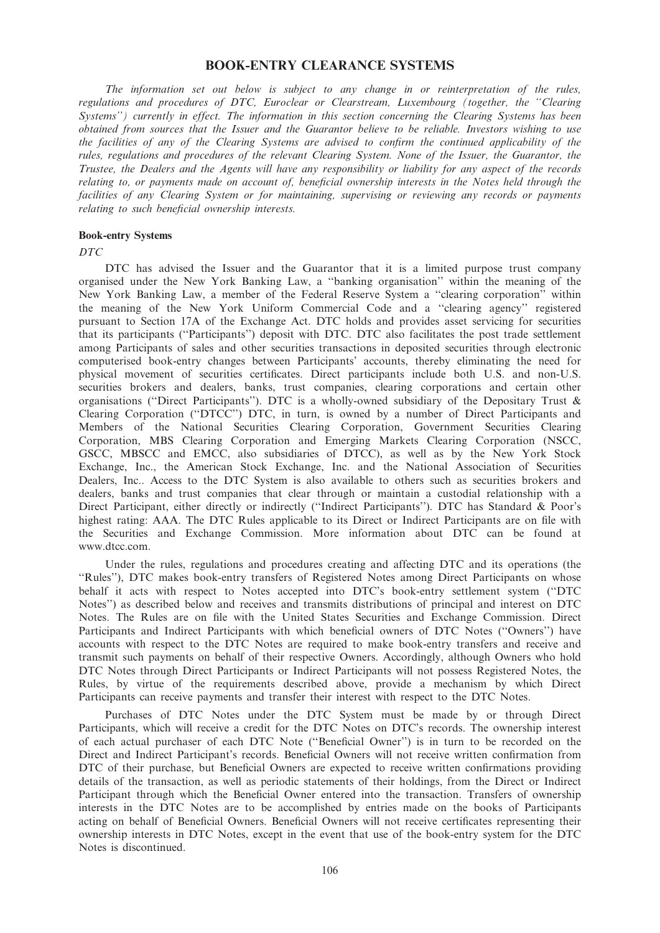# BOOK-ENTRY CLEARANCE SYSTEMS

The information set out below is subject to any change in or reinterpretation of the rules, regulations and procedures of DTC, Euroclear or Clearstream, Luxembourg (together, the ''Clearing Systems'') currently in effect. The information in this section concerning the Clearing Systems has been obtained from sources that the Issuer and the Guarantor believe to be reliable. Investors wishing to use the facilities of any of the Clearing Systems are advised to confirm the continued applicability of the rules, regulations and procedures of the relevant Clearing System. None of the Issuer, the Guarantor, the Trustee, the Dealers and the Agents will have any responsibility or liability for any aspect of the records relating to, or payments made on account of, beneficial ownership interests in the Notes held through the facilities of any Clearing System or for maintaining, supervising or reviewing any records or payments relating to such beneficial ownership interests.

# Book-entry Systems

DTC

DTC has advised the Issuer and the Guarantor that it is a limited purpose trust company organised under the New York Banking Law, a ''banking organisation'' within the meaning of the New York Banking Law, a member of the Federal Reserve System a ''clearing corporation'' within the meaning of the New York Uniform Commercial Code and a ''clearing agency'' registered pursuant to Section 17A of the Exchange Act. DTC holds and provides asset servicing for securities that its participants (''Participants'') deposit with DTC. DTC also facilitates the post trade settlement among Participants of sales and other securities transactions in deposited securities through electronic computerised book-entry changes between Participants' accounts, thereby eliminating the need for physical movement of securities certificates. Direct participants include both U.S. and non-U.S. securities brokers and dealers, banks, trust companies, clearing corporations and certain other organisations (''Direct Participants''). DTC is a wholly-owned subsidiary of the Depositary Trust & Clearing Corporation (''DTCC'') DTC, in turn, is owned by a number of Direct Participants and Members of the National Securities Clearing Corporation, Government Securities Clearing Corporation, MBS Clearing Corporation and Emerging Markets Clearing Corporation (NSCC, GSCC, MBSCC and EMCC, also subsidiaries of DTCC), as well as by the New York Stock Exchange, Inc., the American Stock Exchange, Inc. and the National Association of Securities Dealers, Inc.. Access to the DTC System is also available to others such as securities brokers and dealers, banks and trust companies that clear through or maintain a custodial relationship with a Direct Participant, either directly or indirectly (''Indirect Participants''). DTC has Standard & Poor's highest rating: AAA. The DTC Rules applicable to its Direct or Indirect Participants are on file with the Securities and Exchange Commission. More information about DTC can be found at www.dtcc.com.

Under the rules, regulations and procedures creating and affecting DTC and its operations (the ''Rules''), DTC makes book-entry transfers of Registered Notes among Direct Participants on whose behalf it acts with respect to Notes accepted into DTC's book-entry settlement system (''DTC Notes'') as described below and receives and transmits distributions of principal and interest on DTC Notes. The Rules are on file with the United States Securities and Exchange Commission. Direct Participants and Indirect Participants with which beneficial owners of DTC Notes (''Owners'') have accounts with respect to the DTC Notes are required to make book-entry transfers and receive and transmit such payments on behalf of their respective Owners. Accordingly, although Owners who hold DTC Notes through Direct Participants or Indirect Participants will not possess Registered Notes, the Rules, by virtue of the requirements described above, provide a mechanism by which Direct Participants can receive payments and transfer their interest with respect to the DTC Notes.

Purchases of DTC Notes under the DTC System must be made by or through Direct Participants, which will receive a credit for the DTC Notes on DTC's records. The ownership interest of each actual purchaser of each DTC Note (''Beneficial Owner'') is in turn to be recorded on the Direct and Indirect Participant's records. Beneficial Owners will not receive written confirmation from DTC of their purchase, but Beneficial Owners are expected to receive written confirmations providing details of the transaction, as well as periodic statements of their holdings, from the Direct or Indirect Participant through which the Beneficial Owner entered into the transaction. Transfers of ownership interests in the DTC Notes are to be accomplished by entries made on the books of Participants acting on behalf of Beneficial Owners. Beneficial Owners will not receive certificates representing their ownership interests in DTC Notes, except in the event that use of the book-entry system for the DTC Notes is discontinued.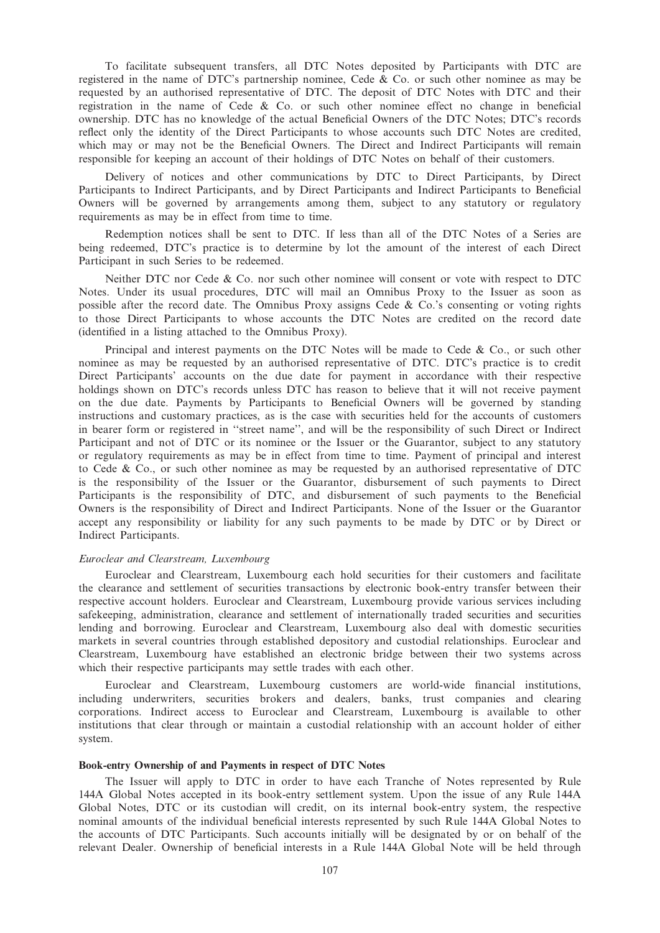To facilitate subsequent transfers, all DTC Notes deposited by Participants with DTC are registered in the name of DTC's partnership nominee, Cede & Co. or such other nominee as may be requested by an authorised representative of DTC. The deposit of DTC Notes with DTC and their registration in the name of Cede & Co. or such other nominee effect no change in beneficial ownership. DTC has no knowledge of the actual Beneficial Owners of the DTC Notes; DTC's records reflect only the identity of the Direct Participants to whose accounts such DTC Notes are credited, which may or may not be the Beneficial Owners. The Direct and Indirect Participants will remain responsible for keeping an account of their holdings of DTC Notes on behalf of their customers.

Delivery of notices and other communications by DTC to Direct Participants, by Direct Participants to Indirect Participants, and by Direct Participants and Indirect Participants to Beneficial Owners will be governed by arrangements among them, subject to any statutory or regulatory requirements as may be in effect from time to time.

Redemption notices shall be sent to DTC. If less than all of the DTC Notes of a Series are being redeemed, DTC's practice is to determine by lot the amount of the interest of each Direct Participant in such Series to be redeemed.

Neither DTC nor Cede & Co. nor such other nominee will consent or vote with respect to DTC Notes. Under its usual procedures, DTC will mail an Omnibus Proxy to the Issuer as soon as possible after the record date. The Omnibus Proxy assigns Cede & Co.'s consenting or voting rights to those Direct Participants to whose accounts the DTC Notes are credited on the record date (identified in a listing attached to the Omnibus Proxy).

Principal and interest payments on the DTC Notes will be made to Cede  $\&$  Co., or such other nominee as may be requested by an authorised representative of DTC. DTC's practice is to credit Direct Participants' accounts on the due date for payment in accordance with their respective holdings shown on DTC's records unless DTC has reason to believe that it will not receive payment on the due date. Payments by Participants to Beneficial Owners will be governed by standing instructions and customary practices, as is the case with securities held for the accounts of customers in bearer form or registered in ''street name'', and will be the responsibility of such Direct or Indirect Participant and not of DTC or its nominee or the Issuer or the Guarantor, subject to any statutory or regulatory requirements as may be in effect from time to time. Payment of principal and interest to Cede & Co., or such other nominee as may be requested by an authorised representative of DTC is the responsibility of the Issuer or the Guarantor, disbursement of such payments to Direct Participants is the responsibility of DTC, and disbursement of such payments to the Beneficial Owners is the responsibility of Direct and Indirect Participants. None of the Issuer or the Guarantor accept any responsibility or liability for any such payments to be made by DTC or by Direct or Indirect Participants.

## Euroclear and Clearstream, Luxembourg

Euroclear and Clearstream, Luxembourg each hold securities for their customers and facilitate the clearance and settlement of securities transactions by electronic book-entry transfer between their respective account holders. Euroclear and Clearstream, Luxembourg provide various services including safekeeping, administration, clearance and settlement of internationally traded securities and securities lending and borrowing. Euroclear and Clearstream, Luxembourg also deal with domestic securities markets in several countries through established depository and custodial relationships. Euroclear and Clearstream, Luxembourg have established an electronic bridge between their two systems across which their respective participants may settle trades with each other.

Euroclear and Clearstream, Luxembourg customers are world-wide financial institutions, including underwriters, securities brokers and dealers, banks, trust companies and clearing corporations. Indirect access to Euroclear and Clearstream, Luxembourg is available to other institutions that clear through or maintain a custodial relationship with an account holder of either system.

# Book-entry Ownership of and Payments in respect of DTC Notes

The Issuer will apply to DTC in order to have each Tranche of Notes represented by Rule 144A Global Notes accepted in its book-entry settlement system. Upon the issue of any Rule 144A Global Notes, DTC or its custodian will credit, on its internal book-entry system, the respective nominal amounts of the individual beneficial interests represented by such Rule 144A Global Notes to the accounts of DTC Participants. Such accounts initially will be designated by or on behalf of the relevant Dealer. Ownership of beneficial interests in a Rule 144A Global Note will be held through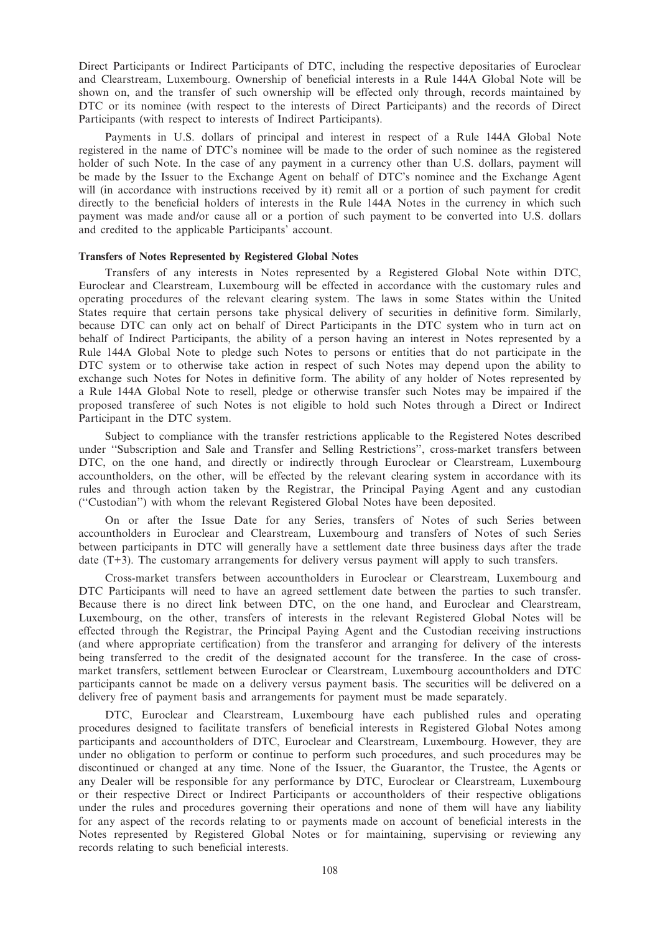Direct Participants or Indirect Participants of DTC, including the respective depositaries of Euroclear and Clearstream, Luxembourg. Ownership of beneficial interests in a Rule 144A Global Note will be shown on, and the transfer of such ownership will be effected only through, records maintained by DTC or its nominee (with respect to the interests of Direct Participants) and the records of Direct Participants (with respect to interests of Indirect Participants).

Payments in U.S. dollars of principal and interest in respect of a Rule 144A Global Note registered in the name of DTC's nominee will be made to the order of such nominee as the registered holder of such Note. In the case of any payment in a currency other than U.S. dollars, payment will be made by the Issuer to the Exchange Agent on behalf of DTC's nominee and the Exchange Agent will (in accordance with instructions received by it) remit all or a portion of such payment for credit directly to the beneficial holders of interests in the Rule 144A Notes in the currency in which such payment was made and/or cause all or a portion of such payment to be converted into U.S. dollars and credited to the applicable Participants' account.

## Transfers of Notes Represented by Registered Global Notes

Transfers of any interests in Notes represented by a Registered Global Note within DTC, Euroclear and Clearstream, Luxembourg will be effected in accordance with the customary rules and operating procedures of the relevant clearing system. The laws in some States within the United States require that certain persons take physical delivery of securities in definitive form. Similarly, because DTC can only act on behalf of Direct Participants in the DTC system who in turn act on behalf of Indirect Participants, the ability of a person having an interest in Notes represented by a Rule 144A Global Note to pledge such Notes to persons or entities that do not participate in the DTC system or to otherwise take action in respect of such Notes may depend upon the ability to exchange such Notes for Notes in definitive form. The ability of any holder of Notes represented by a Rule 144A Global Note to resell, pledge or otherwise transfer such Notes may be impaired if the proposed transferee of such Notes is not eligible to hold such Notes through a Direct or Indirect Participant in the DTC system.

Subject to compliance with the transfer restrictions applicable to the Registered Notes described under ''Subscription and Sale and Transfer and Selling Restrictions'', cross-market transfers between DTC, on the one hand, and directly or indirectly through Euroclear or Clearstream, Luxembourg accountholders, on the other, will be effected by the relevant clearing system in accordance with its rules and through action taken by the Registrar, the Principal Paying Agent and any custodian (''Custodian'') with whom the relevant Registered Global Notes have been deposited.

On or after the Issue Date for any Series, transfers of Notes of such Series between accountholders in Euroclear and Clearstream, Luxembourg and transfers of Notes of such Series between participants in DTC will generally have a settlement date three business days after the trade date (T+3). The customary arrangements for delivery versus payment will apply to such transfers.

Cross-market transfers between accountholders in Euroclear or Clearstream, Luxembourg and DTC Participants will need to have an agreed settlement date between the parties to such transfer. Because there is no direct link between DTC, on the one hand, and Euroclear and Clearstream, Luxembourg, on the other, transfers of interests in the relevant Registered Global Notes will be effected through the Registrar, the Principal Paying Agent and the Custodian receiving instructions (and where appropriate certification) from the transferor and arranging for delivery of the interests being transferred to the credit of the designated account for the transferee. In the case of crossmarket transfers, settlement between Euroclear or Clearstream, Luxembourg accountholders and DTC participants cannot be made on a delivery versus payment basis. The securities will be delivered on a delivery free of payment basis and arrangements for payment must be made separately.

DTC, Euroclear and Clearstream, Luxembourg have each published rules and operating procedures designed to facilitate transfers of beneficial interests in Registered Global Notes among participants and accountholders of DTC, Euroclear and Clearstream, Luxembourg. However, they are under no obligation to perform or continue to perform such procedures, and such procedures may be discontinued or changed at any time. None of the Issuer, the Guarantor, the Trustee, the Agents or any Dealer will be responsible for any performance by DTC, Euroclear or Clearstream, Luxembourg or their respective Direct or Indirect Participants or accountholders of their respective obligations under the rules and procedures governing their operations and none of them will have any liability for any aspect of the records relating to or payments made on account of beneficial interests in the Notes represented by Registered Global Notes or for maintaining, supervising or reviewing any records relating to such beneficial interests.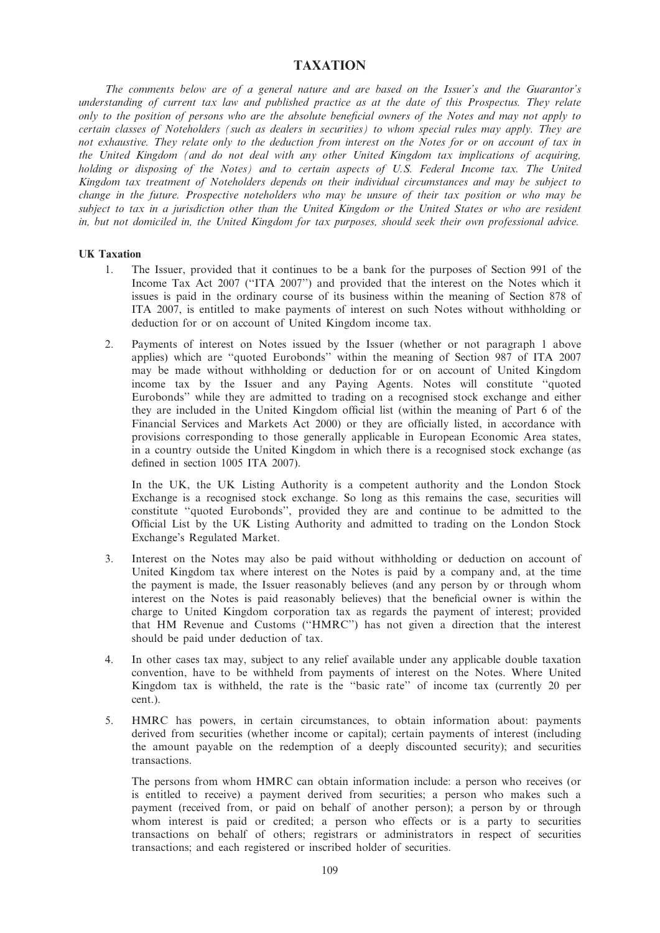# TAXATION

The comments below are of a general nature and are based on the Issuer's and the Guarantor's understanding of current tax law and published practice as at the date of this Prospectus. They relate only to the position of persons who are the absolute beneficial owners of the Notes and may not apply to certain classes of Noteholders (such as dealers in securities) to whom special rules may apply. They are not exhaustive. They relate only to the deduction from interest on the Notes for or on account of tax in the United Kingdom (and do not deal with any other United Kingdom tax implications of acquiring, holding or disposing of the Notes) and to certain aspects of U.S. Federal Income tax. The United Kingdom tax treatment of Noteholders depends on their individual circumstances and may be subject to change in the future. Prospective noteholders who may be unsure of their tax position or who may be subject to tax in a jurisdiction other than the United Kingdom or the United States or who are resident in, but not domiciled in, the United Kingdom for tax purposes, should seek their own professional advice.

## UK Taxation

- 1. The Issuer, provided that it continues to be a bank for the purposes of Section 991 of the Income Tax Act 2007 (''ITA 2007'') and provided that the interest on the Notes which it issues is paid in the ordinary course of its business within the meaning of Section 878 of ITA 2007, is entitled to make payments of interest on such Notes without withholding or deduction for or on account of United Kingdom income tax.
- 2. Payments of interest on Notes issued by the Issuer (whether or not paragraph 1 above applies) which are ''quoted Eurobonds'' within the meaning of Section 987 of ITA 2007 may be made without withholding or deduction for or on account of United Kingdom income tax by the Issuer and any Paying Agents. Notes will constitute ''quoted Eurobonds'' while they are admitted to trading on a recognised stock exchange and either they are included in the United Kingdom official list (within the meaning of Part 6 of the Financial Services and Markets Act 2000) or they are officially listed, in accordance with provisions corresponding to those generally applicable in European Economic Area states, in a country outside the United Kingdom in which there is a recognised stock exchange (as defined in section 1005 ITA 2007).

In the UK, the UK Listing Authority is a competent authority and the London Stock Exchange is a recognised stock exchange. So long as this remains the case, securities will constitute ''quoted Eurobonds'', provided they are and continue to be admitted to the Official List by the UK Listing Authority and admitted to trading on the London Stock Exchange's Regulated Market.

- 3. Interest on the Notes may also be paid without withholding or deduction on account of United Kingdom tax where interest on the Notes is paid by a company and, at the time the payment is made, the Issuer reasonably believes (and any person by or through whom interest on the Notes is paid reasonably believes) that the beneficial owner is within the charge to United Kingdom corporation tax as regards the payment of interest; provided that HM Revenue and Customs (''HMRC'') has not given a direction that the interest should be paid under deduction of tax.
- 4. In other cases tax may, subject to any relief available under any applicable double taxation convention, have to be withheld from payments of interest on the Notes. Where United Kingdom tax is withheld, the rate is the ''basic rate'' of income tax (currently 20 per cent.).
- 5. HMRC has powers, in certain circumstances, to obtain information about: payments derived from securities (whether income or capital); certain payments of interest (including the amount payable on the redemption of a deeply discounted security); and securities transactions.

The persons from whom HMRC can obtain information include: a person who receives (or is entitled to receive) a payment derived from securities; a person who makes such a payment (received from, or paid on behalf of another person); a person by or through whom interest is paid or credited; a person who effects or is a party to securities transactions on behalf of others; registrars or administrators in respect of securities transactions; and each registered or inscribed holder of securities.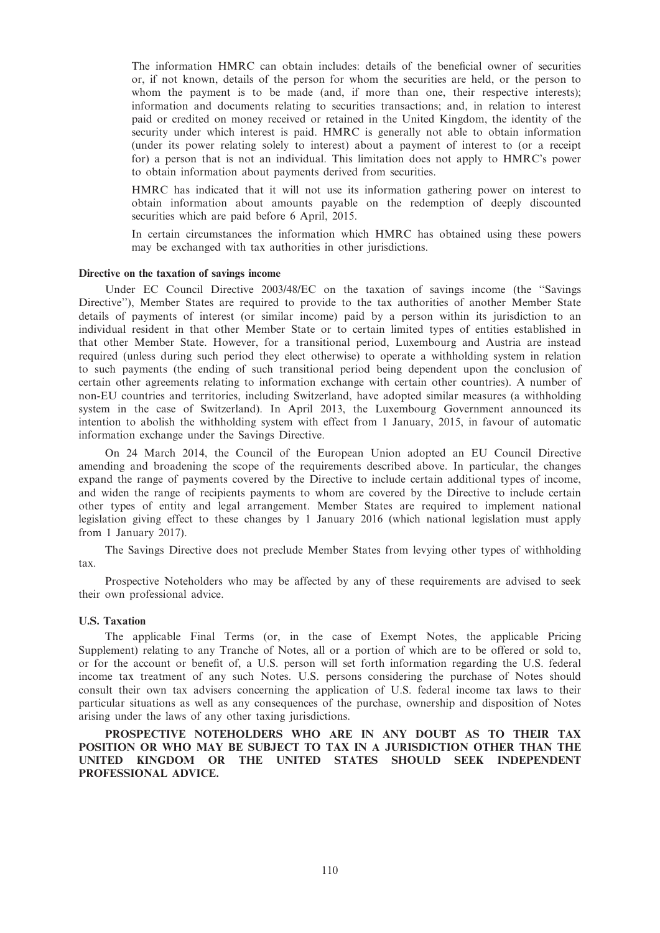The information HMRC can obtain includes: details of the beneficial owner of securities or, if not known, details of the person for whom the securities are held, or the person to whom the payment is to be made (and, if more than one, their respective interests); information and documents relating to securities transactions; and, in relation to interest paid or credited on money received or retained in the United Kingdom, the identity of the security under which interest is paid. HMRC is generally not able to obtain information (under its power relating solely to interest) about a payment of interest to (or a receipt for) a person that is not an individual. This limitation does not apply to HMRC's power to obtain information about payments derived from securities.

HMRC has indicated that it will not use its information gathering power on interest to obtain information about amounts payable on the redemption of deeply discounted securities which are paid before 6 April, 2015.

In certain circumstances the information which HMRC has obtained using these powers may be exchanged with tax authorities in other jurisdictions.

## Directive on the taxation of savings income

Under EC Council Directive 2003/48/EC on the taxation of savings income (the ''Savings Directive''), Member States are required to provide to the tax authorities of another Member State details of payments of interest (or similar income) paid by a person within its jurisdiction to an individual resident in that other Member State or to certain limited types of entities established in that other Member State. However, for a transitional period, Luxembourg and Austria are instead required (unless during such period they elect otherwise) to operate a withholding system in relation to such payments (the ending of such transitional period being dependent upon the conclusion of certain other agreements relating to information exchange with certain other countries). A number of non-EU countries and territories, including Switzerland, have adopted similar measures (a withholding system in the case of Switzerland). In April 2013, the Luxembourg Government announced its intention to abolish the withholding system with effect from 1 January, 2015, in favour of automatic information exchange under the Savings Directive.

On 24 March 2014, the Council of the European Union adopted an EU Council Directive amending and broadening the scope of the requirements described above. In particular, the changes expand the range of payments covered by the Directive to include certain additional types of income, and widen the range of recipients payments to whom are covered by the Directive to include certain other types of entity and legal arrangement. Member States are required to implement national legislation giving effect to these changes by 1 January 2016 (which national legislation must apply from 1 January 2017).

The Savings Directive does not preclude Member States from levying other types of withholding tax.

Prospective Noteholders who may be affected by any of these requirements are advised to seek their own professional advice.

#### U.S. Taxation

The applicable Final Terms (or, in the case of Exempt Notes, the applicable Pricing Supplement) relating to any Tranche of Notes, all or a portion of which are to be offered or sold to, or for the account or benefit of, a U.S. person will set forth information regarding the U.S. federal income tax treatment of any such Notes. U.S. persons considering the purchase of Notes should consult their own tax advisers concerning the application of U.S. federal income tax laws to their particular situations as well as any consequences of the purchase, ownership and disposition of Notes arising under the laws of any other taxing jurisdictions.

PROSPECTIVE NOTEHOLDERS WHO ARE IN ANY DOUBT AS TO THEIR TAX POSITION OR WHO MAY BE SUBJECT TO TAX IN A JURISDICTION OTHER THAN THE UNITED KINGDOM OR THE UNITED STATES SHOULD SEEK INDEPENDENT PROFESSIONAL ADVICE.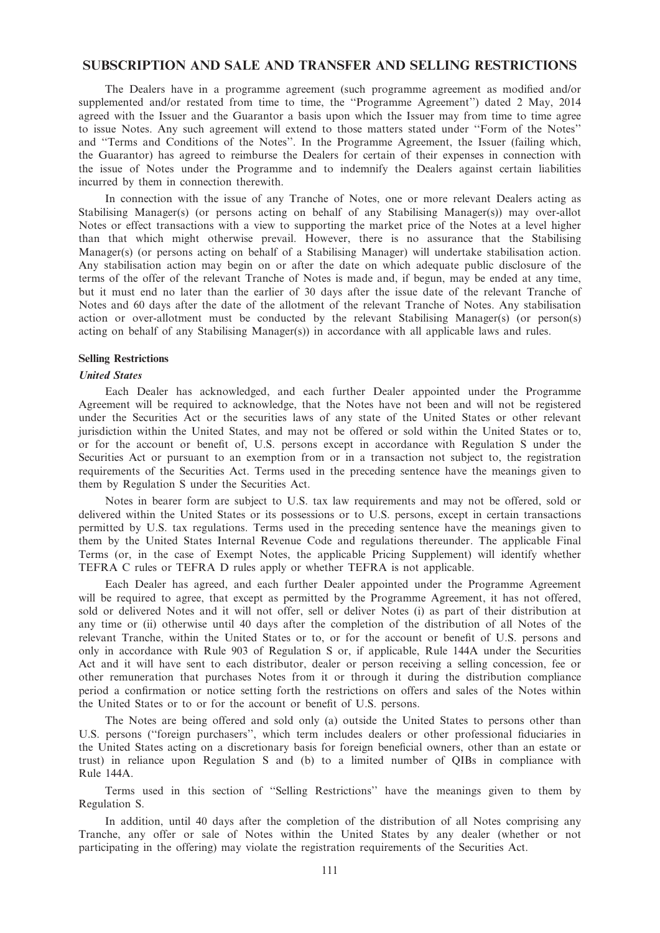## SUBSCRIPTION AND SALE AND TRANSFER AND SELLING RESTRICTIONS

The Dealers have in a programme agreement (such programme agreement as modified and/or supplemented and/or restated from time to time, the ''Programme Agreement'') dated 2 May, 2014 agreed with the Issuer and the Guarantor a basis upon which the Issuer may from time to time agree to issue Notes. Any such agreement will extend to those matters stated under ''Form of the Notes'' and ''Terms and Conditions of the Notes''. In the Programme Agreement, the Issuer (failing which, the Guarantor) has agreed to reimburse the Dealers for certain of their expenses in connection with the issue of Notes under the Programme and to indemnify the Dealers against certain liabilities incurred by them in connection therewith.

In connection with the issue of any Tranche of Notes, one or more relevant Dealers acting as Stabilising Manager(s) (or persons acting on behalf of any Stabilising Manager(s)) may over-allot Notes or effect transactions with a view to supporting the market price of the Notes at a level higher than that which might otherwise prevail. However, there is no assurance that the Stabilising Manager(s) (or persons acting on behalf of a Stabilising Manager) will undertake stabilisation action. Any stabilisation action may begin on or after the date on which adequate public disclosure of the terms of the offer of the relevant Tranche of Notes is made and, if begun, may be ended at any time, but it must end no later than the earlier of 30 days after the issue date of the relevant Tranche of Notes and 60 days after the date of the allotment of the relevant Tranche of Notes. Any stabilisation action or over-allotment must be conducted by the relevant Stabilising Manager(s) (or person(s) acting on behalf of any Stabilising Manager(s)) in accordance with all applicable laws and rules.

### Selling Restrictions

#### United States

Each Dealer has acknowledged, and each further Dealer appointed under the Programme Agreement will be required to acknowledge, that the Notes have not been and will not be registered under the Securities Act or the securities laws of any state of the United States or other relevant jurisdiction within the United States, and may not be offered or sold within the United States or to, or for the account or benefit of, U.S. persons except in accordance with Regulation S under the Securities Act or pursuant to an exemption from or in a transaction not subject to, the registration requirements of the Securities Act. Terms used in the preceding sentence have the meanings given to them by Regulation S under the Securities Act.

Notes in bearer form are subject to U.S. tax law requirements and may not be offered, sold or delivered within the United States or its possessions or to U.S. persons, except in certain transactions permitted by U.S. tax regulations. Terms used in the preceding sentence have the meanings given to them by the United States Internal Revenue Code and regulations thereunder. The applicable Final Terms (or, in the case of Exempt Notes, the applicable Pricing Supplement) will identify whether TEFRA C rules or TEFRA D rules apply or whether TEFRA is not applicable.

Each Dealer has agreed, and each further Dealer appointed under the Programme Agreement will be required to agree, that except as permitted by the Programme Agreement, it has not offered, sold or delivered Notes and it will not offer, sell or deliver Notes (i) as part of their distribution at any time or (ii) otherwise until 40 days after the completion of the distribution of all Notes of the relevant Tranche, within the United States or to, or for the account or benefit of U.S. persons and only in accordance with Rule 903 of Regulation S or, if applicable, Rule 144A under the Securities Act and it will have sent to each distributor, dealer or person receiving a selling concession, fee or other remuneration that purchases Notes from it or through it during the distribution compliance period a confirmation or notice setting forth the restrictions on offers and sales of the Notes within the United States or to or for the account or benefit of U.S. persons.

The Notes are being offered and sold only (a) outside the United States to persons other than U.S. persons (''foreign purchasers'', which term includes dealers or other professional fiduciaries in the United States acting on a discretionary basis for foreign beneficial owners, other than an estate or trust) in reliance upon Regulation S and (b) to a limited number of QIBs in compliance with Rule 144A.

Terms used in this section of ''Selling Restrictions'' have the meanings given to them by Regulation S.

In addition, until 40 days after the completion of the distribution of all Notes comprising any Tranche, any offer or sale of Notes within the United States by any dealer (whether or not participating in the offering) may violate the registration requirements of the Securities Act.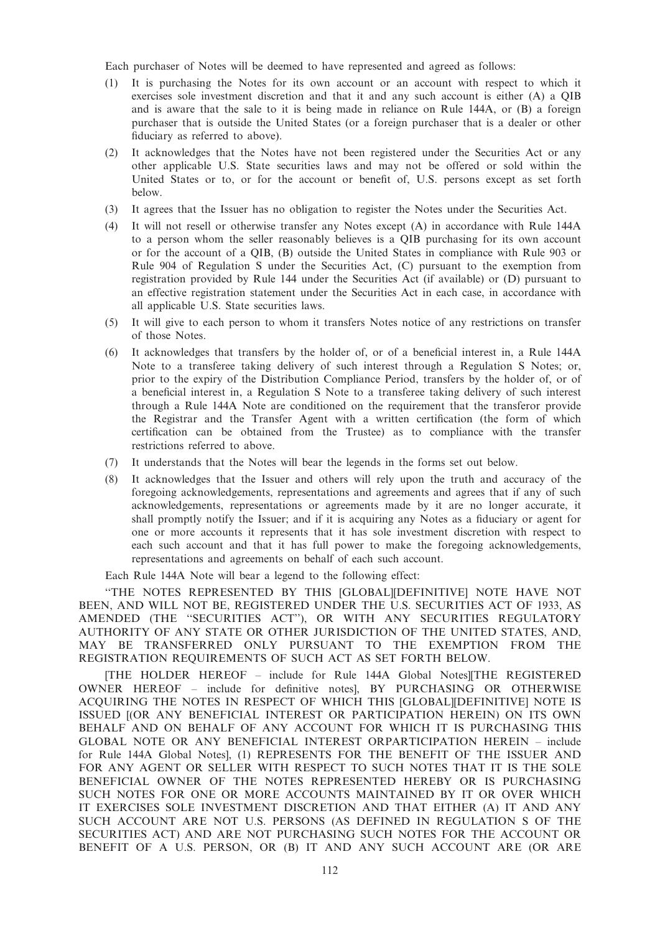Each purchaser of Notes will be deemed to have represented and agreed as follows:

- (1) It is purchasing the Notes for its own account or an account with respect to which it exercises sole investment discretion and that it and any such account is either (A) a QIB and is aware that the sale to it is being made in reliance on Rule 144A, or (B) a foreign purchaser that is outside the United States (or a foreign purchaser that is a dealer or other fiduciary as referred to above).
- (2) It acknowledges that the Notes have not been registered under the Securities Act or any other applicable U.S. State securities laws and may not be offered or sold within the United States or to, or for the account or benefit of, U.S. persons except as set forth below.
- (3) It agrees that the Issuer has no obligation to register the Notes under the Securities Act.
- (4) It will not resell or otherwise transfer any Notes except (A) in accordance with Rule 144A to a person whom the seller reasonably believes is a QIB purchasing for its own account or for the account of a QIB, (B) outside the United States in compliance with Rule 903 or Rule 904 of Regulation S under the Securities Act, (C) pursuant to the exemption from registration provided by Rule 144 under the Securities Act (if available) or (D) pursuant to an effective registration statement under the Securities Act in each case, in accordance with all applicable U.S. State securities laws.
- (5) It will give to each person to whom it transfers Notes notice of any restrictions on transfer of those Notes.
- (6) It acknowledges that transfers by the holder of, or of a beneficial interest in, a Rule 144A Note to a transferee taking delivery of such interest through a Regulation S Notes; or, prior to the expiry of the Distribution Compliance Period, transfers by the holder of, or of a beneficial interest in, a Regulation S Note to a transferee taking delivery of such interest through a Rule 144A Note are conditioned on the requirement that the transferor provide the Registrar and the Transfer Agent with a written certification (the form of which certification can be obtained from the Trustee) as to compliance with the transfer restrictions referred to above.
- (7) It understands that the Notes will bear the legends in the forms set out below.
- (8) It acknowledges that the Issuer and others will rely upon the truth and accuracy of the foregoing acknowledgements, representations and agreements and agrees that if any of such acknowledgements, representations or agreements made by it are no longer accurate, it shall promptly notify the Issuer; and if it is acquiring any Notes as a fiduciary or agent for one or more accounts it represents that it has sole investment discretion with respect to each such account and that it has full power to make the foregoing acknowledgements, representations and agreements on behalf of each such account.

Each Rule 144A Note will bear a legend to the following effect:

''THE NOTES REPRESENTED BY THIS [GLOBAL][DEFINITIVE] NOTE HAVE NOT BEEN, AND WILL NOT BE, REGISTERED UNDER THE U.S. SECURITIES ACT OF 1933, AS AMENDED (THE ''SECURITIES ACT''), OR WITH ANY SECURITIES REGULATORY AUTHORITY OF ANY STATE OR OTHER JURISDICTION OF THE UNITED STATES, AND, MAY BE TRANSFERRED ONLY PURSUANT TO THE EXEMPTION FROM THE REGISTRATION REQUIREMENTS OF SUCH ACT AS SET FORTH BELOW.

[THE HOLDER HEREOF – include for Rule 144A Global Notes][THE REGISTERED OWNER HEREOF – include for definitive notes], BY PURCHASING OR OTHERWISE ACQUIRING THE NOTES IN RESPECT OF WHICH THIS [GLOBAL][DEFINITIVE] NOTE IS ISSUED [(OR ANY BENEFICIAL INTEREST OR PARTICIPATION HEREIN) ON ITS OWN BEHALF AND ON BEHALF OF ANY ACCOUNT FOR WHICH IT IS PURCHASING THIS GLOBAL NOTE OR ANY BENEFICIAL INTEREST ORPARTICIPATION HEREIN – include for Rule 144A Global Notes], (1) REPRESENTS FOR THE BENEFIT OF THE ISSUER AND FOR ANY AGENT OR SELLER WITH RESPECT TO SUCH NOTES THAT IT IS THE SOLE BENEFICIAL OWNER OF THE NOTES REPRESENTED HEREBY OR IS PURCHASING SUCH NOTES FOR ONE OR MORE ACCOUNTS MAINTAINED BY IT OR OVER WHICH IT EXERCISES SOLE INVESTMENT DISCRETION AND THAT EITHER (A) IT AND ANY SUCH ACCOUNT ARE NOT U.S. PERSONS (AS DEFINED IN REGULATION S OF THE SECURITIES ACT) AND ARE NOT PURCHASING SUCH NOTES FOR THE ACCOUNT OR BENEFIT OF A U.S. PERSON, OR (B) IT AND ANY SUCH ACCOUNT ARE (OR ARE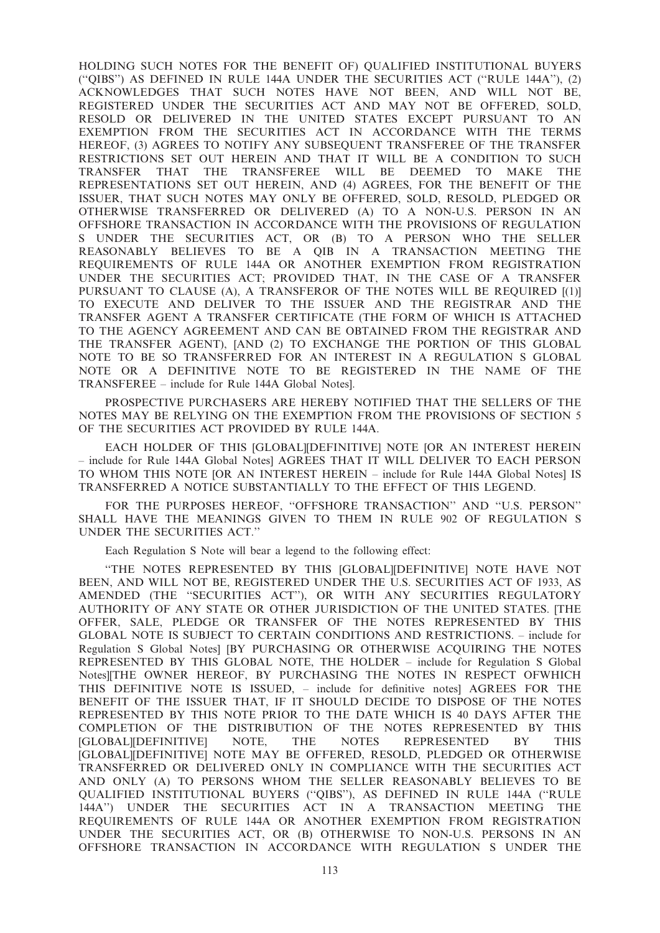HOLDING SUCH NOTES FOR THE BENEFIT OF) QUALIFIED INSTITUTIONAL BUYERS (''QIBS'') AS DEFINED IN RULE 144A UNDER THE SECURITIES ACT (''RULE 144A''), (2) ACKNOWLEDGES THAT SUCH NOTES HAVE NOT BEEN, AND WILL NOT BE, REGISTERED UNDER THE SECURITIES ACT AND MAY NOT BE OFFERED, SOLD, RESOLD OR DELIVERED IN THE UNITED STATES EXCEPT PURSUANT TO AN EXEMPTION FROM THE SECURITIES ACT IN ACCORDANCE WITH THE TERMS HEREOF, (3) AGREES TO NOTIFY ANY SUBSEQUENT TRANSFEREE OF THE TRANSFER RESTRICTIONS SET OUT HEREIN AND THAT IT WILL BE A CONDITION TO SUCH TRANSFER THAT THE TRANSFEREE WILL BE DEEMED TO MAKE THE REPRESENTATIONS SET OUT HEREIN, AND (4) AGREES, FOR THE BENEFIT OF THE ISSUER, THAT SUCH NOTES MAY ONLY BE OFFERED, SOLD, RESOLD, PLEDGED OR OTHERWISE TRANSFERRED OR DELIVERED (A) TO A NON-U.S. PERSON IN AN OFFSHORE TRANSACTION IN ACCORDANCE WITH THE PROVISIONS OF REGULATION S UNDER THE SECURITIES ACT, OR (B) TO A PERSON WHO THE SELLER REASONABLY BELIEVES TO BE A QIB IN A TRANSACTION MEETING THE REQUIREMENTS OF RULE 144A OR ANOTHER EXEMPTION FROM REGISTRATION UNDER THE SECURITIES ACT; PROVIDED THAT, IN THE CASE OF A TRANSFER PURSUANT TO CLAUSE (A), A TRANSFEROR OF THE NOTES WILL BE REQUIRED [(1)] TO EXECUTE AND DELIVER TO THE ISSUER AND THE REGISTRAR AND THE TRANSFER AGENT A TRANSFER CERTIFICATE (THE FORM OF WHICH IS ATTACHED TO THE AGENCY AGREEMENT AND CAN BE OBTAINED FROM THE REGISTRAR AND THE TRANSFER AGENT), [AND (2) TO EXCHANGE THE PORTION OF THIS GLOBAL NOTE TO BE SO TRANSFERRED FOR AN INTEREST IN A REGULATION S GLOBAL NOTE OR A DEFINITIVE NOTE TO BE REGISTERED IN THE NAME OF THE TRANSFEREE – include for Rule 144A Global Notes].

PROSPECTIVE PURCHASERS ARE HEREBY NOTIFIED THAT THE SELLERS OF THE NOTES MAY BE RELYING ON THE EXEMPTION FROM THE PROVISIONS OF SECTION 5 OF THE SECURITIES ACT PROVIDED BY RULE 144A.

EACH HOLDER OF THIS [GLOBAL][DEFINITIVE] NOTE [OR AN INTEREST HEREIN – include for Rule 144A Global Notes] AGREES THAT IT WILL DELIVER TO EACH PERSON TO WHOM THIS NOTE [OR AN INTEREST HEREIN – include for Rule 144A Global Notes] IS TRANSFERRED A NOTICE SUBSTANTIALLY TO THE EFFECT OF THIS LEGEND.

FOR THE PURPOSES HEREOF, "OFFSHORE TRANSACTION" AND "U.S. PERSON" SHALL HAVE THE MEANINGS GIVEN TO THEM IN RULE 902 OF REGULATION S UNDER THE SECURITIES ACT.''

Each Regulation S Note will bear a legend to the following effect:

''THE NOTES REPRESENTED BY THIS [GLOBAL][DEFINITIVE] NOTE HAVE NOT BEEN, AND WILL NOT BE, REGISTERED UNDER THE U.S. SECURITIES ACT OF 1933, AS AMENDED (THE ''SECURITIES ACT''), OR WITH ANY SECURITIES REGULATORY AUTHORITY OF ANY STATE OR OTHER JURISDICTION OF THE UNITED STATES. [THE OFFER, SALE, PLEDGE OR TRANSFER OF THE NOTES REPRESENTED BY THIS GLOBAL NOTE IS SUBJECT TO CERTAIN CONDITIONS AND RESTRICTIONS. – include for Regulation S Global Notes] [BY PURCHASING OR OTHERWISE ACQUIRING THE NOTES REPRESENTED BY THIS GLOBAL NOTE, THE HOLDER – include for Regulation S Global Notes][THE OWNER HEREOF, BY PURCHASING THE NOTES IN RESPECT OFWHICH THIS DEFINITIVE NOTE IS ISSUED, – include for definitive notes] AGREES FOR THE BENEFIT OF THE ISSUER THAT, IF IT SHOULD DECIDE TO DISPOSE OF THE NOTES REPRESENTED BY THIS NOTE PRIOR TO THE DATE WHICH IS 40 DAYS AFTER THE COMPLETION OF THE DISTRIBUTION OF THE NOTES REPRESENTED BY THIS [GLOBAL][DEFINITIVE] NOTE, THE NOTES REPRESENTED BY THIS [GLOBAL][DEFINITIVE] NOTE MAY BE OFFERED, RESOLD, PLEDGED OR OTHERWISE TRANSFERRED OR DELIVERED ONLY IN COMPLIANCE WITH THE SECURITIES ACT AND ONLY (A) TO PERSONS WHOM THE SELLER REASONABLY BELIEVES TO BE QUALIFIED INSTITUTIONAL BUYERS (''QIBS''), AS DEFINED IN RULE 144A (''RULE 144A'') UNDER THE SECURITIES ACT IN A TRANSACTION MEETING THE REQUIREMENTS OF RULE 144A OR ANOTHER EXEMPTION FROM REGISTRATION UNDER THE SECURITIES ACT, OR (B) OTHERWISE TO NON-U.S. PERSONS IN AN OFFSHORE TRANSACTION IN ACCORDANCE WITH REGULATION S UNDER THE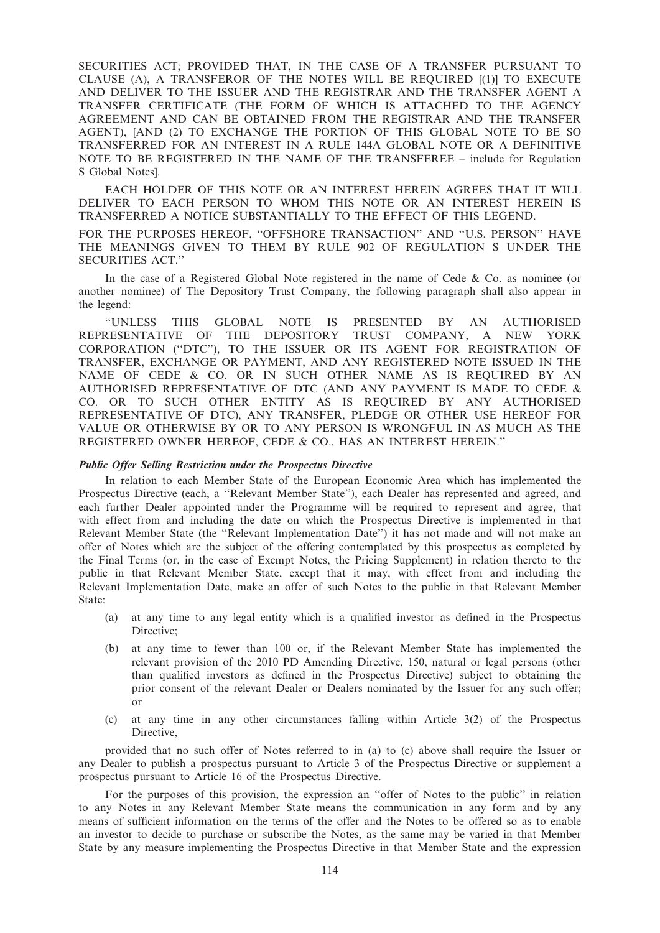SECURITIES ACT; PROVIDED THAT, IN THE CASE OF A TRANSFER PURSUANT TO CLAUSE (A), A TRANSFEROR OF THE NOTES WILL BE REQUIRED [(1)] TO EXECUTE AND DELIVER TO THE ISSUER AND THE REGISTRAR AND THE TRANSFER AGENT A TRANSFER CERTIFICATE (THE FORM OF WHICH IS ATTACHED TO THE AGENCY AGREEMENT AND CAN BE OBTAINED FROM THE REGISTRAR AND THE TRANSFER AGENT), [AND (2) TO EXCHANGE THE PORTION OF THIS GLOBAL NOTE TO BE SO TRANSFERRED FOR AN INTEREST IN A RULE 144A GLOBAL NOTE OR A DEFINITIVE NOTE TO BE REGISTERED IN THE NAME OF THE TRANSFEREE – include for Regulation S Global Notes].

EACH HOLDER OF THIS NOTE OR AN INTEREST HEREIN AGREES THAT IT WILL DELIVER TO EACH PERSON TO WHOM THIS NOTE OR AN INTEREST HEREIN IS TRANSFERRED A NOTICE SUBSTANTIALLY TO THE EFFECT OF THIS LEGEND.

FOR THE PURPOSES HEREOF, "OFFSHORE TRANSACTION" AND "U.S. PERSON" HAVE THE MEANINGS GIVEN TO THEM BY RULE 902 OF REGULATION S UNDER THE SECURITIES ACT.''

In the case of a Registered Global Note registered in the name of Cede & Co. as nominee (or another nominee) of The Depository Trust Company, the following paragraph shall also appear in the legend:

''UNLESS THIS GLOBAL NOTE IS PRESENTED BY AN AUTHORISED REPRESENTATIVE OF THE DEPOSITORY TRUST COMPANY, A NEW YORK CORPORATION (''DTC''), TO THE ISSUER OR ITS AGENT FOR REGISTRATION OF TRANSFER, EXCHANGE OR PAYMENT, AND ANY REGISTERED NOTE ISSUED IN THE NAME OF CEDE & CO. OR IN SUCH OTHER NAME AS IS REQUIRED BY AN AUTHORISED REPRESENTATIVE OF DTC (AND ANY PAYMENT IS MADE TO CEDE & CO. OR TO SUCH OTHER ENTITY AS IS REQUIRED BY ANY AUTHORISED REPRESENTATIVE OF DTC), ANY TRANSFER, PLEDGE OR OTHER USE HEREOF FOR VALUE OR OTHERWISE BY OR TO ANY PERSON IS WRONGFUL IN AS MUCH AS THE REGISTERED OWNER HEREOF, CEDE & CO., HAS AN INTEREST HEREIN.''

#### Public Offer Selling Restriction under the Prospectus Directive

In relation to each Member State of the European Economic Area which has implemented the Prospectus Directive (each, a ''Relevant Member State''), each Dealer has represented and agreed, and each further Dealer appointed under the Programme will be required to represent and agree, that with effect from and including the date on which the Prospectus Directive is implemented in that Relevant Member State (the ''Relevant Implementation Date'') it has not made and will not make an offer of Notes which are the subject of the offering contemplated by this prospectus as completed by the Final Terms (or, in the case of Exempt Notes, the Pricing Supplement) in relation thereto to the public in that Relevant Member State, except that it may, with effect from and including the Relevant Implementation Date, make an offer of such Notes to the public in that Relevant Member State:

- (a) at any time to any legal entity which is a qualified investor as defined in the Prospectus Directive;
- (b) at any time to fewer than 100 or, if the Relevant Member State has implemented the relevant provision of the 2010 PD Amending Directive, 150, natural or legal persons (other than qualified investors as defined in the Prospectus Directive) subject to obtaining the prior consent of the relevant Dealer or Dealers nominated by the Issuer for any such offer; or
- (c) at any time in any other circumstances falling within Article 3(2) of the Prospectus Directive,

provided that no such offer of Notes referred to in (a) to (c) above shall require the Issuer or any Dealer to publish a prospectus pursuant to Article 3 of the Prospectus Directive or supplement a prospectus pursuant to Article 16 of the Prospectus Directive.

For the purposes of this provision, the expression an ''offer of Notes to the public'' in relation to any Notes in any Relevant Member State means the communication in any form and by any means of sufficient information on the terms of the offer and the Notes to be offered so as to enable an investor to decide to purchase or subscribe the Notes, as the same may be varied in that Member State by any measure implementing the Prospectus Directive in that Member State and the expression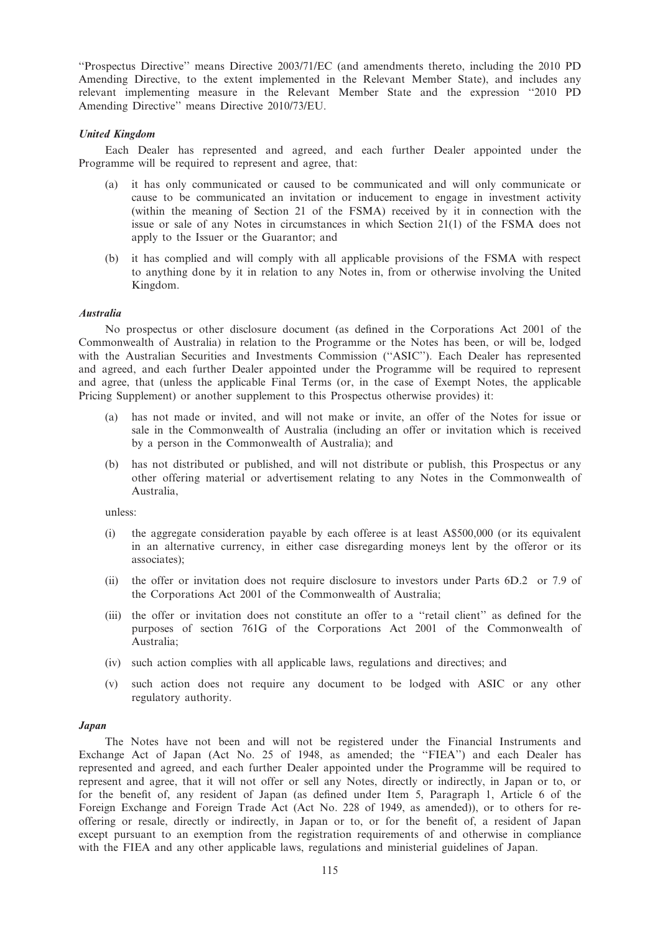''Prospectus Directive'' means Directive 2003/71/EC (and amendments thereto, including the 2010 PD Amending Directive, to the extent implemented in the Relevant Member State), and includes any relevant implementing measure in the Relevant Member State and the expression ''2010 PD Amending Directive'' means Directive 2010/73/EU.

## United Kingdom

Each Dealer has represented and agreed, and each further Dealer appointed under the Programme will be required to represent and agree, that:

- (a) it has only communicated or caused to be communicated and will only communicate or cause to be communicated an invitation or inducement to engage in investment activity (within the meaning of Section 21 of the FSMA) received by it in connection with the issue or sale of any Notes in circumstances in which Section 21(1) of the FSMA does not apply to the Issuer or the Guarantor; and
- (b) it has complied and will comply with all applicable provisions of the FSMA with respect to anything done by it in relation to any Notes in, from or otherwise involving the United Kingdom.

### Australia

No prospectus or other disclosure document (as defined in the Corporations Act 2001 of the Commonwealth of Australia) in relation to the Programme or the Notes has been, or will be, lodged with the Australian Securities and Investments Commission (''ASIC''). Each Dealer has represented and agreed, and each further Dealer appointed under the Programme will be required to represent and agree, that (unless the applicable Final Terms (or, in the case of Exempt Notes, the applicable Pricing Supplement) or another supplement to this Prospectus otherwise provides) it:

- has not made or invited, and will not make or invite, an offer of the Notes for issue or sale in the Commonwealth of Australia (including an offer or invitation which is received by a person in the Commonwealth of Australia); and
- (b) has not distributed or published, and will not distribute or publish, this Prospectus or any other offering material or advertisement relating to any Notes in the Commonwealth of Australia,

unless:

- (i) the aggregate consideration payable by each offeree is at least A\$500,000 (or its equivalent in an alternative currency, in either case disregarding moneys lent by the offeror or its associates);
- (ii) the offer or invitation does not require disclosure to investors under Parts 6D.2 or 7.9 of the Corporations Act 2001 of the Commonwealth of Australia;
- (iii) the offer or invitation does not constitute an offer to a ''retail client'' as defined for the purposes of section 761G of the Corporations Act 2001 of the Commonwealth of Australia;
- (iv) such action complies with all applicable laws, regulations and directives; and
- (v) such action does not require any document to be lodged with ASIC or any other regulatory authority.

#### Japan

The Notes have not been and will not be registered under the Financial Instruments and Exchange Act of Japan (Act No. 25 of 1948, as amended; the "FIEA") and each Dealer has represented and agreed, and each further Dealer appointed under the Programme will be required to represent and agree, that it will not offer or sell any Notes, directly or indirectly, in Japan or to, or for the benefit of, any resident of Japan (as defined under Item 5, Paragraph 1, Article 6 of the Foreign Exchange and Foreign Trade Act (Act No. 228 of 1949, as amended)), or to others for reoffering or resale, directly or indirectly, in Japan or to, or for the benefit of, a resident of Japan except pursuant to an exemption from the registration requirements of and otherwise in compliance with the FIEA and any other applicable laws, regulations and ministerial guidelines of Japan.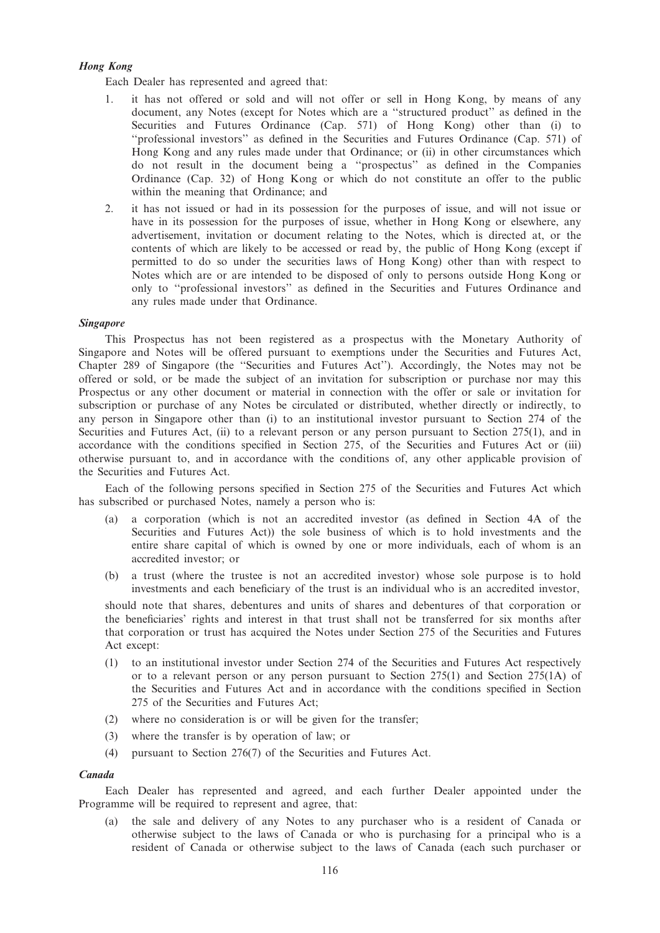## Hong Kong

Each Dealer has represented and agreed that:

- it has not offered or sold and will not offer or sell in Hong Kong, by means of any document, any Notes (except for Notes which are a ''structured product'' as defined in the Securities and Futures Ordinance (Cap. 571) of Hong Kong) other than (i) to ''professional investors'' as defined in the Securities and Futures Ordinance (Cap. 571) of Hong Kong and any rules made under that Ordinance; or (ii) in other circumstances which do not result in the document being a ''prospectus'' as defined in the Companies Ordinance (Cap. 32) of Hong Kong or which do not constitute an offer to the public within the meaning that Ordinance; and
- 2. it has not issued or had in its possession for the purposes of issue, and will not issue or have in its possession for the purposes of issue, whether in Hong Kong or elsewhere, any advertisement, invitation or document relating to the Notes, which is directed at, or the contents of which are likely to be accessed or read by, the public of Hong Kong (except if permitted to do so under the securities laws of Hong Kong) other than with respect to Notes which are or are intended to be disposed of only to persons outside Hong Kong or only to ''professional investors'' as defined in the Securities and Futures Ordinance and any rules made under that Ordinance.

### Singapore

This Prospectus has not been registered as a prospectus with the Monetary Authority of Singapore and Notes will be offered pursuant to exemptions under the Securities and Futures Act, Chapter 289 of Singapore (the ''Securities and Futures Act''). Accordingly, the Notes may not be offered or sold, or be made the subject of an invitation for subscription or purchase nor may this Prospectus or any other document or material in connection with the offer or sale or invitation for subscription or purchase of any Notes be circulated or distributed, whether directly or indirectly, to any person in Singapore other than (i) to an institutional investor pursuant to Section 274 of the Securities and Futures Act, (ii) to a relevant person or any person pursuant to Section 275(1), and in accordance with the conditions specified in Section 275, of the Securities and Futures Act or (iii) otherwise pursuant to, and in accordance with the conditions of, any other applicable provision of the Securities and Futures Act.

Each of the following persons specified in Section 275 of the Securities and Futures Act which has subscribed or purchased Notes, namely a person who is:

- (a) a corporation (which is not an accredited investor (as defined in Section 4A of the Securities and Futures Act)) the sole business of which is to hold investments and the entire share capital of which is owned by one or more individuals, each of whom is an accredited investor; or
- (b) a trust (where the trustee is not an accredited investor) whose sole purpose is to hold investments and each beneficiary of the trust is an individual who is an accredited investor,

should note that shares, debentures and units of shares and debentures of that corporation or the beneficiaries' rights and interest in that trust shall not be transferred for six months after that corporation or trust has acquired the Notes under Section 275 of the Securities and Futures Act except:

- (1) to an institutional investor under Section 274 of the Securities and Futures Act respectively or to a relevant person or any person pursuant to Section  $275(1)$  and Section  $275(1)$  of the Securities and Futures Act and in accordance with the conditions specified in Section 275 of the Securities and Futures Act;
- (2) where no consideration is or will be given for the transfer;
- (3) where the transfer is by operation of law; or
- (4) pursuant to Section 276(7) of the Securities and Futures Act.

#### Canada

Each Dealer has represented and agreed, and each further Dealer appointed under the Programme will be required to represent and agree, that:

(a) the sale and delivery of any Notes to any purchaser who is a resident of Canada or otherwise subject to the laws of Canada or who is purchasing for a principal who is a resident of Canada or otherwise subject to the laws of Canada (each such purchaser or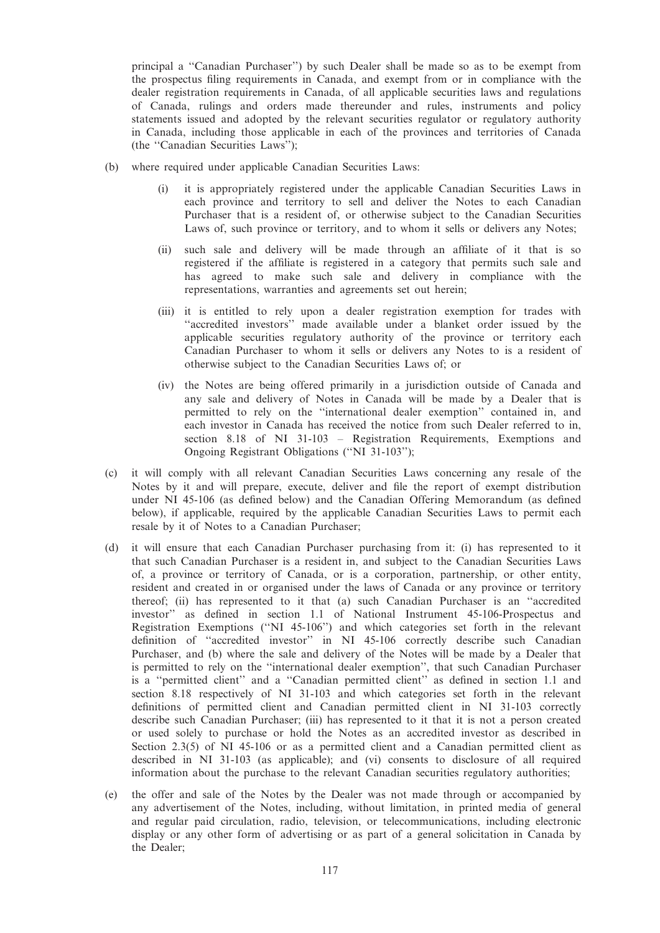principal a ''Canadian Purchaser'') by such Dealer shall be made so as to be exempt from the prospectus filing requirements in Canada, and exempt from or in compliance with the dealer registration requirements in Canada, of all applicable securities laws and regulations of Canada, rulings and orders made thereunder and rules, instruments and policy statements issued and adopted by the relevant securities regulator or regulatory authority in Canada, including those applicable in each of the provinces and territories of Canada (the ''Canadian Securities Laws'');

- (b) where required under applicable Canadian Securities Laws:
	- (i) it is appropriately registered under the applicable Canadian Securities Laws in each province and territory to sell and deliver the Notes to each Canadian Purchaser that is a resident of, or otherwise subject to the Canadian Securities Laws of, such province or territory, and to whom it sells or delivers any Notes;
	- (ii) such sale and delivery will be made through an affiliate of it that is so registered if the affiliate is registered in a category that permits such sale and has agreed to make such sale and delivery in compliance with the representations, warranties and agreements set out herein;
	- (iii) it is entitled to rely upon a dealer registration exemption for trades with "accredited investors" made available under a blanket order issued by the applicable securities regulatory authority of the province or territory each Canadian Purchaser to whom it sells or delivers any Notes to is a resident of otherwise subject to the Canadian Securities Laws of; or
	- (iv) the Notes are being offered primarily in a jurisdiction outside of Canada and any sale and delivery of Notes in Canada will be made by a Dealer that is permitted to rely on the ''international dealer exemption'' contained in, and each investor in Canada has received the notice from such Dealer referred to in, section 8.18 of NI 31-103 – Registration Requirements, Exemptions and Ongoing Registrant Obligations (''NI 31-103'');
- (c) it will comply with all relevant Canadian Securities Laws concerning any resale of the Notes by it and will prepare, execute, deliver and file the report of exempt distribution under NI 45-106 (as defined below) and the Canadian Offering Memorandum (as defined below), if applicable, required by the applicable Canadian Securities Laws to permit each resale by it of Notes to a Canadian Purchaser;
- (d) it will ensure that each Canadian Purchaser purchasing from it: (i) has represented to it that such Canadian Purchaser is a resident in, and subject to the Canadian Securities Laws of, a province or territory of Canada, or is a corporation, partnership, or other entity, resident and created in or organised under the laws of Canada or any province or territory thereof; (ii) has represented to it that (a) such Canadian Purchaser is an ''accredited investor'' as defined in section 1.1 of National Instrument 45-106-Prospectus and Registration Exemptions (''NI 45-106'') and which categories set forth in the relevant definition of ''accredited investor'' in NI 45-106 correctly describe such Canadian Purchaser, and (b) where the sale and delivery of the Notes will be made by a Dealer that is permitted to rely on the ''international dealer exemption'', that such Canadian Purchaser is a ''permitted client'' and a ''Canadian permitted client'' as defined in section 1.1 and section 8.18 respectively of NI 31-103 and which categories set forth in the relevant definitions of permitted client and Canadian permitted client in NI 31-103 correctly describe such Canadian Purchaser; (iii) has represented to it that it is not a person created or used solely to purchase or hold the Notes as an accredited investor as described in Section 2.3(5) of NI 45-106 or as a permitted client and a Canadian permitted client as described in NI 31-103 (as applicable); and (vi) consents to disclosure of all required information about the purchase to the relevant Canadian securities regulatory authorities;
- (e) the offer and sale of the Notes by the Dealer was not made through or accompanied by any advertisement of the Notes, including, without limitation, in printed media of general and regular paid circulation, radio, television, or telecommunications, including electronic display or any other form of advertising or as part of a general solicitation in Canada by the Dealer;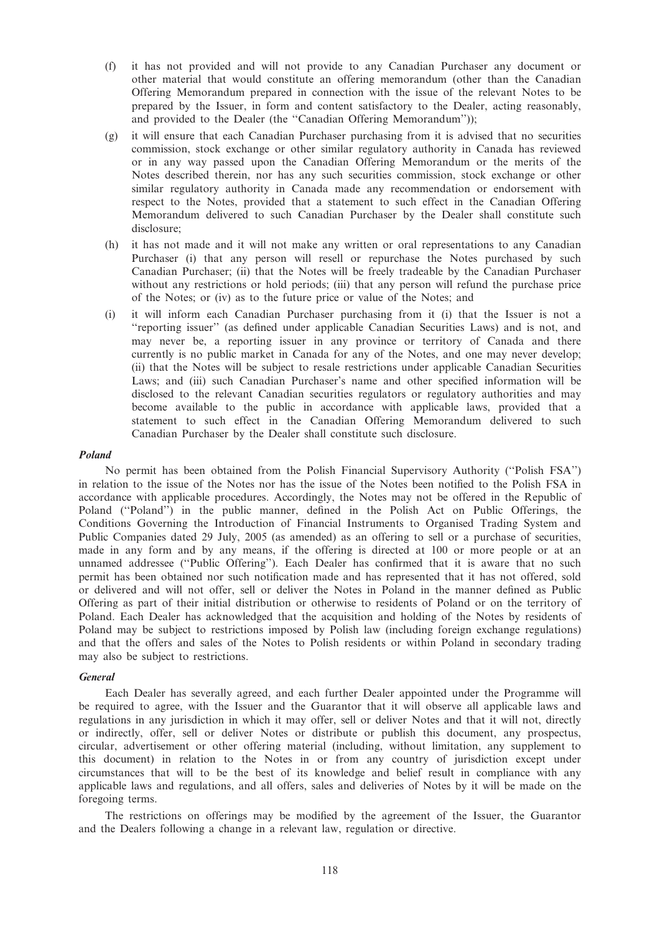- (f) it has not provided and will not provide to any Canadian Purchaser any document or other material that would constitute an offering memorandum (other than the Canadian Offering Memorandum prepared in connection with the issue of the relevant Notes to be prepared by the Issuer, in form and content satisfactory to the Dealer, acting reasonably, and provided to the Dealer (the ''Canadian Offering Memorandum''));
- (g) it will ensure that each Canadian Purchaser purchasing from it is advised that no securities commission, stock exchange or other similar regulatory authority in Canada has reviewed or in any way passed upon the Canadian Offering Memorandum or the merits of the Notes described therein, nor has any such securities commission, stock exchange or other similar regulatory authority in Canada made any recommendation or endorsement with respect to the Notes, provided that a statement to such effect in the Canadian Offering Memorandum delivered to such Canadian Purchaser by the Dealer shall constitute such disclosure;
- (h) it has not made and it will not make any written or oral representations to any Canadian Purchaser (i) that any person will resell or repurchase the Notes purchased by such Canadian Purchaser; (ii) that the Notes will be freely tradeable by the Canadian Purchaser without any restrictions or hold periods; (iii) that any person will refund the purchase price of the Notes; or (iv) as to the future price or value of the Notes; and
- (i) it will inform each Canadian Purchaser purchasing from it (i) that the Issuer is not a ''reporting issuer'' (as defined under applicable Canadian Securities Laws) and is not, and may never be, a reporting issuer in any province or territory of Canada and there currently is no public market in Canada for any of the Notes, and one may never develop; (ii) that the Notes will be subject to resale restrictions under applicable Canadian Securities Laws; and (iii) such Canadian Purchaser's name and other specified information will be disclosed to the relevant Canadian securities regulators or regulatory authorities and may become available to the public in accordance with applicable laws, provided that a statement to such effect in the Canadian Offering Memorandum delivered to such Canadian Purchaser by the Dealer shall constitute such disclosure.

#### Poland

No permit has been obtained from the Polish Financial Supervisory Authority (''Polish FSA'') in relation to the issue of the Notes nor has the issue of the Notes been notified to the Polish FSA in accordance with applicable procedures. Accordingly, the Notes may not be offered in the Republic of Poland (''Poland'') in the public manner, defined in the Polish Act on Public Offerings, the Conditions Governing the Introduction of Financial Instruments to Organised Trading System and Public Companies dated 29 July, 2005 (as amended) as an offering to sell or a purchase of securities, made in any form and by any means, if the offering is directed at 100 or more people or at an unnamed addressee (''Public Offering''). Each Dealer has confirmed that it is aware that no such permit has been obtained nor such notification made and has represented that it has not offered, sold or delivered and will not offer, sell or deliver the Notes in Poland in the manner defined as Public Offering as part of their initial distribution or otherwise to residents of Poland or on the territory of Poland. Each Dealer has acknowledged that the acquisition and holding of the Notes by residents of Poland may be subject to restrictions imposed by Polish law (including foreign exchange regulations) and that the offers and sales of the Notes to Polish residents or within Poland in secondary trading may also be subject to restrictions.

#### General

Each Dealer has severally agreed, and each further Dealer appointed under the Programme will be required to agree, with the Issuer and the Guarantor that it will observe all applicable laws and regulations in any jurisdiction in which it may offer, sell or deliver Notes and that it will not, directly or indirectly, offer, sell or deliver Notes or distribute or publish this document, any prospectus, circular, advertisement or other offering material (including, without limitation, any supplement to this document) in relation to the Notes in or from any country of jurisdiction except under circumstances that will to be the best of its knowledge and belief result in compliance with any applicable laws and regulations, and all offers, sales and deliveries of Notes by it will be made on the foregoing terms.

The restrictions on offerings may be modified by the agreement of the Issuer, the Guarantor and the Dealers following a change in a relevant law, regulation or directive.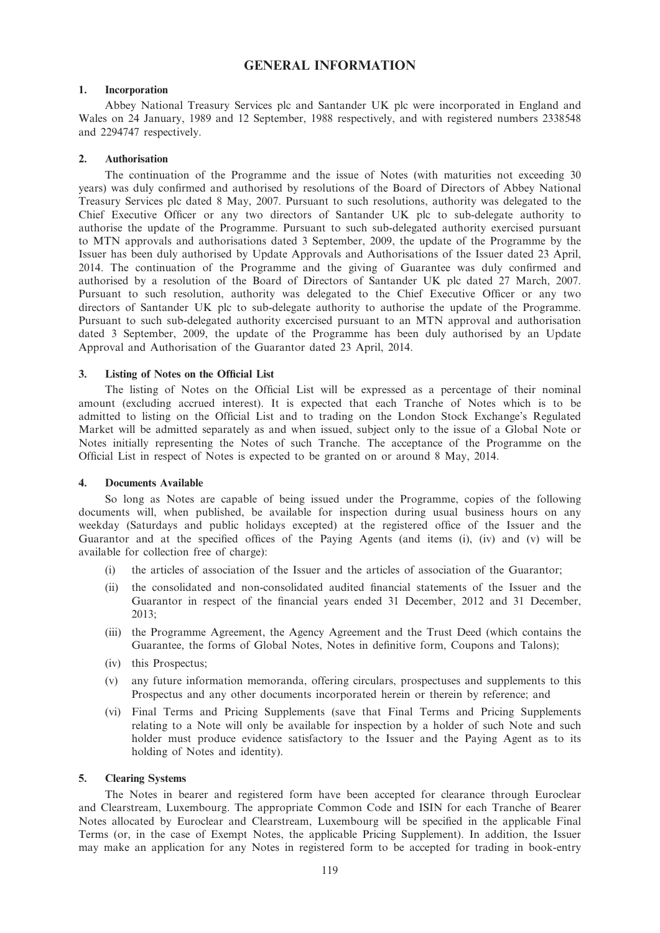# GENERAL INFORMATION

## 1. Incorporation

Abbey National Treasury Services plc and Santander UK plc were incorporated in England and Wales on 24 January, 1989 and 12 September, 1988 respectively, and with registered numbers 2338548 and 2294747 respectively.

### 2. Authorisation

The continuation of the Programme and the issue of Notes (with maturities not exceeding 30 years) was duly confirmed and authorised by resolutions of the Board of Directors of Abbey National Treasury Services plc dated 8 May, 2007. Pursuant to such resolutions, authority was delegated to the Chief Executive Officer or any two directors of Santander UK plc to sub-delegate authority to authorise the update of the Programme. Pursuant to such sub-delegated authority exercised pursuant to MTN approvals and authorisations dated 3 September, 2009, the update of the Programme by the Issuer has been duly authorised by Update Approvals and Authorisations of the Issuer dated 23 April, 2014. The continuation of the Programme and the giving of Guarantee was duly confirmed and authorised by a resolution of the Board of Directors of Santander UK plc dated 27 March, 2007. Pursuant to such resolution, authority was delegated to the Chief Executive Officer or any two directors of Santander UK plc to sub-delegate authority to authorise the update of the Programme. Pursuant to such sub-delegated authority excercised pursuant to an MTN approval and authorisation dated 3 September, 2009, the update of the Programme has been duly authorised by an Update Approval and Authorisation of the Guarantor dated 23 April, 2014.

### 3. Listing of Notes on the Official List

The listing of Notes on the Official List will be expressed as a percentage of their nominal amount (excluding accrued interest). It is expected that each Tranche of Notes which is to be admitted to listing on the Official List and to trading on the London Stock Exchange's Regulated Market will be admitted separately as and when issued, subject only to the issue of a Global Note or Notes initially representing the Notes of such Tranche. The acceptance of the Programme on the Official List in respect of Notes is expected to be granted on or around 8 May, 2014.

## 4. Documents Available

So long as Notes are capable of being issued under the Programme, copies of the following documents will, when published, be available for inspection during usual business hours on any weekday (Saturdays and public holidays excepted) at the registered office of the Issuer and the Guarantor and at the specified offices of the Paying Agents (and items (i), (iv) and (v) will be available for collection free of charge):

- (i) the articles of association of the Issuer and the articles of association of the Guarantor;
- (ii) the consolidated and non-consolidated audited financial statements of the Issuer and the Guarantor in respect of the financial years ended 31 December, 2012 and 31 December, 2013;
- (iii) the Programme Agreement, the Agency Agreement and the Trust Deed (which contains the Guarantee, the forms of Global Notes, Notes in definitive form, Coupons and Talons);
- (iv) this Prospectus;
- (v) any future information memoranda, offering circulars, prospectuses and supplements to this Prospectus and any other documents incorporated herein or therein by reference; and
- (vi) Final Terms and Pricing Supplements (save that Final Terms and Pricing Supplements relating to a Note will only be available for inspection by a holder of such Note and such holder must produce evidence satisfactory to the Issuer and the Paying Agent as to its holding of Notes and identity).

#### 5. Clearing Systems

The Notes in bearer and registered form have been accepted for clearance through Euroclear and Clearstream, Luxembourg. The appropriate Common Code and ISIN for each Tranche of Bearer Notes allocated by Euroclear and Clearstream, Luxembourg will be specified in the applicable Final Terms (or, in the case of Exempt Notes, the applicable Pricing Supplement). In addition, the Issuer may make an application for any Notes in registered form to be accepted for trading in book-entry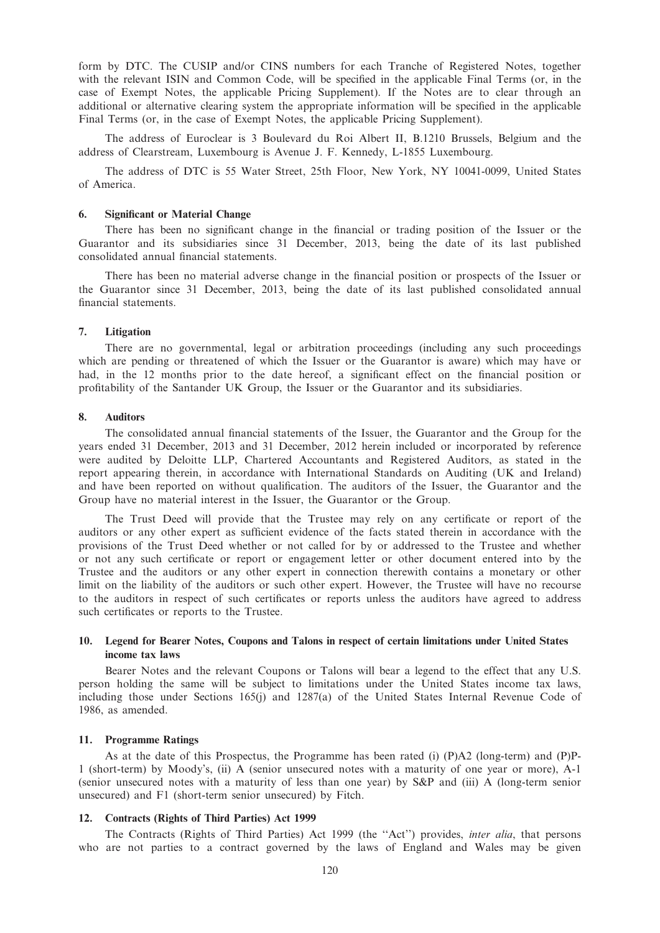form by DTC. The CUSIP and/or CINS numbers for each Tranche of Registered Notes, together with the relevant ISIN and Common Code, will be specified in the applicable Final Terms (or, in the case of Exempt Notes, the applicable Pricing Supplement). If the Notes are to clear through an additional or alternative clearing system the appropriate information will be specified in the applicable Final Terms (or, in the case of Exempt Notes, the applicable Pricing Supplement).

The address of Euroclear is 3 Boulevard du Roi Albert II, B.1210 Brussels, Belgium and the address of Clearstream, Luxembourg is Avenue J. F. Kennedy, L-1855 Luxembourg.

The address of DTC is 55 Water Street, 25th Floor, New York, NY 10041-0099, United States of America.

#### 6. Significant or Material Change

There has been no significant change in the financial or trading position of the Issuer or the Guarantor and its subsidiaries since 31 December, 2013, being the date of its last published consolidated annual financial statements.

There has been no material adverse change in the financial position or prospects of the Issuer or the Guarantor since 31 December, 2013, being the date of its last published consolidated annual financial statements.

#### 7. Litigation

There are no governmental, legal or arbitration proceedings (including any such proceedings which are pending or threatened of which the Issuer or the Guarantor is aware) which may have or had, in the 12 months prior to the date hereof, a significant effect on the financial position or profitability of the Santander UK Group, the Issuer or the Guarantor and its subsidiaries.

### 8. Auditors

The consolidated annual financial statements of the Issuer, the Guarantor and the Group for the years ended 31 December, 2013 and 31 December, 2012 herein included or incorporated by reference were audited by Deloitte LLP, Chartered Accountants and Registered Auditors, as stated in the report appearing therein, in accordance with International Standards on Auditing (UK and Ireland) and have been reported on without qualification. The auditors of the Issuer, the Guarantor and the Group have no material interest in the Issuer, the Guarantor or the Group.

The Trust Deed will provide that the Trustee may rely on any certificate or report of the auditors or any other expert as sufficient evidence of the facts stated therein in accordance with the provisions of the Trust Deed whether or not called for by or addressed to the Trustee and whether or not any such certificate or report or engagement letter or other document entered into by the Trustee and the auditors or any other expert in connection therewith contains a monetary or other limit on the liability of the auditors or such other expert. However, the Trustee will have no recourse to the auditors in respect of such certificates or reports unless the auditors have agreed to address such certificates or reports to the Trustee.

## 10. Legend for Bearer Notes, Coupons and Talons in respect of certain limitations under United States income tax laws

Bearer Notes and the relevant Coupons or Talons will bear a legend to the effect that any U.S. person holding the same will be subject to limitations under the United States income tax laws, including those under Sections 165(j) and 1287(a) of the United States Internal Revenue Code of 1986, as amended.

#### 11. Programme Ratings

As at the date of this Prospectus, the Programme has been rated (i) (P)A2 (long-term) and (P)P-1 (short-term) by Moody's, (ii) A (senior unsecured notes with a maturity of one year or more), A-1 (senior unsecured notes with a maturity of less than one year) by S&P and (iii) A (long-term senior unsecured) and F1 (short-term senior unsecured) by Fitch.

### 12. Contracts (Rights of Third Parties) Act 1999

The Contracts (Rights of Third Parties) Act 1999 (the "Act") provides, *inter alia*, that persons who are not parties to a contract governed by the laws of England and Wales may be given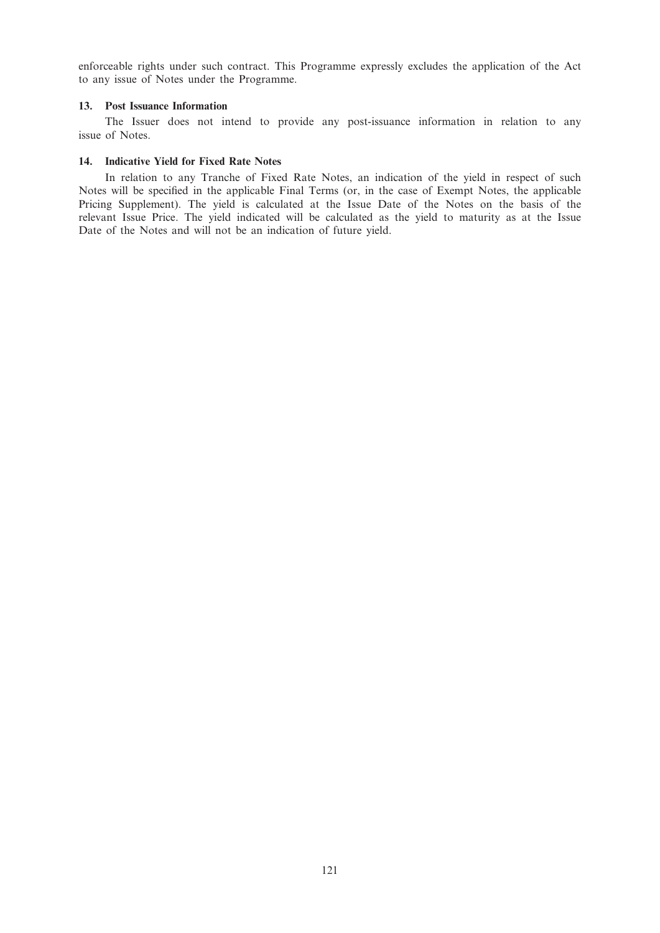enforceable rights under such contract. This Programme expressly excludes the application of the Act to any issue of Notes under the Programme.

## 13. Post Issuance Information

The Issuer does not intend to provide any post-issuance information in relation to any issue of Notes.

# 14. Indicative Yield for Fixed Rate Notes

In relation to any Tranche of Fixed Rate Notes, an indication of the yield in respect of such Notes will be specified in the applicable Final Terms (or, in the case of Exempt Notes, the applicable Pricing Supplement). The yield is calculated at the Issue Date of the Notes on the basis of the relevant Issue Price. The yield indicated will be calculated as the yield to maturity as at the Issue Date of the Notes and will not be an indication of future yield.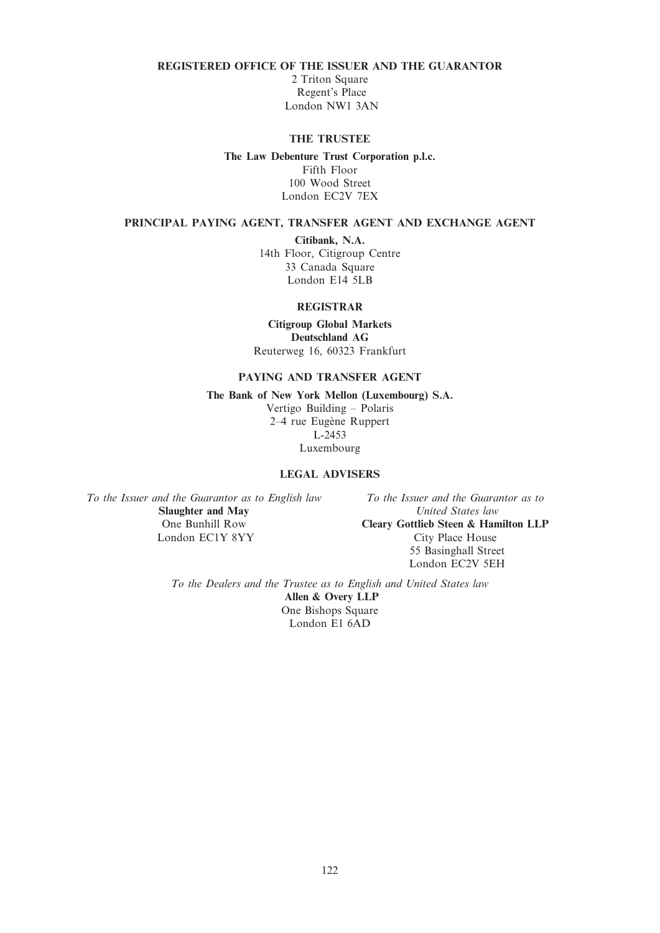## REGISTERED OFFICE OF THE ISSUER AND THE GUARANTOR

2 Triton Square Regent's Place London NW1 3AN

## THE TRUSTEE

## The Law Debenture Trust Corporation p.l.c.

Fifth Floor 100 Wood Street London EC2V 7EX

## PRINCIPAL PAYING AGENT, TRANSFER AGENT AND EXCHANGE AGENT

Citibank, N.A.

14th Floor, Citigroup Centre 33 Canada Square London E14 5LB

### REGISTRAR

Citigroup Global Markets Deutschland AG Reuterweg 16, 60323 Frankfurt

# PAYING AND TRANSFER AGENT

The Bank of New York Mellon (Luxembourg) S.A. Vertigo Building – Polaris

2–4 rue Eugène Ruppert L-2453 Luxembourg

# LEGAL ADVISERS

To the Issuer and the Guarantor as to English law Slaughter and May One Bunhill Row London EC1Y 8YY

To the Issuer and the Guarantor as to United States law Cleary Gottlieb Steen & Hamilton LLP City Place House 55 Basinghall Street London EC2V 5EH

To the Dealers and the Trustee as to English and United States law Allen & Overy LLP One Bishops Square London E1 6AD